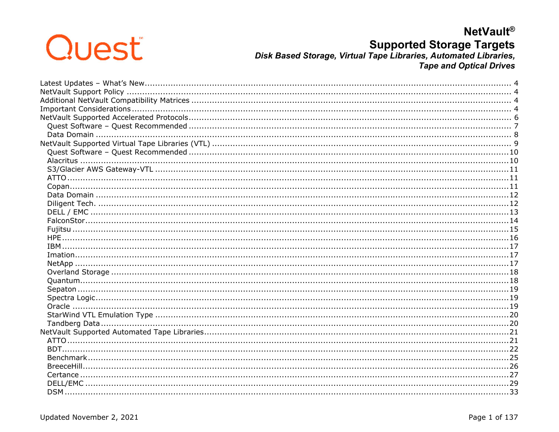#### **NetVault® Supported Storage Targets** Disk Based Storage, Virtual Tape Libraries, Automated Libraries,

**Tape and Optical Drives**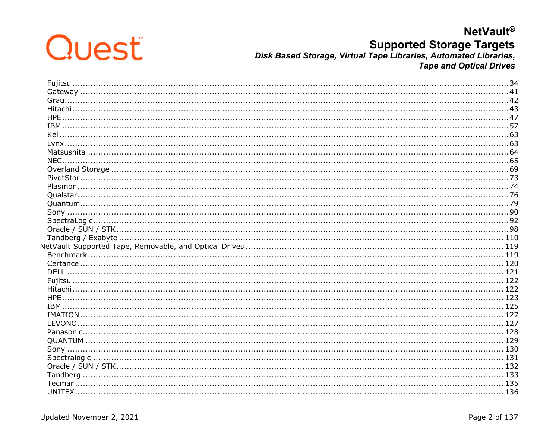#### **NetVault® Supported Storage Targets** Disk Based Storage, Virtual Tape Libraries, Automated Libraries,

**Tape and Optical Drives**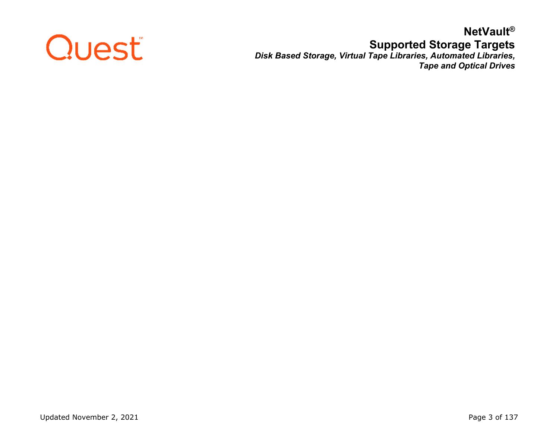

#### **NetVault® Supported Storage Targets**  *Disk Based Storage, Virtual Tape Libraries, Automated Libraries, Tape and Optical Drives*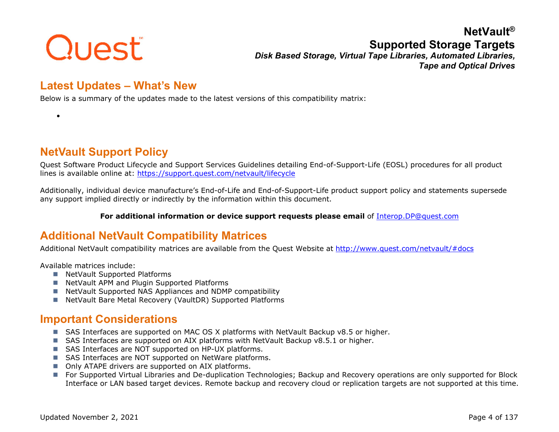

•

#### **NetVault® Supported Storage Targets**  *Disk Based Storage, Virtual Tape Libraries, Automated Libraries, Tape and Optical Drives*

#### **Latest Updates – What's New**

Below is a summary of the updates made to the latest versions of this compatibility matrix:

#### **NetVault Support Policy**

Quest Software Product Lifecycle and Support Services Guidelines detailing End-of-Support-Life (EOSL) procedures for all product lines is available online at: https://support.quest.com/netvault/lifecycle

Additionally, individual device manufacture's End-of-Life and End-of-Support-Life product support policy and statements supersede any support implied directly or indirectly by the information within this document.

#### **For additional information or device support requests please email** of Interop.DP@quest.com

#### **Additional NetVault Compatibility Matrices**

Additional NetVault compatibility matrices are available from the Quest Website at http://www.quest.com/netvault/#docs

Available matrices include:

- NetVault Supported Platforms
- NetVault APM and Plugin Supported Platforms
- NetVault Supported NAS Appliances and NDMP compatibility
- NetVault Bare Metal Recovery (VaultDR) Supported Platforms

#### **Important Considerations**

- SAS Interfaces are supported on MAC OS X platforms with NetVault Backup v8.5 or higher.
- SAS Interfaces are supported on AIX platforms with NetVault Backup v8.5.1 or higher.
- SAS Interfaces are NOT supported on HP-UX platforms.
- SAS Interfaces are NOT supported on NetWare platforms.
- Only ATAPE drivers are supported on AIX platforms.
- For Supported Virtual Libraries and De-duplication Technologies; Backup and Recovery operations are only supported for Block Interface or LAN based target devices. Remote backup and recovery cloud or replication targets are not supported at this time.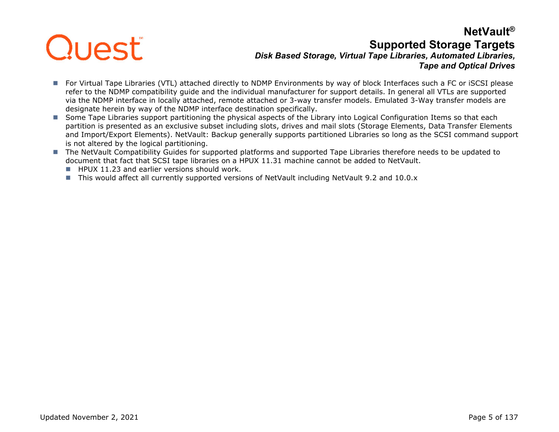

#### **NetVault® Supported Storage Targets**  *Disk Based Storage, Virtual Tape Libraries, Automated Libraries, Tape and Optical Drives*

- For Virtual Tape Libraries (VTL) attached directly to NDMP Environments by way of block Interfaces such a FC or iSCSI please refer to the NDMP compatibility guide and the individual manufacturer for support details. In general all VTLs are supported via the NDMP interface in locally attached, remote attached or 3-way transfer models. Emulated 3-Way transfer models are designate herein by way of the NDMP interface destination specifically.
- Some Tape Libraries support partitioning the physical aspects of the Library into Logical Configuration Items so that each partition is presented as an exclusive subset including slots, drives and mail slots (Storage Elements, Data Transfer Elements and Import/Export Elements). NetVault: Backup generally supports partitioned Libraries so long as the SCSI command support is not altered by the logical partitioning.
- The NetVault Compatibility Guides for supported platforms and supported Tape Libraries therefore needs to be updated to document that fact that SCSI tape libraries on a HPUX 11.31 machine cannot be added to NetVault.
	- **HPUX 11.23 and earlier versions should work.**
	- **This would affect all currently supported versions of NetVault including NetVault 9.2 and 10.0.x**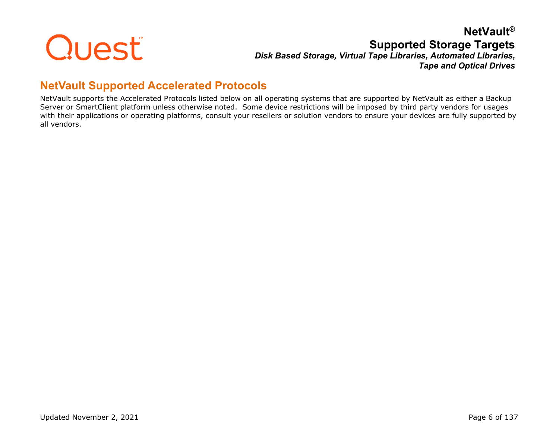#### **NetVault® Supported Storage Targets**  *Disk Based Storage, Virtual Tape Libraries, Automated Libraries, Tape and Optical Drives*

#### **NetVault Supported Accelerated Protocols**

NetVault supports the Accelerated Protocols listed below on all operating systems that are supported by NetVault as either a Backup Server or SmartClient platform unless otherwise noted. Some device restrictions will be imposed by third party vendors for usages with their applications or operating platforms, consult your resellers or solution vendors to ensure your devices are fully supported by all vendors.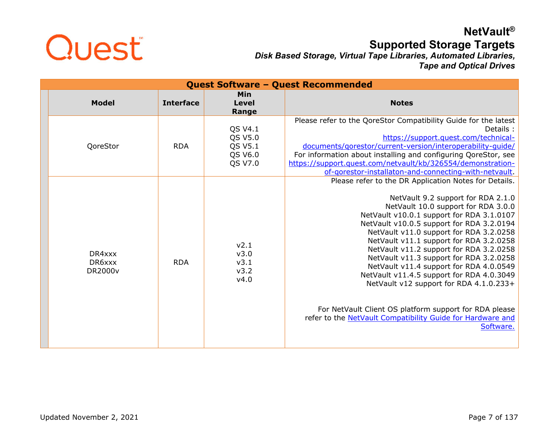

| <b>Quest Software - Quest Recommended</b> |                  |                                                     |                                                                                                                                                                                                                                                                                                                                                                                                                                                                                                                                                                                                                                                                                  |  |  |
|-------------------------------------------|------------------|-----------------------------------------------------|----------------------------------------------------------------------------------------------------------------------------------------------------------------------------------------------------------------------------------------------------------------------------------------------------------------------------------------------------------------------------------------------------------------------------------------------------------------------------------------------------------------------------------------------------------------------------------------------------------------------------------------------------------------------------------|--|--|
| <b>Model</b>                              | <b>Interface</b> | Min<br><b>Level</b><br>Range                        | <b>Notes</b>                                                                                                                                                                                                                                                                                                                                                                                                                                                                                                                                                                                                                                                                     |  |  |
| QoreStor                                  | <b>RDA</b>       | QS V4.1<br>QS V5.0<br>QS V5.1<br>QS V6.0<br>QS V7.0 | Please refer to the QoreStor Compatibility Guide for the latest<br>Details:<br>https://support.quest.com/technical-<br>documents/gorestor/current-version/interoperability-guide/<br>For information about installing and configuring QoreStor, see<br>https://support.quest.com/netvault/kb/326554/demonstration-<br>of-gorestor-installaton-and-connecting-with-netvault.                                                                                                                                                                                                                                                                                                      |  |  |
| DR4xxx<br>DR6xxx<br><b>DR2000v</b>        | <b>RDA</b>       | v2.1<br>v3.0<br>v3.1<br>v3.2<br>v4.0                | Please refer to the DR Application Notes for Details.<br>NetVault 9.2 support for RDA 2.1.0<br>NetVault 10.0 support for RDA 3.0.0<br>NetVault v10.0.1 support for RDA 3.1.0107<br>NetVault v10.0.5 support for RDA 3.2.0194<br>NetVault v11.0 support for RDA 3.2.0258<br>NetVault v11.1 support for RDA 3.2.0258<br>NetVault v11.2 support for RDA 3.2.0258<br>NetVault v11.3 support for RDA 3.2.0258<br>NetVault v11.4 support for RDA 4.0.0549<br>NetVault v11.4.5 support for RDA 4.0.3049<br>NetVault v12 support for RDA 4.1.0.233+<br>For NetVault Client OS platform support for RDA please<br>refer to the NetVault Compatibility Guide for Hardware and<br>Software. |  |  |
| Updated November 2, 2021                  |                  |                                                     | Page 7 of 137                                                                                                                                                                                                                                                                                                                                                                                                                                                                                                                                                                                                                                                                    |  |  |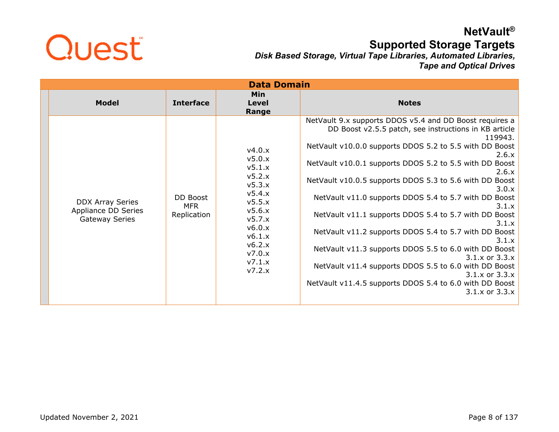

| <b>Data Domain</b>                                                      |                                       |                                                                                                                                                    |                                                                                                                                                                                                                                                                                                                                                                                                                                                                                                                                                                                                                                                                                                                                                                                              |  |
|-------------------------------------------------------------------------|---------------------------------------|----------------------------------------------------------------------------------------------------------------------------------------------------|----------------------------------------------------------------------------------------------------------------------------------------------------------------------------------------------------------------------------------------------------------------------------------------------------------------------------------------------------------------------------------------------------------------------------------------------------------------------------------------------------------------------------------------------------------------------------------------------------------------------------------------------------------------------------------------------------------------------------------------------------------------------------------------------|--|
| <b>Model</b>                                                            | <b>Interface</b>                      | Min<br><b>Level</b><br>Range                                                                                                                       | <b>Notes</b>                                                                                                                                                                                                                                                                                                                                                                                                                                                                                                                                                                                                                                                                                                                                                                                 |  |
| <b>DDX Array Series</b><br>Appliance DD Series<br><b>Gateway Series</b> | DD Boost<br><b>MFR</b><br>Replication | v4.0.x<br>v5.0.x<br>v5.1.x<br>v5.2.x<br>v5.3.x<br>v5.4.x<br>v5.5.x<br>v5.6.x<br>v5.7.x<br>v6.0.x<br>v6.1.x<br>v6.2.x<br>v7.0.x<br>v7.1.x<br>v7.2.x | NetVault 9.x supports DDOS v5.4 and DD Boost requires a<br>DD Boost v2.5.5 patch, see instructions in KB article<br>119943.<br>NetVault v10.0.0 supports DDOS 5.2 to 5.5 with DD Boost<br>2.6.x<br>NetVault v10.0.1 supports DDOS 5.2 to 5.5 with DD Boost<br>2.6.x<br>NetVault v10.0.5 supports DDOS 5.3 to 5.6 with DD Boost<br>3.0.x<br>NetVault v11.0 supports DDOS 5.4 to 5.7 with DD Boost<br>3.1.x<br>NetVault v11.1 supports DDOS 5.4 to 5.7 with DD Boost<br>3.1.x<br>NetVault v11.2 supports DDOS 5.4 to 5.7 with DD Boost<br>3.1.x<br>NetVault v11.3 supports DDOS 5.5 to 6.0 with DD Boost<br>$3.1.x$ or $3.3.x$<br>NetVault v11.4 supports DDOS 5.5 to 6.0 with DD Boost<br>$3.1.x$ or $3.3.x$<br>NetVault v11.4.5 supports DDOS 5.4 to 6.0 with DD Boost<br>$3.1.x$ or $3.3.x$ |  |
|                                                                         |                                       |                                                                                                                                                    |                                                                                                                                                                                                                                                                                                                                                                                                                                                                                                                                                                                                                                                                                                                                                                                              |  |
| Updated November 2, 2021                                                |                                       |                                                                                                                                                    | Page 8 of 137                                                                                                                                                                                                                                                                                                                                                                                                                                                                                                                                                                                                                                                                                                                                                                                |  |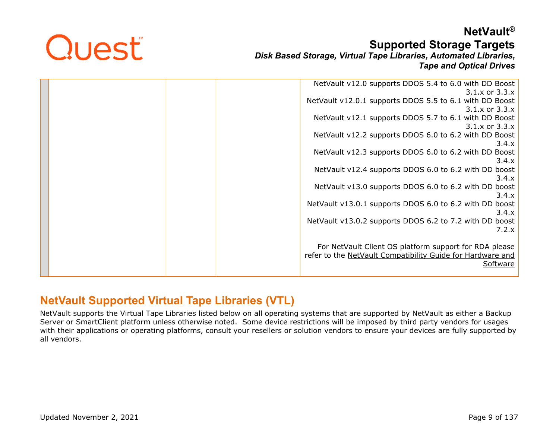#### **NetVault® Supported Storage Targets**  *Disk Based Storage, Virtual Tape Libraries, Automated Libraries, Tape and Optical Drives*



| NetVault v12.0 supports DDOS 5.4 to 6.0 with DD Boost<br>$3.1.x$ or $3.3.x$                                                             |
|-----------------------------------------------------------------------------------------------------------------------------------------|
| NetVault v12.0.1 supports DDOS 5.5 to 6.1 with DD Boost                                                                                 |
| $3.1.x$ or $3.3.x$                                                                                                                      |
| NetVault v12.1 supports DDOS 5.7 to 6.1 with DD Boost                                                                                   |
| $3.1.x$ or $3.3.x$                                                                                                                      |
| NetVault v12.2 supports DDOS 6.0 to 6.2 with DD Boost<br>3.4.x                                                                          |
| NetVault v12.3 supports DDOS 6.0 to 6.2 with DD Boost<br>3.4.x                                                                          |
| NetVault v12.4 supports DDOS 6.0 to 6.2 with DD boost<br>3.4.x                                                                          |
| NetVault v13.0 supports DDOS 6.0 to 6.2 with DD boost<br>3.4.x                                                                          |
| NetVault v13.0.1 supports DDOS 6.0 to 6.2 with DD boost<br>3.4.x                                                                        |
| NetVault v13.0.2 supports DDOS 6.2 to 7.2 with DD boost<br>7.2.x                                                                        |
| For NetVault Client OS platform support for RDA please<br>refer to the NetVault Compatibility Guide for Hardware and<br><u>Software</u> |

#### **NetVault Supported Virtual Tape Libraries (VTL)**

NetVault supports the Virtual Tape Libraries listed below on all operating systems that are supported by NetVault as either a Backup Server or SmartClient platform unless otherwise noted. Some device restrictions will be imposed by third party vendors for usages with their applications or operating platforms, consult your resellers or solution vendors to ensure your devices are fully supported by all vendors.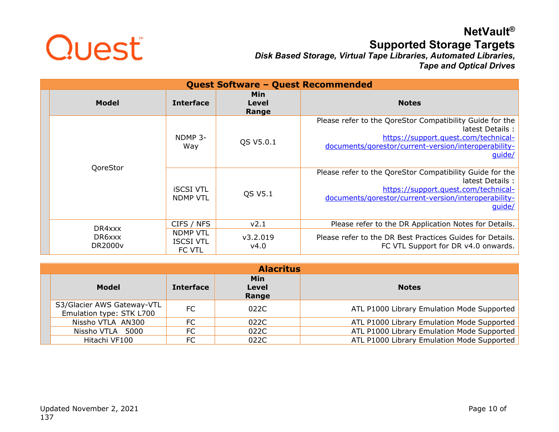### **NetVault® Supported Storage Targets**  *Disk Based Storage, Virtual Tape Libraries, Automated Libraries,*

*Tape and Optical Drives*

|      | <b>Quest Software - Quest Recommended</b>              |                                               |                              |                                                                                                                                                                                       |  |  |
|------|--------------------------------------------------------|-----------------------------------------------|------------------------------|---------------------------------------------------------------------------------------------------------------------------------------------------------------------------------------|--|--|
|      | <b>Model</b>                                           | <b>Interface</b>                              | Min<br><b>Level</b><br>Range | <b>Notes</b>                                                                                                                                                                          |  |  |
|      |                                                        | NDMP 3-<br>Way                                | QS V5.0.1                    | Please refer to the QoreStor Compatibility Guide for the<br>latest Details:<br>https://support.quest.com/technical-<br>documents/gorestor/current-version/interoperability-<br>quide/ |  |  |
|      | QoreStor                                               | <b>iSCSI VTL</b><br><b>NDMP VTL</b>           | QS V5.1                      | Please refer to the QoreStor Compatibility Guide for the<br>latest Details:<br>https://support.quest.com/technical-<br>documents/qorestor/current-version/interoperability-<br>guide/ |  |  |
|      |                                                        | CIFS / NFS                                    | v2.1                         | Please refer to the DR Application Notes for Details.                                                                                                                                 |  |  |
|      | DR4xxx<br>DR6xxx<br><b>DR2000v</b>                     | <b>NDMP VTL</b><br><b>ISCSI VTL</b><br>FC VTL | v3.2.019<br>v4.0             | Please refer to the DR Best Practices Guides for Details.<br>FC VTL Support for DR v4.0 onwards.                                                                                      |  |  |
|      |                                                        |                                               |                              |                                                                                                                                                                                       |  |  |
|      |                                                        |                                               | <b>Alacritus</b>             |                                                                                                                                                                                       |  |  |
|      | <b>Model</b>                                           | <b>Interface</b>                              | Min<br><b>Level</b><br>Range | <b>Notes</b>                                                                                                                                                                          |  |  |
|      | S3/Glacier AWS Gateway-VTL<br>Emulation type: STK L700 | <b>FC</b>                                     | 022C                         | ATL P1000 Library Emulation Mode Supported                                                                                                                                            |  |  |
|      | Nissho VTLA AN300                                      | <b>FC</b>                                     | 022C                         | ATL P1000 Library Emulation Mode Supported                                                                                                                                            |  |  |
|      | Nissho VTLA 5000                                       | ${\sf FC}$                                    | 022C                         | ATL P1000 Library Emulation Mode Supported                                                                                                                                            |  |  |
|      | Hitachi VF100                                          | FC                                            | 022C                         | ATL P1000 Library Emulation Mode Supported                                                                                                                                            |  |  |
|      | Updated November 2, 2021                               |                                               |                              | Page 10 of                                                                                                                                                                            |  |  |
| 137. |                                                        |                                               |                              |                                                                                                                                                                                       |  |  |

| <b>Alacritus</b>                                       |                  |                       |                                            |  |  |
|--------------------------------------------------------|------------------|-----------------------|--------------------------------------------|--|--|
| <b>Model</b>                                           | <b>Interface</b> | Min<br>Level<br>Range | <b>Notes</b>                               |  |  |
| S3/Glacier AWS Gateway-VTL<br>Emulation type: STK L700 | FC.              | 022C                  | ATL P1000 Library Emulation Mode Supported |  |  |
| Nissho VTLA AN300                                      | FC               | 022C                  | ATL P1000 Library Emulation Mode Supported |  |  |
| Nissho VTLA 5000                                       | FC               | 022C                  | ATL P1000 Library Emulation Mode Supported |  |  |
| Hitachi VF100                                          | FC               | 022C                  | ATL P1000 Library Emulation Mode Supported |  |  |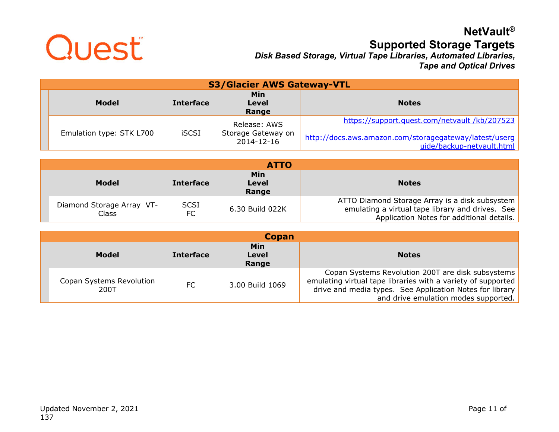## **NetVault® Supported Storage Targets**

| <b>S3/Glacier AWS Gateway-VTL</b> |                  |                                                  |                                                                                                        |  |  |
|-----------------------------------|------------------|--------------------------------------------------|--------------------------------------------------------------------------------------------------------|--|--|
| Model                             | <b>Interface</b> | Min<br><b>Level</b><br>Range                     | <b>Notes</b>                                                                                           |  |  |
| Emulation type: STK L700          | <b>iSCSI</b>     | Release: AWS<br>Storage Gateway on<br>2014-12-16 | https://support.quest.com/netvault/kb/207523<br>http://docs.aws.amazon.com/storagegateway/latest/userg |  |  |
|                                   |                  |                                                  | uide/backup-netvault.html                                                                              |  |  |

| <b>ATTO</b>                        |                   |                              |                                                                                                                                                 |  |  |  |
|------------------------------------|-------------------|------------------------------|-------------------------------------------------------------------------------------------------------------------------------------------------|--|--|--|
| <b>Model</b>                       | <b>Interface</b>  | Min<br><b>Level</b><br>Range | <b>Notes</b>                                                                                                                                    |  |  |  |
| Diamond Storage Array VT-<br>Class | <b>SCSI</b><br>FC | 6.30 Build 022K              | ATTO Diamond Storage Array is a disk subsystem<br>emulating a virtual tape library and drives. See<br>Application Notes for additional details. |  |  |  |

| <b>S3/Glacier AWS Gateway-VTL</b>  |                   |                                                  |                                                                                                                                                                                                                       |  |
|------------------------------------|-------------------|--------------------------------------------------|-----------------------------------------------------------------------------------------------------------------------------------------------------------------------------------------------------------------------|--|
| <b>Model</b>                       | <b>Interface</b>  | Min<br><b>Level</b><br>Range                     | <b>Notes</b>                                                                                                                                                                                                          |  |
| Emulation type: STK L700           | <b>iSCSI</b>      | Release: AWS<br>Storage Gateway on<br>2014-12-16 | https://support.quest.com/netvault/kb/207523<br>http://docs.aws.amazon.com/storagegateway/latest/userg<br>uide/backup-netvault.html                                                                                   |  |
|                                    |                   |                                                  |                                                                                                                                                                                                                       |  |
|                                    |                   | <b>ATTO</b>                                      |                                                                                                                                                                                                                       |  |
| <b>Model</b>                       | <b>Interface</b>  | Min<br><b>Level</b><br>Range                     | <b>Notes</b>                                                                                                                                                                                                          |  |
| Diamond Storage Array VT-<br>Class | <b>SCSI</b><br>FC | 6.30 Build 022K                                  | ATTO Diamond Storage Array is a disk subsystem<br>emulating a virtual tape library and drives. See<br>Application Notes for additional details.                                                                       |  |
|                                    |                   |                                                  |                                                                                                                                                                                                                       |  |
|                                    |                   | Copan                                            |                                                                                                                                                                                                                       |  |
| <b>Model</b>                       | <b>Interface</b>  | Min<br><b>Level</b><br>Range                     | <b>Notes</b>                                                                                                                                                                                                          |  |
| Copan Systems Revolution<br>200T   | <b>FC</b>         | 3.00 Build 1069                                  | Copan Systems Revolution 200T are disk subsystems<br>emulating virtual tape libraries with a variety of supported<br>drive and media types. See Application Notes for library<br>and drive emulation modes supported. |  |
|                                    |                   |                                                  |                                                                                                                                                                                                                       |  |
| Updated November 2, 2021           |                   |                                                  | Page 11 of                                                                                                                                                                                                            |  |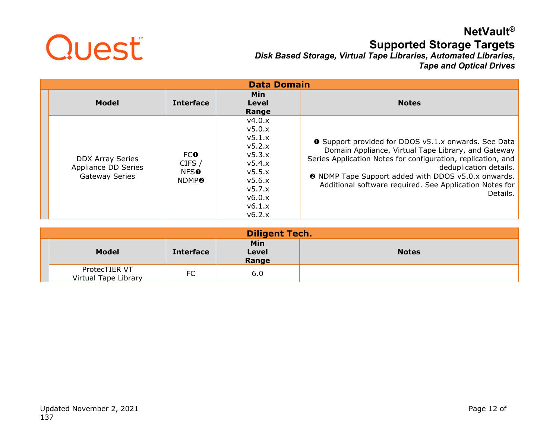

|     | <b>Data Domain</b>                                                      |                                                     |                                                                                                                      |                                                                                                                                                                                                                                                                                                                                                       |  |
|-----|-------------------------------------------------------------------------|-----------------------------------------------------|----------------------------------------------------------------------------------------------------------------------|-------------------------------------------------------------------------------------------------------------------------------------------------------------------------------------------------------------------------------------------------------------------------------------------------------------------------------------------------------|--|
|     | <b>Model</b>                                                            | <b>Interface</b>                                    | Min<br><b>Level</b><br>Range                                                                                         | <b>Notes</b>                                                                                                                                                                                                                                                                                                                                          |  |
|     | <b>DDX Array Series</b><br>Appliance DD Series<br><b>Gateway Series</b> | <b>FCO</b><br>CIFS /<br><b>NFSO</b><br><b>NDMP®</b> | v4.0.x<br>v5.0.x<br>v5.1.x<br>v5.2.x<br>v5.3.x<br>v5.4.x<br>v5.5.x<br>v5.6.x<br>v5.7.x<br>v6.0.x<br>v6.1.x<br>v6.2.x | <b>O</b> Support provided for DDOS v5.1.x onwards. See Data<br>Domain Appliance, Virtual Tape Library, and Gateway<br>Series Application Notes for configuration, replication, and<br>deduplication details.<br><sup>9</sup> NDMP Tape Support added with DDOS v5.0.x onwards.<br>Additional software required. See Application Notes for<br>Details. |  |
|     |                                                                         |                                                     |                                                                                                                      |                                                                                                                                                                                                                                                                                                                                                       |  |
|     |                                                                         |                                                     | <b>Diligent Tech.</b>                                                                                                |                                                                                                                                                                                                                                                                                                                                                       |  |
|     | <b>Model</b>                                                            | <b>Interface</b>                                    | Min<br><b>Level</b><br>Range                                                                                         | <b>Notes</b>                                                                                                                                                                                                                                                                                                                                          |  |
|     | ProtecTIER VT<br><b>Virtual Tape Library</b>                            | ${\sf FC}$                                          | 6.0                                                                                                                  |                                                                                                                                                                                                                                                                                                                                                       |  |
|     |                                                                         |                                                     |                                                                                                                      |                                                                                                                                                                                                                                                                                                                                                       |  |
| 137 | Updated November 2, 2021                                                |                                                     |                                                                                                                      | Page 12 of                                                                                                                                                                                                                                                                                                                                            |  |

| <b>Diligent Tech.</b>                 |                  |                              |              |  |  |
|---------------------------------------|------------------|------------------------------|--------------|--|--|
| <b>Model</b>                          | <b>Interface</b> | Min<br><b>Level</b><br>Range | <b>Notes</b> |  |  |
| ProtecTIER VT<br>Virtual Tape Library | <b>FC</b>        | 6.0                          |              |  |  |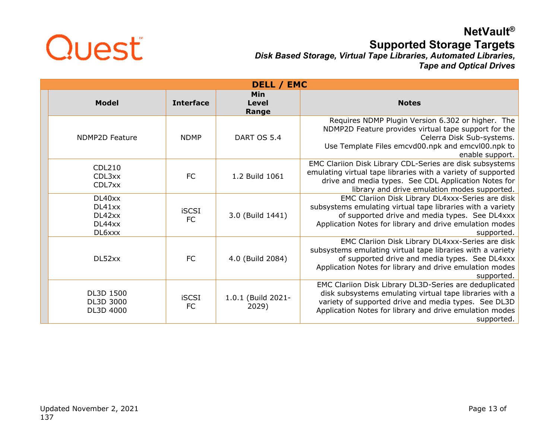

|     | DELL / EMC                                     |                           |                                     |                                                                                                                                                                                                                                                    |  |
|-----|------------------------------------------------|---------------------------|-------------------------------------|----------------------------------------------------------------------------------------------------------------------------------------------------------------------------------------------------------------------------------------------------|--|
|     | <b>Model</b>                                   | <b>Interface</b>          | <b>Min</b><br><b>Level</b><br>Range | <b>Notes</b>                                                                                                                                                                                                                                       |  |
|     | <b>NDMP2D Feature</b>                          | <b>NDMP</b>               | DART OS 5.4                         | Requires NDMP Plugin Version 6.302 or higher. The<br>NDMP2D Feature provides virtual tape support for the<br>Celerra Disk Sub-systems.<br>Use Template Files emcvd00.npk and emcvl00.npk to<br>enable support.                                     |  |
|     | <b>CDL210</b><br>CDL3xx<br>CDL7xx              | <b>FC</b>                 | 1.2 Build 1061                      | EMC Clariion Disk Library CDL-Series are disk subsystems<br>emulating virtual tape libraries with a variety of supported<br>drive and media types. See CDL Application Notes for<br>library and drive emulation modes supported.                   |  |
|     | DL40xx<br>DL41xx<br>DL42xx<br>DL44xx<br>DL6xxx | <b>iSCSI</b><br><b>FC</b> | 3.0 (Build 1441)                    | EMC Clariion Disk Library DL4xxx-Series are disk<br>subsystems emulating virtual tape libraries with a variety<br>of supported drive and media types. See DL4xxx<br>Application Notes for library and drive emulation modes<br>supported.          |  |
|     | DL52xx                                         | <b>FC</b>                 | 4.0 (Build 2084)                    | EMC Clariion Disk Library DL4xxx-Series are disk<br>subsystems emulating virtual tape libraries with a variety<br>of supported drive and media types. See DL4xxx<br>Application Notes for library and drive emulation modes<br>supported.          |  |
|     | DL3D 1500<br>DL3D 3000<br>DL3D 4000            | <b>iSCSI</b><br><b>FC</b> | 1.0.1 (Build 2021-<br>2029)         | EMC Clariion Disk Library DL3D-Series are deduplicated<br>disk subsystems emulating virtual tape libraries with a<br>variety of supported drive and media types. See DL3D<br>Application Notes for library and drive emulation modes<br>supported. |  |
|     |                                                |                           |                                     |                                                                                                                                                                                                                                                    |  |
|     |                                                |                           |                                     |                                                                                                                                                                                                                                                    |  |
| 137 | Updated November 2, 2021                       |                           |                                     | Page 13 of                                                                                                                                                                                                                                         |  |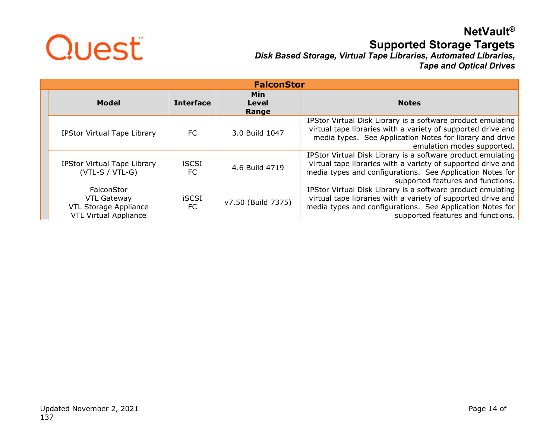

|     | <b>FalconStor</b>                                                                         |                           |                                     |                                                                                                                                                                                                                               |
|-----|-------------------------------------------------------------------------------------------|---------------------------|-------------------------------------|-------------------------------------------------------------------------------------------------------------------------------------------------------------------------------------------------------------------------------|
|     | <b>Model</b>                                                                              | <b>Interface</b>          | <b>Min</b><br><b>Level</b><br>Range | <b>Notes</b>                                                                                                                                                                                                                  |
|     | <b>IPStor Virtual Tape Library</b>                                                        | <b>FC</b>                 | 3.0 Build 1047                      | IPStor Virtual Disk Library is a software product emulating<br>virtual tape libraries with a variety of supported drive and<br>media types. See Application Notes for library and drive<br>emulation modes supported.         |
|     | <b>IPStor Virtual Tape Library</b><br>$(VTL-S / VTL-G)$                                   | <b>iSCSI</b><br><b>FC</b> | 4.6 Build 4719                      | IPStor Virtual Disk Library is a software product emulating<br>virtual tape libraries with a variety of supported drive and<br>media types and configurations. See Application Notes for<br>supported features and functions. |
|     | FalconStor<br><b>VTL Gateway</b><br>VTL Storage Appliance<br><b>VTL Virtual Appliance</b> | <b>iSCSI</b><br><b>FC</b> | v7.50 (Build 7375)                  | IPStor Virtual Disk Library is a software product emulating<br>virtual tape libraries with a variety of supported drive and<br>media types and configurations. See Application Notes for<br>supported features and functions. |
|     |                                                                                           |                           |                                     |                                                                                                                                                                                                                               |
|     |                                                                                           |                           |                                     |                                                                                                                                                                                                                               |
|     |                                                                                           |                           |                                     |                                                                                                                                                                                                                               |
|     | Updated November 2, 2021                                                                  |                           |                                     | Page 14 of                                                                                                                                                                                                                    |
| 137 |                                                                                           |                           |                                     |                                                                                                                                                                                                                               |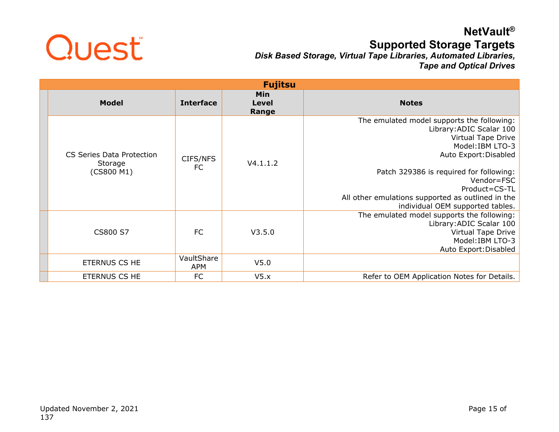

| <b>Fujitsu</b>                                     |                          |                              |                                                                                                                                                                                                                                                                                                                     |  |
|----------------------------------------------------|--------------------------|------------------------------|---------------------------------------------------------------------------------------------------------------------------------------------------------------------------------------------------------------------------------------------------------------------------------------------------------------------|--|
| <b>Model</b>                                       | <b>Interface</b>         | Min<br><b>Level</b><br>Range | <b>Notes</b>                                                                                                                                                                                                                                                                                                        |  |
| CS Series Data Protection<br>Storage<br>(CS800 M1) | CIFS/NFS<br><b>FC</b>    | V4.1.1.2                     | The emulated model supports the following:<br>Library: ADIC Scalar 100<br><b>Virtual Tape Drive</b><br>Model: IBM LTO-3<br>Auto Export: Disabled<br>Patch 329386 is required for following:<br>Vendor=FSC<br>Product=CS-TL<br>All other emulations supported as outlined in the<br>individual OEM supported tables. |  |
| CS800 S7                                           | <b>FC</b>                | V3.5.0                       | The emulated model supports the following:<br>Library: ADIC Scalar 100<br><b>Virtual Tape Drive</b><br>Model: IBM LTO-3<br>Auto Export: Disabled                                                                                                                                                                    |  |
| <b>ETERNUS CS HE</b>                               | VaultShare<br><b>APM</b> | V5.0                         |                                                                                                                                                                                                                                                                                                                     |  |
| <b>ETERNUS CS HE</b>                               | <b>FC</b>                | V5.x                         | Refer to OEM Application Notes for Details.                                                                                                                                                                                                                                                                         |  |
|                                                    |                          |                              |                                                                                                                                                                                                                                                                                                                     |  |
| Updated November 2, 2021<br>137                    |                          |                              | Page 15 of                                                                                                                                                                                                                                                                                                          |  |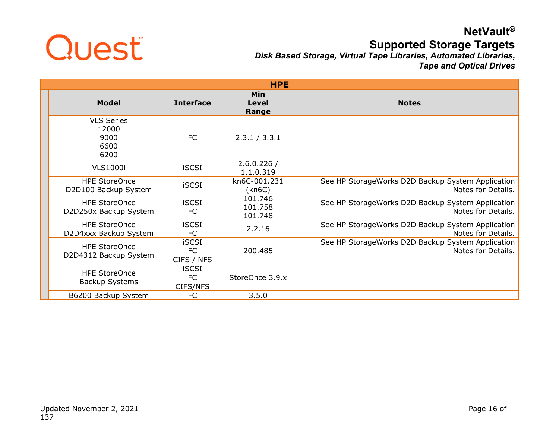### **NetVault® Supported Storage Targets**

|     | <b>HPE</b>                                         |                                          |                               |                                                                         |  |
|-----|----------------------------------------------------|------------------------------------------|-------------------------------|-------------------------------------------------------------------------|--|
|     | <b>Model</b>                                       | <b>Interface</b>                         | Min<br><b>Level</b><br>Range  | <b>Notes</b>                                                            |  |
|     | <b>VLS Series</b><br>12000<br>9000<br>6600<br>6200 | <b>FC</b>                                | 2.3.1 / 3.3.1                 |                                                                         |  |
|     | <b>VLS1000i</b>                                    | <b>iSCSI</b>                             | 2.6.0.226/<br>1.1.0.319       |                                                                         |  |
|     | <b>HPE StoreOnce</b><br>D2D100 Backup System       | <b>iSCSI</b>                             | kn6C-001.231<br>(kn6C)        | See HP StorageWorks D2D Backup System Application<br>Notes for Details. |  |
|     | <b>HPE StoreOnce</b><br>D2D250x Backup System      | <b>iSCSI</b><br>FC                       | 101.746<br>101.758<br>101.748 | See HP StorageWorks D2D Backup System Application<br>Notes for Details. |  |
|     | <b>HPE StoreOnce</b><br>D2D4xxx Backup System      | <b>iSCSI</b><br><b>FC</b>                | 2.2.16                        | See HP StorageWorks D2D Backup System Application<br>Notes for Details. |  |
|     | <b>HPE StoreOnce</b><br>D2D4312 Backup System      | <b>iSCSI</b><br>${\sf FC}$<br>CIFS / NFS | 200.485                       | See HP StorageWorks D2D Backup System Application<br>Notes for Details. |  |
|     | <b>HPE StoreOnce</b><br><b>Backup Systems</b>      | <b>iSCSI</b><br>FC<br>CIFS/NFS           | StoreOnce 3.9.x               |                                                                         |  |
|     | B6200 Backup System                                | <b>FC</b>                                | 3.5.0                         |                                                                         |  |
|     |                                                    |                                          |                               |                                                                         |  |
| 137 | Updated November 2, 2021                           |                                          |                               | Page 16 of                                                              |  |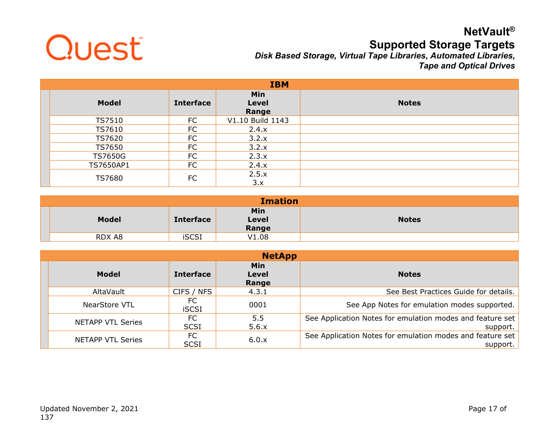### **NetVault® Supported Storage Targets**

|     |                          |                           | <b>IBM</b>                          |                                                                       |
|-----|--------------------------|---------------------------|-------------------------------------|-----------------------------------------------------------------------|
|     | <b>Model</b>             | <b>Interface</b>          | <b>Min</b><br><b>Level</b><br>Range | <b>Notes</b>                                                          |
|     | TS7510                   | ${\sf FC}$                | V1.10 Build 1143                    |                                                                       |
|     | TS7610                   | $\overline{FC}$           | 2.4.x                               |                                                                       |
|     | TS7620                   | FC                        | 3.2.x                               |                                                                       |
|     | <b>TS7650</b>            | FC                        | 3.2.x                               |                                                                       |
|     | <b>TS7650G</b>           | <b>FC</b>                 | 2.3.x                               |                                                                       |
|     | TS7650AP1                | $\overline{FC}$           | 2.4.x                               |                                                                       |
|     | TS7680                   | <b>FC</b>                 | 2.5.x<br>3.x                        |                                                                       |
|     |                          |                           | <b>Imation</b>                      |                                                                       |
|     | <b>Model</b>             | <b>Interface</b>          | Min<br><b>Level</b>                 | <b>Notes</b>                                                          |
|     | RDX A8                   | <b>iSCSI</b>              | Range<br>V1.08                      |                                                                       |
|     |                          |                           |                                     |                                                                       |
|     |                          |                           | <b>NetApp</b>                       |                                                                       |
|     | <b>Model</b>             | <b>Interface</b>          | Min<br><b>Level</b><br>Range        | <b>Notes</b>                                                          |
|     | AltaVault                | CIFS / NFS                | 4.3.1                               | See Best Practices Guide for details.                                 |
|     | NearStore VTL            | FC<br><b>iSCSI</b>        | 0001                                | See App Notes for emulation modes supported.                          |
|     | <b>NETAPP VTL Series</b> | ${\sf FC}$<br><b>SCSI</b> | 5.5<br>5.6.x                        | See Application Notes for emulation modes and feature set<br>support. |
|     | <b>NETAPP VTL Series</b> | ${\sf FC}$<br><b>SCSI</b> | 6.0.x                               | See Application Notes for emulation modes and feature set<br>support. |
| 137 | Updated November 2, 2021 |                           |                                     | Page 17 of                                                            |

| <b>Imation</b> |                  |                              |              |
|----------------|------------------|------------------------------|--------------|
| <b>Model</b>   | <b>Interface</b> | Min<br><b>Level</b><br>Range | <b>Notes</b> |
| RDX A8         | <b>iSCSI</b>     | V1.08                        |              |

| <b>NetApp</b>            |                     |                              |                                                                       |  |
|--------------------------|---------------------|------------------------------|-----------------------------------------------------------------------|--|
| <b>Model</b>             | <b>Interface</b>    | Min<br><b>Level</b><br>Range | <b>Notes</b>                                                          |  |
| AltaVault                | CIFS / NFS          | 4.3.1                        | See Best Practices Guide for details.                                 |  |
| <b>NearStore VTL</b>     | FC.<br><b>iSCSI</b> | 0001                         | See App Notes for emulation modes supported.                          |  |
| <b>NETAPP VTL Series</b> | FC.                 | 5.5                          | See Application Notes for emulation modes and feature set             |  |
|                          | <b>SCSI</b>         | 5.6.x                        | support.                                                              |  |
| <b>NETAPP VTL Series</b> | FC.<br><b>SCSI</b>  | 6.0.x                        | See Application Notes for emulation modes and feature set<br>support. |  |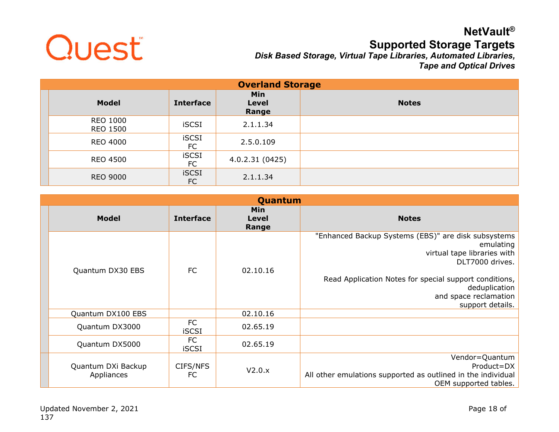### **NetVault® Supported Storage Targets**

| <b>Overland Storage</b>     |                           |                              |              |  |  |
|-----------------------------|---------------------------|------------------------------|--------------|--|--|
| <b>Model</b>                | <b>Interface</b>          | Min<br><b>Level</b><br>Range | <b>Notes</b> |  |  |
| REO 1000<br><b>REO 1500</b> | <b>iSCSI</b>              | 2.1.1.34                     |              |  |  |
| <b>REO 4000</b>             | <b>iSCSI</b><br><b>FC</b> | 2.5.0.109                    |              |  |  |
| <b>REO 4500</b>             | <b>iSCSI</b><br><b>FC</b> | 4.0.2.31(0425)               |              |  |  |
| <b>REO 9000</b>             | <b>iSCSI</b><br><b>FC</b> | 2.1.1.34                     |              |  |  |

|     | <b>Overland Storage</b>            |                            |                              |                                                                                                                                                                                                                                            |  |
|-----|------------------------------------|----------------------------|------------------------------|--------------------------------------------------------------------------------------------------------------------------------------------------------------------------------------------------------------------------------------------|--|
|     | <b>Model</b>                       | <b>Interface</b>           | Min<br><b>Level</b><br>Range | <b>Notes</b>                                                                                                                                                                                                                               |  |
|     | <b>REO 1000</b><br><b>REO 1500</b> | <b>iSCSI</b>               | 2.1.1.34                     |                                                                                                                                                                                                                                            |  |
|     | <b>REO 4000</b>                    | <b>iSCSI</b><br>${\sf FC}$ | 2.5.0.109                    |                                                                                                                                                                                                                                            |  |
|     | <b>REO 4500</b>                    | <b>iSCSI</b><br><b>FC</b>  | 4.0.2.31 (0425)              |                                                                                                                                                                                                                                            |  |
|     | <b>REO 9000</b>                    | <b>iSCSI</b><br><b>FC</b>  | 2.1.1.34                     |                                                                                                                                                                                                                                            |  |
|     |                                    |                            |                              |                                                                                                                                                                                                                                            |  |
|     |                                    |                            | Quantum                      |                                                                                                                                                                                                                                            |  |
|     | <b>Model</b>                       | <b>Interface</b>           | Min<br><b>Level</b><br>Range | <b>Notes</b>                                                                                                                                                                                                                               |  |
|     | Quantum DX30 EBS                   | <b>FC</b>                  | 02.10.16                     | "Enhanced Backup Systems (EBS)" are disk subsystems<br>emulating<br>virtual tape libraries with<br>DLT7000 drives.<br>Read Application Notes for special support conditions,<br>deduplication<br>and space reclamation<br>support details. |  |
|     | Quantum DX100 EBS                  |                            | 02.10.16                     |                                                                                                                                                                                                                                            |  |
|     | Quantum DX3000                     | <b>FC</b><br><b>iSCSI</b>  | 02.65.19                     |                                                                                                                                                                                                                                            |  |
|     | Quantum DX5000                     | FC<br><b>iSCSI</b>         | 02.65.19                     |                                                                                                                                                                                                                                            |  |
|     | Quantum DXi Backup<br>Appliances   | CIFS/NFS<br><b>FC</b>      | V2.0.x                       | Vendor=Quantum<br>Product=DX<br>All other emulations supported as outlined in the individual<br>OEM supported tables.                                                                                                                      |  |
| 137 | Updated November 2, 2021           |                            |                              | Page 18 of                                                                                                                                                                                                                                 |  |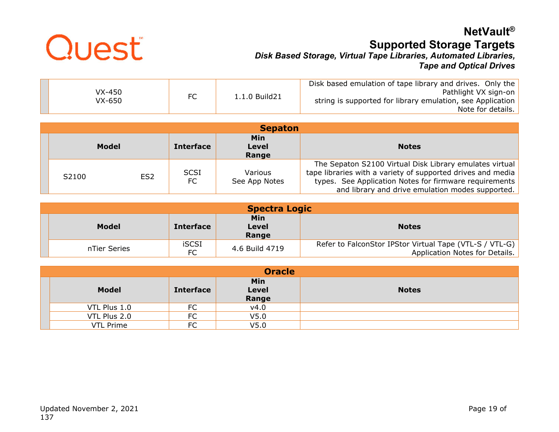#### **NetVault® Supported Storage Targets**  *Disk Based Storage, Virtual Tape Libraries, Automated Libraries, Tape and Optical Drives*

| VX-450<br>VX-650 | FC | 1.1.0 Build21 | Disk based emulation of tape library and drives. Only the<br>Pathlight VX sign-on<br>string is supported for library emulation, see Application<br>Note for details. |
|------------------|----|---------------|----------------------------------------------------------------------------------------------------------------------------------------------------------------------|
|------------------|----|---------------|----------------------------------------------------------------------------------------------------------------------------------------------------------------------|

|     | <b>Sepaton</b>           |                 |                           |                              |                                                                                                                                                                                                                                      |
|-----|--------------------------|-----------------|---------------------------|------------------------------|--------------------------------------------------------------------------------------------------------------------------------------------------------------------------------------------------------------------------------------|
|     | <b>Model</b>             |                 | <b>Interface</b>          | Min<br><b>Level</b><br>Range | <b>Notes</b>                                                                                                                                                                                                                         |
|     | S2100                    | ES <sub>2</sub> | <b>SCSI</b><br><b>FC</b>  | Various<br>See App Notes     | The Sepaton S2100 Virtual Disk Library emulates virtual<br>tape libraries with a variety of supported drives and media<br>types. See Application Notes for firmware requirements<br>and library and drive emulation modes supported. |
|     |                          |                 |                           |                              |                                                                                                                                                                                                                                      |
|     |                          |                 |                           | <b>Spectra Logic</b>         |                                                                                                                                                                                                                                      |
|     | <b>Model</b>             |                 | <b>Interface</b>          | Min<br><b>Level</b><br>Range | <b>Notes</b>                                                                                                                                                                                                                         |
|     | nTier Series             |                 | <b>iSCSI</b><br><b>FC</b> | 4.6 Build 4719               | Refer to FalconStor IPStor Virtual Tape (VTL-S / VTL-G)<br>Application Notes for Details.                                                                                                                                            |
|     |                          |                 |                           |                              |                                                                                                                                                                                                                                      |
|     |                          |                 |                           | <b>Oracle</b>                |                                                                                                                                                                                                                                      |
|     | <b>Model</b>             |                 | <b>Interface</b>          | Min<br><b>Level</b><br>Range | <b>Notes</b>                                                                                                                                                                                                                         |
|     | VTL Plus 1.0             |                 | ${\sf FC}$                | v4.0                         |                                                                                                                                                                                                                                      |
|     | VTL Plus 2.0             |                 | ${\sf FC}$                | V <sub>5.0</sub>             |                                                                                                                                                                                                                                      |
|     | <b>VTL Prime</b>         |                 | <b>FC</b>                 | V5.0                         |                                                                                                                                                                                                                                      |
|     |                          |                 |                           |                              | Page 19 of                                                                                                                                                                                                                           |
| 137 | Updated November 2, 2021 |                 |                           |                              |                                                                                                                                                                                                                                      |

| <b>Spectra Logic</b> |                  |                              |                                                                                           |
|----------------------|------------------|------------------------------|-------------------------------------------------------------------------------------------|
| <b>Model</b>         | <b>Interface</b> | Min<br><b>Level</b><br>Range | <b>Notes</b>                                                                              |
| nTier Series         | iSCSI<br>FC      | 4.6 Build 4719               | Refer to FalconStor IPStor Virtual Tape (VTL-S / VTL-G)<br>Application Notes for Details. |

| <b>Oracle</b>    |                  |                              |              |  |  |  |  |  |  |
|------------------|------------------|------------------------------|--------------|--|--|--|--|--|--|
| <b>Model</b>     | <b>Interface</b> | Min<br><b>Level</b><br>Range | <b>Notes</b> |  |  |  |  |  |  |
| VTL Plus 1.0     | FC               | v4.0                         |              |  |  |  |  |  |  |
| VTL Plus 2.0     | FC               | V <sub>5.0</sub>             |              |  |  |  |  |  |  |
| <b>VTL Prime</b> | FC               | V <sub>5.0</sub>             |              |  |  |  |  |  |  |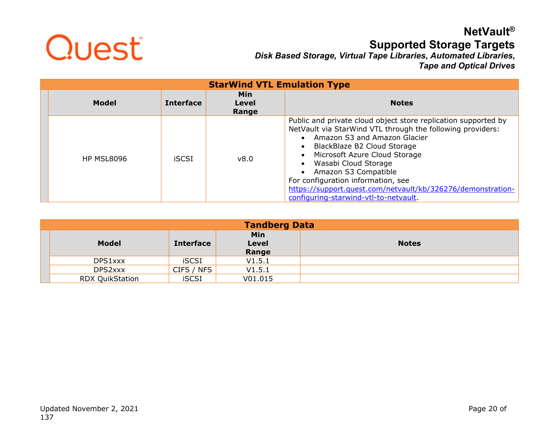### **NetVault® Supported Storage Targets**

|     |                          |                  | <b>StarWind VTL Emulation Type</b> |                                                                                                                                                                                                                                                                                                                                                                                                                                                                     |  |  |  |  |  |  |
|-----|--------------------------|------------------|------------------------------------|---------------------------------------------------------------------------------------------------------------------------------------------------------------------------------------------------------------------------------------------------------------------------------------------------------------------------------------------------------------------------------------------------------------------------------------------------------------------|--|--|--|--|--|--|
|     | <b>Model</b>             | <b>Interface</b> | Min<br><b>Level</b><br>Range       | <b>Notes</b>                                                                                                                                                                                                                                                                                                                                                                                                                                                        |  |  |  |  |  |  |
|     | <b>HP MSL8096</b>        | <b>iSCSI</b>     | v8.0                               | Public and private cloud object store replication supported by<br>NetVault via StarWind VTL through the following providers:<br>• Amazon S3 and Amazon Glacier<br>BlackBlaze B2 Cloud Storage<br>$\bullet$<br>Microsoft Azure Cloud Storage<br>Wasabi Cloud Storage<br>$\bullet$<br>Amazon S3 Compatible<br>$\bullet$<br>For configuration information, see<br>https://support.quest.com/netvault/kb/326276/demonstration-<br>configuring-starwind-vtl-to-netvault. |  |  |  |  |  |  |
|     |                          |                  |                                    |                                                                                                                                                                                                                                                                                                                                                                                                                                                                     |  |  |  |  |  |  |
|     |                          |                  | <b>Tandberg Data</b>               |                                                                                                                                                                                                                                                                                                                                                                                                                                                                     |  |  |  |  |  |  |
|     |                          |                  | Min                                |                                                                                                                                                                                                                                                                                                                                                                                                                                                                     |  |  |  |  |  |  |
|     | <b>Model</b>             | <b>Interface</b> | <b>Level</b><br>Range              | <b>Notes</b>                                                                                                                                                                                                                                                                                                                                                                                                                                                        |  |  |  |  |  |  |
|     | DPS1xxx                  | <b>iSCSI</b>     | V1.5.1                             |                                                                                                                                                                                                                                                                                                                                                                                                                                                                     |  |  |  |  |  |  |
|     | DPS2xxx                  | CIFS / NFS       | V1.5.1                             |                                                                                                                                                                                                                                                                                                                                                                                                                                                                     |  |  |  |  |  |  |
|     | RDX QuikStation          | <b>iSCSI</b>     | V01.015                            |                                                                                                                                                                                                                                                                                                                                                                                                                                                                     |  |  |  |  |  |  |
|     |                          |                  |                                    |                                                                                                                                                                                                                                                                                                                                                                                                                                                                     |  |  |  |  |  |  |
| 137 | Updated November 2, 2021 |                  |                                    | Page 20 of                                                                                                                                                                                                                                                                                                                                                                                                                                                          |  |  |  |  |  |  |

| <b>Tandberg Data</b>   |                  |                              |              |  |  |  |  |  |  |
|------------------------|------------------|------------------------------|--------------|--|--|--|--|--|--|
| <b>Model</b>           | <b>Interface</b> | Min<br><b>Level</b><br>Range | <b>Notes</b> |  |  |  |  |  |  |
| DPS1xxx                | <b>iSCSI</b>     | V1.5.1                       |              |  |  |  |  |  |  |
| DPS2xxx                | CIFS / NFS       | V1.5.1                       |              |  |  |  |  |  |  |
| <b>RDX QuikStation</b> | <b>iSCSI</b>     | V01.015                      |              |  |  |  |  |  |  |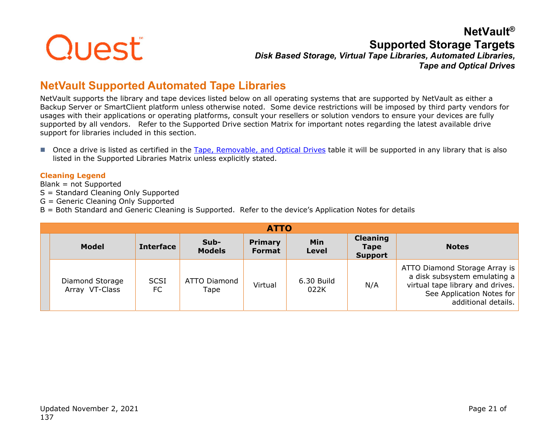#### **NetVault® Supported Storage Targets**  *Disk Based Storage, Virtual Tape Libraries, Automated Libraries, Tape and Optical Drives*

#### **NetVault Supported Automated Tape Libraries**

NetVault supports the library and tape devices listed below on all operating systems that are supported by NetVault as either a Backup Server or SmartClient platform unless otherwise noted. Some device restrictions will be imposed by third party vendors for usages with their applications or operating platforms, consult your resellers or solution vendors to ensure your devices are fully supported by all vendors. Refer to the Supported Drive section Matrix for important notes regarding the latest available drive support for libraries included in this section.

 $\mathcal{L}_{\mathcal{A}}$  Once a drive is listed as certified in the Tape, Removable, and Optical Drives table it will be supported in any library that is also listed in the Supported Libraries Matrix unless explicitly stated.

#### **Cleaning Legend**

Blank = not Supported

- S = Standard Cleaning Only Supported
- G = Generic Cleaning Only Supported
- B = Both Standard and Generic Cleaning is Supported. Refer to the device's Application Notes for details

| <b>ATTO</b>                       |                    |                             |                                 |                    |                                                  |                                                                                                                                                       |  |  |  |  |
|-----------------------------------|--------------------|-----------------------------|---------------------------------|--------------------|--------------------------------------------------|-------------------------------------------------------------------------------------------------------------------------------------------------------|--|--|--|--|
| <b>Model</b>                      | <b>Interface</b>   | $Sub-$<br><b>Models</b>     | <b>Primary</b><br><b>Format</b> | Min<br>Level       | <b>Cleaning</b><br><b>Tape</b><br><b>Support</b> | <b>Notes</b>                                                                                                                                          |  |  |  |  |
| Diamond Storage<br>Array VT-Class | <b>SCSI</b><br>FC. | <b>ATTO Diamond</b><br>Tape | Virtual                         | 6.30 Build<br>022K | N/A                                              | ATTO Diamond Storage Array is<br>a disk subsystem emulating a<br>virtual tape library and drives.<br>See Application Notes for<br>additional details. |  |  |  |  |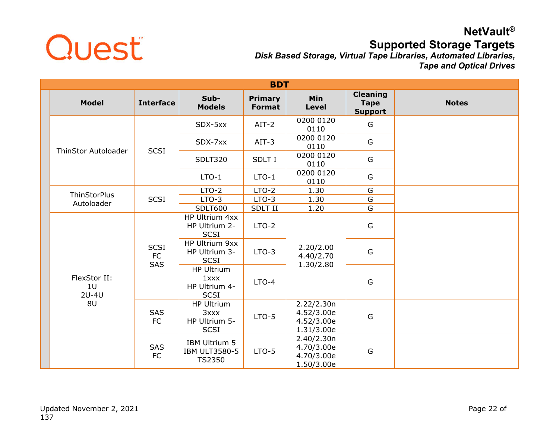### **NetVault® Supported Storage Targets**

|     | <b>BDT</b>                    |                                 |                                                            |                                 |                                                      |                                                  |              |  |  |  |  |
|-----|-------------------------------|---------------------------------|------------------------------------------------------------|---------------------------------|------------------------------------------------------|--------------------------------------------------|--------------|--|--|--|--|
|     | <b>Model</b>                  | <b>Interface</b>                | Sub-<br><b>Models</b>                                      | <b>Primary</b><br><b>Format</b> | Min<br><b>Level</b>                                  | <b>Cleaning</b><br><b>Tape</b><br><b>Support</b> | <b>Notes</b> |  |  |  |  |
|     |                               |                                 | SDX-5xx                                                    | $AIT-2$                         | 0200 0120<br>0110                                    | G                                                |              |  |  |  |  |
|     | ThinStor Autoloader           | <b>SCSI</b>                     | SDX-7xx                                                    | $AIT-3$                         | 0200 0120<br>0110                                    | G                                                |              |  |  |  |  |
|     |                               |                                 | <b>SDLT320</b>                                             | SDLT I                          | 0200 0120<br>0110                                    | G                                                |              |  |  |  |  |
|     |                               |                                 | $LTO-1$                                                    | $LTO-1$                         | 0200 0120<br>0110                                    | G                                                |              |  |  |  |  |
|     | ThinStorPlus                  |                                 | $LTO-2$                                                    | $LTO-2$                         | 1.30                                                 | G                                                |              |  |  |  |  |
|     |                               | <b>SCSI</b>                     | $LTO-3$                                                    | $LTO-3$                         | 1.30                                                 | $\overline{G}$                                   |              |  |  |  |  |
|     | Autoloader                    |                                 | <b>SDLT600</b>                                             | SDLT II                         | 1.20                                                 | $\overline{G}$                                   |              |  |  |  |  |
|     |                               | <b>SCSI</b><br>FC<br><b>SAS</b> | HP Ultrium 4xx<br>HP Ultrium 2-<br><b>SCSI</b>             | $LTO-2$                         |                                                      | G                                                |              |  |  |  |  |
|     | FlexStor II:<br>10<br>$2U-4U$ |                                 | HP Ultrium 9xx<br>HP Ultrium 3-<br><b>SCSI</b>             | $LTO-3$                         | 2.20/2.00<br>4.40/2.70<br>1.30/2.80                  | G                                                |              |  |  |  |  |
|     |                               |                                 | HP Ultrium<br>$1$ $xx$ $x$<br>HP Ultrium 4-<br><b>SCSI</b> | $LTO-4$                         |                                                      | G                                                |              |  |  |  |  |
|     | 8U                            | <b>SAS</b><br><b>FC</b>         | HP Ultrium<br>3xxx<br>HP Ultrium 5-<br><b>SCSI</b>         | $LTO-5$                         | 2.22/2.30n<br>4.52/3.00e<br>4.52/3.00e<br>1.31/3.00e | G                                                |              |  |  |  |  |
|     |                               | <b>SAS</b><br>${\sf FC}$        | IBM Ultrium 5<br><b>IBM ULT3580-5</b><br><b>TS2350</b>     | $LTO-5$                         | 2.40/2.30n<br>4.70/3.00e<br>4.70/3.00e<br>1.50/3.00e | ${\mathsf G}$                                    |              |  |  |  |  |
| 137 | Updated November 2, 2021      |                                 |                                                            |                                 |                                                      |                                                  | Page 22 of   |  |  |  |  |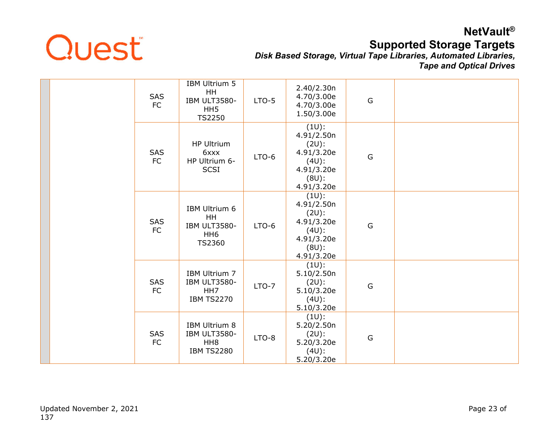

#### **NetVault® Supported Storage Targets**  *Disk Based Storage, Virtual Tape Libraries, Automated Libraries,*

*Tape and Optical Drives*

|  | <b>SAS</b><br><b>FC</b> | <b>IBM Ultrium 5</b><br>HH<br>IBM ULT3580-<br>HH <sub>5</sub><br>TS2250        | $LTO-5$ | 2.40/2.30n<br>4.70/3.00e<br>4.70/3.00e<br>1.50/3.00e                                                 | ${\mathsf G}$ |  |
|--|-------------------------|--------------------------------------------------------------------------------|---------|------------------------------------------------------------------------------------------------------|---------------|--|
|  | <b>SAS</b><br>FC        | HP Ultrium<br>6xxx<br>HP Ultrium 6-<br><b>SCSI</b>                             | $LTO-6$ | $(1U)$ :<br>4.91/2.50n<br>$(2U)$ :<br>4.91/3.20e<br>$(4U)$ :<br>4.91/3.20e<br>$(8U)$ :<br>4.91/3.20e | ${\mathsf G}$ |  |
|  | <b>SAS</b><br>FC        | IBM Ultrium 6<br><b>HH</b><br>IBM ULT3580-<br>HH <sub>6</sub><br><b>TS2360</b> | $LTO-6$ | $(1U)$ :<br>4.91/2.50n<br>$(2U)$ :<br>4.91/3.20e<br>$(4U)$ :<br>4.91/3.20e<br>$(8U)$ :<br>4.91/3.20e | G             |  |
|  | <b>SAS</b><br><b>FC</b> | IBM Ultrium 7<br>IBM ULT3580-<br>HH <sub>7</sub><br><b>IBM TS2270</b>          | $LTO-7$ | $(1U)$ :<br>5.10/2.50n<br>$(2U)$ :<br>5.10/3.20e<br>$(4U)$ :<br>5.10/3.20e                           | G             |  |
|  | <b>SAS</b><br>FC        | IBM Ultrium 8<br>IBM ULT3580-<br>HH <sub>8</sub><br><b>IBM TS2280</b>          | $LTO-8$ | $(1U)$ :<br>5.20/2.50n<br>$(2U)$ :<br>5.20/3.20e<br>$(4U)$ :<br>5.20/3.20e                           | ${\mathsf G}$ |  |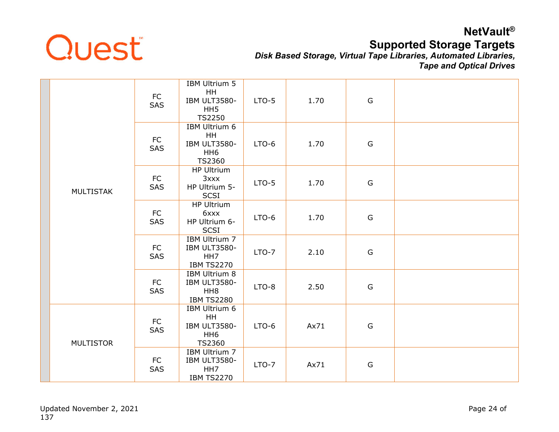

|  |                  | FC<br><b>SAS</b>        | IBM Ultrium 5<br>HH<br>IBM ULT3580-<br>HH <sub>5</sub><br>TS2250      | $LTO-5$ | 1.70 | G |  |
|--|------------------|-------------------------|-----------------------------------------------------------------------|---------|------|---|--|
|  |                  | FC<br><b>SAS</b>        | IBM Ultrium 6<br>HH<br>IBM ULT3580-<br>HH <sub>6</sub><br>TS2360      | $LTO-6$ | 1.70 | G |  |
|  | <b>MULTISTAK</b> | <b>FC</b><br>SAS        | <b>HP Ultrium</b><br>3xxx<br>HP Ultrium 5-<br><b>SCSI</b>             | $LTO-5$ | 1.70 | G |  |
|  |                  | FC<br><b>SAS</b>        | <b>HP Ultrium</b><br>6xxx<br>HP Ultrium 6-<br><b>SCSI</b>             | $LTO-6$ | 1.70 | G |  |
|  |                  | FC<br><b>SAS</b>        | IBM Ultrium 7<br>IBM ULT3580-<br>HH <sub>7</sub><br><b>IBM TS2270</b> | $LTO-7$ | 2.10 | G |  |
|  |                  | <b>FC</b><br><b>SAS</b> | IBM Ultrium 8<br>IBM ULT3580-<br>HH <sub>8</sub><br><b>IBM TS2280</b> | $LTO-8$ | 2.50 | G |  |
|  | <b>MULTISTOR</b> | FC<br><b>SAS</b>        | IBM Ultrium 6<br>HH<br>IBM ULT3580-<br>HH <sub>6</sub><br>TS2360      | $LTO-6$ | Ax71 | G |  |
|  |                  | FC<br>SAS               | IBM Ultrium 7<br>IBM ULT3580-<br>HH <sub>7</sub><br><b>IBM TS2270</b> | $LTO-7$ | Ax71 | G |  |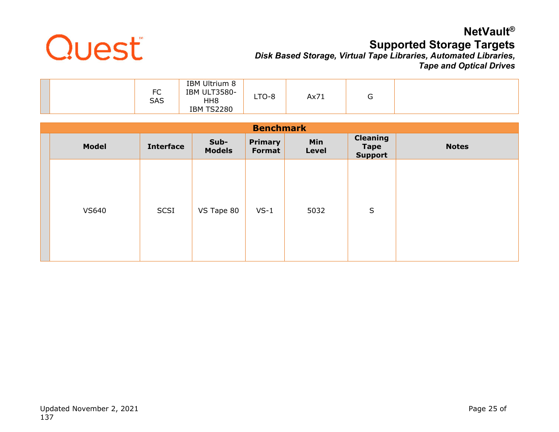

|  | $F \cap$<br>$\sim$<br><b>SAS</b> | IBM Ultrium 8<br>IBM ULT3580-<br>HH <sub>8</sub><br><b>TS2280</b><br>IBM 1 | LTO-8 | Ax71 | ∽<br>ັ |  |
|--|----------------------------------|----------------------------------------------------------------------------|-------|------|--------|--|
|--|----------------------------------|----------------------------------------------------------------------------|-------|------|--------|--|

| <b>Benchmark</b> |                  |                       |                          |              |                                                  |              |  |  |  |  |
|------------------|------------------|-----------------------|--------------------------|--------------|--------------------------------------------------|--------------|--|--|--|--|
| <b>Model</b>     | <b>Interface</b> | Sub-<br><b>Models</b> | <b>Primary</b><br>Format | Min<br>Level | <b>Cleaning</b><br><b>Tape</b><br><b>Support</b> | <b>Notes</b> |  |  |  |  |
| <b>VS640</b>     | <b>SCSI</b>      | VS Tape 80            | $VS-1$                   | 5032         | $\mathsf{S}$                                     |              |  |  |  |  |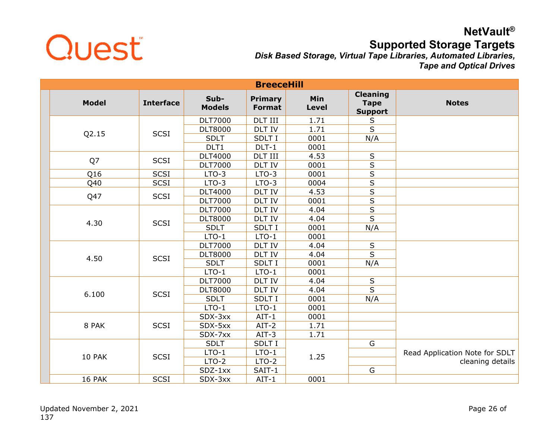### **NetVault® Supported Storage Targets**

| <b>BreeceHill</b>               |                  |                       |                          |                     |                                                  |                                |  |  |  |
|---------------------------------|------------------|-----------------------|--------------------------|---------------------|--------------------------------------------------|--------------------------------|--|--|--|
| <b>Model</b>                    | <b>Interface</b> | Sub-<br><b>Models</b> | Primary<br><b>Format</b> | Min<br><b>Level</b> | <b>Cleaning</b><br><b>Tape</b><br><b>Support</b> | <b>Notes</b>                   |  |  |  |
|                                 |                  | <b>DLT7000</b>        | DLT III                  | 1.71                | S                                                |                                |  |  |  |
|                                 | <b>SCSI</b>      | <b>DLT8000</b>        | DLT IV                   | 1.71                | S                                                |                                |  |  |  |
| Q2.15                           |                  | <b>SDLT</b>           | SDLT <sub>I</sub>        | 0001                | N/A                                              |                                |  |  |  |
|                                 |                  | DLT1                  | $DLT-1$                  | 0001                |                                                  |                                |  |  |  |
|                                 |                  | <b>DLT4000</b>        | DLT III                  | 4.53                | $\overline{\mathsf{s}}$                          |                                |  |  |  |
| Q7                              | <b>SCSI</b>      | <b>DLT7000</b>        | <b>DLT IV</b>            | 0001                | $\overline{s}$                                   |                                |  |  |  |
| Q16                             | <b>SCSI</b>      | $LTO-3$               | $LTO-3$                  | 0001                | $\overline{\mathsf{s}}$                          |                                |  |  |  |
| Q40                             | <b>SCSI</b>      | $LTO-3$               | $LTO-3$                  | 0004                | $\overline{\mathsf{s}}$                          |                                |  |  |  |
|                                 |                  | <b>DLT4000</b>        | DLT IV                   | 4.53                | $\overline{\mathsf{s}}$                          |                                |  |  |  |
| Q47                             | <b>SCSI</b>      | <b>DLT7000</b>        | DLT IV                   | 0001                | $\overline{\mathsf{s}}$                          |                                |  |  |  |
|                                 |                  | <b>DLT7000</b>        | <b>DLT IV</b>            | 4.04                | $\overline{\mathsf{s}}$                          |                                |  |  |  |
|                                 |                  | <b>DLT8000</b>        | <b>DLT IV</b>            | 4.04                | $\overline{\mathsf{s}}$                          |                                |  |  |  |
| 4.30                            | <b>SCSI</b>      | <b>SDLT</b>           | SDLT I                   | 0001                | N/A                                              |                                |  |  |  |
|                                 |                  | $LTO-1$               | $LTO-1$                  | 0001                |                                                  |                                |  |  |  |
|                                 |                  | <b>DLT7000</b>        | <b>DLT IV</b>            | 4.04                | $\sf S$                                          |                                |  |  |  |
|                                 |                  | <b>DLT8000</b>        | <b>DLT IV</b>            | 4.04                | S                                                |                                |  |  |  |
| 4.50                            | <b>SCSI</b>      | <b>SDLT</b>           | SDLT I                   | 0001                | N/A                                              |                                |  |  |  |
|                                 |                  | $LTO-1$               | $LTO-1$                  | 0001                |                                                  |                                |  |  |  |
|                                 |                  | <b>DLT7000</b>        | <b>DLT IV</b>            | 4.04                | S                                                |                                |  |  |  |
|                                 |                  | <b>DLT8000</b>        | <b>DLT IV</b>            | 4.04                | $\overline{\mathsf{s}}$                          |                                |  |  |  |
| 6.100                           | <b>SCSI</b>      | <b>SDLT</b>           | SDLT I                   | 0001                | N/A                                              |                                |  |  |  |
|                                 |                  | $LTO-1$               | $LTO-1$                  | 0001                |                                                  |                                |  |  |  |
|                                 |                  | SDX-3xx               | $AIT-1$                  | 0001                |                                                  |                                |  |  |  |
| 8 PAK                           | <b>SCSI</b>      | SDX-5xx               | $AIT-2$                  | 1.71                |                                                  |                                |  |  |  |
|                                 |                  | SDX-7xx               | $AIT-3$                  | 1.71                |                                                  |                                |  |  |  |
|                                 |                  | <b>SDLT</b>           | SDLT I                   |                     | G                                                |                                |  |  |  |
|                                 |                  | $LTO-1$               | $LTO-1$                  |                     |                                                  | Read Application Note for SDLT |  |  |  |
| 10 PAK                          | <b>SCSI</b>      | $LTO-2$               | $LTO-2$                  | 1.25                |                                                  | cleaning details               |  |  |  |
|                                 |                  | SDZ-1xx               | SAIT-1                   |                     | G                                                |                                |  |  |  |
| 16 PAK                          | <b>SCSI</b>      | SDX-3xx               | $AIT-1$                  | 0001                |                                                  |                                |  |  |  |
| Updated November 2, 2021<br>137 |                  |                       |                          |                     |                                                  | Page 26 of                     |  |  |  |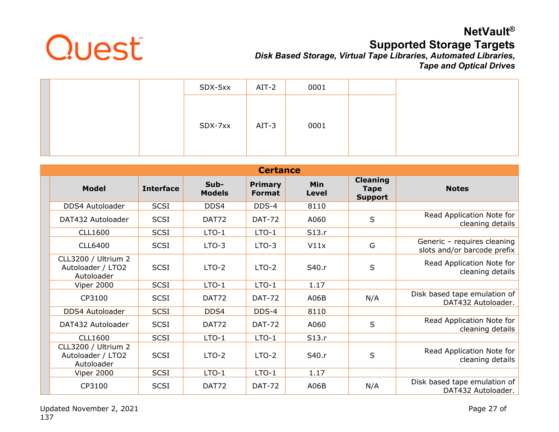

#### **NetVault® Supported Storage Targets**  *Disk Based Storage, Virtual Tape Libraries, Automated Libraries,*

*Tape and Optical Drives*

|  | SDX-5xx | $AIT-2$ | 0001 |  |  |
|--|---------|---------|------|--|--|
|  |         |         |      |  |  |
|  | SDX-7xx | $AIT-3$ | 0001 |  |  |
|  |         |         |      |  |  |

|     |                                                        |                  |                       | <b>Certance</b>                 |              |                                                  |                                                            |
|-----|--------------------------------------------------------|------------------|-----------------------|---------------------------------|--------------|--------------------------------------------------|------------------------------------------------------------|
|     | <b>Model</b>                                           | <b>Interface</b> | Sub-<br><b>Models</b> | <b>Primary</b><br><b>Format</b> | Min<br>Level | <b>Cleaning</b><br><b>Tape</b><br><b>Support</b> | <b>Notes</b>                                               |
|     | DDS4 Autoloader                                        | <b>SCSI</b>      | DDS4                  | DDS-4                           | 8110         |                                                  |                                                            |
|     | DAT432 Autoloader                                      | <b>SCSI</b>      | DAT72                 | <b>DAT-72</b>                   | A060         | S                                                | Read Application Note for<br>cleaning details              |
|     | <b>CLL1600</b>                                         | <b>SCSI</b>      | $LTO-1$               | $LTO-1$                         | S13.r        |                                                  |                                                            |
|     | <b>CLL6400</b>                                         | <b>SCSI</b>      | $LTO-3$               | $LTO-3$                         | V11x         | G                                                | Generic - requires cleaning<br>slots and/or barcode prefix |
|     | CLL3200 / Ultrium 2<br>Autoloader / LTO2<br>Autoloader | <b>SCSI</b>      | $LTO-2$               | $LTO-2$                         | S40.r        | S                                                | Read Application Note for<br>cleaning details              |
|     | <b>Viper 2000</b>                                      | <b>SCSI</b>      | $LTO-1$               | $LTO-1$                         | 1.17         |                                                  |                                                            |
|     | CP3100                                                 | <b>SCSI</b>      | DAT72                 | <b>DAT-72</b>                   | A06B         | N/A                                              | Disk based tape emulation of<br>DAT432 Autoloader.         |
|     | DDS4 Autoloader                                        | <b>SCSI</b>      | DDS4                  | DDS-4                           | 8110         |                                                  |                                                            |
|     | DAT432 Autoloader                                      | <b>SCSI</b>      | DAT72                 | <b>DAT-72</b>                   | A060         | S                                                | Read Application Note for<br>cleaning details              |
|     | <b>CLL1600</b>                                         | <b>SCSI</b>      | $LTO-1$               | $LTO-1$                         | S13.r        |                                                  |                                                            |
|     | CLL3200 / Ultrium 2<br>Autoloader / LTO2<br>Autoloader | <b>SCSI</b>      | $LTO-2$               | $LTO-2$                         | S40.r        | $\mathsf S$                                      | Read Application Note for<br>cleaning details              |
|     | <b>Viper 2000</b>                                      | <b>SCSI</b>      | $LTO-1$               | $LTO-1$                         | 1.17         |                                                  |                                                            |
|     | CP3100                                                 | <b>SCSI</b>      | DAT72                 | <b>DAT-72</b>                   | A06B         | N/A                                              | Disk based tape emulation of<br>DAT432 Autoloader.         |
| 137 | Updated November 2, 2021                               |                  |                       |                                 |              |                                                  | Page 27 of                                                 |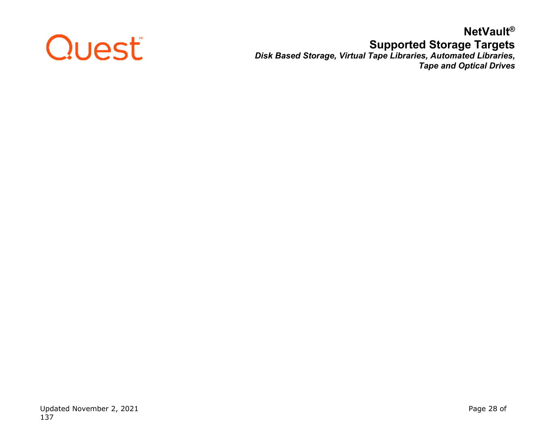

#### **NetVault® Supported Storage Targets**  *Disk Based Storage, Virtual Tape Libraries, Automated Libraries, Tape and Optical Drives*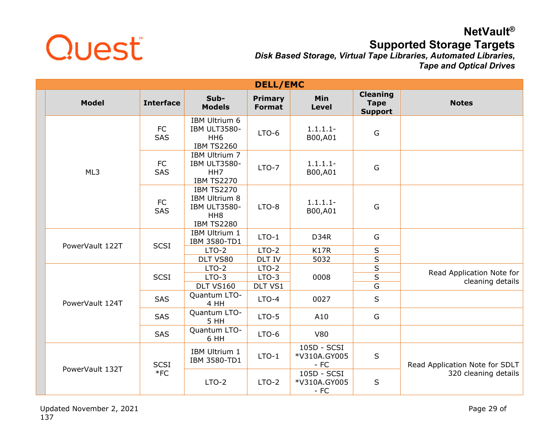

|                                 |                         |                                                                                            | <b>DELL/EMC</b>                 |                                      |                                                  |                                |
|---------------------------------|-------------------------|--------------------------------------------------------------------------------------------|---------------------------------|--------------------------------------|--------------------------------------------------|--------------------------------|
| <b>Model</b>                    | <b>Interface</b>        | Sub-<br><b>Models</b>                                                                      | <b>Primary</b><br><b>Format</b> | <b>Min</b><br><b>Level</b>           | <b>Cleaning</b><br><b>Tape</b><br><b>Support</b> | <b>Notes</b>                   |
|                                 | <b>FC</b><br><b>SAS</b> | IBM Ultrium 6<br>IBM ULT3580-<br>HH <sub>6</sub><br><b>IBM TS2260</b>                      | $LTO-6$                         | $1.1.1.1 -$<br>B00,A01               | G                                                |                                |
| ML3                             | <b>FC</b><br><b>SAS</b> | IBM Ultrium 7<br>IBM ULT3580-<br>HH <sub>7</sub><br><b>IBM TS2270</b>                      | $LTO-7$                         | $1.1.1.1 -$<br>B00,A01               | G                                                |                                |
|                                 | <b>FC</b><br><b>SAS</b> | <b>IBM TS2270</b><br>IBM Ultrium 8<br>IBM ULT3580-<br>HH <sub>8</sub><br><b>IBM TS2280</b> | $LTO-8$                         | $1.1.1.1 -$<br>B00,A01               | G                                                |                                |
|                                 | <b>SCSI</b>             | IBM Ultrium 1<br>IBM 3580-TD1                                                              | $LTO-1$                         | D34R                                 | G                                                |                                |
| PowerVault 122T                 |                         | $LTO-2$                                                                                    | $LTO-2$                         | <b>K17R</b>                          | $\sf S$                                          |                                |
|                                 |                         | DLT VS80                                                                                   | DLT IV                          | 5032                                 | $\overline{\mathsf{s}}$                          |                                |
|                                 | <b>SCSI</b>             | $LTO-2$                                                                                    | $LTO-2$                         | 0008                                 | $rac{S}{S}$                                      | Read Application Note for      |
|                                 |                         | $LTO-3$                                                                                    | $LTO-3$                         |                                      |                                                  | cleaning details               |
|                                 |                         | <b>DLT VS160</b>                                                                           | DLT VS1                         |                                      | ${\mathsf G}$                                    |                                |
| PowerVault 124T                 | <b>SAS</b>              | Quantum LTO-<br>4 HH                                                                       | $LTO-4$                         | 0027                                 | $\mathsf S$                                      |                                |
|                                 | <b>SAS</b>              | Quantum LTO-<br>5 HH                                                                       | $LTO-5$                         | A10                                  | G                                                |                                |
|                                 | <b>SAS</b>              | Quantum LTO-<br>6 HH                                                                       | $LTO-6$                         | <b>V80</b>                           |                                                  |                                |
| PowerVault 132T                 | <b>SCSI</b>             | IBM Ultrium 1<br>IBM 3580-TD1                                                              | $LTO-1$                         | 105D - SCSI<br>*V310A.GY005<br>$-FC$ | S                                                | Read Application Note for SDLT |
|                                 | $*FC$                   | $LTO-2$                                                                                    | $LTO-2$                         | 105D - SCSI<br>*V310A.GY005<br>$-FC$ | S                                                | 320 cleaning details           |
| Updated November 2, 2021<br>137 |                         |                                                                                            |                                 |                                      |                                                  | Page 29 of                     |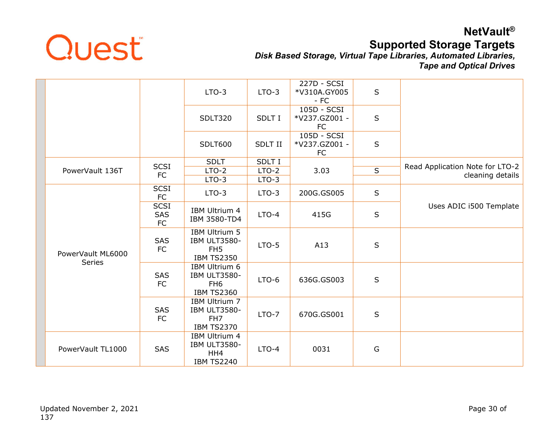#### **NetVault® Supported Storage Targets**  *Disk Based Storage, Virtual Tape Libraries, Automated Libraries,*

*Tape and Optical Drives*

|  |                                    |                                        | $LTO-3$                                                               | $LTO-3$        | 227D - SCSI<br>*V310A.GY005<br>$-FC$ | S            |                                 |
|--|------------------------------------|----------------------------------------|-----------------------------------------------------------------------|----------------|--------------------------------------|--------------|---------------------------------|
|  |                                    |                                        | <b>SDLT320</b>                                                        | SDLT I         | 105D - SCSI<br>*V237.GZ001 -<br>FC   | $\mathsf S$  |                                 |
|  |                                    |                                        | <b>SDLT600</b>                                                        | <b>SDLT II</b> | 105D - SCSI<br>*V237.GZ001 -<br>FC   | S            |                                 |
|  |                                    | <b>SCSI</b>                            | <b>SDLT</b>                                                           | SDLT I         |                                      |              | Read Application Note for LTO-2 |
|  | PowerVault 136T                    | <b>FC</b>                              | $LTO-2$                                                               | $LTO-2$        | 3.03                                 | $\mathsf{S}$ | cleaning details                |
|  |                                    |                                        | $LTO-3$                                                               | $LTO-3$        |                                      |              |                                 |
|  | PowerVault ML6000<br><b>Series</b> | <b>SCSI</b><br>FC                      | $LTO-3$                                                               | $LTO-3$        | 200G.GS005                           | $\mathsf S$  |                                 |
|  |                                    | <b>SCSI</b><br><b>SAS</b><br><b>FC</b> | IBM Ultrium 4<br>IBM 3580-TD4                                         | $LTO-4$        | 415G                                 | $\mathsf S$  | Uses ADIC i500 Template         |
|  |                                    | <b>SAS</b><br><b>FC</b>                | IBM Ultrium 5<br>IBM ULT3580-<br>FH <sub>5</sub><br><b>IBM TS2350</b> | $LTO-5$        | A13                                  | $\sf S$      |                                 |
|  |                                    | <b>SAS</b><br><b>FC</b>                | IBM Ultrium 6<br>IBM ULT3580-<br>FH <sub>6</sub><br><b>IBM TS2360</b> | $LTO-6$        | 636G.GS003                           | $\sf S$      |                                 |
|  |                                    | <b>SAS</b><br><b>FC</b>                | IBM Ultrium 7<br>IBM ULT3580-<br>FH <sub>7</sub><br><b>IBM TS2370</b> | $LTO-7$        | 670G.GS001                           | $\sf S$      |                                 |
|  | PowerVault TL1000                  | <b>SAS</b>                             | IBM Ultrium 4<br>IBM ULT3580-<br>HH4<br><b>IBM TS2240</b>             | $LTO-4$        | 0031                                 | G            |                                 |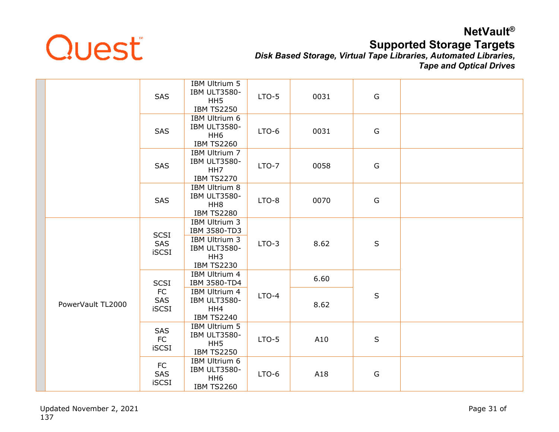

|                   | <b>SAS</b>                                | IBM Ultrium 5<br>IBM ULT3580-<br>HH <sub>5</sub><br><b>IBM TS2250</b>                                  | $LTO-5$ | 0031 | G       |  |
|-------------------|-------------------------------------------|--------------------------------------------------------------------------------------------------------|---------|------|---------|--|
|                   | <b>SAS</b>                                | IBM Ultrium 6<br>IBM ULT3580-<br>HH <sub>6</sub><br><b>IBM TS2260</b>                                  | $LTO-6$ | 0031 | G       |  |
|                   | <b>SAS</b>                                | IBM Ultrium 7<br>IBM ULT3580-<br>HH <sub>7</sub><br><b>IBM TS2270</b>                                  | $LTO-7$ | 0058 | G       |  |
|                   | <b>SAS</b>                                | IBM Ultrium 8<br>IBM ULT3580-<br>HH <sub>8</sub><br><b>IBM TS2280</b>                                  | $LTO-8$ | 0070 | G       |  |
|                   | <b>SCSI</b><br><b>SAS</b><br><b>iSCSI</b> | IBM Ultrium 3<br>IBM 3580-TD3<br>IBM Ultrium 3<br>IBM ULT3580-<br>HH <sub>3</sub><br><b>IBM TS2230</b> | $LTO-3$ | 8.62 | S       |  |
|                   | <b>SCSI</b>                               | IBM Ultrium 4<br>IBM 3580-TD4                                                                          |         | 6.60 |         |  |
| PowerVault TL2000 | <b>FC</b><br><b>SAS</b><br><b>iSCSI</b>   | IBM Ultrium 4<br>IBM ULT3580-<br>HH4<br><b>IBM TS2240</b>                                              | $LTO-4$ | 8.62 | $\sf S$ |  |
|                   | SAS<br>FC<br><b>iSCSI</b>                 | IBM Ultrium 5<br>IBM ULT3580-<br>HH <sub>5</sub><br><b>IBM TS2250</b>                                  | $LTO-5$ | A10  | S       |  |
|                   | <b>FC</b><br><b>SAS</b><br><b>iSCSI</b>   | IBM Ultrium 6<br>IBM ULT3580-<br>HH <sub>6</sub><br><b>IBM TS2260</b>                                  | $LTO-6$ | A18  | G       |  |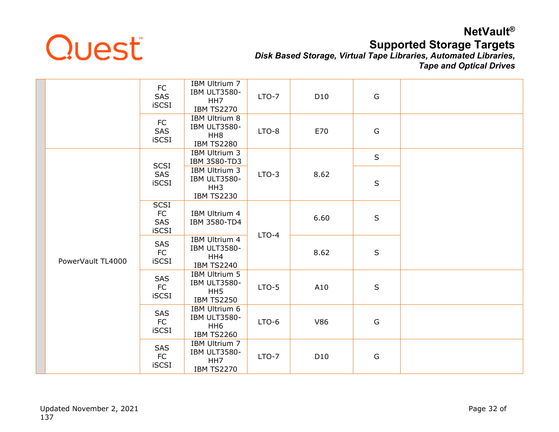

|  |                   | <b>FC</b><br><b>SAS</b><br><b>iSCSI</b>                | IBM Ultrium 7<br>IBM ULT3580-<br>HH <sub>7</sub><br><b>IBM TS2270</b> | $LTO-7$ | D <sub>10</sub> | G            |  |
|--|-------------------|--------------------------------------------------------|-----------------------------------------------------------------------|---------|-----------------|--------------|--|
|  |                   | FC<br><b>SAS</b><br><b>iSCSI</b>                       | IBM Ultrium 8<br>IBM ULT3580-<br>HH <sub>8</sub><br><b>IBM TS2280</b> | $LTO-8$ | E70             | G            |  |
|  |                   |                                                        | IBM Ultrium 3<br>IBM 3580-TD3                                         |         |                 | $\mathsf{S}$ |  |
|  | PowerVault TL4000 | <b>SCSI</b><br><b>SAS</b><br><b>iSCSI</b>              | IBM Ultrium 3<br>IBM ULT3580-<br>HH <sub>3</sub><br><b>IBM TS2230</b> | $LTO-3$ | 8.62            | $\sf S$      |  |
|  |                   | <b>SCSI</b><br><b>FC</b><br><b>SAS</b><br><b>iSCSI</b> | IBM Ultrium 4<br>IBM 3580-TD4                                         | $LTO-4$ | 6.60            | $\sf S$      |  |
|  |                   | <b>SAS</b><br><b>FC</b><br><b>iSCSI</b>                | IBM Ultrium 4<br>IBM ULT3580-<br>HH4<br><b>IBM TS2240</b>             |         | 8.62            | $\sf S$      |  |
|  |                   | <b>SAS</b><br><b>FC</b><br><b>iSCSI</b>                | IBM Ultrium 5<br>IBM ULT3580-<br>HH <sub>5</sub><br><b>IBM TS2250</b> | $LTO-5$ | A10             | $\sf S$      |  |
|  |                   | <b>SAS</b><br><b>FC</b><br><b>iSCSI</b>                | IBM Ultrium 6<br>IBM ULT3580-<br>HH <sub>6</sub><br><b>IBM TS2260</b> | $LTO-6$ | V86             | G            |  |
|  |                   | SAS<br><b>FC</b><br><b>iSCSI</b>                       | IBM Ultrium 7<br>IBM ULT3580-<br>HH <sub>7</sub><br><b>IBM TS2270</b> | $LTO-7$ | D <sub>10</sub> | G            |  |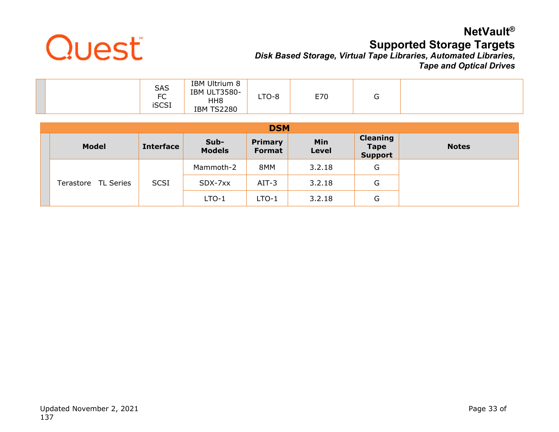

| IBM Ultrium 8<br><b>SAS</b><br>IBM ULT3580-<br>re este di divisi di concerta di un este di divisi di divisi di divisi di divisi di divisi di divisi di divisi di divisi di divisi di divisi di divisi di divisi di divisi di divisi di divisi di divisi di divisi di divisi d<br>HH <sub>8</sub><br>∼<br><b>iSCSI</b><br><b>IBM TS2280</b> | $LTO-8$ | E70<br>___ | -<br>◡ |  |
|--------------------------------------------------------------------------------------------------------------------------------------------------------------------------------------------------------------------------------------------------------------------------------------------------------------------------------------------|---------|------------|--------|--|
|--------------------------------------------------------------------------------------------------------------------------------------------------------------------------------------------------------------------------------------------------------------------------------------------------------------------------------------------|---------|------------|--------|--|

| <b>DSM</b>             |                  |                       |                          |                     |                                                  |              |  |  |
|------------------------|------------------|-----------------------|--------------------------|---------------------|--------------------------------------------------|--------------|--|--|
| <b>Model</b>           | <b>Interface</b> | Sub-<br><b>Models</b> | <b>Primary</b><br>Format | Min<br><b>Level</b> | <b>Cleaning</b><br><b>Tape</b><br><b>Support</b> | <b>Notes</b> |  |  |
|                        |                  | Mammoth-2             | 8MM                      | 3.2.18              | G                                                |              |  |  |
| TL Series<br>Terastore | <b>SCSI</b>      | SDX-7xx               | $AIT-3$                  | 3.2.18              | G                                                |              |  |  |
|                        |                  | $LTO-1$               | $LTO-1$                  | 3.2.18              | G                                                |              |  |  |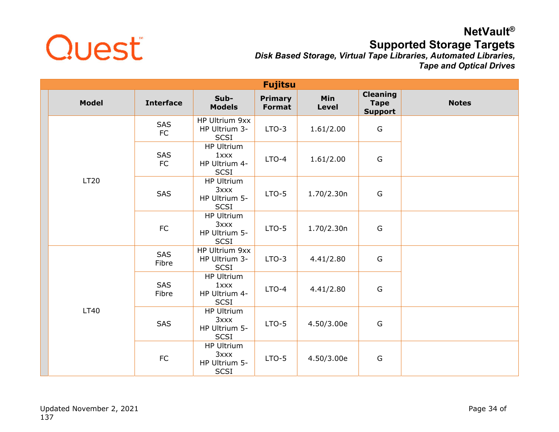### **NetVault® Supported Storage Targets**

|                     |                                               |                                                           |                                                                   | <b>Fujitsu</b>           |                            |                                                  |              |  |
|---------------------|-----------------------------------------------|-----------------------------------------------------------|-------------------------------------------------------------------|--------------------------|----------------------------|--------------------------------------------------|--------------|--|
|                     | <b>Model</b>                                  | <b>Interface</b>                                          | Sub-<br><b>Models</b>                                             | Primary<br><b>Format</b> | <b>Min</b><br><b>Level</b> | <b>Cleaning</b><br><b>Tape</b><br><b>Support</b> | <b>Notes</b> |  |
|                     |                                               | SAS<br>FC                                                 | HP Ultrium 9xx<br>HP Ultrium 3-<br><b>SCSI</b>                    | $LTO-3$                  | 1.61/2.00                  | G                                                |              |  |
|                     |                                               | SAS<br>FC                                                 | <b>HP Ultrium</b><br>$1$ $xx$ $x$<br>HP Ultrium 4-<br><b>SCSI</b> | $LTO-4$                  | 1.61/2.00                  | G                                                |              |  |
| LT20<br><b>LT40</b> |                                               | SAS                                                       | <b>HP Ultrium</b><br>3xxx<br>HP Ultrium 5-<br><b>SCSI</b>         | $LTO-5$                  | 1.70/2.30n                 | G                                                |              |  |
|                     |                                               | ${\sf FC}$                                                | HP Ultrium<br>3xxx<br>HP Ultrium 5-<br><b>SCSI</b>                | $LTO-5$                  | 1.70/2.30n                 | G                                                |              |  |
|                     |                                               | SAS<br>Fibre                                              | HP Ultrium 9xx<br>HP Ultrium 3-<br><b>SCSI</b>                    | $LTO-3$                  | 4.41/2.80                  | G                                                |              |  |
|                     |                                               | SAS<br>Fibre                                              | HP Ultrium<br>$1$ $xx$ $x$<br>HP Ultrium 4-<br><b>SCSI</b>        | $LTO-4$                  | 4.41/2.80                  | G                                                |              |  |
|                     |                                               | SAS                                                       | HP Ultrium<br>3xxx<br>HP Ultrium 5-<br><b>SCSI</b>                | $LTO-5$                  | 4.50/3.00e                 | G                                                |              |  |
|                     | ${\sf FC}$                                    | <b>HP Ultrium</b><br>3xxx<br>HP Ultrium 5-<br><b>SCSI</b> | $LTO-5$                                                           | 4.50/3.00e               | G                          |                                                  |              |  |
|                     | Updated November 2, 2021<br>Page 34 of<br>137 |                                                           |                                                                   |                          |                            |                                                  |              |  |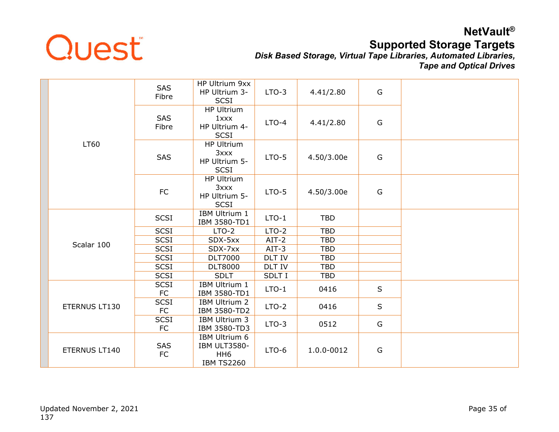

|               | <b>SAS</b><br>Fibre | HP Ultrium 9xx<br>HP Ultrium 3-<br><b>SCSI</b>                        | $LTO-3$ | 4.41/2.80  | G |  |
|---------------|---------------------|-----------------------------------------------------------------------|---------|------------|---|--|
|               | <b>SAS</b><br>Fibre | <b>HP Ultrium</b><br>$1$ $xx$<br>HP Ultrium 4-<br><b>SCSI</b>         | $LTO-4$ | 4.41/2.80  | G |  |
| LT60          | SAS                 | <b>HP Ultrium</b><br>3xxx<br>HP Ultrium 5-<br><b>SCSI</b>             | $LTO-5$ | 4.50/3.00e | G |  |
|               | FC                  | <b>HP Ultrium</b><br>3xxx<br>HP Ultrium 5-<br><b>SCSI</b>             | $LTO-5$ | 4.50/3.00e | G |  |
|               | <b>SCSI</b>         | IBM Ultrium 1<br>IBM 3580-TD1                                         | $LTO-1$ | <b>TBD</b> |   |  |
|               | <b>SCSI</b>         | $LTO-2$                                                               | $LTO-2$ | <b>TBD</b> |   |  |
|               | <b>SCSI</b>         | SDX-5xx                                                               | $AIT-2$ | <b>TBD</b> |   |  |
| Scalar 100    | <b>SCSI</b>         | SDX-7xx                                                               | $AIT-3$ | <b>TBD</b> |   |  |
|               | <b>SCSI</b>         | <b>DLT7000</b>                                                        | DLT IV  | <b>TBD</b> |   |  |
|               | <b>SCSI</b>         | <b>DLT8000</b>                                                        | DLT IV  | <b>TBD</b> |   |  |
|               | <b>SCSI</b>         | <b>SDLT</b>                                                           | SDLT I  | <b>TBD</b> |   |  |
|               | <b>SCSI</b><br>FC   | IBM Ultrium 1<br>IBM 3580-TD1                                         | $LTO-1$ | 0416       | S |  |
| ETERNUS LT130 | <b>SCSI</b><br>FC   | IBM Ultrium 2<br>IBM 3580-TD2                                         | $LTO-2$ | 0416       | S |  |
|               | <b>SCSI</b><br>FC   | IBM Ultrium 3<br>IBM 3580-TD3                                         | $LTO-3$ | 0512       | G |  |
| ETERNUS LT140 | SAS<br>FC           | IBM Ultrium 6<br>IBM ULT3580-<br>HH <sub>6</sub><br><b>IBM TS2260</b> | $LTO-6$ | 1.0.0-0012 | G |  |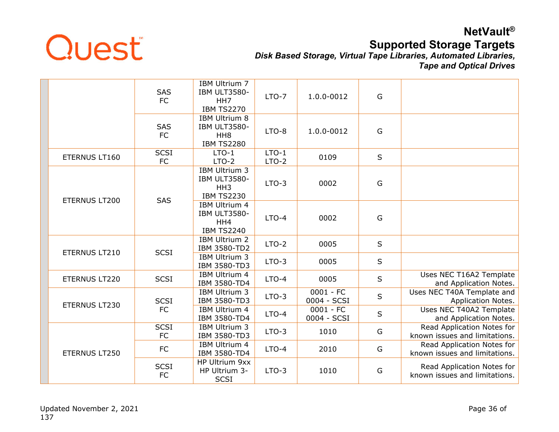

|                      | <b>SAS</b><br><b>FC</b>  | IBM Ultrium 7<br>IBM ULT3580-<br>HH <sub>7</sub><br><b>IBM TS2270</b> | $LTO-7$            | 1.0.0-0012                 | G           |                                                             |
|----------------------|--------------------------|-----------------------------------------------------------------------|--------------------|----------------------------|-------------|-------------------------------------------------------------|
|                      | <b>SAS</b><br><b>FC</b>  | IBM Ultrium 8<br>IBM ULT3580-<br>HH <sub>8</sub><br><b>IBM TS2280</b> | $LTO-8$            | 1.0.0-0012                 | G           |                                                             |
| ETERNUS LT160        | <b>SCSI</b><br><b>FC</b> | $LTO-1$<br>$LTO-2$                                                    | $LTO-1$<br>$LTO-2$ | 0109                       | $\mathsf S$ |                                                             |
|                      |                          | IBM Ultrium 3<br>IBM ULT3580-<br>HH <sub>3</sub><br><b>IBM TS2230</b> | $LTO-3$            | 0002                       | G           |                                                             |
| <b>ETERNUS LT200</b> | <b>SAS</b>               | IBM Ultrium 4<br>IBM ULT3580-<br>HH4<br><b>IBM TS2240</b>             | $LTO-4$            | 0002                       | G           |                                                             |
| ETERNUS LT210        | <b>SCSI</b>              | IBM Ultrium 2<br>IBM 3580-TD2                                         | $LTO-2$            | 0005                       | S           |                                                             |
|                      |                          | IBM Ultrium 3<br>IBM 3580-TD3                                         | $LTO-3$            | 0005                       | S           |                                                             |
| ETERNUS LT220        | <b>SCSI</b>              | IBM Ultrium 4<br>IBM 3580-TD4                                         | $LTO-4$            | 0005                       | $\sf S$     | Uses NEC T16A2 Template<br>and Application Notes.           |
| ETERNUS LT230        | <b>SCSI</b>              | IBM Ultrium 3<br>IBM 3580-TD3                                         | $LTO-3$            | $0001 - FC$<br>0004 - SCSI | S           | Uses NEC T40A Template and<br>Application Notes.            |
|                      | FC                       | IBM Ultrium 4<br>IBM 3580-TD4                                         | $LTO-4$            | $0001 - FC$<br>0004 - SCSI | S           | Uses NEC T40A2 Template<br>and Application Notes.           |
|                      | <b>SCSI</b><br><b>FC</b> | IBM Ultrium 3<br>IBM 3580-TD3                                         | $LTO-3$            | 1010                       | G           | Read Application Notes for<br>known issues and limitations. |
| ETERNUS LT250        | <b>FC</b>                | IBM Ultrium 4<br>IBM 3580-TD4                                         | $LTO-4$            | 2010                       | G           | Read Application Notes for<br>known issues and limitations. |
|                      | <b>SCSI</b><br>FC        | HP Ultrium 9xx<br>HP Ultrium 3-<br><b>SCSI</b>                        | $LTO-3$            | 1010                       | G           | Read Application Notes for<br>known issues and limitations. |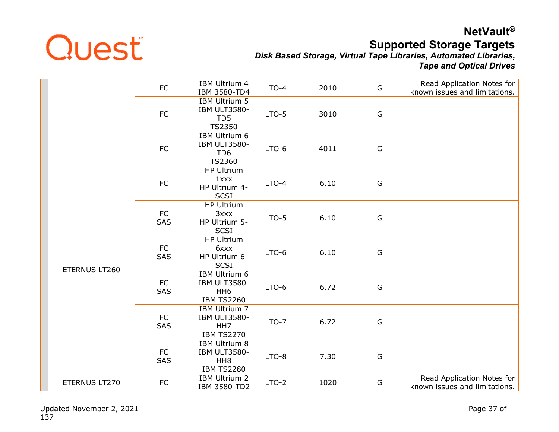

#### **NetVault® Supported Storage Targets**  *Disk Based Storage, Virtual Tape Libraries, Automated Libraries,*

|               | ${\sf FC}$              | IBM Ultrium 4<br>IBM 3580-TD4                                         | $LTO-4$ | 2010 | G | Read Application Notes for<br>known issues and limitations. |
|---------------|-------------------------|-----------------------------------------------------------------------|---------|------|---|-------------------------------------------------------------|
|               | <b>FC</b>               | IBM Ultrium 5<br>IBM ULT3580-<br>TD <sub>5</sub><br>TS2350            | $LTO-5$ | 3010 | G |                                                             |
|               | <b>FC</b>               | IBM Ultrium 6<br>IBM ULT3580-<br>TD <sub>6</sub><br>TS2360            | $LTO-6$ | 4011 | G |                                                             |
|               | ${\sf FC}$              | <b>HP Ultrium</b><br>$1$ $xx$ $x$<br>HP Ultrium 4-<br><b>SCSI</b>     | $LTO-4$ | 6.10 | G |                                                             |
|               | FC<br><b>SAS</b>        | <b>HP Ultrium</b><br>3xxx<br>HP Ultrium 5-<br><b>SCSI</b>             | $LTO-5$ | 6.10 | G |                                                             |
| ETERNUS LT260 | <b>FC</b><br><b>SAS</b> | <b>HP Ultrium</b><br>6xxx<br>HP Ultrium 6-<br><b>SCSI</b>             | $LTO-6$ | 6.10 | G |                                                             |
|               | FC<br>SAS               | IBM Ultrium 6<br>IBM ULT3580-<br>HH <sub>6</sub><br><b>IBM TS2260</b> | $LTO-6$ | 6.72 | G |                                                             |
|               | FC<br><b>SAS</b>        | IBM Ultrium 7<br>IBM ULT3580-<br>HH <sub>7</sub><br><b>IBM TS2270</b> | $LTO-7$ | 6.72 | G |                                                             |
|               | <b>FC</b><br>SAS        | IBM Ultrium 8<br>IBM ULT3580-<br>HH <sub>8</sub><br><b>IBM TS2280</b> | $LTO-8$ | 7.30 | G |                                                             |
| ETERNUS LT270 | <b>FC</b>               | IBM Ultrium 2<br>IBM 3580-TD2                                         | $LTO-2$ | 1020 | G | Read Application Notes for<br>known issues and limitations. |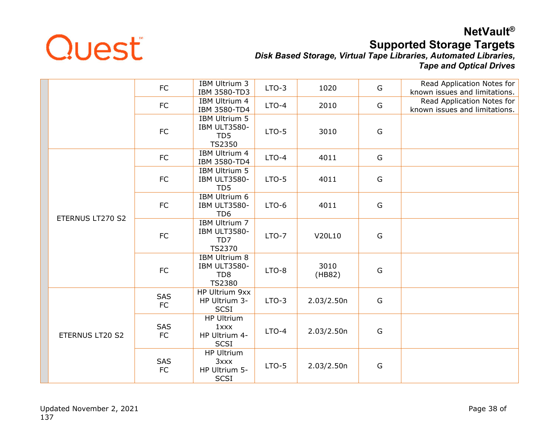

|                  | <b>FC</b>        | IBM Ultrium 3<br>IBM 3580-TD3                                     | $LTO-3$ | 1020           | G | Read Application Notes for<br>known issues and limitations. |
|------------------|------------------|-------------------------------------------------------------------|---------|----------------|---|-------------------------------------------------------------|
|                  | FC               | IBM Ultrium 4<br>IBM 3580-TD4                                     | $LTO-4$ | 2010           | G | Read Application Notes for<br>known issues and limitations. |
|                  | ${\sf FC}$       | IBM Ultrium 5<br>IBM ULT3580-<br>TD <sub>5</sub><br>TS2350        | $LTO-5$ | 3010           | G |                                                             |
|                  | FC               | IBM Ultrium 4<br>IBM 3580-TD4                                     | $LTO-4$ | 4011           | G |                                                             |
|                  | FC               | IBM Ultrium 5<br>IBM ULT3580-<br>TD <sub>5</sub>                  | $LTO-5$ | 4011           | G |                                                             |
|                  | FC               | IBM Ultrium 6<br>IBM ULT3580-<br>TD <sub>6</sub>                  | $LTO-6$ | 4011           | G |                                                             |
| ETERNUS LT270 S2 | <b>FC</b>        | IBM Ultrium 7<br>IBM ULT3580-<br>TD7<br>TS2370                    | $LTO-7$ | V20L10         | G |                                                             |
|                  | ${\sf FC}$       | IBM Ultrium 8<br>IBM ULT3580-<br>TD <sub>8</sub><br><b>TS2380</b> | $LTO-8$ | 3010<br>(HB82) | G |                                                             |
|                  | <b>SAS</b><br>FC | HP Ultrium 9xx<br>HP Ultrium 3-<br><b>SCSI</b>                    | $LTO-3$ | 2.03/2.50n     | G |                                                             |
| ETERNUS LT20 S2  | <b>SAS</b><br>FC | <b>HP Ultrium</b><br>$1$ $xx$ $x$<br>HP Ultrium 4-<br><b>SCSI</b> | $LTO-4$ | 2.03/2.50n     | G |                                                             |
|                  | <b>SAS</b><br>FC | <b>HP Ultrium</b><br>3xxx<br>HP Ultrium 5-<br><b>SCSI</b>         | $LTO-5$ | 2.03/2.50n     | G |                                                             |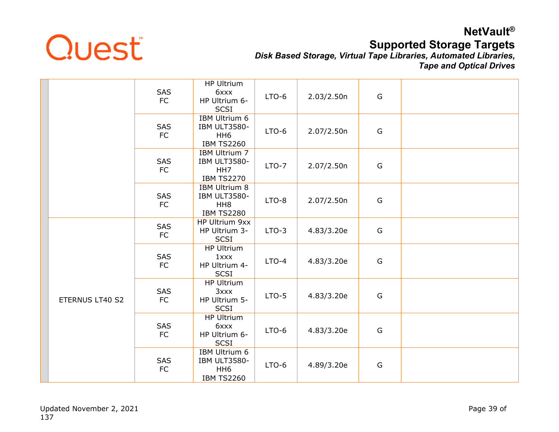

|                 | <b>SAS</b><br>FC         | <b>HP Ultrium</b><br>6xxx<br>HP Ultrium 6-<br><b>SCSI</b>             | $LTO-6$ | 2.03/2.50n | G |  |
|-----------------|--------------------------|-----------------------------------------------------------------------|---------|------------|---|--|
|                 | <b>SAS</b><br>${\sf FC}$ | IBM Ultrium 6<br>IBM ULT3580-<br>HH <sub>6</sub><br><b>IBM TS2260</b> | $LTO-6$ | 2.07/2.50n | G |  |
|                 | <b>SAS</b><br>FC         | IBM Ultrium 7<br>IBM ULT3580-<br>HH <sub>7</sub><br><b>IBM TS2270</b> | $LTO-7$ | 2.07/2.50n | G |  |
|                 | <b>SAS</b><br>FC         | IBM Ultrium 8<br>IBM ULT3580-<br>HH <sub>8</sub><br><b>IBM TS2280</b> | $LTO-8$ | 2.07/2.50n | G |  |
|                 | <b>SAS</b><br>FC         | HP Ultrium 9xx<br>HP Ultrium 3-<br><b>SCSI</b>                        | $LTO-3$ | 4.83/3.20e | G |  |
|                 | <b>SAS</b><br>FC         | HP Ultrium<br>$1$ $xx$ $x$<br>HP Ultrium 4-<br><b>SCSI</b>            | $LTO-4$ | 4.83/3.20e | G |  |
| ETERNUS LT40 S2 | <b>SAS</b><br>FC         | <b>HP Ultrium</b><br>3xxx<br>HP Ultrium 5-<br><b>SCSI</b>             | $LTO-5$ | 4.83/3.20e | G |  |
|                 | <b>SAS</b><br><b>FC</b>  | <b>HP Ultrium</b><br>6xxx<br>HP Ultrium 6-<br><b>SCSI</b>             | $LTO-6$ | 4.83/3.20e | G |  |
|                 | <b>SAS</b><br>FC         | IBM Ultrium 6<br>IBM ULT3580-<br>HH <sub>6</sub><br><b>IBM TS2260</b> | $LTO-6$ | 4.89/3.20e | G |  |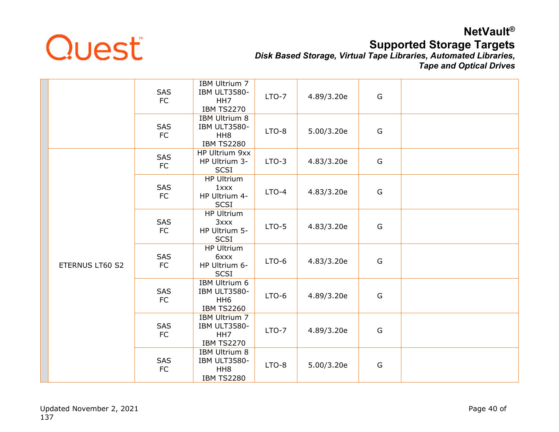

|                 | SAS<br>FC               | IBM Ultrium 7<br>IBM ULT3580-<br>HH <sub>7</sub><br><b>IBM TS2270</b> | $LTO-7$ | 4.89/3.20e | G |  |
|-----------------|-------------------------|-----------------------------------------------------------------------|---------|------------|---|--|
|                 | <b>SAS</b><br>FC        | IBM Ultrium 8<br>IBM ULT3580-<br>HH <sub>8</sub><br><b>IBM TS2280</b> | $LTO-8$ | 5.00/3.20e | G |  |
|                 | SAS<br>FC               | HP Ultrium 9xx<br>HP Ultrium 3-<br><b>SCSI</b>                        | $LTO-3$ | 4.83/3.20e | G |  |
|                 | <b>SAS</b><br>FC        | <b>HP Ultrium</b><br>1xxx<br>HP Ultrium 4-<br><b>SCSI</b>             | $LTO-4$ | 4.83/3.20e | G |  |
|                 | SAS<br><b>FC</b>        | <b>HP Ultrium</b><br>3xxx<br>HP Ultrium 5-<br><b>SCSI</b>             | $LTO-5$ | 4.83/3.20e | G |  |
| ETERNUS LT60 S2 | <b>SAS</b><br>FC        | HP Ultrium<br>6xxx<br>HP Ultrium 6-<br><b>SCSI</b>                    | $LTO-6$ | 4.83/3.20e | G |  |
|                 | <b>SAS</b><br><b>FC</b> | IBM Ultrium 6<br>IBM ULT3580-<br>HH <sub>6</sub><br><b>IBM TS2260</b> | $LTO-6$ | 4.89/3.20e | G |  |
|                 | <b>SAS</b><br><b>FC</b> | IBM Ultrium 7<br>IBM ULT3580-<br>HH <sub>7</sub><br><b>IBM TS2270</b> | $LTO-7$ | 4.89/3.20e | G |  |
|                 | <b>SAS</b><br>FC        | IBM Ultrium 8<br>IBM ULT3580-<br>HH <sub>8</sub><br><b>IBM TS2280</b> | $LTO-8$ | 5.00/3.20e | G |  |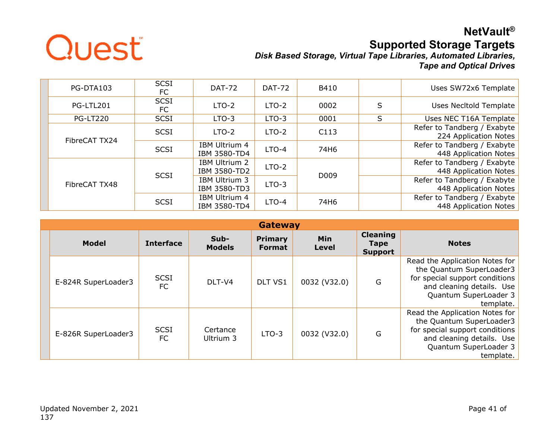

|  | PG-DTA103       | <b>SCSI</b><br>FC        | <b>DAT-72</b>                 | <b>DAT-72</b> | B410             |   | Uses SW72x6 Template                                 |
|--|-----------------|--------------------------|-------------------------------|---------------|------------------|---|------------------------------------------------------|
|  | PG-LTL201       | <b>SCSI</b><br><b>FC</b> | $LTO-2$                       | $LTO-2$       | 0002             | S | Uses Necltold Template                               |
|  | <b>PG-LT220</b> | <b>SCSI</b>              | $LTO-3$                       | $LTO-3$       | 0001             | S | Uses NEC T16A Template                               |
|  |                 | <b>SCSI</b>              | $LTO-2$                       | $LTO-2$       | C <sub>113</sub> |   | Refer to Tandberg / Exabyte<br>224 Application Notes |
|  | FibreCAT TX24   | <b>SCSI</b>              | IBM Ultrium 4<br>IBM 3580-TD4 | $LTO-4$       | 74H <sub>6</sub> |   | Refer to Tandberg / Exabyte<br>448 Application Notes |
|  |                 | <b>SCSI</b>              | IBM Ultrium 2<br>IBM 3580-TD2 | $LTO-2$       | D <sub>009</sub> |   | Refer to Tandberg / Exabyte<br>448 Application Notes |
|  | FibreCAT TX48   |                          | IBM Ultrium 3<br>IBM 3580-TD3 | $LTO-3$       |                  |   | Refer to Tandberg / Exabyte<br>448 Application Notes |
|  |                 | <b>SCSI</b>              | IBM Ultrium 4<br>IBM 3580-TD4 | $LTO-4$       | 74H6             |   | Refer to Tandberg / Exabyte<br>448 Application Notes |

| <b>Gateway</b>      |                   |                       |                                 |                            |                                                  |                                                                                                                                                                 |  |  |  |
|---------------------|-------------------|-----------------------|---------------------------------|----------------------------|--------------------------------------------------|-----------------------------------------------------------------------------------------------------------------------------------------------------------------|--|--|--|
| <b>Model</b>        | <b>Interface</b>  | Sub-<br><b>Models</b> | <b>Primary</b><br><b>Format</b> | <b>Min</b><br><b>Level</b> | <b>Cleaning</b><br><b>Tape</b><br><b>Support</b> | <b>Notes</b>                                                                                                                                                    |  |  |  |
| E-824R SuperLoader3 | <b>SCSI</b><br>FC | DLT-V4                | <b>DLT VS1</b>                  | 0032 (V32.0)               | G                                                | Read the Application Notes for<br>the Quantum SuperLoader3<br>for special support conditions<br>and cleaning details. Use<br>Quantum SuperLoader 3<br>template. |  |  |  |
| E-826R SuperLoader3 | <b>SCSI</b><br>FC | Certance<br>Ultrium 3 | $LTO-3$                         | 0032 (V32.0)               | G                                                | Read the Application Notes for<br>the Quantum SuperLoader3<br>for special support conditions<br>and cleaning details. Use<br>Quantum SuperLoader 3<br>template. |  |  |  |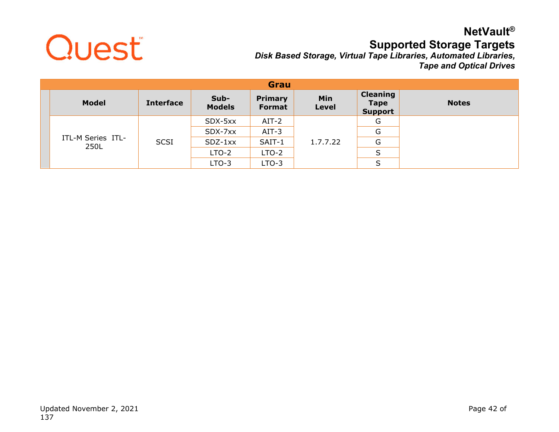#### **NetVault® Supported Storage Targets**

|     |                           |                  |                       | Grau                            |              |                                                  |              |
|-----|---------------------------|------------------|-----------------------|---------------------------------|--------------|--------------------------------------------------|--------------|
|     | <b>Model</b>              | <b>Interface</b> | Sub-<br><b>Models</b> | <b>Primary</b><br><b>Format</b> | Min<br>Level | <b>Cleaning</b><br><b>Tape</b><br><b>Support</b> | <b>Notes</b> |
|     |                           |                  | SDX-5xx               | $AIT-2$                         |              | G                                                |              |
|     |                           |                  | SDX-7xx               | $AIT-3$                         |              | ${\mathsf G}$                                    |              |
|     | ITL-M Series ITL-<br>250L | SCSI             | $SDZ-1xx$             | SAIT-1                          | 1.7.7.22     | ${\mathsf G}$                                    |              |
|     |                           |                  | $LTO-2$               | $LTO-2$                         |              | $\sf S$                                          |              |
|     |                           |                  | $LTO-3$               | $LTO-3$                         |              | $\overline{s}$                                   |              |
|     |                           |                  |                       |                                 |              |                                                  |              |
| 137 | Updated November 2, 2021  |                  |                       |                                 |              |                                                  | Page 42 of   |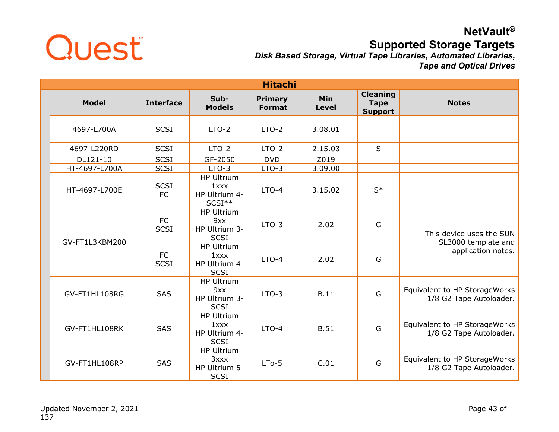#### **NetVault® Supported Storage Targets**

|     | <b>Hitachi</b>                         |                          |                                                           |                          |                            |                                                  |                                                          |  |  |  |  |
|-----|----------------------------------------|--------------------------|-----------------------------------------------------------|--------------------------|----------------------------|--------------------------------------------------|----------------------------------------------------------|--|--|--|--|
|     | <b>Model</b>                           | <b>Interface</b>         | Sub-<br><b>Models</b>                                     | <b>Primary</b><br>Format | <b>Min</b><br><b>Level</b> | <b>Cleaning</b><br><b>Tape</b><br><b>Support</b> | <b>Notes</b>                                             |  |  |  |  |
|     | 4697-L700A                             | <b>SCSI</b>              | $LTO-2$                                                   | $LTO-2$                  | 3.08.01                    |                                                  |                                                          |  |  |  |  |
|     | 4697-L220RD                            | <b>SCSI</b>              | $LTO-2$                                                   | $LTO-2$                  | 2.15.03                    | S                                                |                                                          |  |  |  |  |
|     | DL121-10                               | <b>SCSI</b>              | GF-2050                                                   | <b>DVD</b>               | Z019                       |                                                  |                                                          |  |  |  |  |
|     | HT-4697-L700A                          | <b>SCSI</b>              | $LTO-3$                                                   | $LTO-3$                  | 3.09.00                    |                                                  |                                                          |  |  |  |  |
|     | HT-4697-L700E                          | <b>SCSI</b><br><b>FC</b> | <b>HP Ultrium</b><br>1xxx<br>HP Ultrium 4-<br>SCSI**      | $LTO-4$                  | 3.15.02                    | $S^*$                                            |                                                          |  |  |  |  |
|     | GV-FT1L3KBM200                         | <b>FC</b><br><b>SCSI</b> | <b>HP Ultrium</b><br>9xx<br>HP Ultrium 3-<br><b>SCSI</b>  | $LTO-3$                  | 2.02                       | G                                                | This device uses the SUN<br>SL3000 template and          |  |  |  |  |
|     |                                        | <b>FC</b><br><b>SCSI</b> | <b>HP Ultrium</b><br>1xxx<br>HP Ultrium 4-<br><b>SCSI</b> | $LTO-4$                  | 2.02                       | G                                                | application notes.                                       |  |  |  |  |
|     | GV-FT1HL108RG                          | <b>SAS</b>               | <b>HP Ultrium</b><br>9xx<br>HP Ultrium 3-<br><b>SCSI</b>  | $LTO-3$                  | <b>B.11</b>                | G                                                | Equivalent to HP StorageWorks<br>1/8 G2 Tape Autoloader. |  |  |  |  |
|     | GV-FT1HL108RK                          | <b>SAS</b>               | <b>HP Ultrium</b><br>1xxx<br>HP Ultrium 4-<br><b>SCSI</b> | $LTO-4$                  | <b>B.51</b>                | G                                                | Equivalent to HP StorageWorks<br>1/8 G2 Tape Autoloader. |  |  |  |  |
|     | GV-FT1HL108RP                          | <b>SAS</b>               | <b>HP Ultrium</b><br>3xxx<br>HP Ultrium 5-<br><b>SCSI</b> | $LTo-5$                  | C.01                       | G                                                | Equivalent to HP StorageWorks<br>1/8 G2 Tape Autoloader. |  |  |  |  |
| 137 | Updated November 2, 2021<br>Page 43 of |                          |                                                           |                          |                            |                                                  |                                                          |  |  |  |  |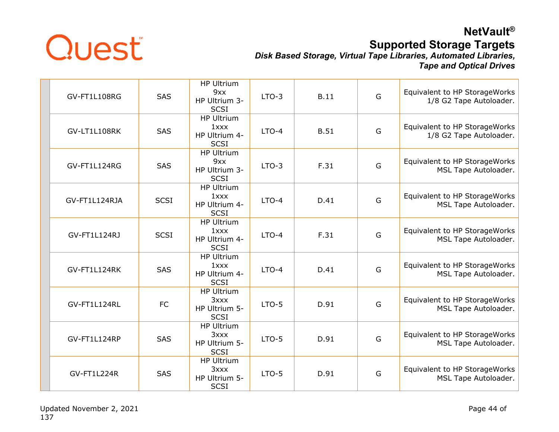#### **NetVault® Supported Storage Targets**  *Disk Based Storage, Virtual Tape Libraries, Automated Libraries,*

| GV-FT1L108RG  | <b>SAS</b>  | <b>HP Ultrium</b><br>9xx<br>HP Ultrium 3-<br><b>SCSI</b>          | $LTO-3$ | <b>B.11</b> | G | Equivalent to HP StorageWorks<br>1/8 G2 Tape Autoloader. |
|---------------|-------------|-------------------------------------------------------------------|---------|-------------|---|----------------------------------------------------------|
| GV-LT1L108RK  | <b>SAS</b>  | <b>HP Ultrium</b><br>1xxx<br>HP Ultrium 4-<br><b>SCSI</b>         | $LTO-4$ | <b>B.51</b> | G | Equivalent to HP StorageWorks<br>1/8 G2 Tape Autoloader. |
| GV-FT1L124RG  | <b>SAS</b>  | <b>HP Ultrium</b><br>9xx<br>HP Ultrium 3-<br><b>SCSI</b>          | $LTO-3$ | F.31        | G | Equivalent to HP StorageWorks<br>MSL Tape Autoloader.    |
| GV-FT1L124RJA | <b>SCSI</b> | <b>HP Ultrium</b><br>$1$ $xx$ $x$<br>HP Ultrium 4-<br><b>SCSI</b> | $LTO-4$ | D.41        | G | Equivalent to HP StorageWorks<br>MSL Tape Autoloader.    |
| GV-FT1L124RJ  | <b>SCSI</b> | HP Ultrium<br>1xxx<br>HP Ultrium 4-<br><b>SCSI</b>                | $LTO-4$ | F.31        | G | Equivalent to HP StorageWorks<br>MSL Tape Autoloader.    |
| GV-FT1L124RK  | <b>SAS</b>  | <b>HP Ultrium</b><br>$1$ $xx$ $x$<br>HP Ultrium 4-<br><b>SCSI</b> | $LTO-4$ | D.41        | G | Equivalent to HP StorageWorks<br>MSL Tape Autoloader.    |
| GV-FT1L124RL  | <b>FC</b>   | <b>HP Ultrium</b><br>3xxx<br>HP Ultrium 5-<br><b>SCSI</b>         | LTO-5   | D.91        | G | Equivalent to HP StorageWorks<br>MSL Tape Autoloader.    |
| GV-FT1L124RP  | <b>SAS</b>  | <b>HP Ultrium</b><br>3xxx<br>HP Ultrium 5-<br><b>SCSI</b>         | $LTO-5$ | D.91        | G | Equivalent to HP StorageWorks<br>MSL Tape Autoloader.    |
| GV-FT1L224R   | <b>SAS</b>  | HP Ultrium<br>3xxx<br>HP Ultrium 5-<br><b>SCSI</b>                | $LTO-5$ | D.91        | G | Equivalent to HP StorageWorks<br>MSL Tape Autoloader.    |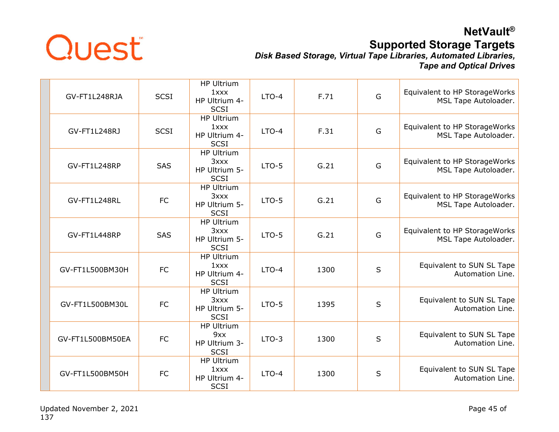#### **NetVault® Supported Storage Targets**  *Disk Based Storage, Virtual Tape Libraries, Automated Libraries,*

| GV-FT1L248RJA    | <b>SCSI</b> | <b>HP Ultrium</b><br>1xxx<br>HP Ultrium 4-<br><b>SCSI</b> | $LTO-4$ | F.71 | G | Equivalent to HP StorageWorks<br>MSL Tape Autoloader. |
|------------------|-------------|-----------------------------------------------------------|---------|------|---|-------------------------------------------------------|
| GV-FT1L248RJ     | <b>SCSI</b> | <b>HP Ultrium</b><br>1xxx<br>HP Ultrium 4-<br><b>SCSI</b> | $LTO-4$ | F.31 | G | Equivalent to HP StorageWorks<br>MSL Tape Autoloader. |
| GV-FT1L248RP     | <b>SAS</b>  | <b>HP Ultrium</b><br>3xxx<br>HP Ultrium 5-<br><b>SCSI</b> | $LTO-5$ | G.21 | G | Equivalent to HP StorageWorks<br>MSL Tape Autoloader. |
| GV-FT1L248RL     | <b>FC</b>   | <b>HP Ultrium</b><br>3xxx<br>HP Ultrium 5-<br><b>SCSI</b> | $LTO-5$ | G.21 | G | Equivalent to HP StorageWorks<br>MSL Tape Autoloader. |
| GV-FT1L448RP     | <b>SAS</b>  | <b>HP Ultrium</b><br>3xxx<br>HP Ultrium 5-<br><b>SCSI</b> | $LTO-5$ | G.21 | G | Equivalent to HP StorageWorks<br>MSL Tape Autoloader. |
| GV-FT1L500BM30H  | <b>FC</b>   | <b>HP Ultrium</b><br>1xxx<br>HP Ultrium 4-<br><b>SCSI</b> | $LTO-4$ | 1300 | S | Equivalent to SUN SL Tape<br>Automation Line.         |
| GV-FT1L500BM30L  | <b>FC</b>   | <b>HP Ultrium</b><br>3xxx<br>HP Ultrium 5-<br><b>SCSI</b> | LTO-5   | 1395 | S | Equivalent to SUN SL Tape<br>Automation Line.         |
| GV-FT1L500BM50EA | <b>FC</b>   | <b>HP Ultrium</b><br>9xx<br>HP Ultrium 3-<br><b>SCSI</b>  | $LTO-3$ | 1300 | S | Equivalent to SUN SL Tape<br>Automation Line.         |
| GV-FT1L500BM50H  | <b>FC</b>   | <b>HP Ultrium</b><br>1xxx<br>HP Ultrium 4-<br><b>SCSI</b> | $LTO-4$ | 1300 | S | Equivalent to SUN SL Tape<br>Automation Line.         |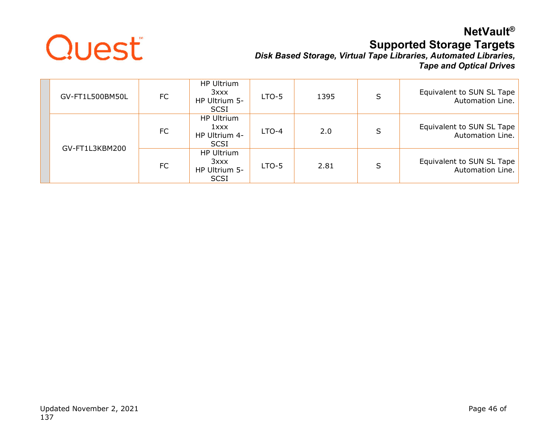Quest

|  | GV-FT1L500BM50L | FC | <b>HP Ultrium</b><br>3xxx<br>HP Ultrium 5-<br><b>SCSI</b> | $LTO-5$ | 1395 | Equivalent to SUN SL Tape<br>Automation Line. |
|--|-----------------|----|-----------------------------------------------------------|---------|------|-----------------------------------------------|
|  | GV-FT1L3KBM200  | FC | <b>HP Ultrium</b><br>1xxx<br>HP Ultrium 4-<br><b>SCSI</b> | $LTO-4$ | 2.0  | Equivalent to SUN SL Tape<br>Automation Line. |
|  |                 | FC | <b>HP Ultrium</b><br>3xxx<br>HP Ultrium 5-<br><b>SCSI</b> | $LTO-5$ | 2.81 | Equivalent to SUN SL Tape<br>Automation Line. |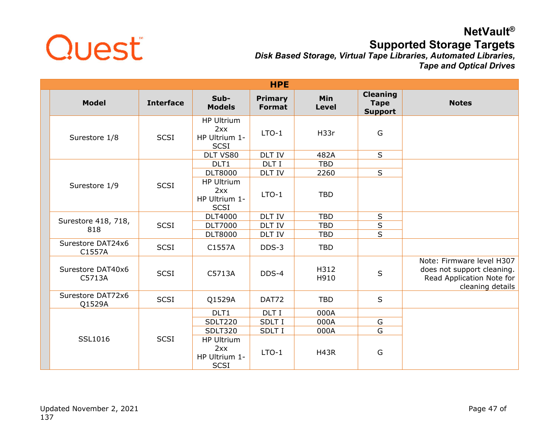#### **NetVault® Supported Storage Targets**

|     | <b>HPE</b>                  |                  |                                                          |                                 |                            |                                                  |                                                                                                          |  |  |  |
|-----|-----------------------------|------------------|----------------------------------------------------------|---------------------------------|----------------------------|--------------------------------------------------|----------------------------------------------------------------------------------------------------------|--|--|--|
|     | <b>Model</b>                | <b>Interface</b> | Sub-<br><b>Models</b>                                    | <b>Primary</b><br><b>Format</b> | <b>Min</b><br><b>Level</b> | <b>Cleaning</b><br><b>Tape</b><br><b>Support</b> | <b>Notes</b>                                                                                             |  |  |  |
|     | Surestore 1/8               | <b>SCSI</b>      | <b>HP Ultrium</b><br>2xx<br>HP Ultrium 1-<br><b>SCSI</b> | $LTO-1$                         | H33r                       | G                                                |                                                                                                          |  |  |  |
|     |                             |                  | DLT VS80                                                 | <b>DLT IV</b>                   | 482A                       | $\overline{\mathsf{s}}$                          |                                                                                                          |  |  |  |
|     |                             |                  | DLT1                                                     | DLT I                           | <b>TBD</b>                 |                                                  |                                                                                                          |  |  |  |
|     |                             |                  | <b>DLT8000</b>                                           | DLT IV                          | 2260                       | $\overline{\mathsf{s}}$                          |                                                                                                          |  |  |  |
|     | Surestore 1/9               | <b>SCSI</b>      | HP Ultrium<br>2xx<br>HP Ultrium 1-<br><b>SCSI</b>        | $LTO-1$                         | <b>TBD</b>                 |                                                  |                                                                                                          |  |  |  |
|     |                             |                  | <b>DLT4000</b>                                           | <b>DLT IV</b>                   | <b>TBD</b>                 | $\overline{S}$                                   |                                                                                                          |  |  |  |
|     | Surestore 418, 718,<br>818  | <b>SCSI</b>      | <b>DLT7000</b>                                           | DLT IV                          | <b>TBD</b>                 | $\overline{S}$                                   |                                                                                                          |  |  |  |
|     |                             |                  | <b>DLT8000</b>                                           | <b>DLT IV</b>                   | <b>TBD</b>                 | $\overline{s}$                                   |                                                                                                          |  |  |  |
|     | Surestore DAT24x6<br>C1557A | <b>SCSI</b>      | C1557A                                                   | DDS-3                           | <b>TBD</b>                 |                                                  |                                                                                                          |  |  |  |
|     | Surestore DAT40x6<br>C5713A | <b>SCSI</b>      | C5713A                                                   | DDS-4                           | H312<br>H910               | $\sf S$                                          | Note: Firmware level H307<br>does not support cleaning.<br>Read Application Note for<br>cleaning details |  |  |  |
|     | Surestore DAT72x6<br>Q1529A | <b>SCSI</b>      | Q1529A                                                   | DAT72                           | <b>TBD</b>                 | $\mathsf{S}$                                     |                                                                                                          |  |  |  |
|     |                             |                  | DLT1                                                     | DLT I                           | 000A                       |                                                  |                                                                                                          |  |  |  |
|     |                             |                  | <b>SDLT220</b>                                           | SDLT I                          | 000A                       | G                                                |                                                                                                          |  |  |  |
|     |                             |                  | <b>SDLT320</b>                                           | <b>SDLT I</b>                   | 000A                       | $\overline{G}$                                   |                                                                                                          |  |  |  |
|     | SSL1016                     | <b>SCSI</b>      | <b>HP Ultrium</b><br>2xx<br>HP Ultrium 1-<br><b>SCSI</b> | $LTO-1$                         | H43R                       | G                                                |                                                                                                          |  |  |  |
| 137 | Updated November 2, 2021    |                  |                                                          |                                 |                            |                                                  | Page 47 of                                                                                               |  |  |  |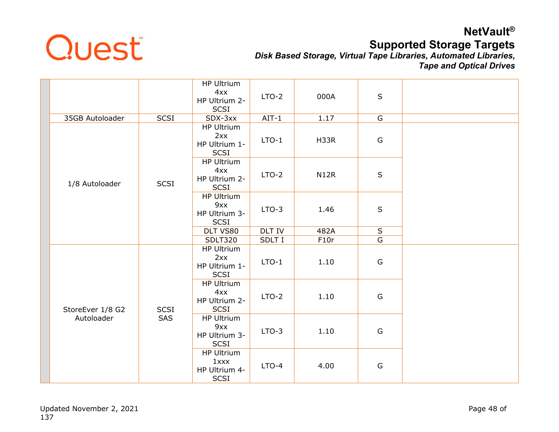#### **NetVault® Supported Storage Targets**  *Disk Based Storage, Virtual Tape Libraries, Automated Libraries,*

|  |                  |             | HP Ultrium                                                 |               |             |         |
|--|------------------|-------------|------------------------------------------------------------|---------------|-------------|---------|
|  |                  |             | 4xx<br>HP Ultrium 2-<br><b>SCSI</b>                        | $LTO-2$       | 000A        | $\sf S$ |
|  | 35GB Autoloader  | <b>SCSI</b> | SDX-3xx                                                    | $AIT-1$       | 1.17        | G       |
|  |                  |             | HP Ultrium<br>2xx<br>HP Ultrium 1-<br><b>SCSI</b>          | $LTO-1$       | H33R        | G       |
|  | 1/8 Autoloader   | <b>SCSI</b> | HP Ultrium<br>4xx<br>HP Ultrium 2-<br><b>SCSI</b>          | $LTO-2$       | <b>N12R</b> | $\sf S$ |
|  |                  |             | HP Ultrium<br>9xx<br>HP Ultrium 3-<br><b>SCSI</b>          | $LTO-3$       | 1.46        | $\sf S$ |
|  |                  |             | DLT VS80                                                   | <b>DLT IV</b> | 482A        | S       |
|  |                  |             | SDLT320                                                    | SDLT I        | F10r        | G       |
|  |                  | <b>SCSI</b> | <b>HP Ultrium</b><br>2xx<br>HP Ultrium 1-<br><b>SCSI</b>   | $LTO-1$       | 1.10        | G       |
|  | StoreEver 1/8 G2 |             | HP Ultrium<br>4xx<br>HP Ultrium 2-<br><b>SCSI</b>          | $LTO-2$       | 1.10        | G       |
|  | Autoloader       | SAS         | HP Ultrium<br>9xx<br>HP Ultrium 3-<br><b>SCSI</b>          | $LTO-3$       | 1.10        | G       |
|  |                  |             | HP Ultrium<br>$1$ $xx$ $x$<br>HP Ultrium 4-<br><b>SCSI</b> | $LTO-4$       | 4.00        | G       |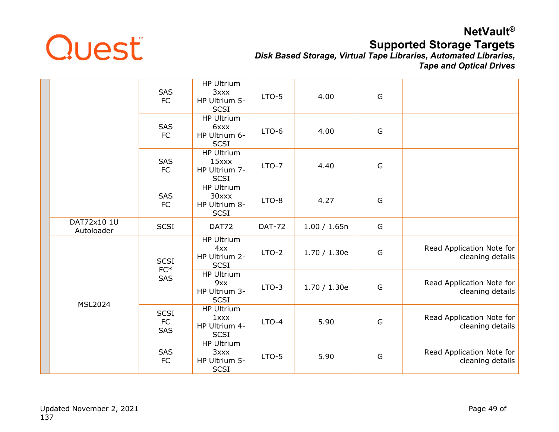

|                           | <b>SAS</b><br><b>FC</b>                | <b>HP Ultrium</b><br>3xxx<br>HP Ultrium 5-<br><b>SCSI</b>  | $LTO-5$       | 4.00         | G |                                               |
|---------------------------|----------------------------------------|------------------------------------------------------------|---------------|--------------|---|-----------------------------------------------|
|                           | <b>SAS</b><br><b>FC</b>                | <b>HP Ultrium</b><br>6xxx<br>HP Ultrium 6-<br><b>SCSI</b>  | $LTO-6$       | 4.00         | G |                                               |
|                           | SAS<br><b>FC</b>                       | <b>HP Ultrium</b><br>15xxx<br>HP Ultrium 7-<br><b>SCSI</b> | $LTO-7$       | 4.40         | G |                                               |
|                           | <b>SAS</b><br>FC                       | <b>HP Ultrium</b><br>30xxx<br>HP Ultrium 8-<br><b>SCSI</b> | $LTO-8$       | 4.27         | G |                                               |
| DAT72x10 1U<br>Autoloader | <b>SCSI</b>                            | DAT72                                                      | <b>DAT-72</b> | 1.00 / 1.65n | G |                                               |
|                           | <b>SCSI</b>                            | <b>HP Ultrium</b><br>4xx<br>HP Ultrium 2-<br><b>SCSI</b>   | $LTO-2$       | 1.70 / 1.30e | G | Read Application Note for<br>cleaning details |
|                           | $FC*$<br>SAS                           | <b>HP Ultrium</b><br>9xx<br>HP Ultrium 3-<br><b>SCSI</b>   | $LTO-3$       | 1.70 / 1.30e | G | Read Application Note for<br>cleaning details |
| <b>MSL2024</b>            | <b>SCSI</b><br><b>FC</b><br><b>SAS</b> | <b>HP Ultrium</b><br>1xxx<br>HP Ultrium 4-<br><b>SCSI</b>  | $LTO-4$       | 5.90         | G | Read Application Note for<br>cleaning details |
|                           | <b>SAS</b><br>FC                       | <b>HP Ultrium</b><br>3xxx<br>HP Ultrium 5-<br><b>SCSI</b>  | $LTO-5$       | 5.90         | G | Read Application Note for<br>cleaning details |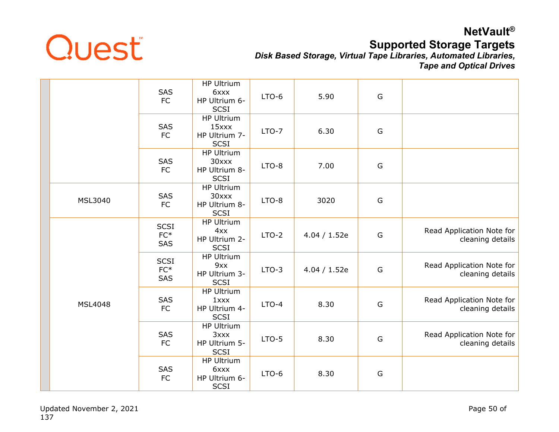### **NetVault® Supported Storage Targets**

|  |                | SAS<br><b>FC</b>                   | <b>HP Ultrium</b><br>6xxx<br>HP Ultrium 6-<br><b>SCSI</b>  | $LTO-6$ | 5.90         | G |                                               |
|--|----------------|------------------------------------|------------------------------------------------------------|---------|--------------|---|-----------------------------------------------|
|  |                | <b>SAS</b><br><b>FC</b>            | HP Ultrium<br>15xxx<br>HP Ultrium 7-<br><b>SCSI</b>        | $LTO-7$ | 6.30         | G |                                               |
|  |                | <b>SAS</b><br><b>FC</b>            | <b>HP Ultrium</b><br>30xxx<br>HP Ultrium 8-<br><b>SCSI</b> | $LTO-8$ | 7.00         | G |                                               |
|  | <b>MSL3040</b> | SAS<br><b>FC</b>                   | <b>HP Ultrium</b><br>30xxx<br>HP Ultrium 8-<br><b>SCSI</b> | $LTO-8$ | 3020         | G |                                               |
|  |                | <b>SCSI</b><br>$FC*$<br><b>SAS</b> | <b>HP Ultrium</b><br>4xx<br>HP Ultrium 2-<br><b>SCSI</b>   | $LTO-2$ | 4.04 / 1.52e | G | Read Application Note for<br>cleaning details |
|  |                | <b>SCSI</b><br>$FC*$<br><b>SAS</b> | <b>HP Ultrium</b><br>9xx<br>HP Ultrium 3-<br><b>SCSI</b>   | $LTO-3$ | 4.04 / 1.52e | G | Read Application Note for<br>cleaning details |
|  | <b>MSL4048</b> | SAS<br><b>FC</b>                   | <b>HP Ultrium</b><br>1xxx<br>HP Ultrium 4-<br><b>SCSI</b>  | $LTO-4$ | 8.30         | G | Read Application Note for<br>cleaning details |
|  |                | <b>SAS</b><br><b>FC</b>            | <b>HP Ultrium</b><br>3xxx<br>HP Ultrium 5-<br><b>SCSI</b>  | $LTO-5$ | 8.30         | G | Read Application Note for<br>cleaning details |
|  |                | <b>SAS</b><br><b>FC</b>            | <b>HP Ultrium</b><br>6xxx<br>HP Ultrium 6-<br><b>SCSI</b>  | $LTO-6$ | 8.30         | G |                                               |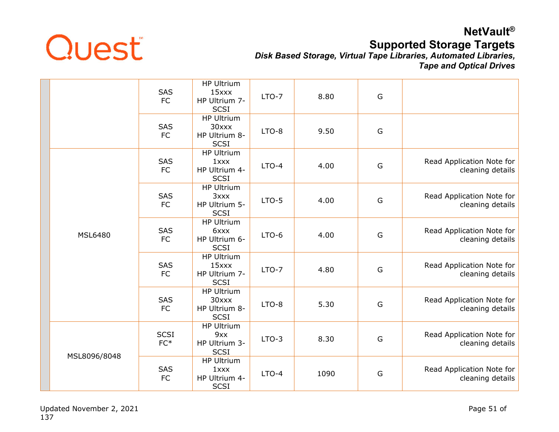#### **NetVault® Supported Storage Targets**  *Disk Based Storage, Virtual Tape Libraries, Automated Libraries,*

|                | SAS<br><b>FC</b>        | <b>HP Ultrium</b><br>15xxx<br>HP Ultrium 7-<br><b>SCSI</b> | $LTO-7$ | 8.80 | G |                                               |
|----------------|-------------------------|------------------------------------------------------------|---------|------|---|-----------------------------------------------|
|                | <b>SAS</b><br><b>FC</b> | <b>HP Ultrium</b><br>30xxx<br>HP Ultrium 8-<br><b>SCSI</b> | LTO-8   | 9.50 | G |                                               |
|                | SAS<br><b>FC</b>        | <b>HP Ultrium</b><br>1xxx<br>HP Ultrium 4-<br><b>SCSI</b>  | $LTO-4$ | 4.00 | G | Read Application Note for<br>cleaning details |
|                | SAS<br><b>FC</b>        | <b>HP Ultrium</b><br>3xxx<br>HP Ultrium 5-<br><b>SCSI</b>  | $LTO-5$ | 4.00 | G | Read Application Note for<br>cleaning details |
| <b>MSL6480</b> | <b>SAS</b><br><b>FC</b> | <b>HP Ultrium</b><br>6xxx<br>HP Ultrium 6-<br><b>SCSI</b>  | $LTO-6$ | 4.00 | G | Read Application Note for<br>cleaning details |
|                | SAS<br><b>FC</b>        | <b>HP Ultrium</b><br>15xxx<br>HP Ultrium 7-<br><b>SCSI</b> | $LTO-7$ | 4.80 | G | Read Application Note for<br>cleaning details |
|                | SAS<br><b>FC</b>        | <b>HP Ultrium</b><br>30xxx<br>HP Ultrium 8-<br><b>SCSI</b> | LTO-8   | 5.30 | G | Read Application Note for<br>cleaning details |
|                | <b>SCSI</b><br>$FC*$    | <b>HP Ultrium</b><br>9xx<br>HP Ultrium 3-<br><b>SCSI</b>   | $LTO-3$ | 8.30 | G | Read Application Note for<br>cleaning details |
| MSL8096/8048   | SAS<br><b>FC</b>        | <b>HP Ultrium</b><br>1xxx<br>HP Ultrium 4-<br><b>SCSI</b>  | $LTO-4$ | 1090 | G | Read Application Note for<br>cleaning details |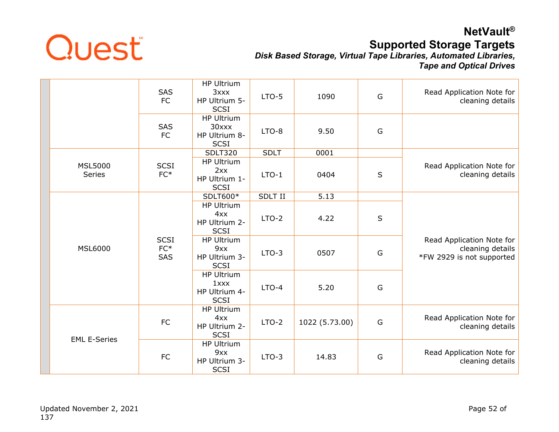#### **NetVault® Supported Storage Targets**  *Disk Based Storage, Virtual Tape Libraries, Automated Libraries,*

|                                 | <b>SAS</b><br>FC                   | <b>HP Ultrium</b><br>3xxx<br>HP Ultrium 5-<br><b>SCSI</b>         | $LTO-5$        | 1090           | G | Read Application Note for<br>cleaning details                              |
|---------------------------------|------------------------------------|-------------------------------------------------------------------|----------------|----------------|---|----------------------------------------------------------------------------|
|                                 | SAS<br><b>FC</b>                   | HP Ultrium<br>30xxx<br>HP Ultrium 8-<br><b>SCSI</b>               | $LTO-8$        | 9.50           | G |                                                                            |
|                                 |                                    | SDLT320                                                           | <b>SDLT</b>    | 0001           |   |                                                                            |
| <b>MSL5000</b><br><b>Series</b> | <b>SCSI</b><br>$FC*$               | <b>HP Ultrium</b><br>2xx<br>HP Ultrium 1-<br><b>SCSI</b>          | $LTO-1$        | 0404           | S | Read Application Note for<br>cleaning details                              |
|                                 |                                    | SDLT600*                                                          | <b>SDLT II</b> | 5.13           |   |                                                                            |
|                                 | <b>SCSI</b><br>$FC*$<br><b>SAS</b> | <b>HP Ultrium</b><br>4xx<br>HP Ultrium 2-<br><b>SCSI</b>          | $LTO-2$        | 4.22           | S | Read Application Note for<br>cleaning details<br>*FW 2929 is not supported |
| <b>MSL6000</b>                  |                                    | <b>HP Ultrium</b><br>9xx<br>HP Ultrium 3-<br><b>SCSI</b>          | $LTO-3$        | 0507           | G |                                                                            |
|                                 |                                    | <b>HP Ultrium</b><br>$1$ $xx$ $x$<br>HP Ultrium 4-<br><b>SCSI</b> | $LTO-4$        | 5.20           | G |                                                                            |
| <b>EML E-Series</b>             | <b>FC</b>                          | <b>HP Ultrium</b><br>4xx<br>HP Ultrium 2-<br><b>SCSI</b>          | $LTO-2$        | 1022 (5.73.00) | G | Read Application Note for<br>cleaning details                              |
|                                 | <b>FC</b>                          | <b>HP Ultrium</b><br>9xx<br>HP Ultrium 3-<br><b>SCSI</b>          | $LTO-3$        | 14.83          | G | Read Application Note for<br>cleaning details                              |
|                                 |                                    |                                                                   |                |                |   |                                                                            |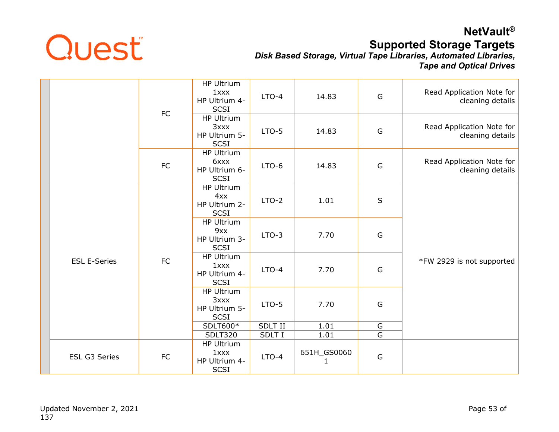#### **NetVault® Supported Storage Targets**  *Disk Based Storage, Virtual Tape Libraries, Automated Libraries,*

|                      |            | <b>HP Ultrium</b><br>1xxx<br>HP Ultrium 4-                | $LTO-4$        | 14.83            | G       | Read Application Note for<br>cleaning details |
|----------------------|------------|-----------------------------------------------------------|----------------|------------------|---------|-----------------------------------------------|
|                      | <b>FC</b>  | <b>SCSI</b>                                               |                |                  |         |                                               |
|                      |            | HP Ultrium<br>3xxx<br>HP Ultrium 5-<br><b>SCSI</b>        | $LTO-5$        | 14.83            | G       | Read Application Note for<br>cleaning details |
|                      | ${\sf FC}$ | HP Ultrium<br>6xxx<br>HP Ultrium 6-<br><b>SCSI</b>        | $LTO-6$        | 14.83            | G       | Read Application Note for<br>cleaning details |
|                      |            | <b>HP Ultrium</b><br>4xx<br>HP Ultrium 2-<br><b>SCSI</b>  | $LTO-2$        | 1.01             | $\sf S$ |                                               |
|                      | <b>FC</b>  | <b>HP Ultrium</b><br>9xx<br>HP Ultrium 3-<br><b>SCSI</b>  | $LTO-3$        | 7.70             | G       | *FW 2929 is not supported                     |
| <b>ESL E-Series</b>  |            | <b>HP Ultrium</b><br>1xxx<br>HP Ultrium 4-<br><b>SCSI</b> | $LTO-4$        | 7.70             | G       |                                               |
|                      |            | HP Ultrium<br>3xxx<br>HP Ultrium 5-<br><b>SCSI</b>        | $LTO-5$        | 7.70             | G       |                                               |
|                      |            | SDLT600*                                                  | <b>SDLT II</b> | 1.01             | G       |                                               |
|                      |            | <b>SDLT320</b>                                            | SDLT I         | 1.01             | G       |                                               |
| <b>ESL G3 Series</b> | FC         | <b>HP Ultrium</b><br>1xxx<br>HP Ultrium 4-<br><b>SCSI</b> | $LTO-4$        | 651H_GS0060<br>1 | G       |                                               |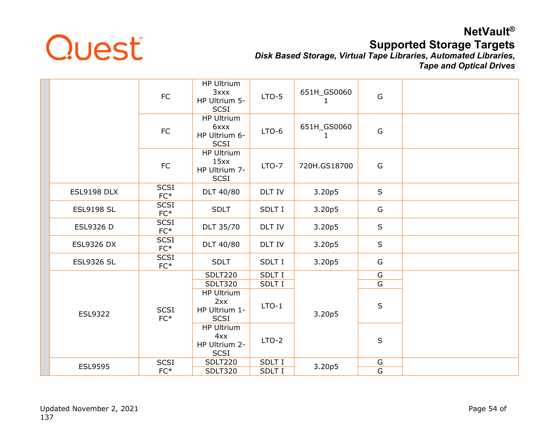

|                   | <b>FC</b>            | <b>HP Ultrium</b><br>3xxx<br>HP Ultrium 5-<br><b>SCSI</b> | $LTO-5$       | 651H_GS0060<br>1. | G              |  |
|-------------------|----------------------|-----------------------------------------------------------|---------------|-------------------|----------------|--|
|                   | <b>FC</b>            | <b>HP Ultrium</b><br>6xxx<br>HP Ultrium 6-<br><b>SCSI</b> | $LTO-6$       | 651H_GS0060<br>1  | ${\mathsf G}$  |  |
|                   | <b>FC</b>            | <b>HP Ultrium</b><br>15xx<br>HP Ultrium 7-<br><b>SCSI</b> | $LTO-7$       | 720H.GS18700      | G              |  |
| ESL9198 DLX       | <b>SCSI</b><br>$FC*$ | DLT 40/80                                                 | <b>DLT IV</b> | 3.20p5            | $\mathsf S$    |  |
| <b>ESL9198 SL</b> | <b>SCSI</b><br>$FC*$ | <b>SDLT</b>                                               | <b>SDLT I</b> | 3.20p5            | G              |  |
| ESL9326 D         | <b>SCSI</b><br>$FC*$ | DLT 35/70                                                 | DLT IV        | 3.20p5            | S              |  |
| <b>ESL9326 DX</b> | <b>SCSI</b><br>$FC*$ | DLT 40/80                                                 | DLT IV        | 3.20p5            | $\mathsf S$    |  |
| <b>ESL9326 SL</b> | <b>SCSI</b><br>$FC*$ | <b>SDLT</b>                                               | SDLT I        | 3.20p5            | G              |  |
|                   |                      | <b>SDLT220</b>                                            | SDLT I        |                   | $\overline{G}$ |  |
|                   |                      | SDLT320                                                   | <b>SDLT I</b> |                   | G              |  |
| ESL9322           | <b>SCSI</b><br>$FC*$ | <b>HP Ultrium</b><br>2xx<br>HP Ultrium 1-<br><b>SCSI</b>  | $LTO-1$       | 3.20p5            | $\sf S$        |  |
|                   |                      | <b>HP Ultrium</b><br>4xx<br>HP Ultrium 2-<br><b>SCSI</b>  | $LTO-2$       |                   | $\sf S$        |  |
| <b>ESL9595</b>    | <b>SCSI</b>          | <b>SDLT220</b>                                            | SDLT I        | 3.20p5            | G              |  |
|                   | $FC*$                | <b>SDLT320</b>                                            | <b>SDLT I</b> |                   | G              |  |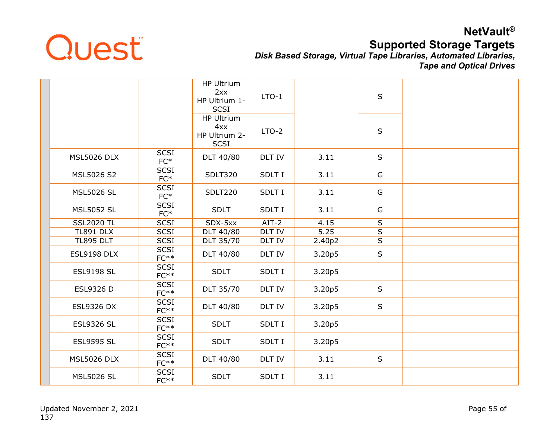

|                    |                       | <b>HP Ultrium</b><br>2xx<br>HP Ultrium 1-<br><b>SCSI</b> | $LTO-1$       |        | $\mathsf S$             |  |
|--------------------|-----------------------|----------------------------------------------------------|---------------|--------|-------------------------|--|
|                    |                       | HP Ultrium<br>4xx<br>HP Ultrium 2-<br><b>SCSI</b>        | $LTO-2$       |        | $\sf S$                 |  |
| <b>MSL5026 DLX</b> | <b>SCSI</b><br>$FC*$  | DLT 40/80                                                | DLT IV        | 3.11   | $\mathsf{S}$            |  |
| MSL5026 S2         | <b>SCSI</b><br>$FC*$  | SDLT320                                                  | SDLT I        | 3.11   | G                       |  |
| <b>MSL5026 SL</b>  | <b>SCSI</b><br>$FC*$  | SDLT220                                                  | SDLT I        | 3.11   | G                       |  |
| <b>MSL5052 SL</b>  | <b>SCSI</b><br>$FC*$  | <b>SDLT</b>                                              | SDLT I        | 3.11   | G                       |  |
| <b>SSL2020 TL</b>  | <b>SCSI</b>           | SDX-5xx                                                  | $AIT-2$       | 4.15   | $\sf S$                 |  |
| <b>TL891 DLX</b>   | <b>SCSI</b>           | DLT 40/80                                                | DLT IV        | 5.25   | $\sf S$                 |  |
| <b>TL895 DLT</b>   | <b>SCSI</b>           | DLT 35/70                                                | DLT IV        | 2.40p2 | $\overline{\mathsf{s}}$ |  |
| <b>ESL9198 DLX</b> | <b>SCSI</b><br>$FC**$ | DLT 40/80                                                | DLT IV        | 3.20p5 | $\sf S$                 |  |
| <b>ESL9198 SL</b>  | <b>SCSI</b><br>$FC**$ | <b>SDLT</b>                                              | SDLT I        | 3.20p5 |                         |  |
| <b>ESL9326 D</b>   | <b>SCSI</b><br>$FC**$ | DLT 35/70                                                | <b>DLT IV</b> | 3.20p5 | $\mathsf S$             |  |
| <b>ESL9326 DX</b>  | <b>SCSI</b><br>$FC**$ | DLT 40/80                                                | DLT IV        | 3.20p5 | S                       |  |
| <b>ESL9326 SL</b>  | <b>SCSI</b><br>$FC**$ | <b>SDLT</b>                                              | SDLT I        | 3.20p5 |                         |  |
| <b>ESL9595 SL</b>  | <b>SCSI</b><br>$FC**$ | <b>SDLT</b>                                              | SDLT I        | 3.20p5 |                         |  |
| <b>MSL5026 DLX</b> | <b>SCSI</b><br>$FC**$ | DLT 40/80                                                | <b>DLT IV</b> | 3.11   | S                       |  |
| <b>MSL5026 SL</b>  | <b>SCSI</b><br>$FC**$ | <b>SDLT</b>                                              | SDLT I        | 3.11   |                         |  |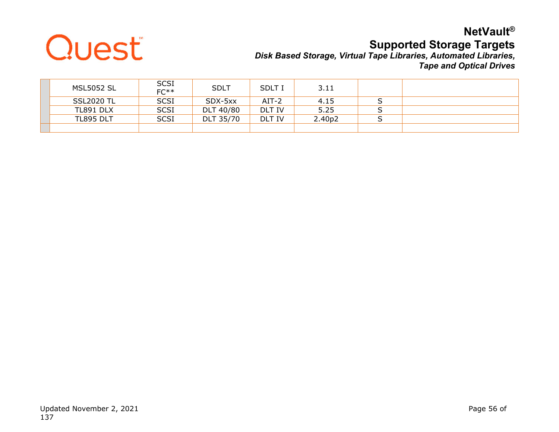

| <b>MSL5052 SL</b> | <b>SCSI</b><br>$FC**$ | <b>SDLT</b> | SDLT I  | 3.11   |  |
|-------------------|-----------------------|-------------|---------|--------|--|
| <b>SSL2020 TL</b> | <b>SCSI</b>           | SDX-5xx     | $AIT-2$ | 4.15   |  |
| TL891 DLX         | <b>SCSI</b>           | DLT 40/80   | DLT IV  | 5.25   |  |
| TL895 DLT         | <b>SCSI</b>           | DLT 35/70   | DLT IV  | 2.40p2 |  |
|                   |                       |             |         |        |  |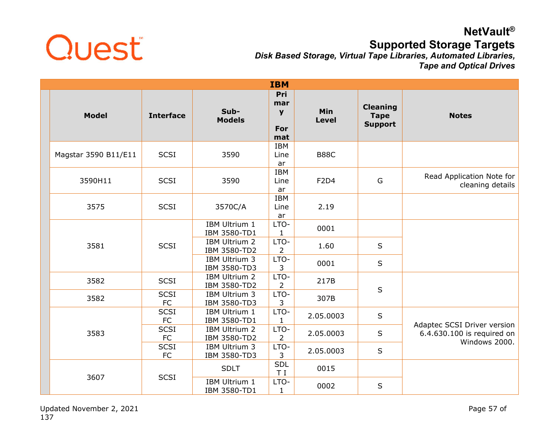#### **NetVault® Supported Storage Targets**

| <b>IBM</b>                      |                          |                               |                                          |                     |                                                  |                                                           |  |  |  |
|---------------------------------|--------------------------|-------------------------------|------------------------------------------|---------------------|--------------------------------------------------|-----------------------------------------------------------|--|--|--|
| <b>Model</b>                    | <b>Interface</b>         | Sub-<br><b>Models</b>         | Pri<br>mar<br>$\mathbf{y}$<br>For<br>mat | Min<br><b>Level</b> | <b>Cleaning</b><br><b>Tape</b><br><b>Support</b> | <b>Notes</b>                                              |  |  |  |
| Magstar 3590 B11/E11            | <b>SCSI</b>              | 3590                          | IBM<br>Line<br>ar                        | <b>B88C</b>         |                                                  |                                                           |  |  |  |
| 3590H11                         | <b>SCSI</b>              | 3590                          | <b>IBM</b><br>Line<br>ar                 | F2D4                | G                                                | Read Application Note for<br>cleaning details             |  |  |  |
| 3575                            | <b>SCSI</b>              | 3570C/A                       | IBM<br>Line<br>ar                        | 2.19                |                                                  |                                                           |  |  |  |
|                                 |                          | IBM Ultrium 1<br>IBM 3580-TD1 | LTO-<br>1                                | 0001                |                                                  |                                                           |  |  |  |
| 3581                            | <b>SCSI</b>              | IBM Ultrium 2<br>IBM 3580-TD2 | LTO-<br>2                                | 1.60                | S                                                |                                                           |  |  |  |
|                                 |                          | IBM Ultrium 3<br>IBM 3580-TD3 | LTO-<br>3                                | 0001                | S                                                |                                                           |  |  |  |
| 3582                            | <b>SCSI</b>              | IBM Ultrium 2<br>IBM 3580-TD2 | LTO-<br>2                                | 217B                |                                                  |                                                           |  |  |  |
| 3582                            | <b>SCSI</b><br><b>FC</b> | IBM Ultrium 3<br>IBM 3580-TD3 | LTO-<br>3                                | 307B                | $\sf S$                                          |                                                           |  |  |  |
|                                 | <b>SCSI</b><br>FC        | IBM Ultrium 1<br>IBM 3580-TD1 | LTO-<br>$\mathbf{1}$                     | 2.05.0003           | $\sf S$                                          |                                                           |  |  |  |
| 3583                            | <b>SCSI</b><br>FC        | IBM Ultrium 2<br>IBM 3580-TD2 | LTO-<br>$\overline{2}$                   | 2.05.0003           | $\sf S$                                          | Adaptec SCSI Driver version<br>6.4.630.100 is required on |  |  |  |
|                                 | <b>SCSI</b><br><b>FC</b> | IBM Ultrium 3<br>IBM 3580-TD3 | LTO-<br>3                                | 2.05.0003           | S                                                | Windows 2000.                                             |  |  |  |
|                                 |                          | <b>SDLT</b>                   | SDL<br>T I                               | 0015                |                                                  |                                                           |  |  |  |
| 3607                            | <b>SCSI</b>              | IBM Ultrium 1<br>IBM 3580-TD1 | LTO-<br>$\mathbf{1}$                     | 0002                | $\sf S$                                          |                                                           |  |  |  |
| Updated November 2, 2021<br>137 |                          |                               |                                          |                     |                                                  | Page 57 of                                                |  |  |  |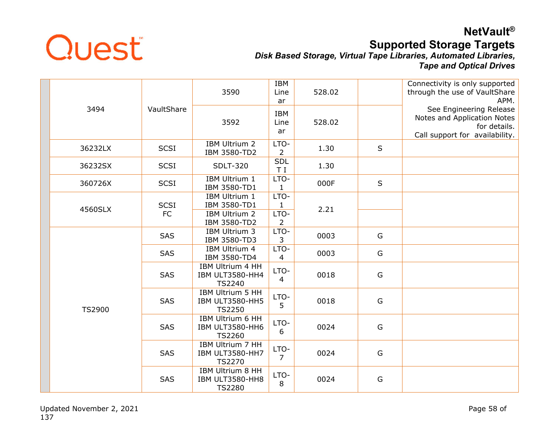#### **NetVault® Supported Storage Targets**  *Disk Based Storage, Virtual Tape Libraries, Automated Libraries,*

|  |         |                   | 3590                                                           | IBM<br>Line<br>ar                              | 528.02 |             | Connectivity is only supported<br>through the use of VaultShare<br>APM.                                  |
|--|---------|-------------------|----------------------------------------------------------------|------------------------------------------------|--------|-------------|----------------------------------------------------------------------------------------------------------|
|  | 3494    | VaultShare        | 3592                                                           | IBM<br>Line<br>ar                              | 528.02 |             | See Engineering Release<br>Notes and Application Notes<br>for details.<br>Call support for availability. |
|  | 36232LX | <b>SCSI</b>       | IBM Ultrium 2<br>IBM 3580-TD2                                  | LTO-<br>2                                      | 1.30   | $\mathsf S$ |                                                                                                          |
|  | 36232SX | <b>SCSI</b>       | <b>SDLT-320</b>                                                | SDL<br>T I                                     | 1.30   |             |                                                                                                          |
|  | 360726X | <b>SCSI</b>       | IBM Ultrium 1<br>IBM 3580-TD1                                  | LTO-<br>1                                      | 000F   | S           |                                                                                                          |
|  | 4560SLX | <b>SCSI</b><br>FC | IBM Ultrium 1<br>IBM 3580-TD1<br>IBM Ultrium 2<br>IBM 3580-TD2 | LTO-<br>$\mathbf{1}$<br>LTO-<br>$\overline{2}$ | 2.21   |             |                                                                                                          |
|  |         | <b>SAS</b>        | IBM Ultrium 3<br>IBM 3580-TD3                                  | LTO-<br>3                                      | 0003   | G           |                                                                                                          |
|  |         | <b>SAS</b>        | IBM Ultrium 4<br>IBM 3580-TD4                                  | LTO-<br>4                                      | 0003   | G           |                                                                                                          |
|  |         | <b>SAS</b>        | IBM Ultrium 4 HH<br>IBM ULT3580-HH4<br>TS2240                  | LTO-<br>$\overline{4}$                         | 0018   | G           |                                                                                                          |
|  | TS2900  | <b>SAS</b>        | IBM Ultrium 5 HH<br><b>IBM ULT3580-HH5</b><br>TS2250           | LTO-<br>5                                      | 0018   | G           |                                                                                                          |
|  |         | <b>SAS</b>        | IBM Ultrium 6 HH<br>IBM ULT3580-HH6<br>TS2260                  | LTO-<br>6                                      | 0024   | G           |                                                                                                          |
|  |         | <b>SAS</b>        | IBM Ultrium 7 HH<br><b>IBM ULT3580-HH7</b><br>TS2270           | LTO-<br>$\overline{7}$                         | 0024   | G           |                                                                                                          |
|  |         | <b>SAS</b>        | IBM Ultrium 8 HH<br>IBM ULT3580-HH8<br><b>TS2280</b>           | LTO-<br>8                                      | 0024   | G           |                                                                                                          |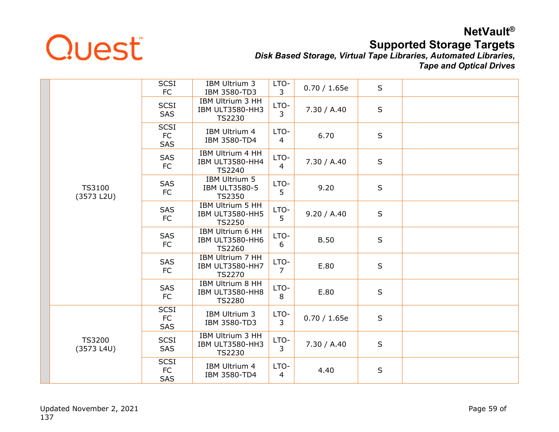

|                             | <b>SCSI</b><br>FC                      | IBM Ultrium 3<br>IBM 3580-TD3                          | LTO-<br>3              | 0.70 / 1.65e | S           |  |
|-----------------------------|----------------------------------------|--------------------------------------------------------|------------------------|--------------|-------------|--|
|                             | <b>SCSI</b><br>SAS                     | IBM Ultrium 3 HH<br><b>IBM ULT3580-HH3</b><br>TS2230   | LTO-<br>3              | 7.30 / A.40  | S           |  |
|                             | <b>SCSI</b><br><b>FC</b><br><b>SAS</b> | IBM Ultrium 4<br>IBM 3580-TD4                          | LTO-<br>4              | 6.70         | $\mathsf S$ |  |
|                             | <b>SAS</b><br>FC                       | IBM Ultrium 4 HH<br><b>IBM ULT3580-HH4</b><br>TS2240   | LTO-<br>$\overline{4}$ | 7.30 / A.40  | S           |  |
| TS3100<br>(3573 L2U)        | <b>SAS</b><br><b>FC</b>                | IBM Ultrium 5<br><b>IBM ULT3580-5</b><br><b>TS2350</b> | LTO-<br>5              | 9.20         | $\sf S$     |  |
|                             | <b>SAS</b><br><b>FC</b>                | IBM Ultrium 5 HH<br>IBM ULT3580-HH5<br><b>TS2250</b>   | LTO-<br>5              | 9.20 / A.40  | $\sf S$     |  |
|                             | <b>SAS</b><br><b>FC</b>                | IBM Ultrium 6 HH<br>IBM ULT3580-HH6<br>TS2260          | LTO-<br>6              | <b>B.50</b>  | S           |  |
|                             | <b>SAS</b><br>FC                       | IBM Ultrium 7 HH<br>IBM ULT3580-HH7<br><b>TS2270</b>   | LTO-<br>$\overline{7}$ | E.80         | $\sf S$     |  |
|                             | <b>SAS</b><br>FC                       | IBM Ultrium 8 HH<br>IBM ULT3580-HH8<br><b>TS2280</b>   | LTO-<br>8              | E.80         | $\sf S$     |  |
|                             | <b>SCSI</b><br><b>FC</b><br><b>SAS</b> | IBM Ultrium 3<br>IBM 3580-TD3                          | LTO-<br>3              | 0.70 / 1.65e | $\sf S$     |  |
| <b>TS3200</b><br>(3573 L4U) | <b>SCSI</b><br><b>SAS</b>              | IBM Ultrium 3 HH<br><b>IBM ULT3580-HH3</b><br>TS2230   | LTO-<br>3              | 7.30 / A.40  | $\mathsf S$ |  |
|                             | <b>SCSI</b><br><b>FC</b><br><b>SAS</b> | IBM Ultrium 4<br>IBM 3580-TD4                          | LTO-<br>$\overline{4}$ | 4.40         | S           |  |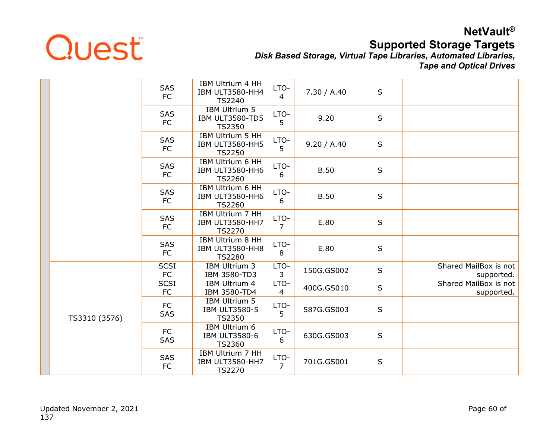

|               | IBM Ultrium 4 HH<br><b>SAS</b><br>IBM ULT3580-HH4<br>FC<br>TS2240 |                                                        | LTO-<br>4              | 7.30 / A.40 | S           |                                     |
|---------------|-------------------------------------------------------------------|--------------------------------------------------------|------------------------|-------------|-------------|-------------------------------------|
|               | <b>SAS</b><br>FC                                                  | IBM Ultrium 5<br><b>IBM ULT3580-TD5</b><br>TS2350      | LTO-<br>5              | 9.20        | S           |                                     |
|               | <b>SAS</b><br>FC                                                  | IBM Ultrium 5 HH<br>IBM ULT3580-HH5<br><b>TS2250</b>   | LTO-<br>5              | 9.20 / A.40 | S           |                                     |
|               | <b>SAS</b><br>FC                                                  | IBM Ultrium 6 HH<br>IBM ULT3580-HH6<br><b>TS2260</b>   | LTO-<br>6              | <b>B.50</b> | S           |                                     |
|               | SAS<br>FC                                                         | IBM Ultrium 6 HH<br>IBM ULT3580-HH6<br><b>TS2260</b>   | LTO-<br>6              | <b>B.50</b> | S           |                                     |
|               | <b>SAS</b><br><b>FC</b>                                           | IBM Ultrium 7 HH<br>IBM ULT3580-HH7<br><b>TS2270</b>   | LTO-<br>$\overline{7}$ | E.80        | S           |                                     |
|               | <b>SAS</b><br>FC                                                  | IBM Ultrium 8 HH<br>IBM ULT3580-HH8<br><b>TS2280</b>   | LTO-<br>8              | E.80        | S           |                                     |
|               | <b>SCSI</b><br>FC                                                 | IBM Ultrium 3<br>IBM 3580-TD3                          | LTO-<br>3              | 150G.GS002  | S           | Shared MailBox is not<br>supported. |
|               | <b>SCSI</b><br>FC                                                 | IBM Ultrium 4<br>IBM 3580-TD4                          | LTO-<br>4              | 400G.GS010  | $\mathsf S$ | Shared MailBox is not<br>supported. |
| TS3310 (3576) | FC<br><b>SAS</b>                                                  | IBM Ultrium 5<br><b>IBM ULT3580-5</b><br><b>TS2350</b> | LTO-<br>5              | 587G.GS003  | $\mathsf S$ |                                     |
|               | FC<br><b>SAS</b>                                                  | IBM Ultrium 6<br><b>IBM ULT3580-6</b><br>TS2360        | LTO-<br>6              | 630G.GS003  | $\mathsf S$ |                                     |
|               | SAS<br>FC                                                         | IBM Ultrium 7 HH<br>IBM ULT3580-HH7<br>TS2270          | LTO-<br>$\overline{7}$ | 701G.GS001  | S           |                                     |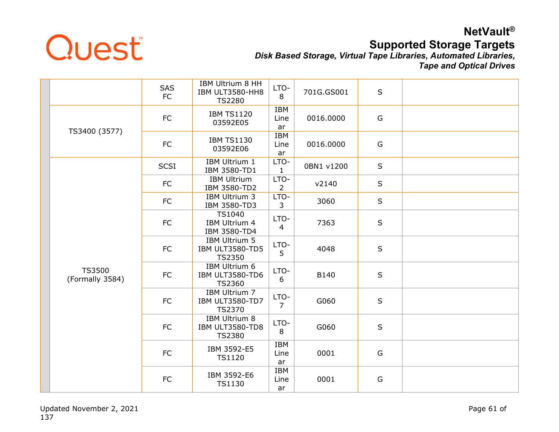#### **NetVault® Supported Storage Targets**  *Disk Based Storage, Virtual Tape Libraries, Automated Libraries,*

|  |                                  | SAS<br>FC   | IBM Ultrium 8 HH<br><b>IBM ULT3580-HH8</b><br><b>TS2280</b> | LTO-<br>8                | 701G.GS001 | S           |  |
|--|----------------------------------|-------------|-------------------------------------------------------------|--------------------------|------------|-------------|--|
|  |                                  | FC          | <b>IBM TS1120</b><br>03592E05                               | IBM<br>Line<br>ar        | 0016.0000  | G           |  |
|  | TS3400 (3577)                    | <b>FC</b>   | <b>IBM TS1130</b><br>03592E06                               | <b>IBM</b><br>Line<br>ar | 0016.0000  | G           |  |
|  |                                  | <b>SCSI</b> | IBM Ultrium 1<br>IBM 3580-TD1                               | LTO-<br>$\mathbf{1}$     | 0BN1 v1200 | $\mathsf S$ |  |
|  |                                  | <b>FC</b>   | <b>IBM Ultrium</b><br>IBM 3580-TD2                          | LTO-<br>$\overline{2}$   | v2140      | S           |  |
|  |                                  | FC          | IBM Ultrium 3<br>IBM 3580-TD3                               | LTO-<br>3                | 3060       | $\mathsf S$ |  |
|  |                                  | FC          | TS1040<br>IBM Ultrium 4<br>IBM 3580-TD4                     | LTO-<br>4                | 7363       | $\mathsf S$ |  |
|  |                                  | FC          | IBM Ultrium 5<br><b>IBM ULT3580-TD5</b><br>TS2350           | LTO-<br>5                | 4048       | $\mathsf S$ |  |
|  | <b>TS3500</b><br>(Formally 3584) | FC          | IBM Ultrium 6<br><b>IBM ULT3580-TD6</b><br>TS2360           | LTO-<br>6                | B140       | $\sf S$     |  |
|  |                                  | <b>FC</b>   | IBM Ultrium 7<br><b>IBM ULT3580-TD7</b><br>TS2370           | LTO-<br>$\overline{7}$   | G060       | $\mathsf S$ |  |
|  |                                  | FC          | IBM Ultrium 8<br><b>IBM ULT3580-TD8</b><br><b>TS2380</b>    | LTO-<br>8                | G060       | $\mathsf S$ |  |
|  |                                  | FC          | IBM 3592-E5<br>TS1120                                       | IBM<br>Line<br>ar        | 0001       | G           |  |
|  |                                  | FC          | IBM 3592-E6<br>TS1130                                       | IBM<br>Line<br>ar        | 0001       | G           |  |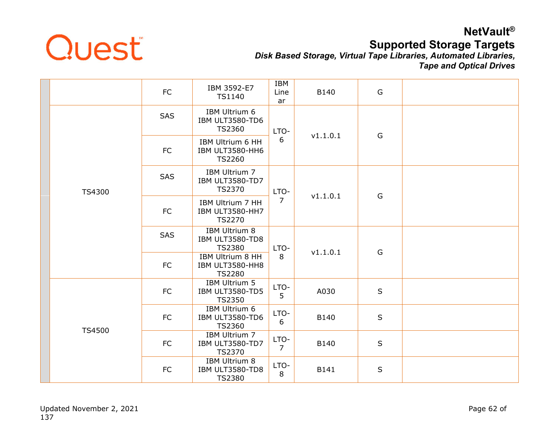

|        | FC         | IBM 3592-E7<br>TS1140                                | IBM<br>Line<br>ar      | B140     | G            |  |
|--------|------------|------------------------------------------------------|------------------------|----------|--------------|--|
|        | <b>SAS</b> | IBM Ultrium 6<br><b>IBM ULT3580-TD6</b><br>TS2360    | LTO-                   | v1.1.0.1 | G            |  |
|        | <b>FC</b>  | IBM Ultrium 6 HH<br>IBM ULT3580-HH6<br>TS2260        | 6                      |          |              |  |
| TS4300 | <b>SAS</b> | IBM Ultrium 7<br><b>IBM ULT3580-TD7</b><br>TS2370    | LTO-                   | v1.1.0.1 | G            |  |
|        | <b>FC</b>  | IBM Ultrium 7 HH<br>IBM ULT3580-HH7<br>TS2270        | $\overline{7}$         |          |              |  |
|        | <b>SAS</b> | IBM Ultrium 8<br><b>IBM ULT3580-TD8</b><br>TS2380    | LTO-                   | v1.1.0.1 | G            |  |
|        | FC         | IBM Ultrium 8 HH<br>IBM ULT3580-HH8<br><b>TS2280</b> | 8                      |          |              |  |
|        | <b>FC</b>  | IBM Ultrium 5<br><b>IBM ULT3580-TD5</b><br>TS2350    | LTO-<br>5              | A030     | $\mathsf{S}$ |  |
| TS4500 | <b>FC</b>  | IBM Ultrium 6<br>IBM ULT3580-TD6<br>TS2360           | LTO-<br>6              | B140     | $\mathsf S$  |  |
|        | FC         | IBM Ultrium 7<br><b>IBM ULT3580-TD7</b><br>TS2370    | LTO-<br>$\overline{7}$ | B140     | $\mathsf{S}$ |  |
|        | <b>FC</b>  | IBM Ultrium 8<br><b>IBM ULT3580-TD8</b><br>TS2380    | LTO-<br>8              | B141     | $\sf S$      |  |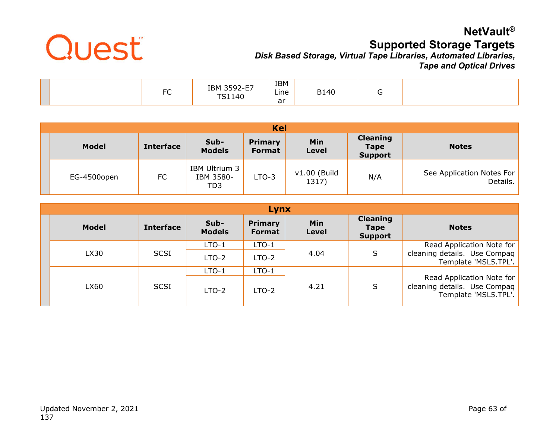#### **NetVault® Supported Storage Targets**  *Disk Based Storage, Virtual Tape Libraries, Automated Libraries,*

|  | --<br><u>—</u> | $\sim$ $\sim$ $\sim$<br>TRN | IBM<br>$\sim$ $\sim$<br>Line<br>ar | $\Delta$ C<br>. |  |  |
|--|----------------|-----------------------------|------------------------------------|-----------------|--|--|
|--|----------------|-----------------------------|------------------------------------|-----------------|--|--|

| <b>Kel</b>   |                  |                                   |                                 |                         |                                                  |                                       |  |  |  |  |
|--------------|------------------|-----------------------------------|---------------------------------|-------------------------|--------------------------------------------------|---------------------------------------|--|--|--|--|
| <b>Model</b> | <b>Interface</b> | Sub-<br><b>Models</b>             | <b>Primary</b><br><b>Format</b> | Min<br>Level            | <b>Cleaning</b><br><b>Tape</b><br><b>Support</b> | <b>Notes</b>                          |  |  |  |  |
| EG-4500open  | FC               | IBM Ultrium 3<br>IBM 3580-<br>TD3 | $LTO-3$                         | $v1.00$ (Build<br>1317) | N/A                                              | See Application Notes For<br>Details. |  |  |  |  |

| Lynx                |                  |                       |                                 |                     |                                                  |                                                                                   |  |  |  |
|---------------------|------------------|-----------------------|---------------------------------|---------------------|--------------------------------------------------|-----------------------------------------------------------------------------------|--|--|--|
| <b>Model</b>        | <b>Interface</b> | Sub-<br><b>Models</b> | <b>Primary</b><br><b>Format</b> | Min<br><b>Level</b> | <b>Cleaning</b><br><b>Tape</b><br><b>Support</b> | <b>Notes</b>                                                                      |  |  |  |
|                     |                  | $LTO-1$               | $LTO-1$                         |                     |                                                  | Read Application Note for                                                         |  |  |  |
| LX30                | <b>SCSI</b>      | $LTO-2$               | LTO-2                           | 4.04                | S                                                | cleaning details. Use Compaq<br>Template 'MSL5.TPL'.                              |  |  |  |
|                     |                  | $LTO-1$               | $LTO-1$                         |                     |                                                  |                                                                                   |  |  |  |
| <b>SCSI</b><br>LX60 |                  | $LTO-2$               | $LTO-2$                         | 4.21                | S                                                | Read Application Note for<br>cleaning details. Use Compaq<br>Template 'MSL5.TPL'. |  |  |  |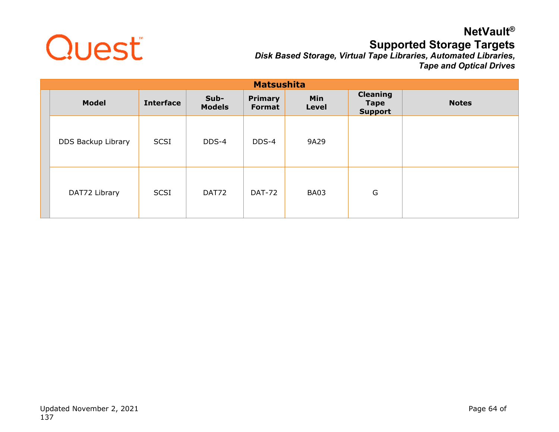#### **NetVault® Supported Storage Targets**

| <b>Matsushita</b>               |                  |                       |                          |              |                                                  |              |  |  |  |
|---------------------------------|------------------|-----------------------|--------------------------|--------------|--------------------------------------------------|--------------|--|--|--|
| <b>Model</b>                    | <b>Interface</b> | Sub-<br><b>Models</b> | <b>Primary</b><br>Format | Min<br>Level | <b>Cleaning</b><br><b>Tape</b><br><b>Support</b> | <b>Notes</b> |  |  |  |
| DDS Backup Library              | SCSI             | DDS-4                 | DDS-4                    | 9A29         |                                                  |              |  |  |  |
| DAT72 Library                   | SCSI             | DAT72                 | <b>DAT-72</b>            | BA03         | ${\mathsf G}$                                    |              |  |  |  |
|                                 |                  |                       |                          |              |                                                  |              |  |  |  |
|                                 |                  |                       |                          |              |                                                  |              |  |  |  |
|                                 |                  |                       |                          |              |                                                  |              |  |  |  |
|                                 |                  |                       |                          |              |                                                  |              |  |  |  |
| Updated November 2, 2021<br>137 |                  |                       |                          |              |                                                  | Page 64 of   |  |  |  |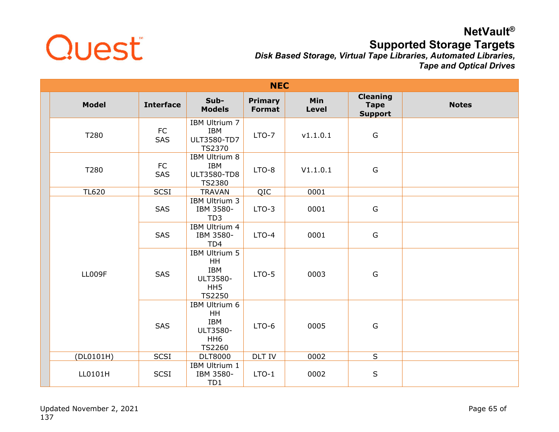#### **NetVault® Supported Storage Targets**

| <b>NEC</b>                                    |                  |                                                                     |                                 |                            |                                                  |              |  |  |  |
|-----------------------------------------------|------------------|---------------------------------------------------------------------|---------------------------------|----------------------------|--------------------------------------------------|--------------|--|--|--|
| <b>Model</b>                                  | <b>Interface</b> | Sub-<br><b>Models</b>                                               | <b>Primary</b><br><b>Format</b> | <b>Min</b><br><b>Level</b> | <b>Cleaning</b><br><b>Tape</b><br><b>Support</b> | <b>Notes</b> |  |  |  |
| T280                                          | FC<br><b>SAS</b> | IBM Ultrium 7<br>IBM<br>ULT3580-TD7<br>TS2370                       | $LTO-7$                         | v1.1.0.1                   | G                                                |              |  |  |  |
| T280                                          | FC<br>SAS        | IBM Ultrium 8<br>IBM<br>ULT3580-TD8<br>TS2380                       | $LTO-8$                         | V1.1.0.1                   | G                                                |              |  |  |  |
| <b>TL620</b>                                  | <b>SCSI</b>      | <b>TRAVAN</b>                                                       | QIC                             | 0001                       |                                                  |              |  |  |  |
|                                               | <b>SAS</b>       | IBM Ultrium 3<br>IBM 3580-<br>TD <sub>3</sub>                       | $LTO-3$                         | 0001                       | G                                                |              |  |  |  |
|                                               | <b>SAS</b>       | IBM Ultrium 4<br>IBM 3580-<br>TD4                                   | $LTO-4$                         | 0001                       | G                                                |              |  |  |  |
| <b>LL009F</b>                                 | <b>SAS</b>       | IBM Ultrium 5<br>HH<br>IBM<br>ULT3580-<br>HH <sub>5</sub><br>TS2250 | $LTO-5$                         | 0003                       | G                                                |              |  |  |  |
|                                               | SAS              | IBM Ultrium 6<br>HH<br>IBM<br>ULT3580-<br>HH <sub>6</sub><br>TS2260 | $LTO-6$                         | 0005                       | G                                                |              |  |  |  |
| (DLO101H)                                     | <b>SCSI</b>      | <b>DLT8000</b>                                                      | <b>DLT IV</b>                   | 0002                       | $\overline{\mathsf{s}}$                          |              |  |  |  |
| LL0101H                                       | <b>SCSI</b>      | IBM Ultrium 1<br>IBM 3580-<br>TD1                                   | $LTO-1$                         | 0002                       | $\sf S$                                          |              |  |  |  |
| Page 65 of<br>Updated November 2, 2021<br>137 |                  |                                                                     |                                 |                            |                                                  |              |  |  |  |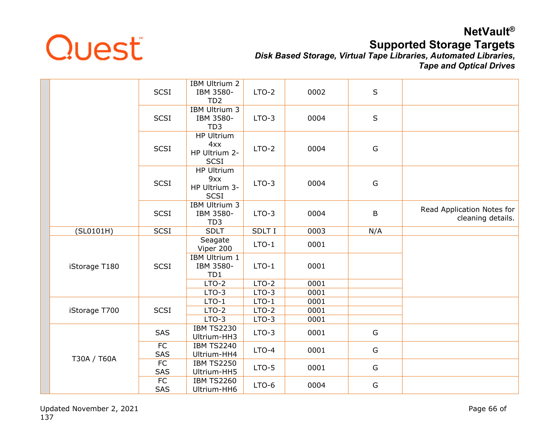

|               | <b>SCSI</b>             | IBM Ultrium 2<br>IBM 3580-<br>TD <sub>2</sub>            | $LTO-2$ | 0002 | $\sf S$       |                                                 |
|---------------|-------------------------|----------------------------------------------------------|---------|------|---------------|-------------------------------------------------|
|               | <b>SCSI</b>             | IBM Ultrium 3<br>IBM 3580-<br>TD <sub>3</sub>            | $LTO-3$ | 0004 | $\sf S$       |                                                 |
|               | <b>SCSI</b>             | <b>HP Ultrium</b><br>4xx<br>HP Ultrium 2-<br><b>SCSI</b> | $LTO-2$ | 0004 | G             |                                                 |
|               | <b>SCSI</b>             | <b>HP Ultrium</b><br>9xx<br>HP Ultrium 3-<br><b>SCSI</b> | $LTO-3$ | 0004 | ${\mathsf G}$ |                                                 |
|               | <b>SCSI</b>             | IBM Ultrium 3<br>IBM 3580-<br>TD <sub>3</sub>            | $LTO-3$ | 0004 | B             | Read Application Notes for<br>cleaning details. |
| (SLO101H)     | <b>SCSI</b>             | <b>SDLT</b>                                              | SDLT I  | 0003 | N/A           |                                                 |
|               |                         | Seagate<br>Viper 200                                     | $LTO-1$ | 0001 |               |                                                 |
| iStorage T180 | <b>SCSI</b>             | IBM Ultrium 1<br>IBM 3580-<br>TD1                        | $LTO-1$ | 0001 |               |                                                 |
|               |                         | $LTO-2$                                                  | $LTO-2$ | 0001 |               |                                                 |
|               |                         | $LTO-3$                                                  | $LTO-3$ | 0001 |               |                                                 |
|               |                         | $LTO-1$                                                  | $LTO-1$ | 0001 |               |                                                 |
| iStorage T700 | <b>SCSI</b>             | $LTO-2$                                                  | $LTO-2$ | 0001 |               |                                                 |
|               |                         | $LTO-3$                                                  | $LTO-3$ | 0001 |               |                                                 |
|               | <b>SAS</b>              | <b>IBM TS2230</b><br>Ultrium-HH3                         | $LTO-3$ | 0001 | G             |                                                 |
|               | <b>FC</b><br><b>SAS</b> | <b>IBM TS2240</b><br>Ultrium-HH4                         | $LTO-4$ | 0001 | G             |                                                 |
| T30A / T60A   | <b>FC</b><br><b>SAS</b> | <b>IBM TS2250</b><br>Ultrium-HH5                         | $LTO-5$ | 0001 | G             |                                                 |
|               | <b>FC</b><br>SAS        | <b>IBM TS2260</b><br>Ultrium-HH6                         | $LTO-6$ | 0004 | G             |                                                 |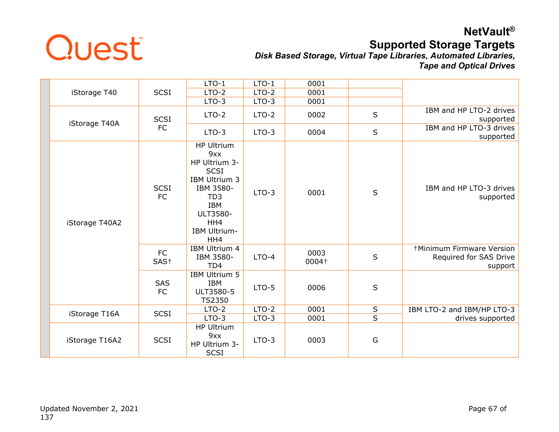

|                |                         | $LTO-1$                                                                                                                                                    | $LTO-1$ | 0001          |                |                                                                |
|----------------|-------------------------|------------------------------------------------------------------------------------------------------------------------------------------------------------|---------|---------------|----------------|----------------------------------------------------------------|
| iStorage T40   | <b>SCSI</b>             | $LTO-2$                                                                                                                                                    | $LTO-2$ | 0001          |                |                                                                |
|                |                         | $LTO-3$                                                                                                                                                    | $LTO-3$ | 0001          |                |                                                                |
| iStorage T40A  | <b>SCSI</b>             | $LTO-2$                                                                                                                                                    | $LTO-2$ | 0002          | S              | IBM and HP LTO-2 drives<br>supported                           |
|                | FC                      | $LTO-3$                                                                                                                                                    | $LTO-3$ | 0004          | $\sf S$        | IBM and HP LTO-3 drives<br>supported                           |
| iStorage T40A2 | <b>SCSI</b><br>FC       | HP Ultrium<br>9xx<br>HP Ultrium 3-<br><b>SCSI</b><br>IBM Ultrium 3<br>IBM 3580-<br>TD <sub>3</sub><br><b>IBM</b><br>ULT3580-<br>HH4<br>IBM Ultrium-<br>HH4 | $LTO-3$ | 0001          | S              | IBM and HP LTO-3 drives<br>supported                           |
|                | FC<br>SAS <sup>+</sup>  | IBM Ultrium 4<br>IBM 3580-<br>TD4                                                                                                                          | $LTO-4$ | 0003<br>0004+ | S              | +Minimum Firmware Version<br>Required for SAS Drive<br>support |
|                | <b>SAS</b><br><b>FC</b> | IBM Ultrium 5<br>IBM<br>ULT3580-5<br>TS2350                                                                                                                | $LTO-5$ | 0006          | $\sf S$        |                                                                |
|                | <b>SCSI</b>             | $LTO-2$                                                                                                                                                    | $LTO-2$ | 0001          | $\sf S$        | IBM LTO-2 and IBM/HP LTO-3                                     |
| iStorage T16A  |                         | $LTO-3$                                                                                                                                                    | $LTO-3$ | 0001          | $\overline{s}$ | drives supported                                               |
| iStorage T16A2 | <b>SCSI</b>             | <b>HP Ultrium</b><br>9xx<br>HP Ultrium 3-<br><b>SCSI</b>                                                                                                   | $LTO-3$ | 0003          | G              |                                                                |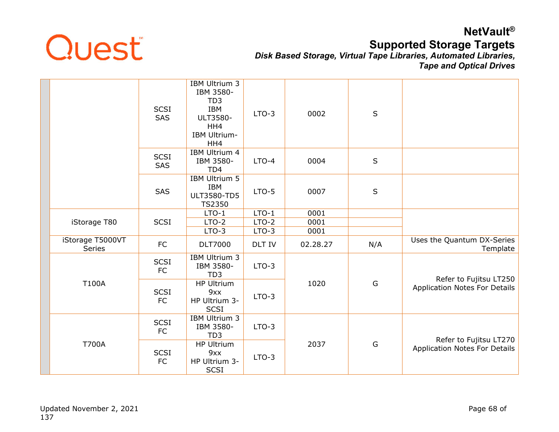

|                                   | <b>SCSI</b><br>SAS        | IBM Ultrium 3<br>IBM 3580-<br>TD <sub>3</sub><br><b>IBM</b><br>ULT3580-<br>HH4<br>IBM Ultrium-<br>HH4 | $LTO-3$       | 0002     | S       |                                                         |
|-----------------------------------|---------------------------|-------------------------------------------------------------------------------------------------------|---------------|----------|---------|---------------------------------------------------------|
|                                   | <b>SCSI</b><br><b>SAS</b> | IBM Ultrium 4<br>IBM 3580-<br>TD <sub>4</sub>                                                         | $LTO-4$       | 0004     | S       |                                                         |
|                                   | <b>SAS</b>                | IBM Ultrium 5<br>IBM<br>ULT3580-TD5<br>TS2350                                                         | $LTO-5$       | 0007     | $\sf S$ |                                                         |
|                                   |                           | $LTO-1$                                                                                               | $LTO-1$       | 0001     |         |                                                         |
| iStorage T80                      | <b>SCSI</b>               | $LTO-2$                                                                                               | $LTO-2$       | 0001     |         |                                                         |
|                                   |                           | $LTO-3$                                                                                               | $LTO-3$       | 0001     |         |                                                         |
| iStorage T5000VT<br><b>Series</b> | FC                        | <b>DLT7000</b>                                                                                        | <b>DLT IV</b> | 02.28.27 | N/A     | Uses the Quantum DX-Series<br>Template                  |
|                                   | <b>SCSI</b><br><b>FC</b>  | IBM Ultrium 3<br>IBM 3580-<br>TD <sub>3</sub>                                                         | $LTO-3$       |          |         | Refer to Fujitsu LT250                                  |
| T100A                             | <b>SCSI</b><br><b>FC</b>  | HP Ultrium<br>9xx<br>HP Ultrium 3-<br><b>SCSI</b>                                                     | $LTO-3$       | 1020     | G       | Application Notes For Details                           |
|                                   | <b>SCSI</b><br>FC         | IBM Ultrium 3<br>IBM 3580-<br>TD <sub>3</sub>                                                         | $LTO-3$       |          |         |                                                         |
| <b>T700A</b>                      | <b>SCSI</b><br><b>FC</b>  | <b>HP Ultrium</b><br>9xx<br>HP Ultrium 3-<br><b>SCSI</b>                                              | $LTO-3$       | 2037     | G       | Refer to Fujitsu LT270<br>Application Notes For Details |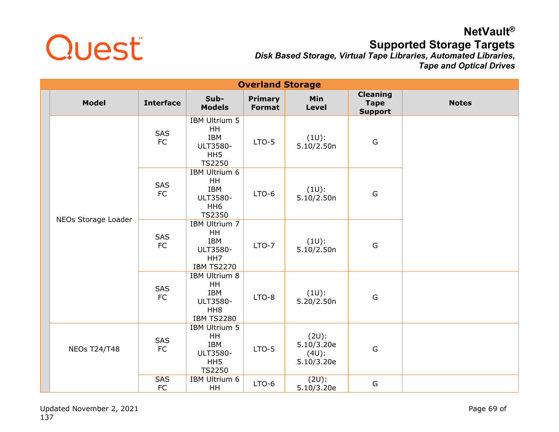

|     | <b>Overland Storage</b>                |                   |                                                                                       |                          |                                                  |                                                  |              |  |  |
|-----|----------------------------------------|-------------------|---------------------------------------------------------------------------------------|--------------------------|--------------------------------------------------|--------------------------------------------------|--------------|--|--|
|     | <b>Model</b>                           | <b>Interface</b>  | Sub-<br><b>Models</b>                                                                 | Primary<br><b>Format</b> | Min<br><b>Level</b>                              | <b>Cleaning</b><br><b>Tape</b><br><b>Support</b> | <b>Notes</b> |  |  |
|     |                                        | SAS<br>FC         | IBM Ultrium 5<br>HH<br>IBM<br>ULT3580-<br>HH <sub>5</sub><br>TS2250                   | $LTO-5$                  | $(1U)$ :<br>5.10/2.50n                           | ${\mathsf G}$                                    |              |  |  |
|     |                                        | SAS<br>${\sf FC}$ | IBM Ultrium 6<br>HH<br>IBM<br>ULT3580-<br>HH <sub>6</sub><br>TS2350                   | $LTO-6$                  | $(1U)$ :<br>5.10/2.50n                           | G                                                |              |  |  |
|     | NEOs Storage Loader                    | <b>SAS</b><br>FC  | IBM Ultrium 7<br><b>HH</b><br>IBM<br>ULT3580-<br>HH <sub>7</sub><br><b>IBM TS2270</b> | $LTO-7$                  | $(1U)$ :<br>5.10/2.50n                           | G                                                |              |  |  |
|     |                                        | <b>SAS</b><br>FC  | IBM Ultrium 8<br>HH<br>IBM<br>ULT3580-<br>HH <sub>8</sub><br><b>IBM TS2280</b>        | $LTO-8$                  | $(1U)$ :<br>5.20/2.50n                           | ${\mathsf G}$                                    |              |  |  |
|     | <b>NEOs T24/T48</b>                    | SAS<br>FC         | IBM Ultrium 5<br><b>HH</b><br>IBM<br>ULT3580-<br>HH <sub>5</sub><br>TS2250            | $LTO-5$                  | $(2U)$ :<br>5.10/3.20e<br>$(4U)$ :<br>5.10/3.20e | G                                                |              |  |  |
|     |                                        | SAS<br>FC         | IBM Ultrium 6<br>HH                                                                   | $LTO-6$                  | $(2U)$ :<br>5.10/3.20e                           | ${\mathsf G}$                                    |              |  |  |
| 137 | Updated November 2, 2021<br>Page 69 of |                   |                                                                                       |                          |                                                  |                                                  |              |  |  |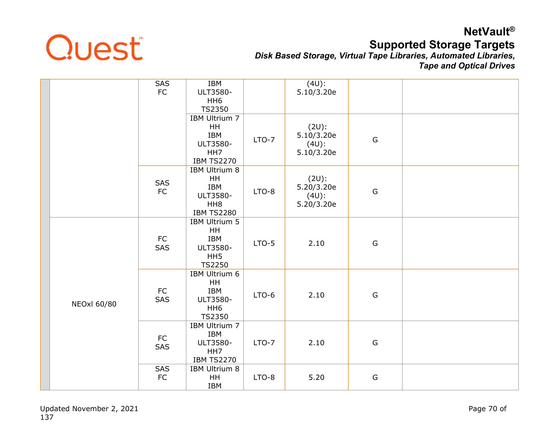

|  |                    | SAS<br>FC        | IBM<br>ULT3580-                                                                |         | $(4U)$ :<br>5.10/3.20e                           |   |  |
|--|--------------------|------------------|--------------------------------------------------------------------------------|---------|--------------------------------------------------|---|--|
|  |                    |                  | HH <sub>6</sub><br><b>TS2350</b>                                               |         |                                                  |   |  |
|  |                    |                  | IBM Ultrium 7<br><b>HH</b><br>IBM<br>ULT3580-<br>HH7<br><b>IBM TS2270</b>      | $LTO-7$ | $(2U)$ :<br>5.10/3.20e<br>$(4U)$ :<br>5.10/3.20e | G |  |
|  |                    | SAS<br>FC        | IBM Ultrium 8<br>HH<br>IBM<br>ULT3580-<br>HH <sub>8</sub><br><b>IBM TS2280</b> | $LTO-8$ | $(2U)$ :<br>5.20/3.20e<br>$(4U)$ :<br>5.20/3.20e | G |  |
|  | <b>NEOxl 60/80</b> | FC<br>SAS        | IBM Ultrium 5<br>HH<br>IBM<br>ULT3580-<br>HH <sub>5</sub><br>TS2250            | $LTO-5$ | 2.10                                             | G |  |
|  |                    | FC<br>SAS        | IBM Ultrium 6<br>HH<br>IBM<br>ULT3580-<br>HH <sub>6</sub><br>TS2350            | $LTO-6$ | 2.10                                             | G |  |
|  |                    | <b>FC</b><br>SAS | IBM Ultrium 7<br>IBM<br>ULT3580-<br>HH <sub>7</sub><br><b>IBM TS2270</b>       | $LTO-7$ | 2.10                                             | G |  |
|  |                    | SAS<br>FC        | IBM Ultrium 8<br>HH<br>IBM                                                     | $LTO-8$ | 5.20                                             | G |  |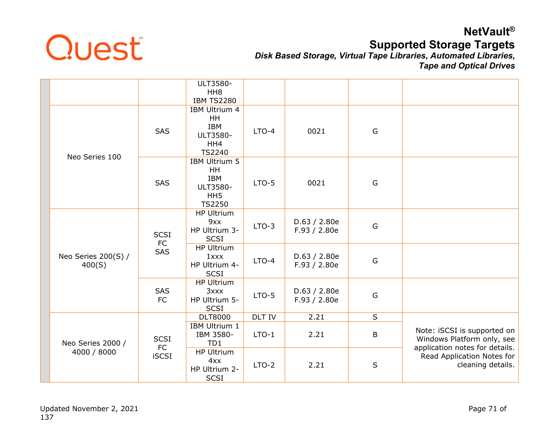

#### **NetVault® Supported Storage Targets**  *Disk Based Storage, Virtual Tape Libraries, Automated Libraries,*

|  |                                  |                                          | ULT3580-<br>HH <sub>8</sub>                                                              |               |                              |         |                                                                                                                                                |
|--|----------------------------------|------------------------------------------|------------------------------------------------------------------------------------------|---------------|------------------------------|---------|------------------------------------------------------------------------------------------------------------------------------------------------|
|  |                                  |                                          | <b>IBM TS2280</b>                                                                        |               |                              |         |                                                                                                                                                |
|  | Neo Series 100                   | <b>SAS</b>                               | IBM Ultrium 4<br>HH<br><b>IBM</b><br>ULT3580-<br>HH4<br>TS2240                           | $LTO-4$       | 0021                         | G       |                                                                                                                                                |
|  |                                  | <b>SAS</b>                               | IBM Ultrium 5<br><b>HH</b><br><b>IBM</b><br>ULT3580-<br>HH <sub>5</sub><br><b>TS2250</b> | $LTO-5$       | 0021                         | G       |                                                                                                                                                |
|  | Neo Series 200(S) /<br>400(S)    | <b>SCSI</b><br><b>FC</b><br><b>SAS</b>   | <b>HP Ultrium</b><br>9xx<br>HP Ultrium 3-<br><b>SCSI</b>                                 | $LTO-3$       | D.63 / 2.80e<br>F.93 / 2.80e | G       |                                                                                                                                                |
|  |                                  |                                          | <b>HP Ultrium</b><br>1xxx<br>HP Ultrium 4-<br><b>SCSI</b>                                | $LTO-4$       | D.63 / 2.80e<br>F.93 / 2.80e | G       |                                                                                                                                                |
|  |                                  | <b>SAS</b><br><b>FC</b>                  | <b>HP Ultrium</b><br>3xxx<br>HP Ultrium 5-<br><b>SCSI</b>                                | $LTO-5$       | D.63 / 2.80e<br>F.93 / 2.80e | G       |                                                                                                                                                |
|  | Neo Series 2000 /<br>4000 / 8000 | <b>SCSI</b><br><b>FC</b><br><b>iSCSI</b> | <b>DLT8000</b>                                                                           | <b>DLT IV</b> | 2.21                         | S       |                                                                                                                                                |
|  |                                  |                                          | IBM Ultrium 1<br>IBM 3580-<br>TD <sub>1</sub>                                            | $LTO-1$       | 2.21                         | B       | Note: iSCSI is supported on<br>Windows Platform only, see<br>application notes for details.<br>Read Application Notes for<br>cleaning details. |
|  |                                  |                                          | <b>HP Ultrium</b><br>4xx<br>HP Ultrium 2-<br><b>SCSI</b>                                 | $LTO-2$       | 2.21                         | $\sf S$ |                                                                                                                                                |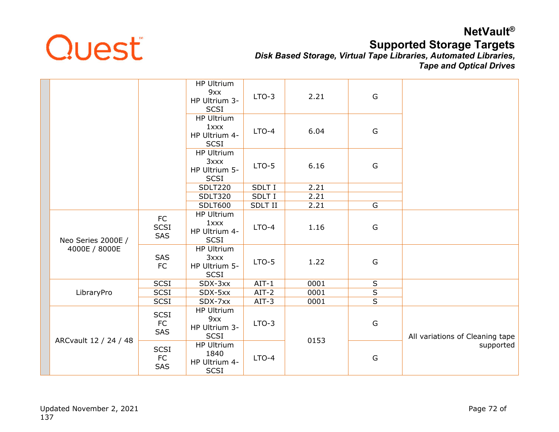

|  |                                     |                                                                                                                                     | <b>HP Ultrium</b><br>9xx<br>HP Ultrium 3-<br><b>SCSI</b>          | $LTO-3$        | 2.21 | G                       |                                              |
|--|-------------------------------------|-------------------------------------------------------------------------------------------------------------------------------------|-------------------------------------------------------------------|----------------|------|-------------------------|----------------------------------------------|
|  |                                     |                                                                                                                                     | HP Ultrium<br>$1$ $xx$ $x$<br>HP Ultrium 4-<br><b>SCSI</b>        | $LTO-4$        | 6.04 | G                       |                                              |
|  |                                     |                                                                                                                                     | HP Ultrium<br>3xxx<br>HP Ultrium 5-<br><b>SCSI</b>                | $LTO-5$        | 6.16 | G                       |                                              |
|  |                                     |                                                                                                                                     | <b>SDLT220</b>                                                    | SDLT I         | 2.21 |                         |                                              |
|  |                                     |                                                                                                                                     | SDLT320                                                           | SDLT I         | 2.21 |                         |                                              |
|  |                                     |                                                                                                                                     | <b>SDLT600</b>                                                    | <b>SDLT II</b> | 2.21 | G                       |                                              |
|  | Neo Series 2000E /<br>4000E / 8000E | <b>FC</b><br><b>SCSI</b><br><b>SAS</b>                                                                                              | <b>HP Ultrium</b><br>$1$ $xx$ $x$<br>HP Ultrium 4-<br><b>SCSI</b> | $LTO-4$        | 1.16 | G                       |                                              |
|  |                                     | <b>SAS</b><br>FC                                                                                                                    | HP Ultrium<br>3xxx<br>HP Ultrium 5-<br><b>SCSI</b>                | $LTO-5$        | 1.22 | G                       |                                              |
|  |                                     | <b>SCSI</b>                                                                                                                         | SDX-3xx                                                           | $AIT-1$        | 0001 | $\sf S$                 |                                              |
|  | LibraryPro                          | <b>SCSI</b>                                                                                                                         | SDX-5xx                                                           | $AIT-2$        | 0001 | $\overline{\mathsf{s}}$ |                                              |
|  |                                     | <b>SCSI</b>                                                                                                                         | SDX-7xx                                                           | $AIT-3$        | 0001 | $\overline{s}$          |                                              |
|  | ARCvault 12 / 24 / 48               | <b>HP Ultrium</b><br><b>SCSI</b><br>9xx<br>FC<br><b>SAS</b><br><b>SCSI</b><br>HP Ultrium<br><b>SCSI</b><br>1840<br>FC<br><b>SAS</b> | HP Ultrium 3-                                                     | $LTO-3$        |      | ${\mathsf G}$           | All variations of Cleaning tape<br>supported |
|  |                                     |                                                                                                                                     | HP Ultrium 4-<br><b>SCSI</b>                                      | $LTO-4$        | 0153 | G                       |                                              |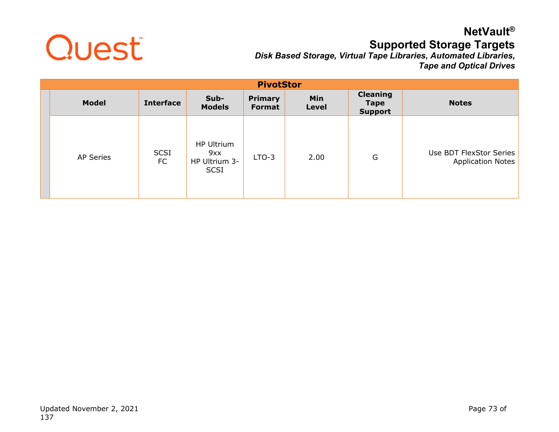#### **NetVault® Supported Storage Targets**

|     | <b>PivotStor</b>         |                    |                                            |                          |              |                                                  |                                                     |  |  |  |
|-----|--------------------------|--------------------|--------------------------------------------|--------------------------|--------------|--------------------------------------------------|-----------------------------------------------------|--|--|--|
|     | <b>Model</b>             | <b>Interface</b>   | Sub-<br><b>Models</b>                      | <b>Primary</b><br>Format | Min<br>Level | <b>Cleaning</b><br><b>Tape</b><br><b>Support</b> | <b>Notes</b>                                        |  |  |  |
|     | AP Series                | SCSI<br>${\sf FC}$ | HP Ultrium<br>9xx<br>HP Ultrium 3-<br>SCSI | $LTO-3$                  | 2.00         | ${\mathsf G}$                                    | Use BDT FlexStor Series<br><b>Application Notes</b> |  |  |  |
|     |                          |                    |                                            |                          |              |                                                  |                                                     |  |  |  |
|     |                          |                    |                                            |                          |              |                                                  |                                                     |  |  |  |
|     |                          |                    |                                            |                          |              |                                                  |                                                     |  |  |  |
|     |                          |                    |                                            |                          |              |                                                  |                                                     |  |  |  |
|     |                          |                    |                                            |                          |              |                                                  |                                                     |  |  |  |
| 137 | Updated November 2, 2021 |                    |                                            |                          |              |                                                  | Page 73 of                                          |  |  |  |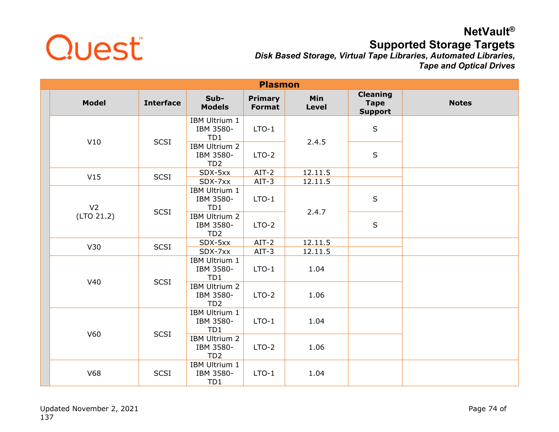#### **NetVault® Supported Storage Targets**

| <b>Plasmon</b>                    |                  |                                                      |                                 |              |                                                  |              |  |  |  |  |
|-----------------------------------|------------------|------------------------------------------------------|---------------------------------|--------------|--------------------------------------------------|--------------|--|--|--|--|
| <b>Model</b>                      | <b>Interface</b> | Sub-<br><b>Models</b>                                | <b>Primary</b><br><b>Format</b> | Min<br>Level | <b>Cleaning</b><br><b>Tape</b><br><b>Support</b> | <b>Notes</b> |  |  |  |  |
| V10                               | <b>SCSI</b>      | IBM Ultrium 1<br>IBM 3580-<br>TD1                    | $LTO-1$                         | 2.4.5        | $\sf S$                                          |              |  |  |  |  |
|                                   |                  | IBM Ultrium 2<br>IBM 3580-<br>TD <sub>2</sub>        | $LTO-2$                         |              | $\mathsf S$                                      |              |  |  |  |  |
| V15                               | <b>SCSI</b>      | SDX-5xx                                              | $AIT-2$                         | 12.11.5      |                                                  |              |  |  |  |  |
|                                   |                  | SDX-7xx                                              | $AIT-3$                         | 12.11.5      |                                                  |              |  |  |  |  |
| V <sub>2</sub>                    | <b>SCSI</b>      | IBM Ultrium 1<br>IBM 3580-<br>TD1                    | $LTO-1$                         | 2.4.7        | $\mathsf S$                                      |              |  |  |  |  |
| (LTO 21.2)                        |                  | <b>IBM Ultrium 2</b><br>IBM 3580-<br>TD <sub>2</sub> | $LTO-2$                         |              | $\mathsf S$                                      |              |  |  |  |  |
| V30                               | <b>SCSI</b>      | SDX-5xx                                              | $\overline{A}$ IT-2             | 12.11.5      |                                                  |              |  |  |  |  |
|                                   |                  | SDX-7xx                                              | $AIT-3$                         | 12.11.5      |                                                  |              |  |  |  |  |
| V40                               | <b>SCSI</b>      | IBM Ultrium 1<br>IBM 3580-<br>TD1                    | $LTO-1$                         | 1.04         |                                                  |              |  |  |  |  |
|                                   |                  | IBM Ultrium 2<br>IBM 3580-<br>TD <sub>2</sub>        | $LTO-2$                         | 1.06         |                                                  |              |  |  |  |  |
| V60                               |                  | IBM Ultrium 1<br>IBM 3580-<br>TD1                    | $LTO-1$                         | 1.04         |                                                  |              |  |  |  |  |
|                                   | <b>SCSI</b>      | IBM Ultrium 2<br>IBM 3580-<br>TD <sub>2</sub>        | $LTO-2$                         | 1.06         |                                                  |              |  |  |  |  |
| <b>V68</b>                        | <b>SCSI</b>      | IBM Ultrium 1<br>IBM 3580-<br>TD1                    | $LTO-1$                         | 1.04         |                                                  |              |  |  |  |  |
| Updated November 2, 2021<br>137 - |                  |                                                      |                                 |              |                                                  | Page 74 of   |  |  |  |  |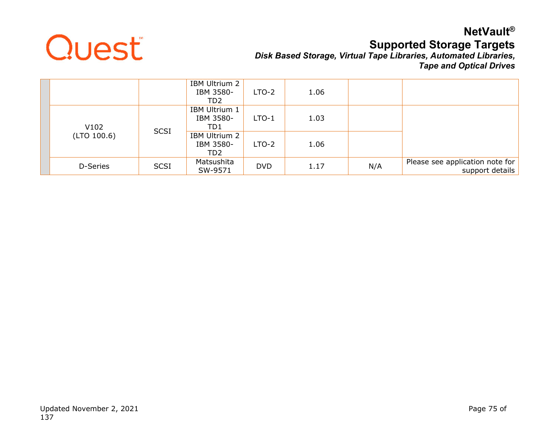

|             |             | IBM Ultrium 2<br>IBM 3580-<br>TD <sub>2</sub> | LTO-2      | 1.06 |     |                                                    |
|-------------|-------------|-----------------------------------------------|------------|------|-----|----------------------------------------------------|
| V102        |             | IBM Ultrium 1<br>IBM 3580-<br>TD1             | $LTO-1$    | 1.03 |     |                                                    |
| (LTO 100.6) | <b>SCSI</b> | IBM Ultrium 2<br>IBM 3580-<br>TD <sub>2</sub> | LTO-2      | 1.06 |     |                                                    |
| D-Series    | <b>SCSI</b> | Matsushita<br>SW-9571                         | <b>DVD</b> | 1.17 | N/A | Please see application note for<br>support details |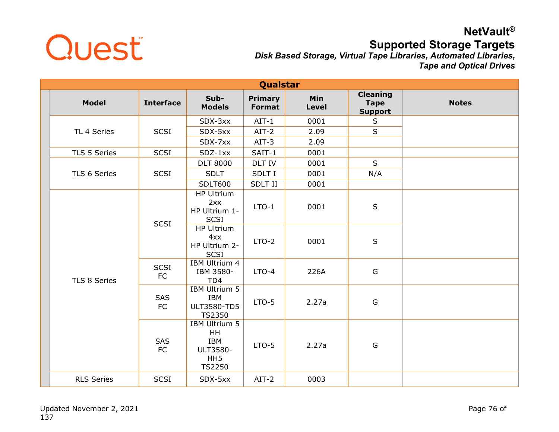#### **NetVault® Supported Storage Targets**

| Qualstar                        |                   |                                                                     |                          |                     |                                                  |              |  |  |  |
|---------------------------------|-------------------|---------------------------------------------------------------------|--------------------------|---------------------|--------------------------------------------------|--------------|--|--|--|
| <b>Model</b>                    | <b>Interface</b>  | Sub-<br><b>Models</b>                                               | Primary<br><b>Format</b> | Min<br><b>Level</b> | <b>Cleaning</b><br><b>Tape</b><br><b>Support</b> | <b>Notes</b> |  |  |  |
|                                 |                   | SDX-3xx                                                             | $AIT-1$                  | 0001                | S                                                |              |  |  |  |
| TL 4 Series                     | <b>SCSI</b>       | SDX-5xx                                                             | $AIT-2$                  | 2.09                | S                                                |              |  |  |  |
|                                 |                   | SDX-7xx                                                             | $AIT-3$                  | 2.09                |                                                  |              |  |  |  |
| TLS 5 Series                    | <b>SCSI</b>       | SDZ-1xx                                                             | SAIT-1                   | 0001                |                                                  |              |  |  |  |
|                                 |                   | <b>DLT 8000</b>                                                     | <b>DLT IV</b>            | 0001                | $\mathsf{S}$                                     |              |  |  |  |
| TLS 6 Series                    | <b>SCSI</b>       | <b>SDLT</b>                                                         | SDLT I                   | 0001                | N/A                                              |              |  |  |  |
|                                 |                   | <b>SDLT600</b>                                                      | SDLT II                  | 0001                |                                                  |              |  |  |  |
|                                 | <b>SCSI</b>       | HP Ultrium<br>2xx<br>HP Ultrium 1-<br><b>SCSI</b>                   | $LTO-1$                  | 0001                | $\mathsf S$                                      |              |  |  |  |
|                                 |                   | HP Ultrium<br>4xx<br>HP Ultrium 2-<br><b>SCSI</b>                   | $LTO-2$                  | 0001                | $\sf S$                                          |              |  |  |  |
| TLS 8 Series                    | <b>SCSI</b><br>FC | IBM Ultrium 4<br>IBM 3580-<br>TD4                                   | $LTO-4$                  | 226A                | G                                                |              |  |  |  |
|                                 | <b>SAS</b><br>FC  | IBM Ultrium 5<br>IBM<br>ULT3580-TD5<br>TS2350                       | $LTO-5$                  | 2.27a               | G                                                |              |  |  |  |
|                                 | SAS<br>FC         | IBM Ultrium 5<br>HH<br>IBM<br>ULT3580-<br>HH <sub>5</sub><br>TS2250 | $LTO-5$                  | 2.27a               | G                                                |              |  |  |  |
| <b>RLS Series</b>               | <b>SCSI</b>       | SDX-5xx                                                             | $AIT-2$                  | 0003                |                                                  |              |  |  |  |
| Updated November 2, 2021<br>137 |                   |                                                                     |                          |                     |                                                  | Page 76 of   |  |  |  |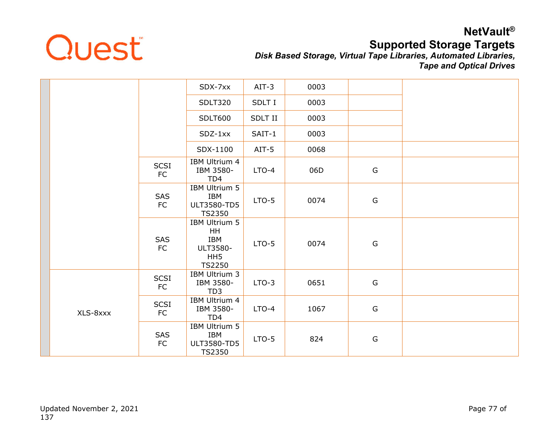### **NetVault® Supported Storage Targets**

|          |                          | SDX-7xx                                                                    | $AIT-3$ | 0003 |               |  |
|----------|--------------------------|----------------------------------------------------------------------------|---------|------|---------------|--|
|          |                          | SDLT320                                                                    | SDLT I  | 0003 |               |  |
|          |                          | SDLT600                                                                    | SDLT II | 0003 |               |  |
|          |                          | SDZ-1xx                                                                    | SAIT-1  | 0003 |               |  |
|          |                          | SDX-1100                                                                   | $AIT-5$ | 0068 |               |  |
|          | <b>SCSI</b><br><b>FC</b> | IBM Ultrium 4<br>IBM 3580-<br>TD4                                          | $LTO-4$ | 06D  | G             |  |
|          | <b>SAS</b><br><b>FC</b>  | IBM Ultrium 5<br>IBM<br>ULT3580-TD5<br><b>TS2350</b>                       | $LTO-5$ | 0074 | ${\mathsf G}$ |  |
|          | <b>SAS</b><br><b>FC</b>  | IBM Ultrium 5<br><b>HH</b><br>IBM<br>ULT3580-<br>HH <sub>5</sub><br>TS2250 | $LTO-5$ | 0074 | G             |  |
|          | <b>SCSI</b><br>FC        | IBM Ultrium 3<br>IBM 3580-<br>TD <sub>3</sub>                              | $LTO-3$ | 0651 | G             |  |
| XLS-8xxx | <b>SCSI</b><br>FC        | IBM Ultrium 4<br>IBM 3580-<br>TD4                                          | $LTO-4$ | 1067 | G             |  |
|          | <b>SAS</b><br><b>FC</b>  | IBM Ultrium 5<br>IBM<br>ULT3580-TD5<br>TS2350                              | $LTO-5$ | 824  | G             |  |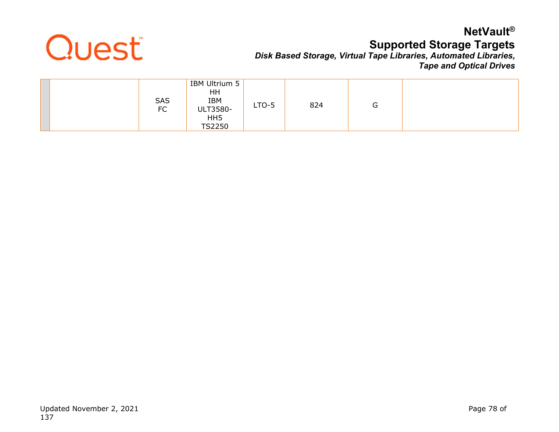Quest

| IBM Ultrium 5<br>HH<br>IBM<br><b>SAS</b><br>ULT3580-<br>FC<br>HH <sub>5</sub><br><b>TS2250</b> | $LTO-5$ | 824 | ⌒<br>U |  |
|------------------------------------------------------------------------------------------------|---------|-----|--------|--|
|------------------------------------------------------------------------------------------------|---------|-----|--------|--|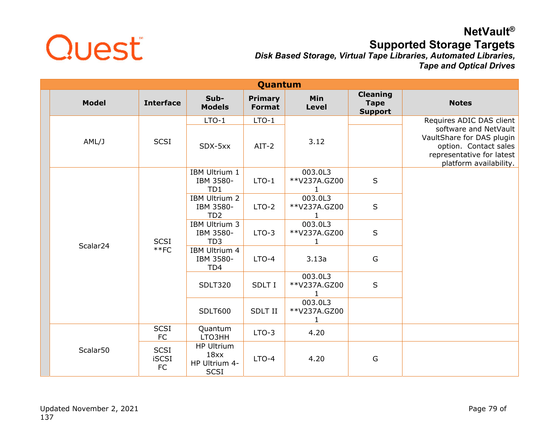### **NetVault® Supported Storage Targets**

|     | Quantum                  |                                   |                                                    |                                 |                                         |                                                  |                                                                                                                                                                |  |  |  |  |
|-----|--------------------------|-----------------------------------|----------------------------------------------------|---------------------------------|-----------------------------------------|--------------------------------------------------|----------------------------------------------------------------------------------------------------------------------------------------------------------------|--|--|--|--|
|     | <b>Model</b>             | <b>Interface</b>                  | Sub-<br><b>Models</b>                              | <b>Primary</b><br><b>Format</b> | <b>Min</b><br>Level                     | <b>Cleaning</b><br><b>Tape</b><br><b>Support</b> | <b>Notes</b>                                                                                                                                                   |  |  |  |  |
|     | AML/J                    | <b>SCSI</b>                       | $LTO-1$<br>SDX-5xx                                 | $LTO-1$<br>$AIT-2$              | 3.12                                    |                                                  | Requires ADIC DAS client<br>software and NetVault<br>VaultShare for DAS plugin<br>option. Contact sales<br>representative for latest<br>platform availability. |  |  |  |  |
|     |                          |                                   | IBM Ultrium 1<br>IBM 3580-<br>TD <sub>1</sub>      | $LTO-1$                         | 003.0L3<br>**V237A.GZ00                 | $\mathsf S$                                      |                                                                                                                                                                |  |  |  |  |
|     |                          |                                   | IBM Ultrium 2<br>IBM 3580-<br>TD <sub>2</sub>      | $LTO-2$                         | 003.0L3<br>**V237A.GZ00<br>$\mathbf{1}$ | $\sf S$                                          |                                                                                                                                                                |  |  |  |  |
|     | Scalar24                 | <b>SCSI</b><br>$**FC$             | IBM Ultrium 3<br>IBM 3580-<br>TD <sub>3</sub>      | $LTO-3$                         | 003.0L3<br>**V237A.GZ00<br>$\mathbf{1}$ | $\mathsf S$                                      |                                                                                                                                                                |  |  |  |  |
|     |                          |                                   | IBM Ultrium 4<br>IBM 3580-<br>TD4                  | $LTO-4$                         | 3.13a                                   | G                                                |                                                                                                                                                                |  |  |  |  |
|     |                          |                                   | <b>SDLT320</b>                                     | <b>SDLT I</b>                   | 003.0L3<br>**V237A.GZ00                 | S                                                |                                                                                                                                                                |  |  |  |  |
|     |                          |                                   | <b>SDLT600</b>                                     | <b>SDLT II</b>                  | 003.0L3<br>**V237A.GZ00<br>$\mathbf{1}$ |                                                  |                                                                                                                                                                |  |  |  |  |
|     |                          | <b>SCSI</b><br>FC                 | Quantum<br>LTO3HH                                  | $LTO-3$                         | 4.20                                    |                                                  |                                                                                                                                                                |  |  |  |  |
|     | Scalar50                 | <b>SCSI</b><br><b>iSCSI</b><br>FC | HP Ultrium<br>18xx<br>HP Ultrium 4-<br><b>SCSI</b> | $LTO-4$                         | 4.20                                    | G                                                |                                                                                                                                                                |  |  |  |  |
|     | Updated November 2, 2021 |                                   |                                                    |                                 |                                         |                                                  | Page 79 of                                                                                                                                                     |  |  |  |  |
| 137 |                          |                                   |                                                    |                                 |                                         |                                                  |                                                                                                                                                                |  |  |  |  |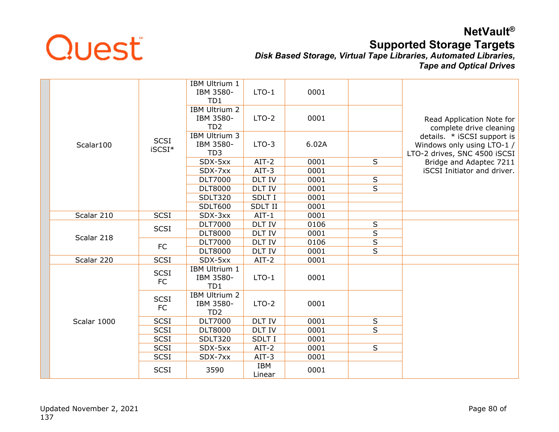## **NetVault® Supported Storage Targets**

|  |             |                          | IBM Ultrium 1<br>IBM 3580-<br>TD <sub>1</sub> | $LTO-1$        | 0001  |                         |                                                                                           |
|--|-------------|--------------------------|-----------------------------------------------|----------------|-------|-------------------------|-------------------------------------------------------------------------------------------|
|  |             |                          | IBM Ultrium 2<br>IBM 3580-<br>TD <sub>2</sub> | $LTO-2$        | 0001  |                         | Read Application Note for<br>complete drive cleaning                                      |
|  | Scalar100   | <b>SCSI</b><br>iSCSI*    | IBM Ultrium 3<br>IBM 3580-<br>TD <sub>3</sub> | $LTO-3$        | 6.02A |                         | details. * iSCSI support is<br>Windows only using LTO-1 /<br>LTO-2 drives, SNC 4500 iSCSI |
|  |             |                          | SDX-5xx                                       | $AIT-2$        | 0001  | S                       | Bridge and Adaptec 7211                                                                   |
|  |             |                          | SDX-7xx                                       | $AIT-3$        | 0001  |                         | iSCSI Initiator and driver.                                                               |
|  |             |                          | <b>DLT7000</b>                                | <b>DLT IV</b>  | 0001  | S                       |                                                                                           |
|  |             |                          | <b>DLT8000</b>                                | <b>DLT IV</b>  | 0001  | $\overline{\mathsf{s}}$ |                                                                                           |
|  |             |                          | <b>SDLT320</b>                                | SDLT I         | 0001  |                         |                                                                                           |
|  |             |                          | <b>SDLT600</b>                                | <b>SDLT II</b> | 0001  |                         |                                                                                           |
|  | Scalar 210  | <b>SCSI</b>              | SDX-3xx                                       | $AIT-1$        | 0001  |                         |                                                                                           |
|  | Scalar 218  | <b>SCSI</b>              | <b>DLT7000</b>                                | <b>DLT IV</b>  | 0106  | S                       |                                                                                           |
|  |             |                          | <b>DLT8000</b>                                | <b>DLT IV</b>  | 0001  | S                       |                                                                                           |
|  |             | FC                       | <b>DLT7000</b>                                | <b>DLT IV</b>  | 0106  | S                       |                                                                                           |
|  |             |                          | <b>DLT8000</b>                                | DLT IV         | 0001  | S                       |                                                                                           |
|  | Scalar 220  | <b>SCSI</b>              | SDX-5xx                                       | $AIT-2$        | 0001  |                         |                                                                                           |
|  |             | <b>SCSI</b><br><b>FC</b> | IBM Ultrium 1<br>IBM 3580-<br>TD <sub>1</sub> | $LTO-1$        | 0001  |                         |                                                                                           |
|  |             | <b>SCSI</b><br>FC        | IBM Ultrium 2<br>IBM 3580-<br>TD <sub>2</sub> | $LTO-2$        | 0001  |                         |                                                                                           |
|  | Scalar 1000 | <b>SCSI</b>              | <b>DLT7000</b>                                | <b>DLT IV</b>  | 0001  | S                       |                                                                                           |
|  |             | <b>SCSI</b>              | <b>DLT8000</b>                                | <b>DLT IV</b>  | 0001  | S                       |                                                                                           |
|  |             | <b>SCSI</b>              | SDLT320                                       | SDLT I         | 0001  |                         |                                                                                           |
|  |             | <b>SCSI</b>              | SDX-5xx                                       | $AIT-2$        | 0001  | S                       |                                                                                           |
|  |             | <b>SCSI</b>              | SDX-7xx                                       | $AIT-3$        | 0001  |                         |                                                                                           |
|  |             | <b>SCSI</b>              | 3590                                          | IBM<br>Linear  | 0001  |                         |                                                                                           |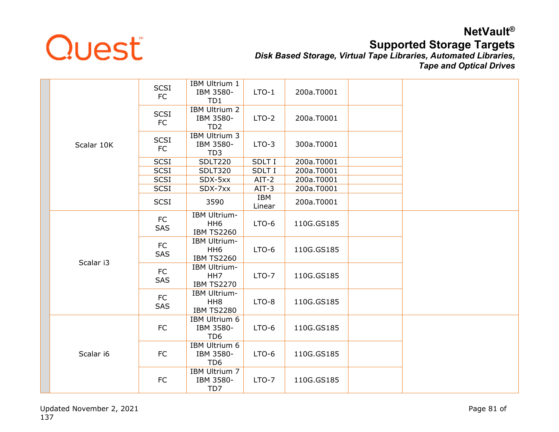

|            | <b>SCSI</b><br>FC | IBM Ultrium 1<br>IBM 3580-<br>TD1                    | $LTO-1$       | 200a.T0001 |  |
|------------|-------------------|------------------------------------------------------|---------------|------------|--|
|            | <b>SCSI</b><br>FC | IBM Ultrium 2<br>IBM 3580-<br>TD <sub>2</sub>        | $LTO-2$       | 200a.T0001 |  |
| Scalar 10K | <b>SCSI</b><br>FC | IBM Ultrium 3<br>IBM 3580-<br>TD <sub>3</sub>        | $LTO-3$       | 300a.T0001 |  |
|            | <b>SCSI</b>       | <b>SDLT220</b>                                       | SDLT I        | 200a.T0001 |  |
|            | <b>SCSI</b>       | SDLT320                                              | SDLT I        | 200a.T0001 |  |
|            | <b>SCSI</b>       | SDX-5xx                                              | $AIT-2$       | 200a.T0001 |  |
|            | <b>SCSI</b>       | SDX-7xx                                              | $AIT-3$       | 200a.T0001 |  |
|            | <b>SCSI</b>       | 3590                                                 | IBM<br>Linear | 200a.T0001 |  |
|            | FC<br><b>SAS</b>  | IBM Ultrium-<br>HH <sub>6</sub><br><b>IBM TS2260</b> | $LTO-6$       | 110G.GS185 |  |
|            | FC<br><b>SAS</b>  | IBM Ultrium-<br>HH <sub>6</sub><br><b>IBM TS2260</b> | $LTO-6$       | 110G.GS185 |  |
| Scalar i3  | FC<br><b>SAS</b>  | IBM Ultrium-<br>HH <sub>7</sub><br><b>IBM TS2270</b> | $LTO-7$       | 110G.GS185 |  |
|            | FC<br>SAS         | IBM Ultrium-<br>HH <sub>8</sub><br><b>IBM TS2280</b> | $LTO-8$       | 110G.GS185 |  |
|            | <b>FC</b>         | IBM Ultrium 6<br>IBM 3580-<br>TD <sub>6</sub>        | $LTO-6$       | 110G.GS185 |  |
| Scalar i6  | FC                | IBM Ultrium 6<br>IBM 3580-<br>TD <sub>6</sub>        | $LTO-6$       | 110G.GS185 |  |
|            | <b>FC</b>         | IBM Ultrium 7<br>IBM 3580-<br>TD7                    | $LTO-7$       | 110G.GS185 |  |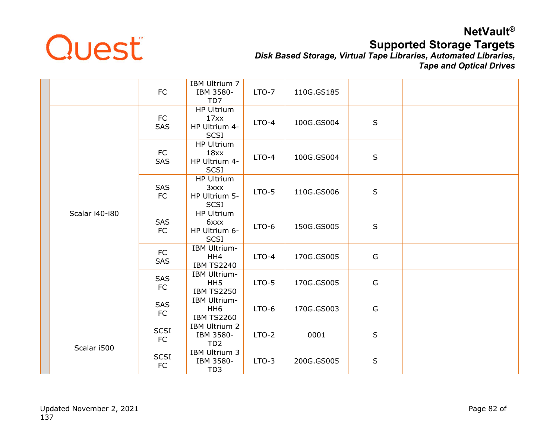

|  |                | <b>FC</b>                | IBM Ultrium 7<br>IBM 3580-<br>TD7                         | $LTO-7$ | 110G.GS185 |             |  |
|--|----------------|--------------------------|-----------------------------------------------------------|---------|------------|-------------|--|
|  |                | FC<br><b>SAS</b>         | <b>HP Ultrium</b><br>17xx<br>HP Ultrium 4-<br><b>SCSI</b> | $LTO-4$ | 100G.GS004 | $\mathsf S$ |  |
|  |                | <b>FC</b><br><b>SAS</b>  | <b>HP Ultrium</b><br>18xx<br>HP Ultrium 4-<br><b>SCSI</b> | $LTO-4$ | 100G.GS004 | $\sf S$     |  |
|  | Scalar i40-i80 | <b>SAS</b><br><b>FC</b>  | <b>HP Ultrium</b><br>3xxx<br>HP Ultrium 5-<br><b>SCSI</b> | $LTO-5$ | 110G.GS006 | $\sf S$     |  |
|  |                | <b>SAS</b><br>FC         | <b>HP Ultrium</b><br>6xxx<br>HP Ultrium 6-<br><b>SCSI</b> | LTO-6   | 150G.GS005 | $\sf S$     |  |
|  |                | FC<br><b>SAS</b>         | IBM Ultrium-<br>HH4<br><b>IBM TS2240</b>                  | $LTO-4$ | 170G.GS005 | G           |  |
|  |                | <b>SAS</b><br>FC         | IBM Ultrium-<br>HH <sub>5</sub><br><b>IBM TS2250</b>      | $LTO-5$ | 170G.GS005 | G           |  |
|  |                | <b>SAS</b><br>FC         | IBM Ultrium-<br>HH <sub>6</sub><br><b>IBM TS2260</b>      | $LTO-6$ | 170G.GS003 | G           |  |
|  | Scalar i500    | <b>SCSI</b><br>FC        | IBM Ultrium 2<br>IBM 3580-<br>TD <sub>2</sub>             | $LTO-2$ | 0001       | $\mathsf S$ |  |
|  |                | <b>SCSI</b><br><b>FC</b> | IBM Ultrium 3<br>IBM 3580-<br>TD <sub>3</sub>             | $LTO-3$ | 200G.GS005 | $\sf S$     |  |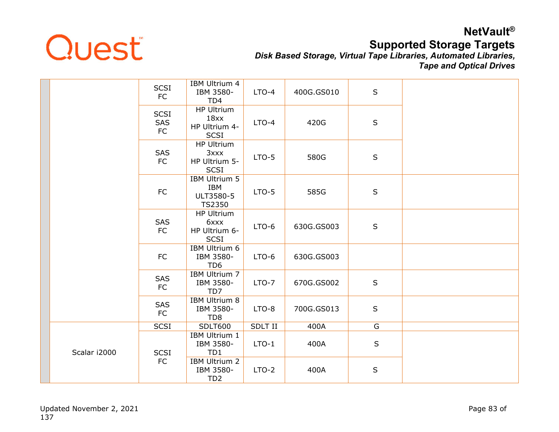

|              | <b>SCSI</b><br>FC               | IBM Ultrium 4<br>IBM 3580-<br>TD4                  | $LTO-4$        | 400G.GS010 | $\sf S$     |  |
|--------------|---------------------------------|----------------------------------------------------|----------------|------------|-------------|--|
|              | <b>SCSI</b><br><b>SAS</b><br>FC | HP Ultrium<br>18xx<br>HP Ultrium 4-<br><b>SCSI</b> | $LTO-4$        | 420G       | $\sf S$     |  |
|              | <b>SAS</b><br>FC                | HP Ultrium<br>3xxx<br>HP Ultrium 5-<br><b>SCSI</b> | $LTO-5$        | 580G       | $\mathsf S$ |  |
|              | <b>FC</b>                       | IBM Ultrium 5<br>IBM<br>ULT3580-5<br><b>TS2350</b> | $LTO-5$        | 585G       | S           |  |
|              | <b>SAS</b><br>FC                | HP Ultrium<br>6xxx<br>HP Ultrium 6-<br><b>SCSI</b> | $LTO-6$        | 630G.GS003 | $\mathsf S$ |  |
|              | FC                              | IBM Ultrium 6<br>IBM 3580-<br>TD <sub>6</sub>      | $LTO-6$        | 630G.GS003 |             |  |
|              | <b>SAS</b><br>FC                | IBM Ultrium 7<br>IBM 3580-<br>TD7                  | $LTO-7$        | 670G.GS002 | S           |  |
|              | <b>SAS</b><br>FC                | IBM Ultrium 8<br>IBM 3580-<br>TD <sub>8</sub>      | $LTO-8$        | 700G.GS013 | S           |  |
|              | <b>SCSI</b>                     | <b>SDLT600</b>                                     | <b>SDLT II</b> | 400A       | G           |  |
| Scalar i2000 | <b>SCSI</b>                     | IBM Ultrium 1<br>IBM 3580-<br>TD1                  | $LTO-1$        | 400A       | $\sf S$     |  |
|              | <b>FC</b>                       | IBM Ultrium 2<br>IBM 3580-<br>TD <sub>2</sub>      | $LTO-2$        | 400A       | S           |  |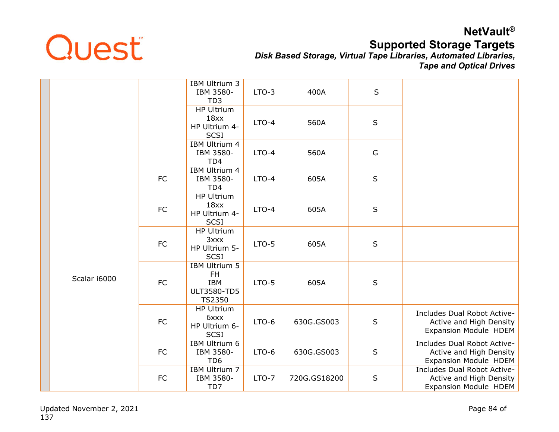

|  |              |            | IBM Ultrium 3<br>IBM 3580-<br>TD <sub>3</sub>                     | $LTO-3$ | 400A         | $\sf S$ |                                                                                 |
|--|--------------|------------|-------------------------------------------------------------------|---------|--------------|---------|---------------------------------------------------------------------------------|
|  |              |            | <b>HP Ultrium</b><br>18xx<br>HP Ultrium 4-<br><b>SCSI</b>         | $LTO-4$ | 560A         | $\sf S$ |                                                                                 |
|  |              |            | IBM Ultrium 4<br>IBM 3580-<br>TD4                                 | $LTO-4$ | 560A         | G       |                                                                                 |
|  |              | <b>FC</b>  | IBM Ultrium 4<br>IBM 3580-<br>TD4                                 | $LTO-4$ | 605A         | S       |                                                                                 |
|  |              | ${\sf FC}$ | <b>HP Ultrium</b><br>18xx<br>HP Ultrium 4-<br><b>SCSI</b>         | $LTO-4$ | 605A         | $\sf S$ |                                                                                 |
|  |              | FC         | <b>HP Ultrium</b><br>3xxx<br>HP Ultrium 5-<br><b>SCSI</b>         | $LTO-5$ | 605A         | $\sf S$ |                                                                                 |
|  | Scalar i6000 | <b>FC</b>  | IBM Ultrium 5<br><b>FH</b><br><b>IBM</b><br>ULT3580-TD5<br>TS2350 | $LTO-5$ | 605A         | $\sf S$ |                                                                                 |
|  |              | FC         | <b>HP Ultrium</b><br>6xxx<br>HP Ultrium 6-<br><b>SCSI</b>         | $LTO-6$ | 630G.GS003   | $\sf S$ | Includes Dual Robot Active-<br>Active and High Density<br>Expansion Module HDEM |
|  |              | FC         | IBM Ultrium 6<br>IBM 3580-<br>TD <sub>6</sub>                     | $LTO-6$ | 630G.GS003   | $\sf S$ | Includes Dual Robot Active-<br>Active and High Density<br>Expansion Module HDEM |
|  |              | <b>FC</b>  | IBM Ultrium 7<br>IBM 3580-<br>TD7                                 | $LTO-7$ | 720G.GS18200 | S       | Includes Dual Robot Active-<br>Active and High Density<br>Expansion Module HDEM |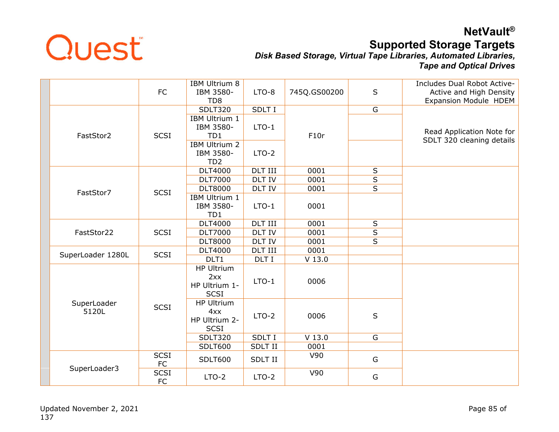

#### **NetVault® Supported Storage Targets**  *Disk Based Storage, Virtual Tape Libraries, Automated Libraries,*

|                      | <b>FC</b>         | IBM Ultrium 8<br>IBM 3580-<br>TD <sub>8</sub>            | $LTO-8$        | 745Q.GS00200 | S                       | Includes Dual Robot Active-<br>Active and High Density<br>Expansion Module HDEM |
|----------------------|-------------------|----------------------------------------------------------|----------------|--------------|-------------------------|---------------------------------------------------------------------------------|
|                      |                   | <b>SDLT320</b>                                           | <b>SDLT I</b>  |              | G                       |                                                                                 |
| FastStor2            | <b>SCSI</b>       | IBM Ultrium 1<br>IBM 3580-<br>TD1                        | $LTO-1$        | F10r         |                         | Read Application Note for<br>SDLT 320 cleaning details                          |
|                      |                   | IBM Ultrium 2<br>IBM 3580-<br>TD <sub>2</sub>            | $LTO-2$        |              |                         |                                                                                 |
|                      |                   | <b>DLT4000</b>                                           | DLT III        | 0001         | $\sf S$                 |                                                                                 |
|                      |                   | <b>DLT7000</b>                                           | DLT IV         | 0001         | S                       |                                                                                 |
| FastStor7            | <b>SCSI</b>       | <b>DLT8000</b>                                           | DLT IV         | 0001         | S                       |                                                                                 |
|                      |                   | IBM Ultrium 1<br>IBM 3580-<br>TD1                        | $LTO-1$        | 0001         |                         |                                                                                 |
|                      |                   | <b>DLT4000</b>                                           | DLT III        | 0001         | $\overline{\mathsf{S}}$ |                                                                                 |
| FastStor22           | <b>SCSI</b>       | <b>DLT7000</b>                                           | <b>DLT IV</b>  | 0001         | $\overline{S}$          |                                                                                 |
|                      |                   | <b>DLT8000</b>                                           | <b>DLT IV</b>  | 0001         | $\overline{s}$          |                                                                                 |
| SuperLoader 1280L    | <b>SCSI</b>       | <b>DLT4000</b>                                           | <b>DLT III</b> | 0001         |                         |                                                                                 |
|                      |                   | DLT1                                                     | DLT I          | $V$ 13.0     |                         |                                                                                 |
|                      |                   | <b>HP Ultrium</b><br>2xx<br>HP Ultrium 1-<br><b>SCSI</b> | $LTO-1$        | 0006         |                         |                                                                                 |
| SuperLoader<br>5120L | <b>SCSI</b>       | HP Ultrium<br>4xx<br>HP Ultrium 2-<br><b>SCSI</b>        | $LTO-2$        | 0006         | S                       |                                                                                 |
|                      |                   | <b>SDLT320</b>                                           | SDLT I         | $V$ 13.0     | G                       |                                                                                 |
|                      |                   | <b>SDLT600</b>                                           | <b>SDLT II</b> | 0001         |                         |                                                                                 |
| SuperLoader3         | <b>SCSI</b><br>FC | <b>SDLT600</b>                                           | <b>SDLT II</b> | V90          | G                       |                                                                                 |
|                      | <b>SCSI</b><br>FC | $LTO-2$                                                  | $LTO-2$        | V90          | G                       |                                                                                 |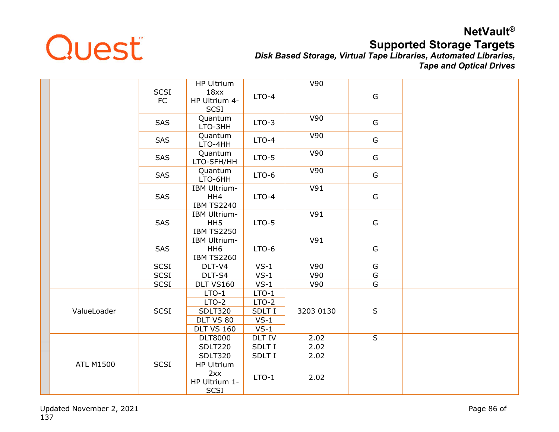

#### **NetVault® Supported Storage Targets**  *Disk Based Storage, Virtual Tape Libraries, Automated Libraries,*

|                  |                   | <b>HP Ultrium</b>                                    |         | V90       |                |  |
|------------------|-------------------|------------------------------------------------------|---------|-----------|----------------|--|
|                  | <b>SCSI</b><br>FC | 18xx<br>HP Ultrium 4-<br><b>SCSI</b>                 | $LTO-4$ |           | G              |  |
|                  | <b>SAS</b>        | Quantum<br>LTO-3HH                                   | $LTO-3$ | V90       | G              |  |
|                  | <b>SAS</b>        | Quantum<br>LTO-4HH                                   | $LTO-4$ | V90       | G              |  |
|                  | <b>SAS</b>        | Quantum<br>LTO-5FH/HH                                | $LTO-5$ | V90       | G              |  |
|                  | <b>SAS</b>        | Quantum<br>LTO-6HH                                   | $LTO-6$ | V90       | G              |  |
|                  | <b>SAS</b>        | IBM Ultrium-<br>HH4<br><b>IBM TS2240</b>             | $LTO-4$ | V91       | G              |  |
|                  | <b>SAS</b>        | IBM Ultrium-<br>HH <sub>5</sub><br><b>IBM TS2250</b> | $LTO-5$ | V91       | G              |  |
|                  | <b>SAS</b>        | IBM Ultrium-<br>HH <sub>6</sub><br><b>IBM TS2260</b> | $LTO-6$ | V91       | G              |  |
|                  | <b>SCSI</b>       | DLT-V4                                               | $VS-1$  | V90       |                |  |
|                  | <b>SCSI</b>       | DLT-S4                                               | $VS-1$  | V90       | $\frac{G}{G}$  |  |
|                  | <b>SCSI</b>       | <b>DLT VS160</b>                                     | $VS-1$  | V90       | $\overline{G}$ |  |
|                  |                   | $LTO-1$                                              | $LTO-1$ |           |                |  |
|                  |                   | $LTO-2$                                              | $LTO-2$ |           |                |  |
| ValueLoader      | <b>SCSI</b>       | <b>SDLT320</b>                                       | SDLT I  | 3203 0130 | $\sf S$        |  |
|                  |                   | DLT VS 80                                            | $VS-1$  |           |                |  |
|                  |                   | <b>DLT VS 160</b>                                    | $VS-1$  |           |                |  |
|                  |                   | <b>DLT8000</b>                                       | DLT IV  | 2.02      | S              |  |
|                  |                   | SDLT220                                              | SDLT I  | 2.02      |                |  |
|                  |                   | SDLT320                                              | SDLT I  | 2.02      |                |  |
| <b>ATL M1500</b> | <b>SCSI</b>       | HP Ultrium<br>2xx<br>HP Ultrium 1-<br><b>SCSI</b>    | $LTO-1$ | 2.02      |                |  |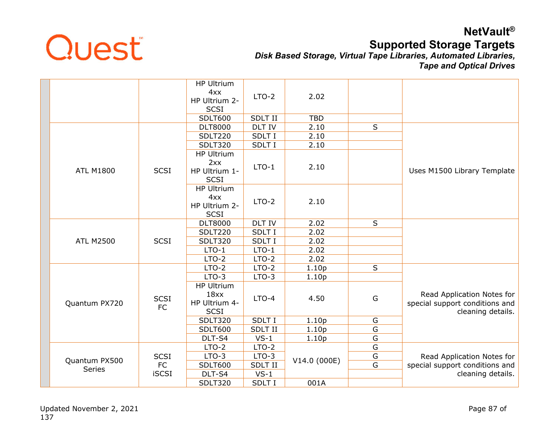

|  |                  |                          | <b>HP Ultrium</b><br>4xx<br>HP Ultrium 2-<br><b>SCSI</b><br><b>SDLT600</b> | $LTO-2$<br><b>SDLT II</b> | 2.02<br><b>TBD</b> |                |                                                                                   |
|--|------------------|--------------------------|----------------------------------------------------------------------------|---------------------------|--------------------|----------------|-----------------------------------------------------------------------------------|
|  |                  |                          | <b>DLT8000</b>                                                             | <b>DLT IV</b>             | 2.10               | S              |                                                                                   |
|  |                  |                          | <b>SDLT220</b>                                                             | SDLT I                    | 2.10               |                |                                                                                   |
|  |                  |                          | <b>SDLT320</b>                                                             | SDLT I                    | 2.10               |                |                                                                                   |
|  | <b>ATL M1800</b> | <b>SCSI</b>              | <b>HP Ultrium</b><br>2xx<br>HP Ultrium 1-<br><b>SCSI</b>                   | $LTO-1$                   | 2.10               |                | Uses M1500 Library Template                                                       |
|  |                  |                          | <b>HP Ultrium</b><br>4xx<br>HP Ultrium 2-<br><b>SCSI</b>                   | $LTO-2$                   | 2.10               |                |                                                                                   |
|  |                  |                          | <b>DLT8000</b>                                                             | DLT IV                    | 2.02               | S              |                                                                                   |
|  |                  |                          | <b>SDLT220</b>                                                             | SDLT I                    | 2.02               |                |                                                                                   |
|  | <b>ATL M2500</b> | <b>SCSI</b>              | <b>SDLT320</b>                                                             | SDLT I                    | 2.02               |                |                                                                                   |
|  |                  |                          | $LTO-1$                                                                    | $LTO-1$                   | 2.02               |                |                                                                                   |
|  |                  |                          | $LTO-2$                                                                    | $LTO-2$                   | 2.02               |                |                                                                                   |
|  |                  |                          | $LTO-2$                                                                    | $LTO-2$                   | 1.10p              | S              |                                                                                   |
|  |                  |                          | $LTO-3$                                                                    | $LTO-3$                   | 1.10p              |                |                                                                                   |
|  | Quantum PX720    | <b>SCSI</b><br><b>FC</b> | <b>HP Ultrium</b><br>18xx<br>HP Ultrium 4-<br><b>SCSI</b>                  | $LTO-4$                   | 4.50               | G              | Read Application Notes for<br>special support conditions and<br>cleaning details. |
|  |                  |                          | <b>SDLT320</b>                                                             | <b>SDLT I</b>             | 1.10 <sub>p</sub>  | G              |                                                                                   |
|  |                  |                          | <b>SDLT600</b>                                                             | <b>SDLT II</b>            | 1.10p              | G              |                                                                                   |
|  |                  |                          | DLT-S4                                                                     | $VS-1$                    | 1.10p              | $\overline{G}$ |                                                                                   |
|  |                  |                          | $LTO-2$                                                                    | $LTO-2$                   |                    | $\overline{G}$ |                                                                                   |
|  | Quantum PX500    | <b>SCSI</b>              | $LTO-3$                                                                    | $LTO-3$                   | V14.0 (000E)       | G              | Read Application Notes for                                                        |
|  | <b>Series</b>    | <b>FC</b>                | <b>SDLT600</b>                                                             | <b>SDLT II</b>            |                    | G              | special support conditions and                                                    |
|  |                  | <b>iSCSI</b>             | DLT-S4                                                                     | $VS-1$                    |                    |                | cleaning details.                                                                 |
|  |                  |                          | <b>SDLT320</b>                                                             | SDLT I                    | 001A               |                |                                                                                   |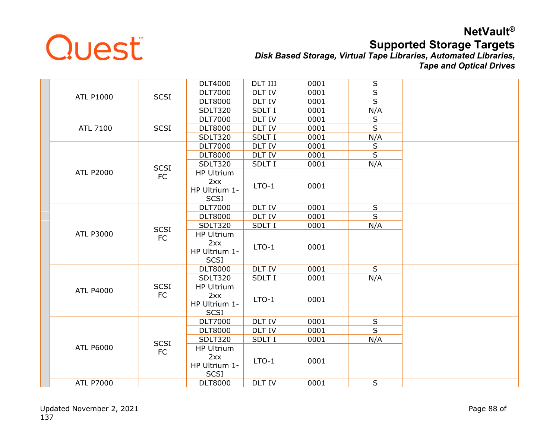### **NetVault® Supported Storage Targets**

|                  |                          | <b>DLT4000</b>       | DLT III       | 0001 | $\sf S$                            |  |
|------------------|--------------------------|----------------------|---------------|------|------------------------------------|--|
|                  | <b>SCSI</b>              | <b>DLT7000</b>       | <b>DLT IV</b> | 0001 | $\overline{\mathsf{s}}$            |  |
| <b>ATL P1000</b> |                          | <b>DLT8000</b>       | <b>DLT IV</b> | 0001 | $\overline{\mathsf{s}}$            |  |
|                  |                          | <b>SDLT320</b>       | SDLT I        | 0001 | N/A                                |  |
|                  |                          | <b>DLT7000</b>       | DLT IV        | 0001 | S                                  |  |
| ATL 7100         | <b>SCSI</b>              | <b>DLT8000</b>       | DLT IV        | 0001 | $\overline{\mathsf{s}}$            |  |
|                  |                          | <b>SDLT320</b>       | SDLT I        | 0001 | N/A                                |  |
|                  |                          | <b>DLT7000</b>       | DLT IV        | 0001 | $\sf S$                            |  |
|                  |                          | <b>DLT8000</b>       | <b>DLT IV</b> | 0001 | $\overline{\mathsf{s}}$            |  |
|                  |                          | SDLT320              | SDLT I        | 0001 | N/A                                |  |
| <b>ATL P2000</b> | <b>SCSI</b>              | <b>HP Ultrium</b>    |               |      |                                    |  |
|                  | FC                       | 2xx                  | $LTO-1$       | 0001 |                                    |  |
|                  |                          | HP Ultrium 1-        |               |      |                                    |  |
|                  |                          | <b>SCSI</b>          |               |      |                                    |  |
|                  |                          | <b>DLT7000</b>       | DLT IV        | 0001 | $\sf S$                            |  |
|                  |                          | <b>DLT8000</b>       | DLT IV        | 0001 | $\overline{\overline{\mathsf{s}}}$ |  |
|                  | <b>SCSI</b>              | SDLT320              | SDLT I        | 0001 | N/A                                |  |
| ATL P3000        | FC                       | <b>HP Ultrium</b>    |               |      |                                    |  |
|                  |                          | 2xx<br>HP Ultrium 1- | $LTO-1$       | 0001 |                                    |  |
|                  |                          | <b>SCSI</b>          |               |      |                                    |  |
|                  |                          | <b>DLT8000</b>       | DLT IV        | 0001 | S                                  |  |
|                  |                          | SDLT320              | SDLT I        | 0001 | N/A                                |  |
|                  | <b>SCSI</b>              | <b>HP Ultrium</b>    |               |      |                                    |  |
| <b>ATL P4000</b> | FC                       | 2xx                  |               |      |                                    |  |
|                  |                          | HP Ultrium 1-        | $LTO-1$       | 0001 |                                    |  |
|                  |                          | <b>SCSI</b>          |               |      |                                    |  |
|                  |                          | <b>DLT7000</b>       | DLT IV        | 0001 | $\mathsf S$                        |  |
|                  |                          | <b>DLT8000</b>       | DLT IV        | 0001 | $\overline{\mathsf{s}}$            |  |
|                  |                          | SDLT320              | SDLT I        | 0001 | N/A                                |  |
| <b>ATL P6000</b> | <b>SCSI</b><br><b>FC</b> | <b>HP Ultrium</b>    |               |      |                                    |  |
|                  |                          | 2xx                  | $LTO-1$       | 0001 |                                    |  |
|                  |                          | HP Ultrium 1-        |               |      |                                    |  |
|                  |                          | <b>SCSI</b>          |               |      |                                    |  |
| <b>ATL P7000</b> |                          | <b>DLT8000</b>       | DLT IV        | 0001 | $\mathsf{S}$                       |  |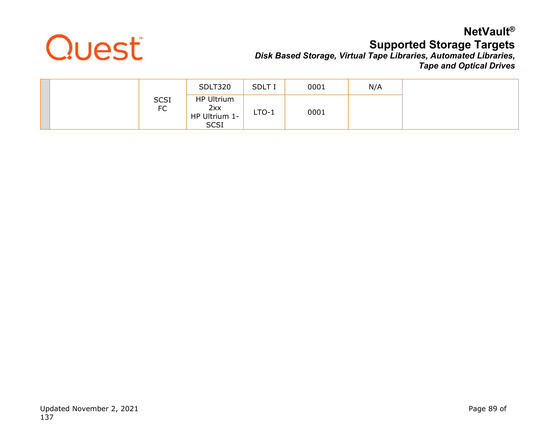#### **NetVault® Supported Storage Targets**  *Disk Based Storage, Virtual Tape Libraries, Automated Libraries,*

|                   | SDLT320                                           | SDLT I  | 0001 | N/A |
|-------------------|---------------------------------------------------|---------|------|-----|
| <b>SCSI</b><br>FC | HP Ultrium<br>2xx<br>HP Ultrium 1-<br><b>SCSI</b> | $LTO-1$ | 0001 |     |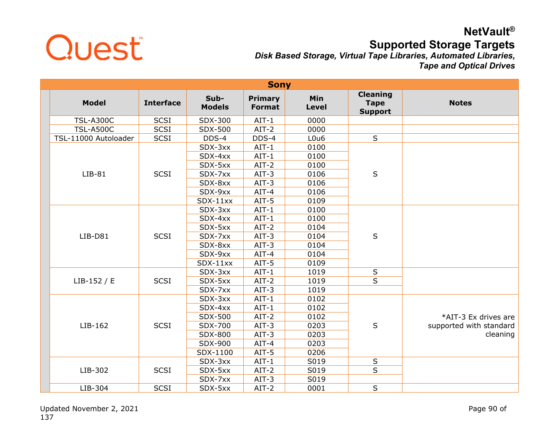#### **NetVault® Supported Storage Targets**

|                                 |                  |                       | <b>Sony</b>                     |                            |                                                  |                         |
|---------------------------------|------------------|-----------------------|---------------------------------|----------------------------|--------------------------------------------------|-------------------------|
| <b>Model</b>                    | <b>Interface</b> | Sub-<br><b>Models</b> | <b>Primary</b><br><b>Format</b> | <b>Min</b><br><b>Level</b> | <b>Cleaning</b><br><b>Tape</b><br><b>Support</b> | <b>Notes</b>            |
| <b>TSL-A300C</b>                | <b>SCSI</b>      | SDX-300               | $AIT-1$                         | 0000                       |                                                  |                         |
| <b>TSL-A500C</b>                | <b>SCSI</b>      | SDX-500               | $AIT-2$                         | 0000                       |                                                  |                         |
| TSL-11000 Autoloader            | <b>SCSI</b>      | DDS-4                 | DDS-4                           | L0u6                       | $\overline{\mathsf{s}}$                          |                         |
|                                 |                  | SDX-3xx               | $AIT-1$                         | 0100                       |                                                  |                         |
|                                 |                  | SDX-4xx               | $AIT-1$                         | 0100                       |                                                  |                         |
|                                 |                  | SDX-5xx               | $AIT-2$                         | 0100                       |                                                  |                         |
| $LIB-81$                        | <b>SCSI</b>      | SDX-7xx               | $AIT-3$                         | 0106                       | S                                                |                         |
|                                 |                  | SDX-8xx               | $AIT-3$                         | 0106                       |                                                  |                         |
|                                 |                  | SDX-9xx               | $AIT-4$                         | 0106                       |                                                  |                         |
|                                 |                  | SDX-11xx              | $AIT-5$                         | 0109                       |                                                  |                         |
|                                 |                  | SDX-3xx               | $AIT-1$                         | 0100                       |                                                  |                         |
|                                 |                  | SDX-4xx               | $\overline{A}$ IT-1             | 0100                       |                                                  |                         |
|                                 |                  | SDX-5xx               | $AIT-2$                         | 0104                       |                                                  |                         |
| $LIB-D81$                       | <b>SCSI</b>      | SDX-7xx               | $AIT-3$                         | 0104                       | $\sf S$                                          |                         |
|                                 |                  | SDX-8xx               | $AIT-3$                         | 0104                       |                                                  |                         |
|                                 |                  | SDX-9xx               | $AIT-4$                         | 0104                       |                                                  |                         |
|                                 |                  | SDX-11xx              | $AIT-5$                         | 0109                       |                                                  |                         |
|                                 | <b>SCSI</b>      | SDX-3xx               | $AIT-1$                         | 1019                       | $\sf S$                                          |                         |
| $LIB-152 / E$                   |                  | SDX-5xx               | $AIT-2$                         | 1019                       | $\overline{s}$                                   |                         |
|                                 |                  | SDX-7xx               | $AIT-3$                         | 1019                       |                                                  |                         |
|                                 |                  | SDX-3xx               | $AIT-1$                         | 0102                       |                                                  |                         |
|                                 |                  | SDX-4xx               | $AIT-1$                         | 0102                       |                                                  |                         |
|                                 |                  | SDX-500               | $AIT-2$                         | 0102                       |                                                  | *AIT-3 Ex drives are    |
| LIB-162                         | <b>SCSI</b>      | SDX-700               | $AIT-3$                         | 0203                       | S                                                | supported with standard |
|                                 |                  | SDX-800               | $AIT-3$                         | 0203                       |                                                  | cleaning                |
|                                 |                  | SDX-900               | $AIT-4$                         | 0203                       |                                                  |                         |
|                                 |                  | SDX-1100              | $AIT-5$                         | 0206                       |                                                  |                         |
|                                 |                  | SDX-3xx               | $AIT-1$                         | S019                       | $\sf S$                                          |                         |
| LIB-302                         | <b>SCSI</b>      | SDX-5xx               | $AIT-2$                         | S019                       | S                                                |                         |
|                                 |                  | SDX-7xx               | $AIT-3$                         | S019                       |                                                  |                         |
| LIB-304                         | <b>SCSI</b>      | SDX-5xx               | $AIT-2$                         | 0001                       | $\sf S$                                          |                         |
| Updated November 2, 2021<br>137 |                  |                       |                                 |                            |                                                  | Page 90 of              |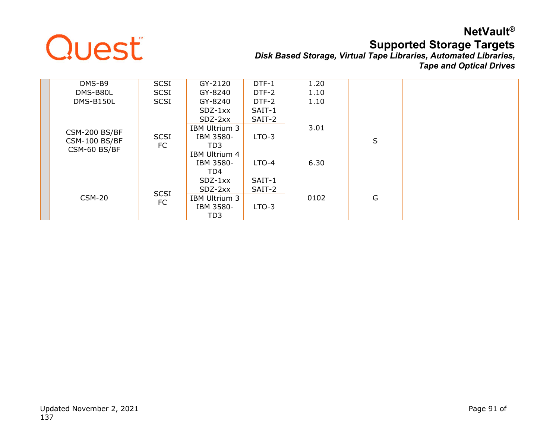## **NetVault® Supported Storage Targets**

| <b>SCSI</b><br>DTF-1<br>1.20<br>DMS-B9<br>GY-2120<br><b>SCSI</b><br>DTF-2<br>DMS-B80L<br>GY-8240<br>1.10<br>DMS-B150L<br><b>SCSI</b><br>DTF-2<br>1.10<br>GY-8240<br>SAIT-1<br>SDZ-1xx<br>SAIT-2<br>SDZ-2xx<br>3.01<br>IBM Ultrium 3<br>CSM-200 BS/BF<br><b>SCSI</b><br>IBM 3580-<br>$LTO-3$<br>S<br>CSM-100 BS/BF<br>FC.<br>TD3<br>CSM-60 BS/BF<br>IBM Ultrium 4<br>6.30<br>IBM 3580-<br>$LTO-4$<br>TD4<br>SAIT-1<br>SDZ-1xx<br>SAIT-2<br>SDZ-2xx<br><b>SCSI</b><br>G<br>$CSM-20$<br>0102 |  |  |           |               |  |  |  |
|-------------------------------------------------------------------------------------------------------------------------------------------------------------------------------------------------------------------------------------------------------------------------------------------------------------------------------------------------------------------------------------------------------------------------------------------------------------------------------------------|--|--|-----------|---------------|--|--|--|
|                                                                                                                                                                                                                                                                                                                                                                                                                                                                                           |  |  |           |               |  |  |  |
|                                                                                                                                                                                                                                                                                                                                                                                                                                                                                           |  |  |           |               |  |  |  |
|                                                                                                                                                                                                                                                                                                                                                                                                                                                                                           |  |  |           |               |  |  |  |
|                                                                                                                                                                                                                                                                                                                                                                                                                                                                                           |  |  |           |               |  |  |  |
|                                                                                                                                                                                                                                                                                                                                                                                                                                                                                           |  |  |           |               |  |  |  |
|                                                                                                                                                                                                                                                                                                                                                                                                                                                                                           |  |  |           |               |  |  |  |
|                                                                                                                                                                                                                                                                                                                                                                                                                                                                                           |  |  |           |               |  |  |  |
|                                                                                                                                                                                                                                                                                                                                                                                                                                                                                           |  |  |           |               |  |  |  |
|                                                                                                                                                                                                                                                                                                                                                                                                                                                                                           |  |  |           |               |  |  |  |
|                                                                                                                                                                                                                                                                                                                                                                                                                                                                                           |  |  |           |               |  |  |  |
|                                                                                                                                                                                                                                                                                                                                                                                                                                                                                           |  |  |           |               |  |  |  |
|                                                                                                                                                                                                                                                                                                                                                                                                                                                                                           |  |  |           |               |  |  |  |
|                                                                                                                                                                                                                                                                                                                                                                                                                                                                                           |  |  |           |               |  |  |  |
|                                                                                                                                                                                                                                                                                                                                                                                                                                                                                           |  |  | <b>FC</b> | IBM Ultrium 3 |  |  |  |
| IBM 3580-<br>$LTO-3$                                                                                                                                                                                                                                                                                                                                                                                                                                                                      |  |  |           |               |  |  |  |
| TD <sub>3</sub>                                                                                                                                                                                                                                                                                                                                                                                                                                                                           |  |  |           |               |  |  |  |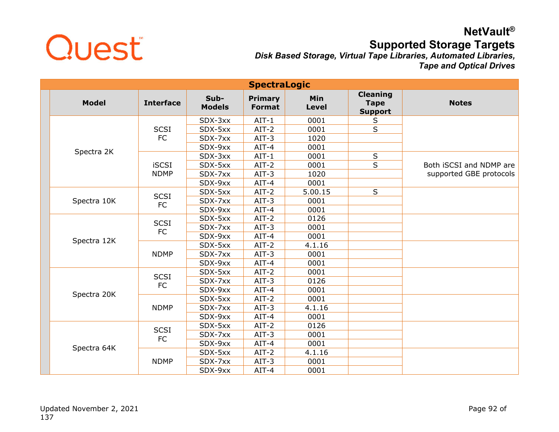#### **NetVault® Supported Storage Targets**

|              |                          |                       | <b>SpectraLogic</b>             |                     |                                                  |                         |
|--------------|--------------------------|-----------------------|---------------------------------|---------------------|--------------------------------------------------|-------------------------|
| <b>Model</b> | <b>Interface</b>         | Sub-<br><b>Models</b> | <b>Primary</b><br><b>Format</b> | Min<br><b>Level</b> | <b>Cleaning</b><br><b>Tape</b><br><b>Support</b> | <b>Notes</b>            |
| Spectra 2K   |                          | SDX-3xx               | $AIT-1$                         | 0001                | S                                                |                         |
|              | <b>SCSI</b>              | SDX-5xx               | $AIT-2$                         | 0001                | S                                                |                         |
|              | <b>FC</b>                | SDX-7xx               | $AIT-3$                         | 1020                |                                                  |                         |
|              |                          | SDX-9xx               | $AIT-4$                         | 0001                |                                                  |                         |
|              |                          | SDX-3xx               | $AIT-1$                         | 0001                | $\sf S$                                          |                         |
|              | <b>iSCSI</b>             | SDX-5xx               | $AIT-2$                         | 0001                | $\overline{\mathsf{s}}$                          | Both iSCSI and NDMP are |
|              | <b>NDMP</b>              | SDX-7xx               | $AIT-3$                         | 1020                |                                                  | supported GBE protocols |
|              |                          | SDX-9xx               | $AIT-4$                         | 0001                |                                                  |                         |
|              |                          | SDX-5xx               | $AIT-2$                         | 5.00.15             | $\overline{\mathsf{s}}$                          |                         |
| Spectra 10K  | <b>SCSI</b>              | SDX-7xx               | $AIT-3$                         | 0001                |                                                  |                         |
|              | <b>FC</b>                | SDX-9xx               | $AIT-4$                         | 0001                |                                                  |                         |
| Spectra 12K  |                          | SDX-5xx               | $AIT-2$                         | 0126                |                                                  |                         |
|              | <b>SCSI</b><br><b>FC</b> | SDX-7xx               | $AIT-3$                         | 0001                |                                                  |                         |
|              |                          | SDX-9xx               | $AIT-4$                         | 0001                |                                                  |                         |
|              | <b>NDMP</b>              | SDX-5xx               | $AIT-2$                         | 4.1.16              |                                                  |                         |
|              |                          | SDX-7xx               | $AIT-3$                         | 0001                |                                                  |                         |
|              |                          | SDX-9xx               | $AIT-4$                         | 0001                |                                                  |                         |
|              | <b>SCSI</b><br><b>FC</b> | SDX-5xx               | $AIT-2$                         | 0001                |                                                  |                         |
|              |                          | SDX-7xx               | $AIT-3$                         | 0126                |                                                  |                         |
|              |                          | SDX-9xx               | $AIT-4$                         | 0001                |                                                  |                         |
| Spectra 20K  |                          | SDX-5xx               | $AIT-2$                         | 0001                |                                                  |                         |
|              | <b>NDMP</b>              | SDX-7xx               | $AIT-3$                         | 4.1.16              |                                                  |                         |
|              |                          | SDX-9xx               | $AIT-4$                         | 0001                |                                                  |                         |
|              |                          | SDX-5xx               | $AIT-2$                         | 0126                |                                                  |                         |
|              | <b>SCSI</b>              | $SDX-7xx$             | $AIT-3$                         | 0001                |                                                  |                         |
|              | <b>FC</b>                | SDX-9xx               | $AIT-4$                         | 0001                |                                                  |                         |
| Spectra 64K  |                          | SDX-5xx               | $AIT-2$                         | 4.1.16              |                                                  |                         |
|              | <b>NDMP</b>              | SDX-7xx               | $AIT-3$                         | 0001                |                                                  |                         |
|              |                          | SDX-9xx               | $AIT-4$                         | 0001                |                                                  |                         |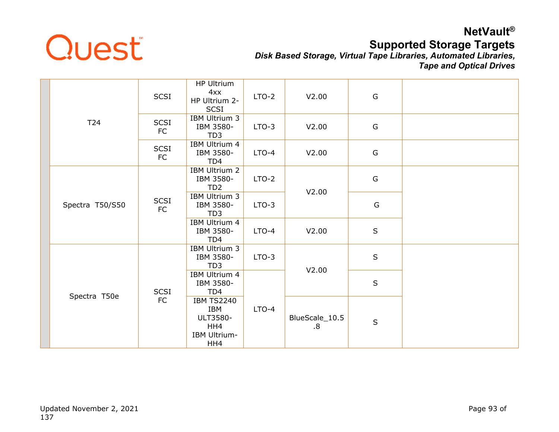

|  | T24             | <b>SCSI</b><br><b>SCSI</b><br><b>FC</b> | <b>HP Ultrium</b><br>4xx<br>HP Ultrium 2-<br><b>SCSI</b><br>IBM Ultrium 3<br>IBM 3580-<br>TD <sub>3</sub> | $LTO-2$<br>$LTO-3$ | V2.00<br>V2.00       | G<br>G  |  |
|--|-----------------|-----------------------------------------|-----------------------------------------------------------------------------------------------------------|--------------------|----------------------|---------|--|
|  |                 | <b>SCSI</b><br>FC                       | IBM Ultrium 4<br>IBM 3580-<br>TD4                                                                         | $LTO-4$            | V2.00                | G       |  |
|  |                 |                                         | IBM Ultrium 2<br>IBM 3580-<br>TD <sub>2</sub>                                                             | $LTO-2$            |                      | G       |  |
|  | Spectra T50/S50 | <b>SCSI</b><br><b>FC</b>                | IBM Ultrium 3<br>IBM 3580-<br>TD <sub>3</sub>                                                             | $LTO-3$            | V2.00                | G       |  |
|  |                 |                                         | IBM Ultrium 4<br>IBM 3580-<br>TD4                                                                         | $LTO-4$            | V2.00                | $\sf S$ |  |
|  |                 |                                         | IBM Ultrium 3<br>IBM 3580-<br>TD <sub>3</sub>                                                             | $LTO-3$            |                      | $\sf S$ |  |
|  |                 | <b>SCSI</b><br><b>FC</b>                | IBM Ultrium 4<br>IBM 3580-<br>TD4                                                                         |                    | V2.00                | $\sf S$ |  |
|  | Spectra T50e    |                                         | <b>IBM TS2240</b><br>IBM<br>ULT3580-<br>HH4<br>IBM Ultrium-<br>HH4                                        | $LTO-4$            | BlueScale_10.5<br>.8 | $\sf S$ |  |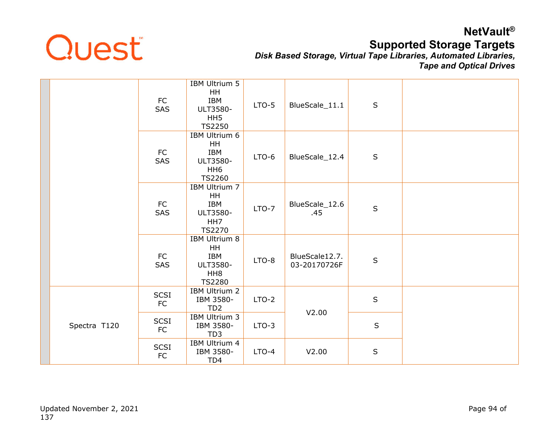

|              | <b>FC</b><br>SAS         | IBM Ultrium 5<br><b>HH</b><br>IBM<br>ULT3580-<br>HH <sub>5</sub><br><b>TS2250</b> | LTO-5   | BlueScale_11.1                 | $\mathsf{S}$ |  |
|--------------|--------------------------|-----------------------------------------------------------------------------------|---------|--------------------------------|--------------|--|
|              | <b>FC</b><br>SAS         | IBM Ultrium 6<br><b>HH</b><br>IBM<br>ULT3580-<br>HH <sub>6</sub><br>TS2260        | LTO-6   | BlueScale_12.4                 | $\sf S$      |  |
|              | <b>FC</b><br>SAS         | IBM Ultrium 7<br>HH<br>IBM<br>ULT3580-<br>HH <sub>7</sub><br>TS2270               | $LTO-7$ | BlueScale_12.6<br>.45          | S            |  |
|              | <b>FC</b><br><b>SAS</b>  | IBM Ultrium 8<br>HH<br>IBM<br>ULT3580-<br>HH <sub>8</sub><br><b>TS2280</b>        | $LTO-8$ | BlueScale12.7.<br>03-20170726F | $\sf S$      |  |
|              | <b>SCSI</b><br><b>FC</b> | IBM Ultrium 2<br>IBM 3580-<br>TD <sub>2</sub>                                     | $LTO-2$ | V2.00                          | $\sf S$      |  |
| Spectra T120 | <b>SCSI</b><br><b>FC</b> | IBM Ultrium 3<br>IBM 3580-<br>TD <sub>3</sub>                                     | $LTO-3$ |                                | $\sf S$      |  |
|              | <b>SCSI</b><br><b>FC</b> | IBM Ultrium 4<br>IBM 3580-<br>TD4                                                 | $LTO-4$ | V2.00                          | $\sf S$      |  |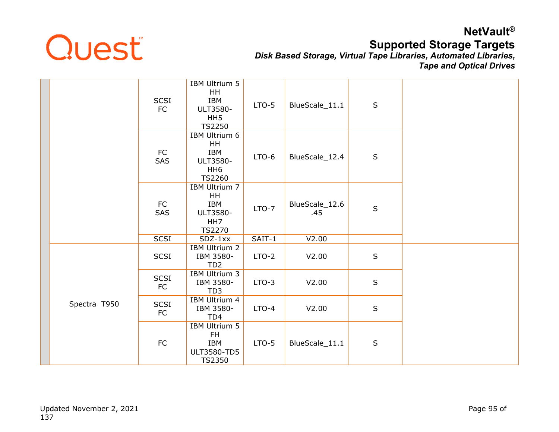

|              | <b>SCSI</b><br>FC        | IBM Ultrium 5<br>HH<br>IBM<br>ULT3580-<br>HH <sub>5</sub><br>TS2250 | $LTO-5$ | BlueScale_11.1        | $\mathsf S$ |  |
|--------------|--------------------------|---------------------------------------------------------------------|---------|-----------------------|-------------|--|
|              | <b>FC</b><br>SAS         | IBM Ultrium 6<br>HH<br>IBM<br>ULT3580-<br>HH <sub>6</sub><br>TS2260 | LTO-6   | BlueScale_12.4        | $\mathsf S$ |  |
|              | <b>FC</b><br><b>SAS</b>  | IBM Ultrium 7<br>HH<br>IBM<br>ULT3580-<br>HH <sub>7</sub><br>TS2270 | $LTO-7$ | BlueScale_12.6<br>.45 | $\sf S$     |  |
|              | <b>SCSI</b>              | SDZ-1xx                                                             | SAIT-1  | V2.00                 |             |  |
|              | <b>SCSI</b>              | IBM Ultrium 2<br>IBM 3580-<br>TD <sub>2</sub>                       | $LTO-2$ | V2.00                 | $\sf S$     |  |
|              | <b>SCSI</b><br>FC        | IBM Ultrium 3<br>IBM 3580-<br>TD <sub>3</sub>                       | $LTO-3$ | V2.00                 | $\sf S$     |  |
| Spectra T950 | <b>SCSI</b><br><b>FC</b> | IBM Ultrium 4<br>IBM 3580-<br>TD4                                   | $LTO-4$ | V2.00                 | $\sf S$     |  |
|              | <b>FC</b>                | IBM Ultrium 5<br>FH.<br>IBM<br>ULT3580-TD5<br>TS2350                | $LTO-5$ | BlueScale_11.1        | $\sf S$     |  |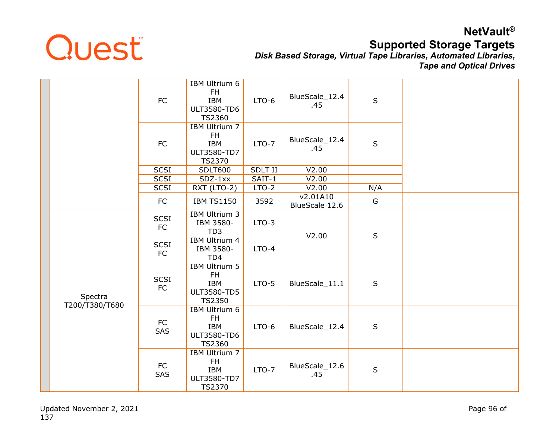

|                           | ${\sf FC}$               | IBM Ultrium 6<br>FH.<br><b>IBM</b><br>ULT3580-TD6<br>TS2360              | $LTO-6$ | BlueScale_12.4<br>.45      | $\mathsf S$ |  |
|---------------------------|--------------------------|--------------------------------------------------------------------------|---------|----------------------------|-------------|--|
|                           | FC                       | IBM Ultrium 7<br>FH.<br><b>IBM</b><br>ULT3580-TD7<br>TS2370              | $LTO-7$ | BlueScale_12.4<br>.45      | S           |  |
|                           | <b>SCSI</b>              | SDLT600                                                                  | SDLT II | V2.00                      |             |  |
|                           | <b>SCSI</b>              | SDZ-1xx                                                                  | SAIT-1  | V2.00                      |             |  |
|                           | <b>SCSI</b>              | RXT (LTO-2)                                                              | $LTO-2$ | V2.00                      | N/A         |  |
|                           | FC                       | <b>IBM TS1150</b>                                                        | 3592    | v2.01A10<br>BlueScale 12.6 | G           |  |
|                           | <b>SCSI</b><br>FC        | IBM Ultrium 3<br>IBM 3580-<br>TD <sub>3</sub>                            | $LTO-3$ | V2.00                      | $\sf S$     |  |
|                           | <b>SCSI</b><br>FC        | IBM Ultrium 4<br>IBM 3580-<br>TD4                                        | $LTO-4$ |                            |             |  |
| Spectra<br>T200/T380/T680 | <b>SCSI</b><br><b>FC</b> | IBM Ultrium 5<br><b>FH</b><br><b>IBM</b><br>ULT3580-TD5<br><b>TS2350</b> | $LTO-5$ | BlueScale_11.1             | $\mathsf S$ |  |
|                           | FC<br><b>SAS</b>         | IBM Ultrium 6<br><b>FH</b><br><b>IBM</b><br>ULT3580-TD6<br><b>TS2360</b> | $LTO-6$ | BlueScale_12.4             | $\sf S$     |  |
|                           | FC<br><b>SAS</b>         | IBM Ultrium 7<br>FH.<br><b>IBM</b><br>ULT3580-TD7<br>TS2370              | $LTO-7$ | BlueScale_12.6<br>.45      | $\sf S$     |  |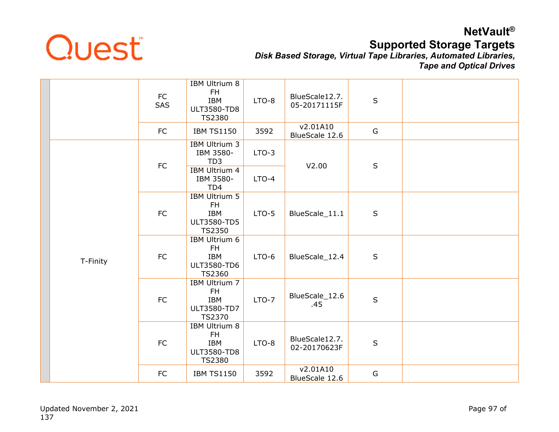

|          | <b>FC</b><br><b>SAS</b> | IBM Ultrium 8<br>FH.<br><b>IBM</b><br>ULT3580-TD8<br><b>TS2380</b> | $LTO-8$ | BlueScale12.7.<br>05-20171115F | $\sf S$     |  |
|----------|-------------------------|--------------------------------------------------------------------|---------|--------------------------------|-------------|--|
|          | FC                      | <b>IBM TS1150</b>                                                  | 3592    | v2.01A10<br>BlueScale 12.6     | G           |  |
|          |                         | IBM Ultrium 3<br>IBM 3580-<br>TD <sub>3</sub>                      | $LTO-3$ |                                | $\sf S$     |  |
|          | FC                      | IBM Ultrium 4<br>IBM 3580-<br>TD4                                  | $LTO-4$ | V2.00                          |             |  |
|          | FC                      | IBM Ultrium 5<br>FH.<br><b>IBM</b><br>ULT3580-TD5<br><b>TS2350</b> | $LTO-5$ | BlueScale_11.1                 | $\mathsf S$ |  |
| T-Finity | FC                      | IBM Ultrium 6<br>FH.<br>IBM<br>ULT3580-TD6<br>TS2360               | $LTO-6$ | BlueScale_12.4                 | $\sf S$     |  |
|          | FC                      | IBM Ultrium 7<br><b>FH</b><br><b>IBM</b><br>ULT3580-TD7<br>TS2370  | $LTO-7$ | BlueScale_12.6<br>.45          | $\sf S$     |  |
|          | ${\sf FC}$              | IBM Ultrium 8<br><b>FH</b><br>IBM<br>ULT3580-TD8<br><b>TS2380</b>  | $LTO-8$ | BlueScale12.7.<br>02-20170623F | $\sf S$     |  |
|          | FC                      | <b>IBM TS1150</b>                                                  | 3592    | v2.01A10<br>BlueScale 12.6     | G           |  |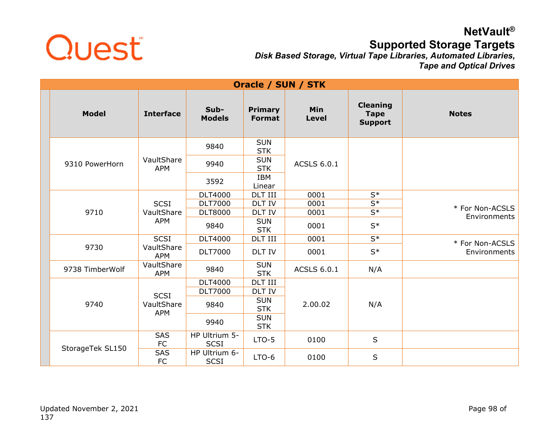

|     |                          |                          |                              |                                 | <b>Oracle / SUN / STK</b> |                                                  |                                 |
|-----|--------------------------|--------------------------|------------------------------|---------------------------------|---------------------------|--------------------------------------------------|---------------------------------|
|     | <b>Model</b>             | <b>Interface</b>         | Sub-<br><b>Models</b>        | <b>Primary</b><br><b>Format</b> | Min<br><b>Level</b>       | <b>Cleaning</b><br><b>Tape</b><br><b>Support</b> | <b>Notes</b>                    |
|     |                          |                          | 9840                         | <b>SUN</b><br><b>STK</b>        |                           |                                                  |                                 |
|     | 9310 PowerHorn           | VaultShare<br><b>APM</b> | 9940                         | <b>SUN</b><br><b>STK</b>        | <b>ACSLS 6.0.1</b>        |                                                  |                                 |
|     |                          |                          | 3592                         | IBM<br>Linear                   |                           |                                                  |                                 |
|     |                          |                          | <b>DLT4000</b>               | <b>DLT III</b>                  | 0001                      | $S^*$                                            |                                 |
|     |                          | <b>SCSI</b>              | <b>DLT7000</b>               | DLT IV                          | 0001                      | $\mathsf{S}^*$                                   |                                 |
|     | 9710                     | VaultShare<br><b>APM</b> | <b>DLT8000</b>               | DLT IV                          | 0001                      | $\mathsf{S}^*$                                   | * For Non-ACSLS<br>Environments |
|     |                          |                          | 9840                         | <b>SUN</b><br><b>STK</b>        | 0001                      | $S^*$                                            |                                 |
|     | 9730                     | <b>SCSI</b>              | <b>DLT4000</b>               | DLT III                         | 0001                      | $S^*$                                            | * For Non-ACSLS                 |
|     |                          | VaultShare<br><b>APM</b> | <b>DLT7000</b>               | <b>DLT IV</b>                   | 0001                      | $S^*$                                            | Environments                    |
|     | 9738 TimberWolf          | VaultShare<br><b>APM</b> | 9840                         | <b>SUN</b><br><b>STK</b>        | <b>ACSLS 6.0.1</b>        | N/A                                              |                                 |
|     |                          |                          | <b>DLT4000</b>               | <b>DLT III</b>                  |                           |                                                  |                                 |
|     |                          | <b>SCSI</b>              | <b>DLT7000</b>               | <b>DLT IV</b>                   |                           |                                                  |                                 |
|     | 9740                     | VaultShare<br><b>APM</b> | 9840                         | <b>SUN</b><br><b>STK</b>        | 2.00.02                   | N/A                                              |                                 |
|     |                          |                          | 9940                         | <b>SUN</b><br><b>STK</b>        |                           |                                                  |                                 |
|     |                          | SAS<br>${\sf FC}$        | HP Ultrium 5-<br><b>SCSI</b> | $LTO-5$                         | 0100                      | $\sf S$                                          |                                 |
|     | StorageTek SL150         | SAS<br>${\sf FC}$        | HP Ultrium 6-<br><b>SCSI</b> | $LTO-6$                         | 0100                      | S                                                |                                 |
| 137 | Updated November 2, 2021 |                          |                              |                                 |                           |                                                  | Page 98 of                      |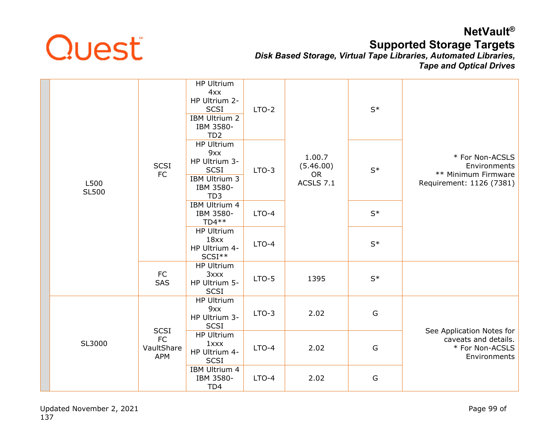#### **NetVault® Supported Storage Targets**  *Disk Based Storage, Virtual Tape Libraries, Automated Libraries,*

|  |                      |                                                      | <b>HP Ultrium</b><br>4xx<br>HP Ultrium 2-<br><b>SCSI</b><br>IBM Ultrium 2<br>IBM 3580-<br>TD <sub>2</sub> | $LTO-2$ | 1.00.7<br>(5.46.00)<br><b>OR</b><br>ACSLS 7.1 | $S^*$ |                                                                                      |
|--|----------------------|------------------------------------------------------|-----------------------------------------------------------------------------------------------------------|---------|-----------------------------------------------|-------|--------------------------------------------------------------------------------------|
|  | L500<br><b>SL500</b> | <b>SCSI</b><br><b>FC</b>                             | <b>HP Ultrium</b><br>9xx<br>HP Ultrium 3-<br><b>SCSI</b><br>IBM Ultrium 3<br>IBM 3580-<br>TD <sub>3</sub> | $LTO-3$ |                                               | $S^*$ | * For Non-ACSLS<br>Environments<br>** Minimum Firmware<br>Requirement: 1126 (7381)   |
|  |                      |                                                      | IBM Ultrium 4<br>IBM 3580-<br>$TD4***$                                                                    | $LTO-4$ |                                               | $S^*$ |                                                                                      |
|  |                      |                                                      | <b>HP Ultrium</b><br>18xx<br>HP Ultrium 4-<br>SCSI**                                                      | $LTO-4$ |                                               | $S^*$ |                                                                                      |
|  |                      | <b>FC</b><br><b>SAS</b>                              | <b>HP Ultrium</b><br>3xxx<br>HP Ultrium 5-<br><b>SCSI</b>                                                 | $LTO-5$ | 1395                                          | $S^*$ |                                                                                      |
|  | SL3000               | <b>SCSI</b><br><b>FC</b><br>VaultShare<br><b>APM</b> | <b>HP Ultrium</b><br>9xx<br>HP Ultrium 3-<br><b>SCSI</b>                                                  | $LTO-3$ | 2.02                                          | G     |                                                                                      |
|  |                      |                                                      | <b>HP Ultrium</b><br>1xxx<br>HP Ultrium 4-<br><b>SCSI</b>                                                 | $LTO-4$ | 2.02                                          | G     | See Application Notes for<br>caveats and details.<br>* For Non-ACSLS<br>Environments |
|  |                      |                                                      | IBM Ultrium 4<br>IBM 3580-<br>TD4                                                                         | $LTO-4$ | 2.02                                          | G     |                                                                                      |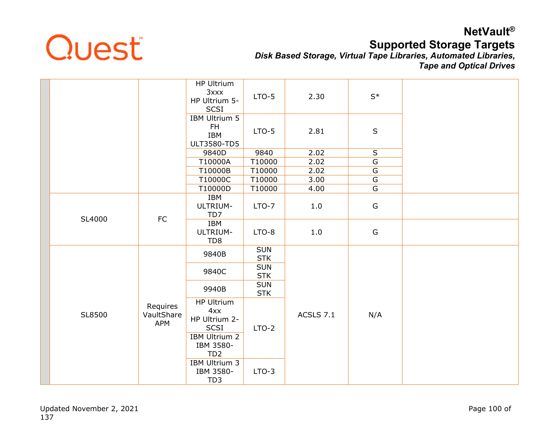

|        |            | <b>HP Ultrium</b>    |            |           |                |
|--------|------------|----------------------|------------|-----------|----------------|
|        |            | 3xxx                 | $LTO-5$    | 2.30      | $S^*$          |
|        |            | HP Ultrium 5-        |            |           |                |
|        |            | <b>SCSI</b>          |            |           |                |
|        |            | IBM Ultrium 5        |            |           |                |
|        |            | <b>FH</b>            | $LTO-5$    | 2.81      | $\mathsf S$    |
|        |            | IBM                  |            |           |                |
|        |            | ULT3580-TD5<br>9840D | 9840       |           |                |
|        |            | T10000A              |            | 2.02      | $rac{S}{G}$    |
|        |            |                      | T10000     | 2.02      |                |
|        |            | T10000B              | T10000     | 2.02      | $\overline{G}$ |
|        |            | T10000C              | T10000     | 3.00      | G              |
|        |            | T10000D<br>IBM       | T10000     | 4.00      |                |
|        |            | ULTRIUM-             | $LTO-7$    | 1.0       | ${\mathsf G}$  |
|        | ${\sf FC}$ | TD7                  |            |           |                |
| SL4000 |            | IBM                  |            |           |                |
|        |            | ULTRIUM-             | $LTO-8$    | 1.0       | G              |
|        |            | TD <sub>8</sub>      |            |           |                |
|        |            |                      | <b>SUN</b> |           |                |
|        |            | 9840B                | <b>STK</b> |           |                |
|        |            |                      | <b>SUN</b> |           |                |
|        |            | 9840C                | <b>STK</b> |           |                |
|        |            | 9940B                | <b>SUN</b> |           |                |
|        |            |                      | <b>STK</b> |           |                |
|        | Requires   | <b>HP Ultrium</b>    |            |           |                |
| SL8500 | VaultShare | 4xx                  |            | ACSLS 7.1 | N/A            |
|        | APM        | HP Ultrium 2-        |            |           |                |
|        |            | <b>SCSI</b>          | $LTO-2$    |           |                |
|        |            | IBM Ultrium 2        |            |           |                |
|        |            | IBM 3580-            |            |           |                |
|        |            | TD <sub>2</sub>      |            |           |                |
|        |            | IBM Ultrium 3        |            |           |                |
|        |            | IBM 3580-            | $LTO-3$    |           |                |
|        |            | TD <sub>3</sub>      |            |           |                |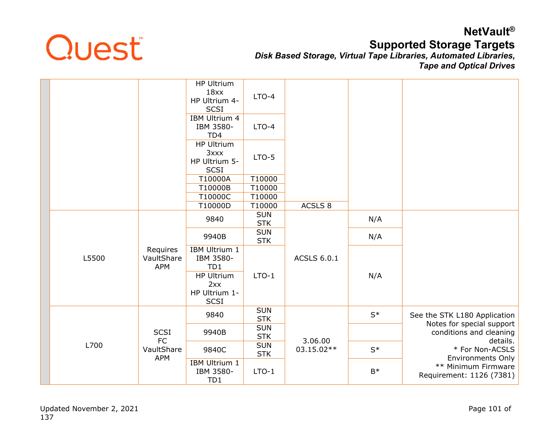#### **NetVault® Supported Storage Targets**  *Disk Based Storage, Virtual Tape Libraries, Automated Libraries,*

|       |                                      | <b>HP Ultrium</b><br>18xx<br>HP Ultrium 4-<br><b>SCSI</b>                                     | $LTO-4$                  |                       |                |                                                                             |
|-------|--------------------------------------|-----------------------------------------------------------------------------------------------|--------------------------|-----------------------|----------------|-----------------------------------------------------------------------------|
|       |                                      | IBM Ultrium 4<br>IBM 3580-<br>TD4                                                             | $LTO-4$                  |                       |                |                                                                             |
|       |                                      | <b>HP Ultrium</b><br>3xxx<br>HP Ultrium 5-<br><b>SCSI</b>                                     | $LTO-5$                  |                       |                |                                                                             |
|       |                                      | T10000A                                                                                       | T10000                   |                       |                |                                                                             |
|       |                                      | T10000B                                                                                       | T10000                   |                       |                |                                                                             |
|       |                                      | T10000C                                                                                       | T10000                   |                       |                |                                                                             |
|       |                                      | T10000D                                                                                       | T10000                   | ACSLS 8               |                |                                                                             |
|       |                                      | 9840                                                                                          | <b>SUN</b><br><b>STK</b> |                       | N/A            |                                                                             |
|       |                                      | 9940B                                                                                         | <b>SUN</b><br><b>STK</b> |                       | N/A            |                                                                             |
| L5500 | Requires<br>VaultShare<br><b>APM</b> | IBM Ultrium 1<br>IBM 3580-<br>TD1<br><b>HP Ultrium</b><br>2xx<br>HP Ultrium 1-<br><b>SCSI</b> | $LTO-1$                  | <b>ACSLS 6.0.1</b>    | N/A            |                                                                             |
|       |                                      | 9840                                                                                          | <b>SUN</b><br><b>STK</b> |                       | $\mathsf{S}^*$ | See the STK L180 Application                                                |
|       | <b>SCSI</b>                          | 9940B                                                                                         | <b>SUN</b><br><b>STK</b> |                       |                | Notes for special support<br>conditions and cleaning                        |
| L700  | FC<br>VaultShare                     | 9840C                                                                                         | <b>SUN</b><br><b>STK</b> | 3.06.00<br>03.15.02** | $S^*$          | details.<br>* For Non-ACSLS                                                 |
|       | <b>APM</b>                           | IBM Ultrium 1<br>IBM 3580-<br>TD1                                                             | $LTO-1$                  |                       | $\mathsf{B}^*$ | <b>Environments Only</b><br>** Minimum Firmware<br>Requirement: 1126 (7381) |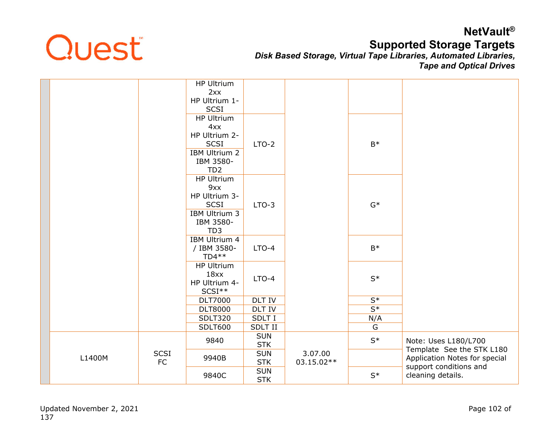#### **NetVault® Supported Storage Targets**  *Disk Based Storage, Virtual Tape Libraries, Automated Libraries,*

|        |                   | <b>HP Ultrium</b><br>2xx<br>HP Ultrium 1-              |                          |                       |       |                                                         |
|--------|-------------------|--------------------------------------------------------|--------------------------|-----------------------|-------|---------------------------------------------------------|
|        |                   | <b>SCSI</b><br>HP Ultrium<br>4xx                       |                          |                       |       |                                                         |
|        |                   | HP Ultrium 2-<br><b>SCSI</b><br>IBM Ultrium 2          | $LTO-2$                  |                       | $B^*$ |                                                         |
|        |                   | IBM 3580-<br>TD <sub>2</sub><br>HP Ultrium             |                          |                       |       |                                                         |
|        |                   | 9xx<br>HP Ultrium 3-<br><b>SCSI</b>                    | $LTO-3$                  |                       | $G^*$ |                                                         |
|        |                   | IBM Ultrium 3<br>IBM 3580-<br>TD <sub>3</sub>          |                          |                       |       |                                                         |
|        |                   | IBM Ultrium 4<br>/ IBM 3580-<br>$TD4***$               | $LTO-4$                  |                       | $B^*$ |                                                         |
|        |                   | <b>HP Ultrium</b><br>18xx<br>HP Ultrium 4-<br>$SCSI**$ | $LTO-4$                  |                       | $S^*$ |                                                         |
|        |                   | <b>DLT7000</b>                                         | <b>DLT IV</b>            |                       | $S^*$ |                                                         |
|        |                   | <b>DLT8000</b>                                         | DLT IV                   |                       | $S^*$ |                                                         |
|        |                   | <b>SDLT320</b>                                         | SDLT I                   |                       | N/A   |                                                         |
|        |                   | <b>SDLT600</b>                                         | SDLT II                  |                       | G     |                                                         |
|        |                   | 9840                                                   | <b>SUN</b><br><b>STK</b> |                       | $S^*$ | Note: Uses L180/L700<br>Template See the STK L180       |
| L1400M | <b>SCSI</b><br>FC | 9940B                                                  | <b>SUN</b><br><b>STK</b> | 3.07.00<br>03.15.02** |       | Application Notes for special<br>support conditions and |
|        |                   | 9840C                                                  | <b>SUN</b><br><b>STK</b> |                       | $S^*$ | cleaning details.                                       |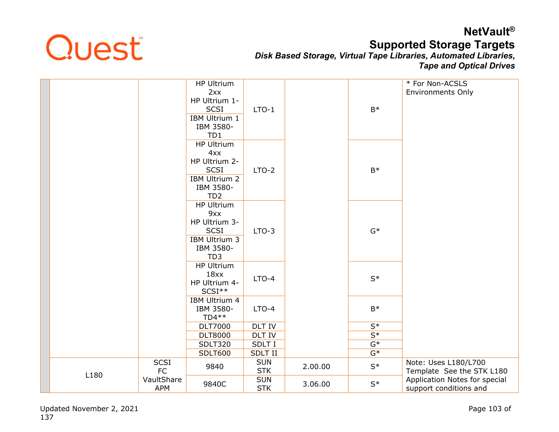#### **NetVault® Supported Storage Targets**  *Disk Based Storage, Virtual Tape Libraries, Automated Libraries, Tape and Optical Drives*

|      |                          | <b>HP Ultrium</b><br>2xx<br>HP Ultrium 1-<br><b>SCSI</b><br>IBM Ultrium 1<br>IBM 3580-<br>TD1             | $LTO-1$                  |         | $\mathsf{B}^*$   | * For Non-ACSLS<br><b>Environments Only</b>             |
|------|--------------------------|-----------------------------------------------------------------------------------------------------------|--------------------------|---------|------------------|---------------------------------------------------------|
|      |                          | <b>HP Ultrium</b><br>4xx<br>HP Ultrium 2-<br><b>SCSI</b><br>IBM Ultrium 2<br>IBM 3580-<br>TD <sub>2</sub> | $LTO-2$                  |         | $B*$             |                                                         |
|      |                          | <b>HP Ultrium</b><br>9xx<br>HP Ultrium 3-<br><b>SCSI</b><br>IBM Ultrium 3<br>IBM 3580-<br>TD <sub>3</sub> | $LTO-3$                  |         | $G^*$            |                                                         |
|      |                          | <b>HP Ultrium</b><br>18xx<br>HP Ultrium 4-<br>SCSI**                                                      | $LTO-4$                  |         | $S^*$            |                                                         |
|      |                          | IBM Ultrium 4<br>IBM 3580-<br>$TD4**$                                                                     | $LTO-4$                  |         | $B*$             |                                                         |
|      |                          | <b>DLT7000</b>                                                                                            | DLT IV                   |         | $\overline{S^*}$ |                                                         |
|      |                          | <b>DLT8000</b>                                                                                            | <b>DLT IV</b>            |         | $\overline{S^*}$ |                                                         |
|      |                          | <b>SDLT320</b>                                                                                            | SDLT I                   |         | $\overline{G^*}$ |                                                         |
|      |                          | <b>SDLT600</b>                                                                                            | SDLT II                  |         | $\overline{G^*}$ |                                                         |
| L180 | <b>SCSI</b><br>FC        | 9840                                                                                                      | <b>SUN</b><br><b>STK</b> | 2.00.00 | $S^*$            | Note: Uses L180/L700<br>Template See the STK L180       |
|      | VaultShare<br><b>APM</b> | 9840C                                                                                                     | <b>SUN</b><br><b>STK</b> | 3.06.00 | $S^*$            | Application Notes for special<br>support conditions and |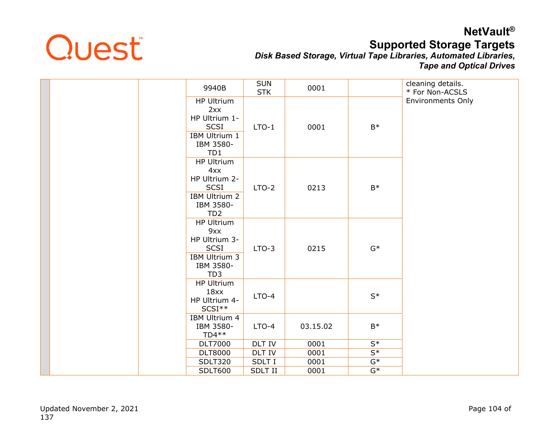

#### **NetVault® Supported Storage Targets**  *Disk Based Storage, Virtual Tape Libraries, Automated Libraries,*

|  | 9940B                                                                                              | <b>SUN</b><br><b>STK</b> | 0001     |                  | cleaning details.<br>* For Non-ACSLS |
|--|----------------------------------------------------------------------------------------------------|--------------------------|----------|------------------|--------------------------------------|
|  | HP Ultrium<br>2xx<br>HP Ultrium 1-<br><b>SCSI</b><br>IBM Ultrium 1<br>IBM 3580-<br>TD1             | $LTO-1$                  | 0001     | $\mathsf{B}^*$   | <b>Environments Only</b>             |
|  | HP Ultrium<br>4xx<br>HP Ultrium 2-<br><b>SCSI</b><br>IBM Ultrium 2<br>IBM 3580-<br>TD <sub>2</sub> | $LTO-2$                  | 0213     | $B*$             |                                      |
|  | HP Ultrium<br>9xx<br>HP Ultrium 3-<br><b>SCSI</b><br>IBM Ultrium 3<br>IBM 3580-<br>TD <sub>3</sub> | $LTO-3$                  | 0215     | $G^*$            |                                      |
|  | HP Ultrium<br>18xx<br>HP Ultrium 4-<br>SCSI**                                                      | $LTO-4$                  |          | $\mathsf{S}^*$   |                                      |
|  | IBM Ultrium 4<br>IBM 3580-<br>$TD4**$                                                              | $LTO-4$                  | 03.15.02 | $B*$             |                                      |
|  | <b>DLT7000</b>                                                                                     | DLT IV                   | 0001     | $S^*$            |                                      |
|  | <b>DLT8000</b>                                                                                     | <b>DLT IV</b>            | 0001     | $\overline{S^*}$ |                                      |
|  | SDLT320                                                                                            | SDLT I                   | 0001     | $\overline{G^*}$ |                                      |
|  | <b>SDLT600</b>                                                                                     | <b>SDLT II</b>           | 0001     | $G^*$            |                                      |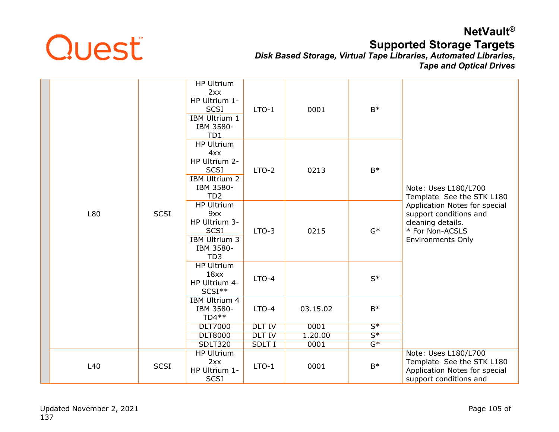

|  |     |                | <b>HP Ultrium</b><br>2xx<br>HP Ultrium 1-<br><b>SCSI</b><br>IBM Ultrium 1<br>IBM 3580-<br>TD1             | $LTO-1$       | 0001             | $B*$             |                                                                                                                                                                                  |
|--|-----|----------------|-----------------------------------------------------------------------------------------------------------|---------------|------------------|------------------|----------------------------------------------------------------------------------------------------------------------------------------------------------------------------------|
|  |     | <b>SCSI</b>    | <b>HP Ultrium</b><br>4xx<br>HP Ultrium 2-<br><b>SCSI</b><br>IBM Ultrium 2<br>IBM 3580-<br>TD <sub>2</sub> | $LTO-2$       | 0213             | $B^*$            | Note: Uses L180/L700<br>Template See the STK L180<br>Application Notes for special<br>support conditions and<br>cleaning details.<br>* For Non-ACSLS<br><b>Environments Only</b> |
|  | L80 |                | HP Ultrium<br>9xx<br>HP Ultrium 3-<br><b>SCSI</b><br>IBM Ultrium 3<br>IBM 3580-<br>TD <sub>3</sub>        | $LTO-3$       | 0215             | $G^*$            |                                                                                                                                                                                  |
|  |     |                | <b>HP Ultrium</b><br>18xx<br>HP Ultrium 4-<br>SCSI**                                                      | $LTO-4$       |                  | $S^*$            |                                                                                                                                                                                  |
|  |     |                | IBM Ultrium 4<br>IBM 3580-<br>$TD4**$                                                                     | $LTO-4$       | 03.15.02         | $B*$             |                                                                                                                                                                                  |
|  |     | <b>DLT7000</b> | <b>DLT IV</b>                                                                                             | 0001          | $\overline{S^*}$ |                  |                                                                                                                                                                                  |
|  |     |                | <b>DLT8000</b>                                                                                            | DLT IV        | 1.20.00          | $\overline{S^*}$ |                                                                                                                                                                                  |
|  |     |                | <b>SDLT320</b>                                                                                            | <b>SDLT I</b> | 0001             | $G^*$            |                                                                                                                                                                                  |
|  | L40 | <b>SCSI</b>    | <b>HP Ultrium</b><br>2xx<br>HP Ultrium 1-<br><b>SCSI</b>                                                  | $LTO-1$       | 0001             | $B*$             | Note: Uses L180/L700<br>Template See the STK L180<br>Application Notes for special<br>support conditions and                                                                     |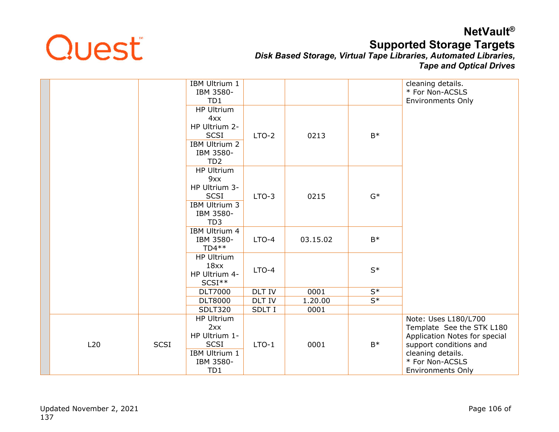

#### **NetVault® Supported Storage Targets**  *Disk Based Storage, Virtual Tape Libraries, Automated Libraries,*

|     |             | IBM Ultrium 1<br>IBM 3580-<br>TD1                                                                  |               |          |                | cleaning details.<br>* For Non-ACSLS<br><b>Environments Only</b>                                                                  |
|-----|-------------|----------------------------------------------------------------------------------------------------|---------------|----------|----------------|-----------------------------------------------------------------------------------------------------------------------------------|
|     |             | HP Ultrium<br>4xx<br>HP Ultrium 2-<br><b>SCSI</b><br>IBM Ultrium 2<br>IBM 3580-<br>TD <sub>2</sub> | $LTO-2$       | 0213     | $B^*$          |                                                                                                                                   |
|     |             | HP Ultrium<br>9xx<br>HP Ultrium 3-<br><b>SCSI</b><br>IBM Ultrium 3<br>IBM 3580-<br>TD <sub>3</sub> | $LTO-3$       | 0215     | $G^*$          |                                                                                                                                   |
|     |             | IBM Ultrium 4<br>IBM 3580-<br>$TD4**$                                                              | $LTO-4$       | 03.15.02 | $B*$           |                                                                                                                                   |
|     |             | HP Ultrium<br>18xx<br>HP Ultrium 4-<br>SCSI**                                                      | $LTO-4$       |          | $S^*$          |                                                                                                                                   |
|     |             | <b>DLT7000</b>                                                                                     | DLT IV        | 0001     | $S^*$          |                                                                                                                                   |
|     |             | <b>DLT8000</b>                                                                                     | <b>DLT IV</b> | 1.20.00  | $S^*$          |                                                                                                                                   |
|     |             | SDLT320<br>HP Ultrium                                                                              | SDLT I        | 0001     |                |                                                                                                                                   |
| L20 | <b>SCSI</b> | 2xx<br>HP Ultrium 1-<br><b>SCSI</b><br>IBM Ultrium 1                                               | $LTO-1$       | 0001     | $\mathsf{B}^*$ | Note: Uses L180/L700<br>Template See the STK L180<br>Application Notes for special<br>support conditions and<br>cleaning details. |
|     |             | IBM 3580-<br>TD1                                                                                   |               |          |                | * For Non-ACSLS<br><b>Environments Only</b>                                                                                       |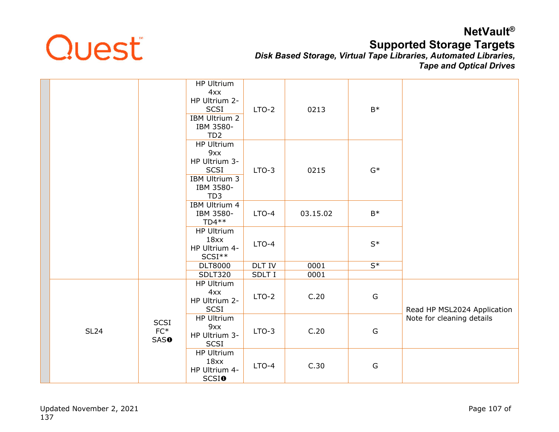

|             |                                     | <b>HP Ultrium</b><br>4xx<br>HP Ultrium 2-<br><b>SCSI</b><br>IBM Ultrium 2<br>IBM 3580-<br>TD <sub>2</sub> | $LTO-2$       | 0213     | $\mathsf{B}^*$   |                             |
|-------------|-------------------------------------|-----------------------------------------------------------------------------------------------------------|---------------|----------|------------------|-----------------------------|
|             |                                     | <b>HP Ultrium</b><br>9xx<br>HP Ultrium 3-<br><b>SCSI</b><br>IBM Ultrium 3<br>IBM 3580-<br>TD <sub>3</sub> | $LTO-3$       | 0215     | $G^*$            |                             |
|             |                                     | IBM Ultrium 4<br>IBM 3580-<br>$TD4***$                                                                    | $LTO-4$       | 03.15.02 | $B^*$            |                             |
|             |                                     | <b>HP Ultrium</b><br>18xx<br>HP Ultrium 4-<br>$SCSI**$                                                    | $LTO-4$       |          | $S^*$            |                             |
|             |                                     | <b>DLT8000</b>                                                                                            | DLT IV        | 0001     | $\overline{S^*}$ |                             |
|             |                                     | SDLT320                                                                                                   | <b>SDLT I</b> | 0001     |                  |                             |
|             |                                     | <b>HP Ultrium</b><br>4xx<br>HP Ultrium 2-<br><b>SCSI</b>                                                  | $LTO-2$       | C.20     | G                | Read HP MSL2024 Application |
| <b>SL24</b> | <b>SCSI</b><br>$FC*$<br><b>SASO</b> | <b>HP Ultrium</b><br>9xx<br>HP Ultrium 3-<br><b>SCSI</b>                                                  | $LTO-3$       | C.20     | ${\mathsf G}$    | Note for cleaning details   |
|             |                                     | <b>HP Ultrium</b><br>18xx<br>HP Ultrium 4-<br><b>SCSIO</b>                                                | $LTO-4$       | C.30     | G                |                             |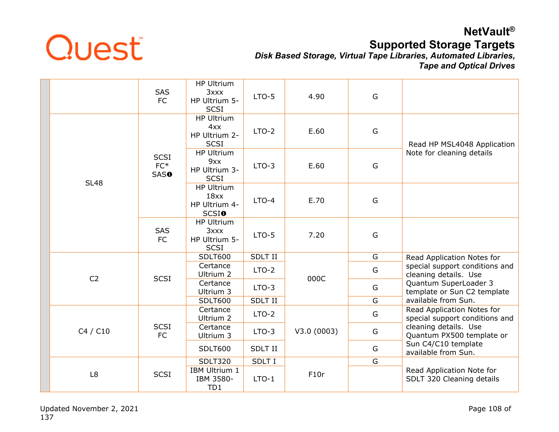

|  |                | <b>SAS</b><br><b>FC</b>             | <b>HP Ultrium</b><br>3xxx<br>HP Ultrium 5-<br><b>SCSI</b>  | $LTO-5$        | 4.90       | G |                                                              |
|--|----------------|-------------------------------------|------------------------------------------------------------|----------------|------------|---|--------------------------------------------------------------|
|  |                |                                     | <b>HP Ultrium</b><br>4xx<br>HP Ultrium 2-<br><b>SCSI</b>   | $LTO-2$        | E.60       | G | Read HP MSL4048 Application                                  |
|  |                | <b>SCSI</b><br>$FC*$<br><b>SASO</b> | <b>HP Ultrium</b><br>9xx<br>HP Ultrium 3-<br><b>SCSI</b>   | $LTO-3$        | E.60       | G | Note for cleaning details                                    |
|  | <b>SL48</b>    |                                     | <b>HP Ultrium</b><br>18xx<br>HP Ultrium 4-<br><b>SCSIO</b> | $LTO-4$        | E.70       | G |                                                              |
|  |                | <b>SAS</b><br><b>FC</b>             | HP Ultrium<br>3xxx<br>HP Ultrium 5-<br><b>SCSI</b>         | $LTO-5$        | 7.20       | G |                                                              |
|  |                |                                     | <b>SDLT600</b>                                             | SDLT II        |            | G | Read Application Notes for                                   |
|  | C <sub>2</sub> | <b>SCSI</b>                         | Certance<br>Ultrium 2                                      | $LTO-2$        | 000C       | G | special support conditions and<br>cleaning details. Use      |
|  |                |                                     | Certance<br>Ultrium 3                                      | $LTO-3$        |            | G | Quantum SuperLoader 3<br>template or Sun C2 template         |
|  |                |                                     | <b>SDLT600</b>                                             | <b>SDLT II</b> |            | G | available from Sun.                                          |
|  |                |                                     | Certance<br>Ultrium 2                                      | $LTO-2$        |            | G | Read Application Notes for<br>special support conditions and |
|  | C4 / C10       | <b>SCSI</b><br><b>FC</b>            | Certance<br>Ultrium 3                                      | $LTO-3$        | V3.0(0003) | G | cleaning details. Use<br>Quantum PX500 template or           |
|  |                |                                     | <b>SDLT600</b>                                             | SDLT II        |            | G | Sun C4/C10 template<br>available from Sun.                   |
|  |                |                                     | <b>SDLT320</b>                                             | SDLT I         |            | G |                                                              |
|  | L8             | <b>SCSI</b>                         | IBM Ultrium 1<br>IBM 3580-<br>TD1                          | $LTO-1$        | F10r       |   | Read Application Note for<br>SDLT 320 Cleaning details       |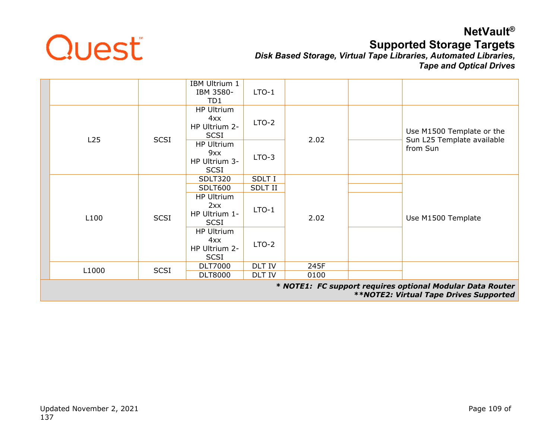#### **NetVault® Supported Storage Targets**  *Disk Based Storage, Virtual Tape Libraries, Automated Libraries,*

*Tape and Optical Drives*

|  |                                                                                                            |             | IBM Ultrium 1<br>IBM 3580-<br>TD1                            | $LTO-1$                   |      |  |                                                                     |  |  |
|--|------------------------------------------------------------------------------------------------------------|-------------|--------------------------------------------------------------|---------------------------|------|--|---------------------------------------------------------------------|--|--|
|  | L25                                                                                                        | <b>SCSI</b> | HP Ultrium<br>4xx<br>HP Ultrium 2-<br><b>SCSI</b>            | $LTO-2$                   | 2.02 |  | Use M1500 Template or the<br>Sun L25 Template available<br>from Sun |  |  |
|  |                                                                                                            |             | HP Ultrium<br>9xx<br>HP Ultrium 3-<br><b>SCSI</b>            | $LTO-3$                   |      |  |                                                                     |  |  |
|  | L100                                                                                                       | <b>SCSI</b> | SDLT320                                                      | SDLT I                    | 2.02 |  |                                                                     |  |  |
|  |                                                                                                            |             | SDLT600<br>HP Ultrium<br>2xx<br>HP Ultrium 1-<br><b>SCSI</b> | <b>SDLT II</b><br>$LTO-1$ |      |  | Use M1500 Template                                                  |  |  |
|  |                                                                                                            |             | HP Ultrium<br>4xx<br>HP Ultrium 2-<br><b>SCSI</b>            | $LTO-2$                   |      |  |                                                                     |  |  |
|  | L1000                                                                                                      | <b>SCSI</b> | <b>DLT7000</b>                                               | <b>DLT IV</b>             | 245F |  |                                                                     |  |  |
|  |                                                                                                            |             | <b>DLT8000</b>                                               | <b>DLT IV</b>             | 0100 |  |                                                                     |  |  |
|  | * NOTE1: FC support requires optional Modular Data Router<br><b>**NOTE2: Virtual Tape Drives Supported</b> |             |                                                              |                           |      |  |                                                                     |  |  |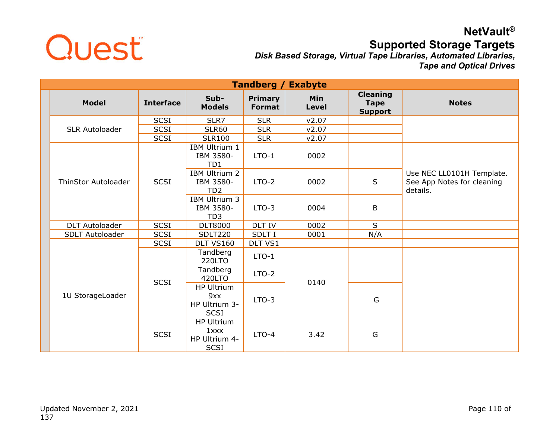

|     | <b>Tandberg / Exabyte</b>               |                  |                                                            |                                 |                     |                                                  |                                                                     |  |  |
|-----|-----------------------------------------|------------------|------------------------------------------------------------|---------------------------------|---------------------|--------------------------------------------------|---------------------------------------------------------------------|--|--|
|     | <b>Model</b>                            | <b>Interface</b> | Sub-<br><b>Models</b>                                      | <b>Primary</b><br><b>Format</b> | Min<br><b>Level</b> | <b>Cleaning</b><br><b>Tape</b><br><b>Support</b> | <b>Notes</b>                                                        |  |  |
|     |                                         | <b>SCSI</b>      | SLR7                                                       | <b>SLR</b>                      | v2.07               |                                                  |                                                                     |  |  |
|     | SLR Autoloader                          | <b>SCSI</b>      | <b>SLR60</b>                                               | <b>SLR</b>                      | v2.07               |                                                  |                                                                     |  |  |
|     |                                         | <b>SCSI</b>      | <b>SLR100</b>                                              | <b>SLR</b>                      | v2.07               |                                                  |                                                                     |  |  |
|     |                                         |                  | IBM Ultrium 1<br>IBM 3580-<br>TD1                          | $LTO-1$                         | 0002                |                                                  |                                                                     |  |  |
|     | <b>ThinStor Autoloader</b>              | <b>SCSI</b>      | IBM Ultrium 2<br>IBM 3580-<br>TD <sub>2</sub>              | $LTO-2$                         | 0002                | $\sf S$                                          | Use NEC LL0101H Template.<br>See App Notes for cleaning<br>details. |  |  |
|     |                                         |                  | IBM Ultrium 3<br>IBM 3580-<br>TD <sub>3</sub>              | $LTO-3$                         | 0004                | B                                                |                                                                     |  |  |
|     | <b>DLT</b> Autoloader                   | <b>SCSI</b>      | <b>DLT8000</b>                                             | DLT IV                          | 0002                | $\overline{\mathsf{s}}$                          |                                                                     |  |  |
|     | SDLT Autoloader                         | <b>SCSI</b>      | <b>SDLT220</b>                                             | SDLT I                          | 0001                | N/A                                              |                                                                     |  |  |
|     |                                         | <b>SCSI</b>      | DLT VS160                                                  | DLT VS1                         |                     |                                                  |                                                                     |  |  |
|     |                                         | <b>SCSI</b>      | Tandberg<br>220LTO                                         | $LTO-1$                         | 0140                |                                                  |                                                                     |  |  |
|     |                                         |                  | Tandberg<br>420LTO                                         | $LTO-2$                         |                     |                                                  |                                                                     |  |  |
|     | 1U StorageLoader                        |                  | HP Ultrium<br>9xx<br>HP Ultrium 3-<br><b>SCSI</b>          | $LTO-3$                         |                     | G                                                |                                                                     |  |  |
|     |                                         | <b>SCSI</b>      | HP Ultrium<br>$1$ $xx$ $x$<br>HP Ultrium 4-<br><b>SCSI</b> | $LTO-4$                         | 3.42                | G                                                |                                                                     |  |  |
| 137 | Updated November 2, 2021<br>Page 110 of |                  |                                                            |                                 |                     |                                                  |                                                                     |  |  |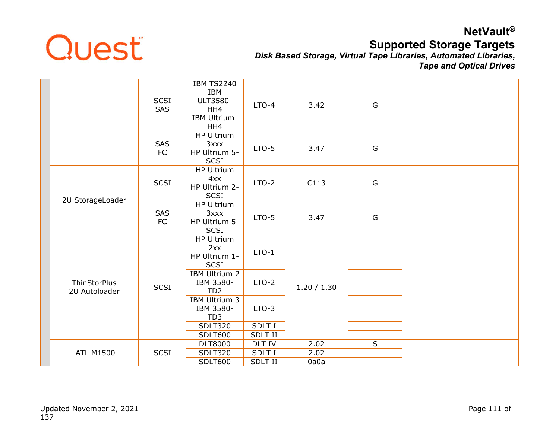

|                               | <b>SCSI</b><br>SAS | <b>IBM TS2240</b><br><b>IBM</b><br>ULT3580-<br>HH4<br>IBM Ultrium-<br>HH4 | $LTO-4$        | 3.42        | G            |  |
|-------------------------------|--------------------|---------------------------------------------------------------------------|----------------|-------------|--------------|--|
|                               | SAS<br><b>FC</b>   | <b>HP Ultrium</b><br>3xxx<br>HP Ultrium 5-<br><b>SCSI</b>                 | $LTO-5$        | 3.47        | G            |  |
| 2U StorageLoader              | <b>SCSI</b>        | <b>HP Ultrium</b><br>4xx<br>HP Ultrium 2-<br><b>SCSI</b>                  | $LTO-2$        | C113        | G            |  |
|                               | SAS<br>FC          | <b>HP Ultrium</b><br>3xxx<br>HP Ultrium 5-<br><b>SCSI</b>                 | $LTO-5$        | 3.47        | G            |  |
|                               |                    | <b>HP Ultrium</b><br>2xx<br>HP Ultrium 1-<br><b>SCSI</b>                  | $LTO-1$        |             |              |  |
| ThinStorPlus<br>2U Autoloader | <b>SCSI</b>        | IBM Ultrium 2<br>IBM 3580-<br>TD <sub>2</sub>                             | $LTO-2$        | 1.20 / 1.30 |              |  |
|                               |                    | IBM Ultrium 3<br>IBM 3580-<br>TD <sub>3</sub>                             | $LTO-3$        |             |              |  |
|                               |                    | SDLT320                                                                   | SDLT I         |             |              |  |
|                               |                    | <b>SDLT600</b>                                                            | <b>SDLT II</b> |             |              |  |
|                               |                    | <b>DLT8000</b>                                                            | <b>DLT IV</b>  | 2.02        | $\mathsf{S}$ |  |
| <b>ATL M1500</b>              | <b>SCSI</b>        | SDLT320                                                                   | SDLT I         | 2.02        |              |  |
|                               |                    | SDLT600                                                                   | SDLT II        | 0a0a        |              |  |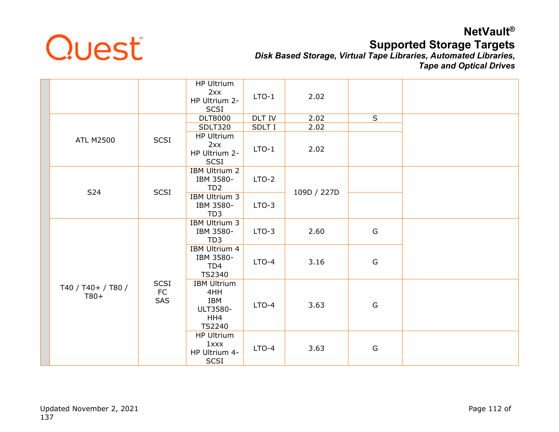

|                              |                                 | HP Ultrium                                                    |               |             |                |  |
|------------------------------|---------------------------------|---------------------------------------------------------------|---------------|-------------|----------------|--|
|                              |                                 | 2xx<br>HP Ultrium 2-<br><b>SCSI</b>                           | $LTO-1$       | 2.02        |                |  |
|                              |                                 | <b>DLT8000</b>                                                | <b>DLT IV</b> | 2.02        | $\overline{S}$ |  |
|                              |                                 | SDLT320                                                       | SDLT I        | 2.02        |                |  |
| <b>ATL M2500</b>             | <b>SCSI</b>                     | HP Ultrium<br>2xx<br>HP Ultrium 2-<br><b>SCSI</b>             | $LTO-1$       | 2.02        |                |  |
| S24                          | <b>SCSI</b>                     | IBM Ultrium 2<br>IBM 3580-<br>TD <sub>2</sub>                 | $LTO-2$       | 109D / 227D |                |  |
|                              |                                 | IBM Ultrium 3<br>IBM 3580-<br>TD <sub>3</sub>                 | $LTO-3$       |             |                |  |
|                              | <b>SCSI</b><br><b>FC</b><br>SAS | IBM Ultrium 3<br>IBM 3580-<br>TD <sub>3</sub>                 | $LTO-3$       | 2.60        | G              |  |
|                              |                                 | IBM Ultrium 4<br>IBM 3580-<br>TD4<br>TS2340                   | $LTO-4$       | 3.16        | G              |  |
| T40 / T40+ / T80 /<br>$T80+$ |                                 | <b>IBM Ultrium</b><br>4HH<br>IBM<br>ULT3580-<br>HH4<br>TS2240 | $LTO-4$       | 3.63        | G              |  |
|                              |                                 | HP Ultrium<br>$1$ $xx$ $x$<br>HP Ultrium 4-<br><b>SCSI</b>    | $LTO-4$       | 3.63        | G              |  |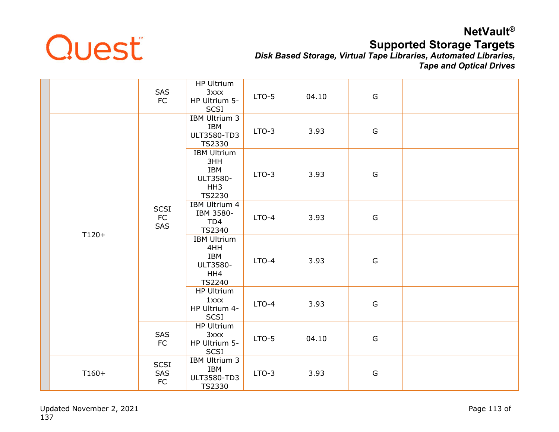

|         | SAS<br><b>FC</b>                | <b>HP Ultrium</b><br>3xxx<br>HP Ultrium 5-<br><b>SCSI</b>                 | $LTO-5$ | 04.10 | G |  |
|---------|---------------------------------|---------------------------------------------------------------------------|---------|-------|---|--|
|         |                                 | IBM Ultrium 3<br>IBM<br>ULT3580-TD3<br>TS2330                             | $LTO-3$ | 3.93  | G |  |
|         |                                 | <b>IBM Ultrium</b><br>3HH<br>IBM<br>ULT3580-<br>HH <sub>3</sub><br>TS2230 | $LTO-3$ | 3.93  | G |  |
| $T120+$ | <b>SCSI</b><br><b>FC</b><br>SAS | IBM Ultrium 4<br>IBM 3580-<br>TD4<br>TS2340                               | $LTO-4$ | 3.93  | G |  |
|         |                                 | <b>IBM Ultrium</b><br>4HH<br>IBM<br>ULT3580-<br>HH4<br>TS2240             | $LTO-4$ | 3.93  | G |  |
|         |                                 | HP Ultrium<br>$1$ $xx$ $x$<br>HP Ultrium 4-<br><b>SCSI</b>                | $LTO-4$ | 3.93  | G |  |
|         | <b>SAS</b><br><b>FC</b>         | HP Ultrium<br>3xxx<br>HP Ultrium 5-<br><b>SCSI</b>                        | $LTO-5$ | 04.10 | G |  |
| $T160+$ | <b>SCSI</b><br>SAS<br><b>FC</b> | IBM Ultrium 3<br>IBM<br>ULT3580-TD3<br>TS2330                             | $LTO-3$ | 3.93  | G |  |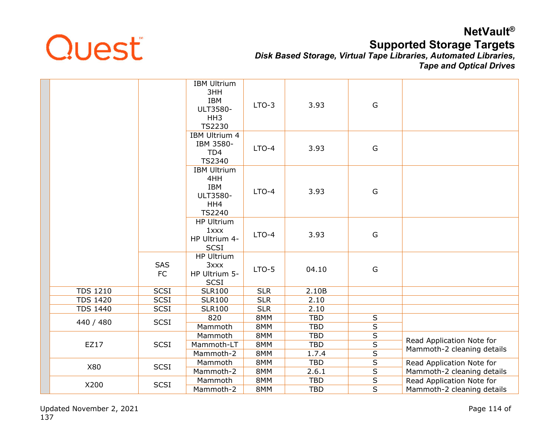

|                 |                         | <b>IBM Ultrium</b><br>3HH<br>IBM<br>ULT3580-<br>HH <sub>3</sub><br><b>TS2230</b> | $LTO-3$    | 3.93       | ${\mathsf G}$           |                            |
|-----------------|-------------------------|----------------------------------------------------------------------------------|------------|------------|-------------------------|----------------------------|
|                 |                         | IBM Ultrium 4<br>IBM 3580-<br>TD4<br>TS2340                                      | $LTO-4$    | 3.93       | G                       |                            |
|                 |                         | <b>IBM Ultrium</b><br>4HH<br>IBM<br>ULT3580-<br>HH4<br>TS2240                    | $LTO-4$    | 3.93       | G                       |                            |
|                 |                         | <b>HP Ultrium</b><br>1xxx<br>HP Ultrium 4-<br><b>SCSI</b>                        | $LTO-4$    | 3.93       | G                       |                            |
|                 | <b>SAS</b><br><b>FC</b> | <b>HP Ultrium</b><br>3xxx<br>HP Ultrium 5-<br><b>SCSI</b>                        | $LTO-5$    | 04.10      | ${\mathsf G}$           |                            |
| <b>TDS 1210</b> | <b>SCSI</b>             | <b>SLR100</b>                                                                    | <b>SLR</b> | 2.10B      |                         |                            |
| <b>TDS 1420</b> | <b>SCSI</b>             | <b>SLR100</b>                                                                    | <b>SLR</b> | 2.10       |                         |                            |
| <b>TDS 1440</b> | <b>SCSI</b>             | <b>SLR100</b>                                                                    | <b>SLR</b> | 2.10       |                         |                            |
| 440 / 480       | <b>SCSI</b>             | 820                                                                              | 8MM        | <b>TBD</b> | $\overline{S}$          |                            |
|                 |                         | Mammoth                                                                          | 8MM        | <b>TBD</b> | $\sf S$                 |                            |
|                 |                         | Mammoth                                                                          | 8MM        | <b>TBD</b> | $\sf S$                 | Read Application Note for  |
| EZ17            | <b>SCSI</b>             | Mammoth-LT                                                                       | 8MM        | <b>TBD</b> | $\overline{\mathsf{s}}$ | Mammoth-2 cleaning details |
|                 |                         | Mammoth-2                                                                        | 8MM        | 1.7.4      | $\overline{\mathsf{s}}$ |                            |
| X80             | <b>SCSI</b>             | Mammoth                                                                          | 8MM        | <b>TBD</b> | $rac{\overline{S}}{S}$  | Read Application Note for  |
|                 |                         | Mammoth-2                                                                        | 8MM        | 2.6.1      |                         | Mammoth-2 cleaning details |
| X200            | <b>SCSI</b>             | Mammoth                                                                          | 8MM        | <b>TBD</b> | $\overline{\mathsf{s}}$ | Read Application Note for  |
|                 |                         | Mammoth-2                                                                        | 8MM        | <b>TBD</b> | S                       | Mammoth-2 cleaning details |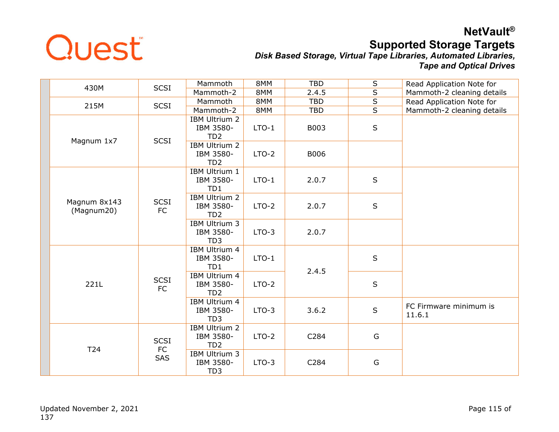#### **NetVault® Supported Storage Targets**  *Disk Based Storage, Virtual Tape Libraries, Automated Libraries,*

*Tape and Optical Drives*

|  | 430M                       | <b>SCSI</b>                     | Mammoth                                       | 8MM     | TBD        | S              | Read Application Note for        |
|--|----------------------------|---------------------------------|-----------------------------------------------|---------|------------|----------------|----------------------------------|
|  |                            |                                 | Mammoth-2                                     | 8MM     | 2.4.5      | $\overline{s}$ | Mammoth-2 cleaning details       |
|  | 215M                       | <b>SCSI</b>                     | Mammoth                                       | 8MM     | <b>TBD</b> | $\overline{S}$ | Read Application Note for        |
|  |                            |                                 | Mammoth-2                                     | 8MM     | <b>TBD</b> | $\overline{s}$ | Mammoth-2 cleaning details       |
|  |                            | <b>SCSI</b>                     | IBM Ultrium 2<br>IBM 3580-<br>TD <sub>2</sub> | $LTO-1$ | B003       | $\sf S$        |                                  |
|  | Magnum 1x7                 |                                 | IBM Ultrium 2<br>IBM 3580-<br>TD <sub>2</sub> | $LTO-2$ | B006       |                |                                  |
|  |                            |                                 | IBM Ultrium 1<br>IBM 3580-<br>TD1             | $LTO-1$ | 2.0.7      | $\sf S$        |                                  |
|  | Magnum 8x143<br>(Magnum20) | <b>SCSI</b><br>FC               | IBM Ultrium 2<br>IBM 3580-<br>TD <sub>2</sub> | $LTO-2$ | 2.0.7      | $\sf S$        |                                  |
|  |                            |                                 | IBM Ultrium 3<br>IBM 3580-<br>TD <sub>3</sub> | $LTO-3$ | 2.0.7      |                |                                  |
|  |                            | <b>SCSI</b><br><b>FC</b>        | IBM Ultrium 4<br>IBM 3580-<br>TD1             | $LTO-1$ | 2.4.5      | S              |                                  |
|  | 221L                       |                                 | IBM Ultrium 4<br>IBM 3580-<br>TD <sub>2</sub> | $LTO-2$ |            | $\sf S$        |                                  |
|  |                            |                                 | IBM Ultrium 4<br>IBM 3580-<br>TD <sub>3</sub> | $LTO-3$ | 3.6.2      | $\sf S$        | FC Firmware minimum is<br>11.6.1 |
|  |                            | <b>SCSI</b><br><b>FC</b><br>SAS | IBM Ultrium 2<br>IBM 3580-<br>TD <sub>2</sub> | $LTO-2$ | C284       | G              |                                  |
|  | T24                        |                                 | IBM Ultrium 3<br>IBM 3580-<br>TD <sub>3</sub> | $LTO-3$ | C284       | G              |                                  |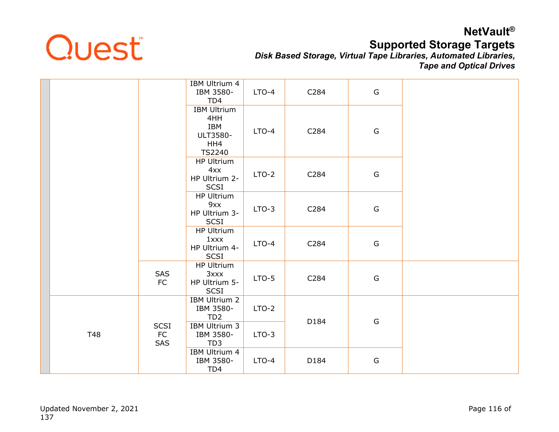

#### **NetVault® Supported Storage Targets**  *Disk Based Storage, Virtual Tape Libraries, Automated Libraries,*

*Tape and Optical Drives*

|     |                          | IBM Ultrium 4<br>IBM 3580-<br>TD4                             | $LTO-4$ | C284 | G |  |
|-----|--------------------------|---------------------------------------------------------------|---------|------|---|--|
|     |                          | <b>IBM Ultrium</b><br>4HH<br>IBM<br>ULT3580-<br>HH4<br>TS2240 | $LTO-4$ | C284 | G |  |
|     |                          | <b>HP Ultrium</b><br>4xx<br>HP Ultrium 2-<br><b>SCSI</b>      | $LTO-2$ | C284 | G |  |
|     |                          | HP Ultrium<br>9xx<br>HP Ultrium 3-<br><b>SCSI</b>             | $LTO-3$ | C284 | G |  |
|     |                          | HP Ultrium<br>$1$ $xx$ $x$<br>HP Ultrium 4-<br><b>SCSI</b>    | $LTO-4$ | C284 | G |  |
|     | <b>SAS</b><br>FC         | <b>HP Ultrium</b><br>3xxx<br>HP Ultrium 5-<br><b>SCSI</b>     | $LTO-5$ | C284 | G |  |
|     |                          | IBM Ultrium 2<br>IBM 3580-<br>TD <sub>2</sub>                 | $LTO-2$ | D184 | G |  |
| T48 | <b>SCSI</b><br>FC<br>SAS | IBM Ultrium 3<br>IBM 3580-<br>TD <sub>3</sub>                 | $LTO-3$ |      |   |  |
|     |                          | IBM Ultrium 4<br>IBM 3580-<br>TD4                             | $LTO-4$ | D184 | G |  |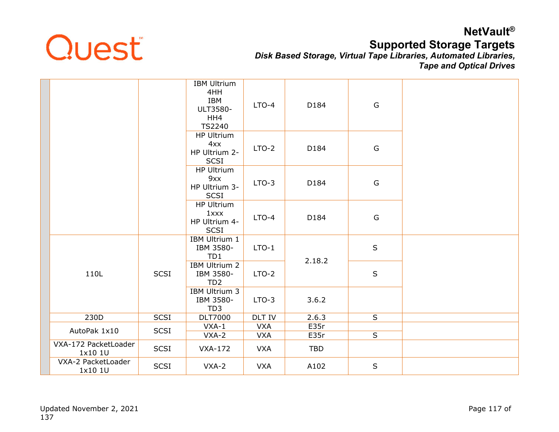

|                                 |             | <b>IBM Ultrium</b>                                         |               |            |                         |  |
|---------------------------------|-------------|------------------------------------------------------------|---------------|------------|-------------------------|--|
|                                 |             | 4HH<br>IBM<br>ULT3580-<br>HH4<br>TS2240                    | $LTO-4$       | D184       | G                       |  |
|                                 |             | <b>HP Ultrium</b><br>4xx<br>HP Ultrium 2-<br><b>SCSI</b>   | $LTO-2$       | D184       | G                       |  |
|                                 |             | <b>HP Ultrium</b><br>9xx<br>HP Ultrium 3-<br><b>SCSI</b>   | $LTO-3$       | D184       | G                       |  |
|                                 |             | HP Ultrium<br>$1$ $xx$ $x$<br>HP Ultrium 4-<br><b>SCSI</b> | $LTO-4$       | D184       | G                       |  |
|                                 | <b>SCSI</b> | IBM Ultrium 1<br>IBM 3580-<br>TD1                          | $LTO-1$       | 2.18.2     | $\sf S$                 |  |
| 110L                            |             | IBM Ultrium 2<br>IBM 3580-<br>TD <sub>2</sub>              | $LTO-2$       |            | $\sf S$                 |  |
|                                 |             | IBM Ultrium 3<br>IBM 3580-<br>TD <sub>3</sub>              | $LTO-3$       | 3.6.2      |                         |  |
| 230D                            | <b>SCSI</b> | <b>DLT7000</b>                                             | <b>DLT IV</b> | 2.6.3      | S                       |  |
| AutoPak 1x10                    | <b>SCSI</b> | $VXA-1$                                                    | <b>VXA</b>    | E35r       |                         |  |
|                                 |             | $VXA-2$                                                    | <b>VXA</b>    | E35r       | $\overline{\mathsf{S}}$ |  |
| VXA-172 PacketLoader<br>1x10 1U | <b>SCSI</b> | <b>VXA-172</b>                                             | <b>VXA</b>    | <b>TBD</b> |                         |  |
| VXA-2 PacketLoader<br>1x10 1U   | <b>SCSI</b> | $VXA-2$                                                    | <b>VXA</b>    | A102       | $\mathsf{S}$            |  |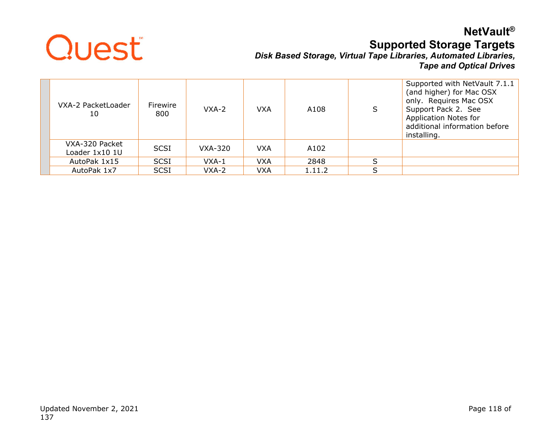#### **NetVault® Supported Storage Targets**  *Disk Based Storage, Virtual Tape Libraries, Automated Libraries, Tape and Optical Drives*

VXA-2 PacketLoader 10 Firewire 800 VXA-2 VXA A108 S Supported with NetVault 7.1.1 (and higher) for Mac OSX only. Requires Mac OSX Support Pack 2. See Application Notes for additional information before installing. VXA-320 Packet VXA-320 Packet SCSI VXA-320 VXA A102 AutoPak 1x15 SCSI VXA-1 VXA 2848  $\sf S$ AutoPak 1x7 | SCSI | VXA-2 | VXA | 1.11.2 | S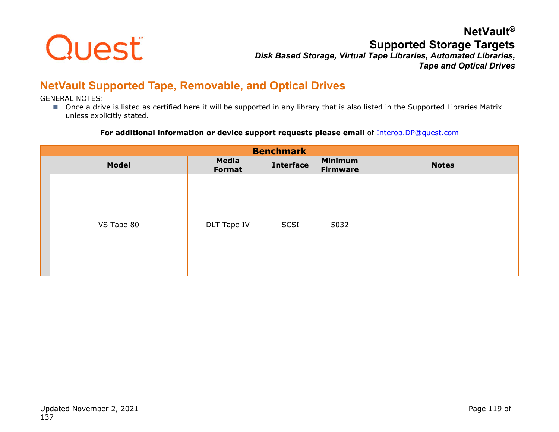#### **NetVault® Supported Storage Targets**  *Disk Based Storage, Virtual Tape Libraries, Automated Libraries, Tape and Optical Drives*

#### **NetVault Supported Tape, Removable, and Optical Drives**

GENERAL NOTES:

■ Once a drive is listed as certified here it will be supported in any library that is also listed in the Supported Libraries Matrix unless explicitly stated.

#### **For additional information or device support requests please email** of Interop.DP@quest.com

| <b>Benchmark</b> |                        |                  |                                   |              |  |  |  |  |  |
|------------------|------------------------|------------------|-----------------------------------|--------------|--|--|--|--|--|
| <b>Model</b>     | <b>Media</b><br>Format | <b>Interface</b> | <b>Minimum</b><br><b>Firmware</b> | <b>Notes</b> |  |  |  |  |  |
| VS Tape 80       | DLT Tape IV            | <b>SCSI</b>      | 5032                              |              |  |  |  |  |  |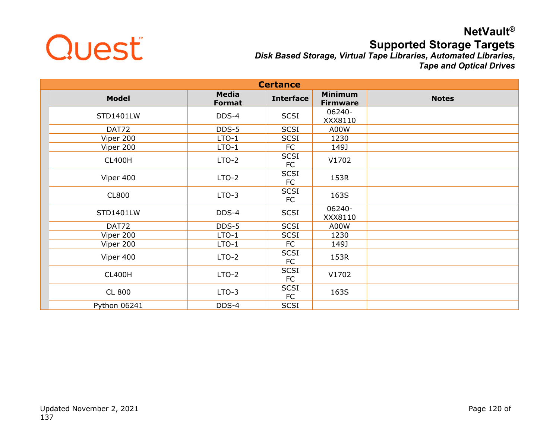

|     | <b>Certance</b>          |                               |                   |                                   |              |  |  |  |  |  |
|-----|--------------------------|-------------------------------|-------------------|-----------------------------------|--------------|--|--|--|--|--|
|     | <b>Model</b>             | <b>Media</b><br><b>Format</b> | <b>Interface</b>  | <b>Minimum</b><br><b>Firmware</b> | <b>Notes</b> |  |  |  |  |  |
|     | STD1401LW                | DDS-4                         | <b>SCSI</b>       | 06240-<br>XXX8110                 |              |  |  |  |  |  |
|     | DAT72                    | DDS-5                         | <b>SCSI</b>       | A00W                              |              |  |  |  |  |  |
|     | Viper 200                | $LTO-1$                       | <b>SCSI</b>       | 1230                              |              |  |  |  |  |  |
|     | Viper 200                | $LTO-1$                       | FC                | 149J                              |              |  |  |  |  |  |
|     | <b>CL400H</b>            | $LTO-2$                       | <b>SCSI</b><br>FC | V1702                             |              |  |  |  |  |  |
|     | Viper 400                | $LTO-2$                       | <b>SCSI</b><br>FC | 153R                              |              |  |  |  |  |  |
|     | <b>CL800</b>             | $LTO-3$                       | <b>SCSI</b><br>FC | 163S                              |              |  |  |  |  |  |
|     | STD1401LW                | DDS-4                         | <b>SCSI</b>       | $06240 -$<br>XXX8110              |              |  |  |  |  |  |
|     | DAT72                    | DDS-5                         | <b>SCSI</b>       | A00W                              |              |  |  |  |  |  |
|     | Viper 200                | $LTO-1$                       | <b>SCSI</b>       | 1230                              |              |  |  |  |  |  |
|     | Viper 200                | $LTO-1$                       | ${\sf FC}$        | 149J                              |              |  |  |  |  |  |
|     | Viper 400                | $LTO-2$                       | <b>SCSI</b><br>FC | 153R                              |              |  |  |  |  |  |
|     | <b>CL400H</b>            | $LTO-2$                       | <b>SCSI</b><br>FC | V1702                             |              |  |  |  |  |  |
|     | <b>CL 800</b>            | $LTO-3$                       | <b>SCSI</b><br>FC | 163S                              |              |  |  |  |  |  |
|     | Python 06241             | $DDS-4$                       | <b>SCSI</b>       |                                   |              |  |  |  |  |  |
|     |                          |                               |                   |                                   |              |  |  |  |  |  |
| 137 | Updated November 2, 2021 |                               |                   |                                   | Page 120 of  |  |  |  |  |  |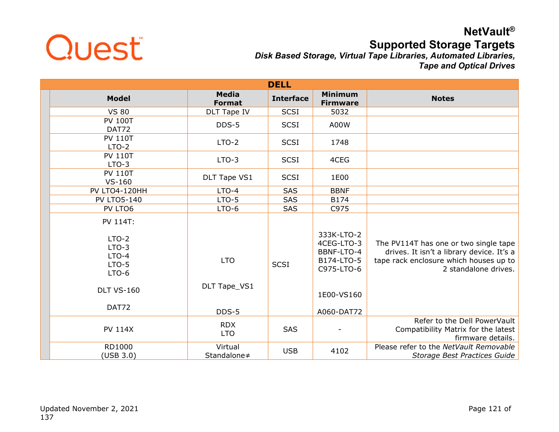

| <b>DELL</b>                                                                                   |                                     |                  |                                                                                                |                                                                                                                                                      |  |  |  |  |  |
|-----------------------------------------------------------------------------------------------|-------------------------------------|------------------|------------------------------------------------------------------------------------------------|------------------------------------------------------------------------------------------------------------------------------------------------------|--|--|--|--|--|
| <b>Model</b>                                                                                  | <b>Media</b><br><b>Format</b>       | <b>Interface</b> | <b>Minimum</b><br><b>Firmware</b>                                                              | <b>Notes</b>                                                                                                                                         |  |  |  |  |  |
| <b>VS 80</b>                                                                                  | <b>DLT Tape IV</b>                  | <b>SCSI</b>      | 5032                                                                                           |                                                                                                                                                      |  |  |  |  |  |
| <b>PV 100T</b><br>DAT72                                                                       | DDS-5                               | <b>SCSI</b>      | A00W                                                                                           |                                                                                                                                                      |  |  |  |  |  |
| <b>PV 110T</b><br>$LTO-2$                                                                     | $LTO-2$                             | <b>SCSI</b>      | 1748                                                                                           |                                                                                                                                                      |  |  |  |  |  |
| <b>PV 110T</b><br>$LTO-3$                                                                     | $LTO-3$                             | <b>SCSI</b>      | 4CEG                                                                                           |                                                                                                                                                      |  |  |  |  |  |
| <b>PV 110T</b><br>$VS-160$                                                                    | <b>DLT Tape VS1</b>                 | <b>SCSI</b>      | 1E00                                                                                           |                                                                                                                                                      |  |  |  |  |  |
| PV LTO4-120HH                                                                                 | $LTO-4$                             | <b>SAS</b>       | <b>BBNF</b>                                                                                    |                                                                                                                                                      |  |  |  |  |  |
| <b>PV LTO5-140</b>                                                                            | $LTO-5$                             | <b>SAS</b>       | B174                                                                                           |                                                                                                                                                      |  |  |  |  |  |
| PV LTO6                                                                                       | $LTO-6$                             | SAS              | C975                                                                                           |                                                                                                                                                      |  |  |  |  |  |
| PV 114T:<br>$LTO-2$<br>$LTO-3$<br>$LTO-4$<br>$LTO-5$<br>$LTO-6$<br><b>DLT VS-160</b><br>DAT72 | <b>LTO</b><br>DLT Tape_VS1<br>DDS-5 | <b>SCSI</b>      | 333K-LTO-2<br>4CEG-LTO-3<br>BBNF-LTO-4<br>B174-LTO-5<br>C975-LTO-6<br>1E00-VS160<br>A060-DAT72 | The PV114T has one or two single tape<br>drives. It isn't a library device. It's a<br>tape rack enclosure which houses up to<br>2 standalone drives. |  |  |  |  |  |
| <b>PV 114X</b>                                                                                | <b>RDX</b><br><b>LTO</b>            | <b>SAS</b>       |                                                                                                | Refer to the Dell PowerVault<br>Compatibility Matrix for the latest<br>firmware details.                                                             |  |  |  |  |  |
| RD1000<br>(USE 3.0)                                                                           | Virtual<br>Standalone≠              | <b>USB</b>       | 4102                                                                                           | Please refer to the NetVault Removable<br>Storage Best Practices Guide                                                                               |  |  |  |  |  |
| Updated November 2, 2021<br>137                                                               |                                     |                  |                                                                                                | Page 121 of                                                                                                                                          |  |  |  |  |  |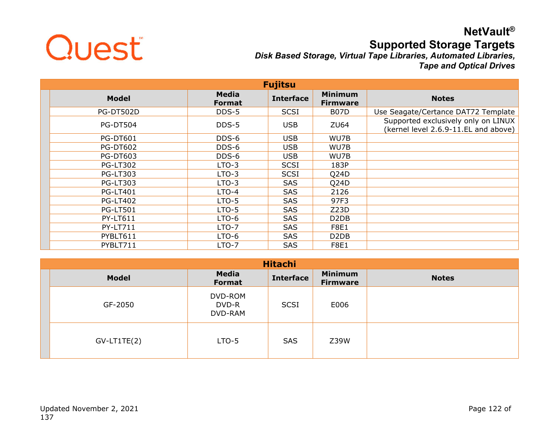

|                          |                             | <b>Fujitsu</b>   |                                   |                                                                             |
|--------------------------|-----------------------------|------------------|-----------------------------------|-----------------------------------------------------------------------------|
| <b>Model</b>             | <b>Media</b><br>Format      | <b>Interface</b> | <b>Minimum</b><br><b>Firmware</b> | <b>Notes</b>                                                                |
| PG-DT502D                | DDS-5                       | <b>SCSI</b>      | <b>B07D</b>                       | Use Seagate/Certance DAT72 Template                                         |
| <b>PG-DT504</b>          | DDS-5                       | <b>USB</b>       | <b>ZU64</b>                       | Supported exclusively only on LINUX<br>(kernel level 2.6.9-11.EL and above) |
| <b>PG-DT601</b>          | DDS-6                       | <b>USB</b>       | WU7B                              |                                                                             |
| <b>PG-DT602</b>          | DDS-6                       | <b>USB</b>       | WU7B                              |                                                                             |
| <b>PG-DT603</b>          | DDS-6                       | <b>USB</b>       | WU7B                              |                                                                             |
| <b>PG-LT302</b>          | $LTO-3$                     | <b>SCSI</b>      | 183P                              |                                                                             |
| <b>PG-LT303</b>          | $LTO-3$                     | <b>SCSI</b>      | Q <sub>24</sub> D                 |                                                                             |
| <b>PG-LT303</b>          | $LTO-3$                     | SAS              | Q <sub>24</sub> D                 |                                                                             |
| <b>PG-LT401</b>          | $LTO-4$                     | SAS              | 2126                              |                                                                             |
| <b>PG-LT402</b>          | $LTO-5$                     | SAS              | 97F3                              |                                                                             |
| <b>PG-LT501</b>          | $LTO-5$                     | SAS              | Z23D                              |                                                                             |
| <b>PY-LT611</b>          | $LTO-6$                     | SAS              | D <sub>2</sub> D <sub>B</sub>     |                                                                             |
| <b>PY-LT711</b>          | $LTO-7$                     | SAS              | <b>F8E1</b>                       |                                                                             |
| PYBLT611                 | $LTO-6$                     | SAS              | D <sub>2</sub> D <sub>B</sub>     |                                                                             |
| PYBLT711                 | $LTO-7$                     | <b>SAS</b>       | <b>F8E1</b>                       |                                                                             |
|                          |                             |                  |                                   |                                                                             |
|                          |                             | <b>Hitachi</b>   |                                   |                                                                             |
| <b>Model</b>             | <b>Media</b><br>Format      | <b>Interface</b> | <b>Minimum</b><br><b>Firmware</b> | <b>Notes</b>                                                                |
| GF-2050                  | DVD-ROM<br>DVD-R<br>DVD-RAM | <b>SCSI</b>      | E006                              |                                                                             |
| $GV-LT1TE(2)$            | $LTO-5$                     | <b>SAS</b>       | Z39W                              |                                                                             |
| Updated November 2, 2021 |                             |                  |                                   |                                                                             |

| <b>Hitachi</b> |                               |                  |                                   |              |  |
|----------------|-------------------------------|------------------|-----------------------------------|--------------|--|
| <b>Model</b>   | <b>Media</b><br><b>Format</b> | <b>Interface</b> | <b>Minimum</b><br><b>Firmware</b> | <b>Notes</b> |  |
| GF-2050        | DVD-ROM<br>DVD-R<br>DVD-RAM   | <b>SCSI</b>      | E006                              |              |  |
| $GV-LT1TE(2)$  | $LTO-5$                       | <b>SAS</b>       | Z39W                              |              |  |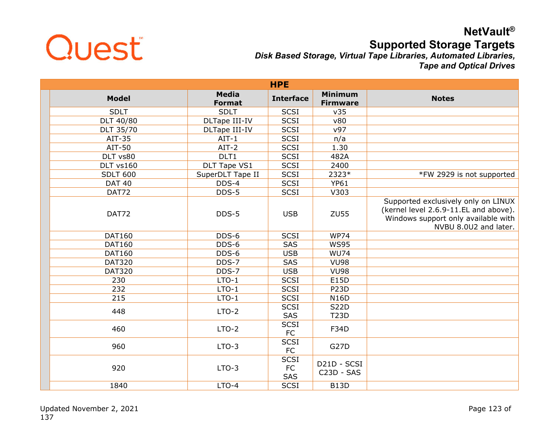### **NetVault® Supported Storage Targets**

|                                 |                               | <b>HPE</b>                             |                                   |                                                                                                                                              |
|---------------------------------|-------------------------------|----------------------------------------|-----------------------------------|----------------------------------------------------------------------------------------------------------------------------------------------|
| <b>Model</b>                    | <b>Media</b><br><b>Format</b> | <b>Interface</b>                       | <b>Minimum</b><br><b>Firmware</b> | <b>Notes</b>                                                                                                                                 |
| <b>SDLT</b>                     | <b>SDLT</b>                   | <b>SCSI</b>                            | v35                               |                                                                                                                                              |
| DLT 40/80                       | DLTape III-IV                 | <b>SCSI</b>                            | v80                               |                                                                                                                                              |
| DLT 35/70                       | DLTape III-IV                 | <b>SCSI</b>                            | v97                               |                                                                                                                                              |
| AIT-35                          | $AIT-1$                       | <b>SCSI</b>                            | n/a                               |                                                                                                                                              |
| AIT-50                          | $AIT-2$                       | <b>SCSI</b>                            | 1.30                              |                                                                                                                                              |
| DLT vs80                        | DLT1                          | <b>SCSI</b>                            | 482A                              |                                                                                                                                              |
| DLT vs160                       | <b>DLT Tape VS1</b>           | <b>SCSI</b>                            | 2400                              |                                                                                                                                              |
| <b>SDLT 600</b>                 | SuperDLT Tape II              | <b>SCSI</b>                            | 2323*                             | *FW 2929 is not supported                                                                                                                    |
| <b>DAT 40</b>                   | DDS-4                         | <b>SCSI</b>                            | <b>YP61</b>                       |                                                                                                                                              |
| DAT72                           | DDS-5                         | <b>SCSI</b>                            | V303                              |                                                                                                                                              |
| DAT72                           | DDS-5                         | <b>USB</b>                             | <b>ZU55</b>                       | Supported exclusively only on LINUX<br>(kernel level 2.6.9-11.EL and above).<br>Windows support only available with<br>NVBU 8.0U2 and later. |
| <b>DAT160</b>                   | DDS-6                         | <b>SCSI</b>                            | <b>WP74</b>                       |                                                                                                                                              |
| <b>DAT160</b>                   | DDS-6                         | SAS                                    | <b>WS95</b>                       |                                                                                                                                              |
| <b>DAT160</b>                   | DDS-6                         | <b>USB</b>                             | <b>WU74</b>                       |                                                                                                                                              |
| <b>DAT320</b>                   | DDS-7                         | <b>SAS</b>                             | <b>VU98</b>                       |                                                                                                                                              |
| <b>DAT320</b>                   | DDS-7                         | <b>USB</b>                             | <b>VU98</b>                       |                                                                                                                                              |
| 230                             | $LTO-1$                       | <b>SCSI</b>                            | E15D                              |                                                                                                                                              |
| 232                             | $LTO-1$                       | <b>SCSI</b>                            | <b>P23D</b>                       |                                                                                                                                              |
| 215                             | $LTO-1$                       | <b>SCSI</b>                            | <b>N16D</b>                       |                                                                                                                                              |
| 448                             | $LTO-2$                       | <b>SCSI</b><br><b>SAS</b>              | <b>S22D</b><br><b>T23D</b>        |                                                                                                                                              |
| 460                             | $LTO-2$                       | <b>SCSI</b><br>FC                      | F34D                              |                                                                                                                                              |
| 960                             | $LTO-3$                       | <b>SCSI</b><br>FC                      | G27D                              |                                                                                                                                              |
| 920                             | $LTO-3$                       | <b>SCSI</b><br><b>FC</b><br><b>SAS</b> | D21D - SCSI<br>C23D - SAS         |                                                                                                                                              |
| 1840                            | $LTO-4$                       | <b>SCSI</b>                            | <b>B13D</b>                       |                                                                                                                                              |
| Updated November 2, 2021<br>137 |                               |                                        |                                   | Page 123 of                                                                                                                                  |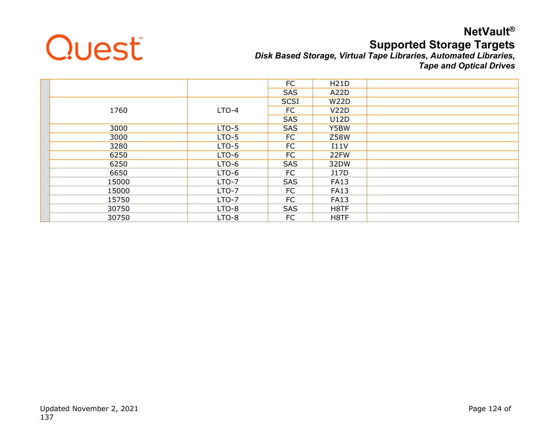

|       |         | FC          | H21D        |  |
|-------|---------|-------------|-------------|--|
|       |         | <b>SAS</b>  | A22D        |  |
|       |         |             |             |  |
|       |         | <b>SCSI</b> | <b>W22D</b> |  |
| 1760  | $LTO-4$ | FC          | V22D        |  |
|       |         | <b>SAS</b>  | U12D        |  |
| 3000  | $LTO-5$ | <b>SAS</b>  | Y5BW        |  |
| 3000  | $LTO-5$ | FC          | <b>Z58W</b> |  |
| 3280  | $LTO-5$ | FC          | I11V        |  |
| 6250  | $LTO-6$ | FC          | 22FW        |  |
| 6250  | $LTO-6$ | <b>SAS</b>  | 32DW        |  |
| 6650  | $LTO-6$ | FC          | J17D        |  |
| 15000 | $LTO-7$ | <b>SAS</b>  | <b>FA13</b> |  |
| 15000 | $LTO-7$ | FC          | <b>FA13</b> |  |
| 15750 | $LTO-7$ | FC          | <b>FA13</b> |  |
| 30750 | $LTO-8$ | <b>SAS</b>  | H8TF        |  |
| 30750 | LTO-8   | FC          | H8TF        |  |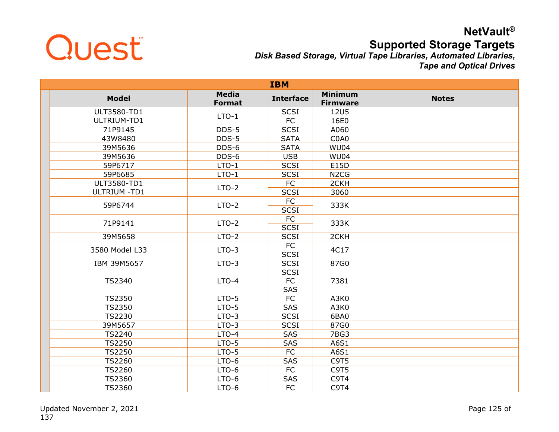### **NetVault® Supported Storage Targets**

| <b>IBM</b>     |                               |                          |                                   |              |
|----------------|-------------------------------|--------------------------|-----------------------------------|--------------|
| <b>Model</b>   | <b>Media</b><br><b>Format</b> | <b>Interface</b>         | <b>Minimum</b><br><b>Firmware</b> | <b>Notes</b> |
| ULT3580-TD1    |                               | <b>SCSI</b>              | <b>12U5</b>                       |              |
| ULTRIUM-TD1    | $LTO-1$                       | FC                       | 16E0                              |              |
| 71P9145        | DDS-5                         | <b>SCSI</b>              | A060                              |              |
| 43W8480        | DDS-5                         | <b>SATA</b>              | C0A0                              |              |
| 39M5636        | DDS-6                         | <b>SATA</b>              | <b>WU04</b>                       |              |
| 39M5636        | DDS-6                         | <b>USB</b>               | <b>WU04</b>                       |              |
| 59P6717        | $LTO-1$                       | <b>SCSI</b>              | E15D                              |              |
| 59P6685        | $LTO-1$                       | <b>SCSI</b>              | N <sub>2</sub> C <sub>G</sub>     |              |
| ULT3580-TD1    |                               | $\overline{FC}$          | 2CKH                              |              |
| ULTRIUM -TD1   | $LTO-2$                       | <b>SCSI</b>              | 3060                              |              |
|                |                               | FC                       |                                   |              |
| 59P6744        | $LTO-2$                       | <b>SCSI</b>              | 333K                              |              |
|                |                               | FC                       |                                   |              |
| 71P9141        | $LTO-2$                       | <b>SCSI</b>              | 333K                              |              |
| 39M5658        | $LTO-2$                       | <b>SCSI</b>              | 2CKH                              |              |
| 3580 Model L33 | $LTO-3$                       | <b>FC</b><br><b>SCSI</b> | 4C17                              |              |
| IBM 39M5657    | $LTO-3$                       | <b>SCSI</b>              | 87G0                              |              |
|                |                               | <b>SCSI</b>              |                                   |              |
| TS2340         | $LTO-4$                       | <b>FC</b>                | 7381                              |              |
|                |                               | <b>SAS</b>               |                                   |              |
| TS2350         | $LTO-5$                       | ${\sf FC}$               | A3K0                              |              |
| <b>TS2350</b>  | $LTO-5$                       | <b>SAS</b>               | A3K0                              |              |
| TS2230         | $LTO-3$                       | <b>SCSI</b>              | 6BA0                              |              |
| 39M5657        | $LTO-3$                       | <b>SCSI</b>              | 87G0                              |              |
| <b>TS2240</b>  | $LTO-4$                       | SAS                      | 7BG3                              |              |
| <b>TS2250</b>  | $LTO-5$                       | <b>SAS</b>               | A6S1                              |              |
| <b>TS2250</b>  | $LTO-5$                       | FC                       | A6S1                              |              |
| TS2260         | $LTO-6$                       | <b>SAS</b>               | C9T5                              |              |
| <b>TS2260</b>  | $LTO-6$                       | FC                       | C9T5                              |              |
| TS2360         | $LTO-6$                       | <b>SAS</b>               | C9T4                              |              |
| TS2360         | $LTO-6$                       | $\overline{FC}$          | C9T4                              |              |
|                |                               |                          |                                   |              |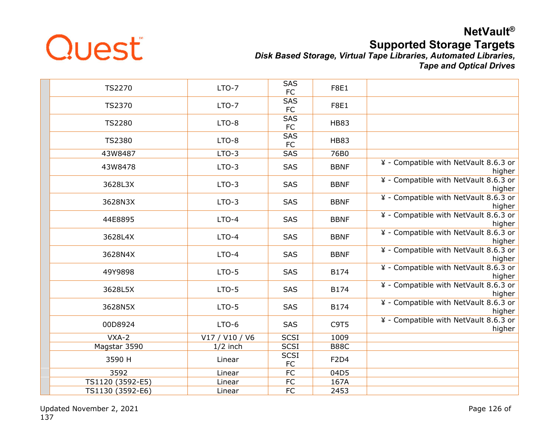

| <b>TS2270</b>    | $LTO-7$        | <b>SAS</b><br><b>FC</b>  | <b>F8E1</b> |                                                 |
|------------------|----------------|--------------------------|-------------|-------------------------------------------------|
| TS2370           | $LTO-7$        | SAS<br>${\sf FC}$        | <b>F8E1</b> |                                                 |
| <b>TS2280</b>    | $LTO-8$        | SAS<br><b>FC</b>         | <b>HB83</b> |                                                 |
| TS2380           | $LTO-8$        | SAS<br><b>FC</b>         | <b>HB83</b> |                                                 |
| 43W8487          | $LTO-3$        | SAS                      | 76B0        |                                                 |
| 43W8478          | $LTO-3$        | <b>SAS</b>               | <b>BBNF</b> | ¥ - Compatible with NetVault 8.6.3 or<br>higher |
| 3628L3X          | $LTO-3$        | <b>SAS</b>               | <b>BBNF</b> | ¥ - Compatible with NetVault 8.6.3 or<br>higher |
| 3628N3X          | $LTO-3$        | <b>SAS</b>               | <b>BBNF</b> | ¥ - Compatible with NetVault 8.6.3 or<br>higher |
| 44E8895          | $LTO-4$        | <b>SAS</b>               | <b>BBNF</b> | ¥ - Compatible with NetVault 8.6.3 or<br>higher |
| 3628L4X          | $LTO-4$        | <b>SAS</b>               | <b>BBNF</b> | ¥ - Compatible with NetVault 8.6.3 or<br>higher |
| 3628N4X          | $LTO-4$        | <b>SAS</b>               | <b>BBNF</b> | ¥ - Compatible with NetVault 8.6.3 or<br>higher |
| 49Y9898          | $LTO-5$        | <b>SAS</b>               | <b>B174</b> | ¥ - Compatible with NetVault 8.6.3 or<br>higher |
| 3628L5X          | $LTO-5$        | <b>SAS</b>               | B174        | ¥ - Compatible with NetVault 8.6.3 or<br>higher |
| 3628N5X          | $LTO-5$        | <b>SAS</b>               | B174        | ¥ - Compatible with NetVault 8.6.3 or<br>higher |
| 00D8924          | $LTO-6$        | <b>SAS</b>               | C9T5        | ¥ - Compatible with NetVault 8.6.3 or<br>higher |
| $VXA-2$          | V17 / V10 / V6 | <b>SCSI</b>              | 1009        |                                                 |
| Magstar 3590     | $1/2$ inch     | <b>SCSI</b>              | <b>B88C</b> |                                                 |
| 3590 H           | Linear         | <b>SCSI</b><br><b>FC</b> | F2D4        |                                                 |
| 3592             | Linear         | <b>FC</b>                | 04D5        |                                                 |
| TS1120 (3592-E5) | Linear         | FC                       | 167A        |                                                 |
| TS1130 (3592-E6) | Linear         | <b>FC</b>                | 2453        |                                                 |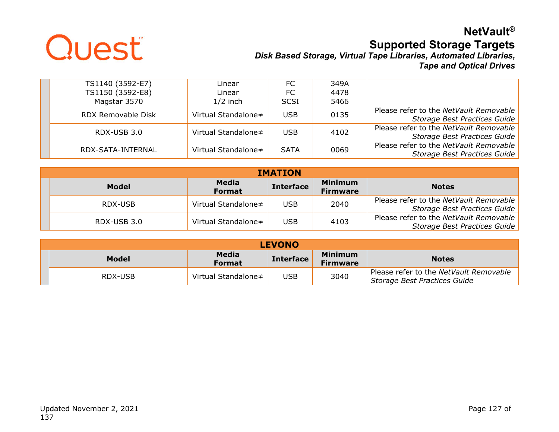#### **NetVault® Supported Storage Targets**  *Disk Based Storage, Virtual Tape Libraries, Automated Libraries,*

*Tape and Optical Drives*

| TS1140 (3592-E7)          | Linear              | FC          | 349A |                                                                        |
|---------------------------|---------------------|-------------|------|------------------------------------------------------------------------|
| TS1150 (3592-E8)          | Linear              | FC.         | 4478 |                                                                        |
| Magstar 3570              | $1/2$ inch          | <b>SCSI</b> | 5466 |                                                                        |
| <b>RDX Removable Disk</b> | Virtual Standalone≠ | <b>USB</b>  | 0135 | Please refer to the NetVault Removable<br>Storage Best Practices Guide |
| RDX-USB 3.0               | Virtual Standalone≠ | <b>USB</b>  | 4102 | Please refer to the NetVault Removable<br>Storage Best Practices Guide |
| RDX-SATA-INTERNAL         | Virtual Standalone≠ | <b>SATA</b> | 0069 | Please refer to the NetVault Removable<br>Storage Best Practices Guide |

| <b>IMATION</b> |                               |                  |                                   |                                                                        |  |  |
|----------------|-------------------------------|------------------|-----------------------------------|------------------------------------------------------------------------|--|--|
| <b>Model</b>   | <b>Media</b><br><b>Format</b> | <b>Interface</b> | <b>Minimum</b><br><b>Firmware</b> | <b>Notes</b>                                                           |  |  |
| RDX-USB        | Virtual Standalone≠           | <b>USB</b>       | 2040                              | Please refer to the NetVault Removable<br>Storage Best Practices Guide |  |  |
| RDX-USB 3.0    | Virtual Standalone≠           | USB              | 4103                              | Please refer to the NetVault Removable<br>Storage Best Practices Guide |  |  |

| <b>LEVONO</b> |                               |                  |                            |                                                                        |  |  |
|---------------|-------------------------------|------------------|----------------------------|------------------------------------------------------------------------|--|--|
| <b>Model</b>  | <b>Media</b><br><b>Format</b> | <b>Interface</b> | Minimum<br><b>Firmware</b> | <b>Notes</b>                                                           |  |  |
| RDX-USB       | Virtual Standalone≠           | USB              | 3040                       | Please refer to the NetVault Removable<br>Storage Best Practices Guide |  |  |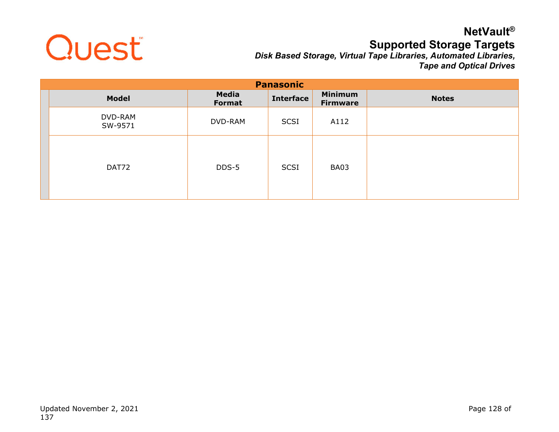

|                                 |                               | <b>Panasonic</b> |                                   |              |
|---------------------------------|-------------------------------|------------------|-----------------------------------|--------------|
| <b>Model</b>                    | <b>Media</b><br><b>Format</b> | <b>Interface</b> | <b>Minimum</b><br><b>Firmware</b> | <b>Notes</b> |
| DVD-RAM<br>SW-9571              | DVD-RAM                       | SCSI             | A112                              |              |
| DAT72                           | DDS-5                         | SCSI             | BA03                              |              |
|                                 |                               |                  |                                   |              |
|                                 |                               |                  |                                   |              |
|                                 |                               |                  |                                   |              |
|                                 |                               |                  |                                   |              |
|                                 |                               |                  |                                   |              |
| Updated November 2, 2021<br>137 |                               |                  |                                   | Page 128 of  |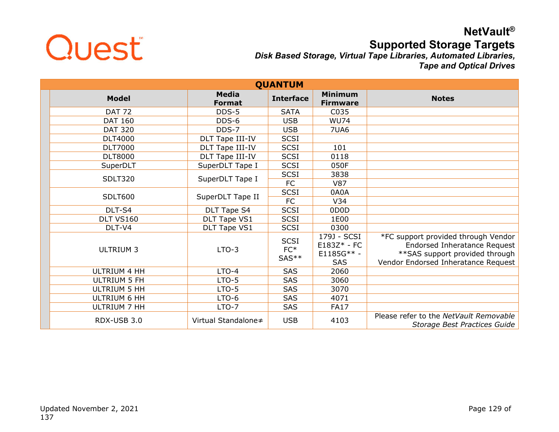

|                                 |                                                                                                                                                                                           | <b>QUANTUM</b>                |                                                     |                                                                                                                                                      |
|---------------------------------|-------------------------------------------------------------------------------------------------------------------------------------------------------------------------------------------|-------------------------------|-----------------------------------------------------|------------------------------------------------------------------------------------------------------------------------------------------------------|
| <b>Model</b>                    | <b>Media</b><br><b>Format</b>                                                                                                                                                             | <b>Interface</b>              | <b>Minimum</b><br><b>Firmware</b>                   | <b>Notes</b>                                                                                                                                         |
| <b>DAT 72</b>                   | DDS-5                                                                                                                                                                                     | <b>SATA</b>                   | C035                                                |                                                                                                                                                      |
| <b>DAT 160</b>                  | DDS-6                                                                                                                                                                                     | <b>USB</b>                    | <b>WU74</b>                                         |                                                                                                                                                      |
| <b>DAT 320</b>                  | DDS-7                                                                                                                                                                                     | <b>USB</b>                    | 7UA6                                                |                                                                                                                                                      |
| <b>DLT4000</b>                  | DLT Tape III-IV                                                                                                                                                                           | <b>SCSI</b>                   |                                                     |                                                                                                                                                      |
| <b>DLT7000</b>                  | DLT Tape III-IV                                                                                                                                                                           | <b>SCSI</b>                   | 101                                                 |                                                                                                                                                      |
| <b>DLT8000</b>                  | DLT Tape III-IV                                                                                                                                                                           | <b>SCSI</b>                   | 0118                                                |                                                                                                                                                      |
| SuperDLT                        | SuperDLT Tape I                                                                                                                                                                           | <b>SCSI</b>                   | 050F                                                |                                                                                                                                                      |
|                                 | SuperDLT Tape I<br>SuperDLT Tape II<br>DLT Tape S4<br><b>DLT Tape VS1</b><br><b>DLT Tape VS1</b><br>$LTO-3$<br>$LTO-4$<br>$LTO-5$<br>$LTO-5$<br>$LTO-6$<br>$LTO-7$<br>Virtual Standalone≠ | <b>SCSI</b>                   | 3838                                                |                                                                                                                                                      |
| SDLT320                         |                                                                                                                                                                                           | FC                            | <b>V87</b>                                          |                                                                                                                                                      |
|                                 |                                                                                                                                                                                           | <b>SCSI</b>                   | 0A0A                                                |                                                                                                                                                      |
| <b>SDLT600</b>                  |                                                                                                                                                                                           | FC                            | V34                                                 |                                                                                                                                                      |
| DLT-S4                          |                                                                                                                                                                                           | <b>SCSI</b>                   | 0D <sub>0</sub> D                                   |                                                                                                                                                      |
| <b>DLT VS160</b>                |                                                                                                                                                                                           | <b>SCSI</b>                   | 1E00                                                |                                                                                                                                                      |
| DLT-V4                          |                                                                                                                                                                                           | <b>SCSI</b>                   | 0300                                                |                                                                                                                                                      |
| <b>ULTRIUM 3</b>                |                                                                                                                                                                                           | <b>SCSI</b><br>$FC*$<br>SAS** | 179J - SCSI<br>$E183Z* - FC$<br>$E1185G** -$<br>SAS | *FC support provided through Vendor<br><b>Endorsed Inheratance Request</b><br>** SAS support provided through<br>Vendor Endorsed Inheratance Request |
| ULTRIUM 4 HH                    |                                                                                                                                                                                           | <b>SAS</b>                    | 2060                                                |                                                                                                                                                      |
| ULTRIUM 5 FH                    |                                                                                                                                                                                           | <b>SAS</b>                    | 3060                                                |                                                                                                                                                      |
| <b>ULTRIUM 5 HH</b>             |                                                                                                                                                                                           | <b>SAS</b>                    | 3070                                                |                                                                                                                                                      |
| ULTRIUM 6 HH                    |                                                                                                                                                                                           | <b>SAS</b>                    | 4071                                                |                                                                                                                                                      |
| ULTRIUM 7 HH                    |                                                                                                                                                                                           | <b>SAS</b>                    | <b>FA17</b>                                         |                                                                                                                                                      |
| RDX-USB 3.0                     |                                                                                                                                                                                           | <b>USB</b>                    | 4103                                                | Please refer to the NetVault Removable<br>Storage Best Practices Guide                                                                               |
| Updated November 2, 2021<br>137 |                                                                                                                                                                                           |                               |                                                     | Page 129 of                                                                                                                                          |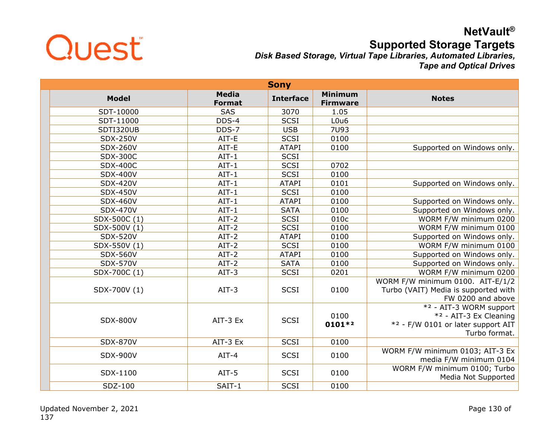### **NetVault® Supported Storage Targets**

|                 |                               | <b>Sony</b>      |                                   |                                                                                                                      |
|-----------------|-------------------------------|------------------|-----------------------------------|----------------------------------------------------------------------------------------------------------------------|
| <b>Model</b>    | <b>Media</b><br><b>Format</b> | <b>Interface</b> | <b>Minimum</b><br><b>Firmware</b> | <b>Notes</b>                                                                                                         |
| SDT-10000       | <b>SAS</b>                    | 3070             | 1.05                              |                                                                                                                      |
| SDT-11000       | DDS-4                         | <b>SCSI</b>      | L <sub>0u6</sub>                  |                                                                                                                      |
| SDTI320UB       | DDS-7                         | <b>USB</b>       | 7U93                              |                                                                                                                      |
| <b>SDX-250V</b> | AIT-E                         | <b>SCSI</b>      | 0100                              |                                                                                                                      |
| <b>SDX-260V</b> | AIT-E                         | <b>ATAPI</b>     | 0100                              | Supported on Windows only.                                                                                           |
| <b>SDX-300C</b> | $AIT-1$                       | <b>SCSI</b>      |                                   |                                                                                                                      |
| <b>SDX-400C</b> | $AIT-1$                       | <b>SCSI</b>      | 0702                              |                                                                                                                      |
| <b>SDX-400V</b> | $AIT-1$                       | <b>SCSI</b>      | 0100                              |                                                                                                                      |
| <b>SDX-420V</b> | $AIT-1$                       | <b>ATAPI</b>     | 0101                              | Supported on Windows only.                                                                                           |
| <b>SDX-450V</b> | $AIT-1$                       | <b>SCSI</b>      | 0100                              |                                                                                                                      |
| <b>SDX-460V</b> | $AIT-1$                       | <b>ATAPI</b>     | 0100                              | Supported on Windows only.                                                                                           |
| <b>SDX-470V</b> | $AIT-1$                       | <b>SATA</b>      | 0100                              | Supported on Windows only.                                                                                           |
| SDX-500C (1)    | $AIT-2$                       | <b>SCSI</b>      | 010c                              | WORM F/W minimum 0200                                                                                                |
| SDX-500V (1)    | $AIT-2$                       | <b>SCSI</b>      | 0100                              | WORM F/W minimum 0100                                                                                                |
| <b>SDX-520V</b> | $AIT-2$                       | <b>ATAPI</b>     | 0100                              | Supported on Windows only.                                                                                           |
| SDX-550V (1)    | $AIT-2$                       | <b>SCSI</b>      | 0100                              | WORM F/W minimum 0100                                                                                                |
| <b>SDX-560V</b> | $AIT-2$                       | <b>ATAPI</b>     | 0100                              | Supported on Windows only.                                                                                           |
| <b>SDX-570V</b> | $AIT-2$                       | <b>SATA</b>      | 0100                              | Supported on Windows only.                                                                                           |
| SDX-700C (1)    | $AIT-3$                       | <b>SCSI</b>      | 0201                              | WORM F/W minimum 0200                                                                                                |
| SDX-700V (1)    | $AIT-3$                       | <b>SCSI</b>      | 0100                              | WORM F/W minimum 0100. AIT-E/1/2<br>Turbo (VAIT) Media is supported with<br>FW 0200 and above                        |
| <b>SDX-800V</b> | AIT-3 Ex                      | <b>SCSI</b>      | 0100<br>$0101*2$                  | *2 - AIT-3 WORM support<br>* <sup>2</sup> - AIT-3 Ex Cleaning<br>*2 - F/W 0101 or later support AIT<br>Turbo format. |
| <b>SDX-870V</b> | AIT-3 Ex                      | <b>SCSI</b>      | 0100                              |                                                                                                                      |
| <b>SDX-900V</b> | $AIT-4$                       | <b>SCSI</b>      | 0100                              | WORM F/W minimum 0103; AIT-3 Ex<br>media F/W minimum 0104                                                            |
| SDX-1100        | $AIT-5$                       | <b>SCSI</b>      | 0100                              | WORM F/W minimum 0100; Turbo<br>Media Not Supported                                                                  |
| SDZ-100         | SAIT-1                        | <b>SCSI</b>      | 0100                              |                                                                                                                      |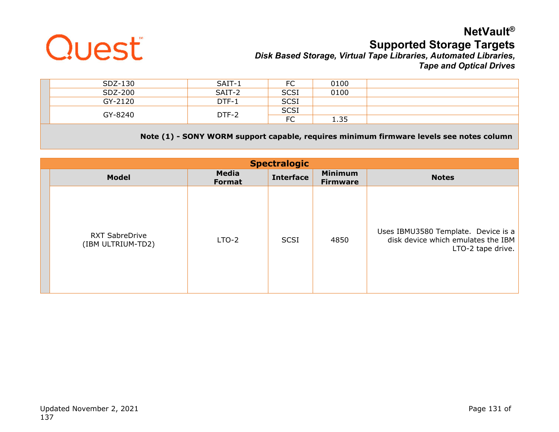

#### **NetVault® Supported Storage Targets**  *Disk Based Storage, Virtual Tape Libraries, Automated Libraries,*

*Tape and Optical Drives*

| SDZ-130 | SAIT-1 | $\sim$<br>╰ | 0100        |  |
|---------|--------|-------------|-------------|--|
| SDZ-200 | SAIT-2 | <b>SCSI</b> | 0100        |  |
| GY-2120 | DTF-1  | <b>SCSI</b> |             |  |
| GY-8240 | DTF-2  | <b>SCSI</b> |             |  |
|         |        | $\sim$<br>╰ | って<br>ر ر.ر |  |

 **Note (1) - SONY WORM support capable, requires minimum firmware levels see notes column** 

| <b>Spectralogic</b>                        |                               |                  |                                   |                                                                                                |  |  |  |
|--------------------------------------------|-------------------------------|------------------|-----------------------------------|------------------------------------------------------------------------------------------------|--|--|--|
| <b>Model</b>                               | <b>Media</b><br><b>Format</b> | <b>Interface</b> | <b>Minimum</b><br><b>Firmware</b> | <b>Notes</b>                                                                                   |  |  |  |
| <b>RXT SabreDrive</b><br>(IBM ULTRIUM-TD2) | $LTO-2$                       | <b>SCSI</b>      | 4850                              | Uses IBMU3580 Template. Device is a<br>disk device which emulates the IBM<br>LTO-2 tape drive. |  |  |  |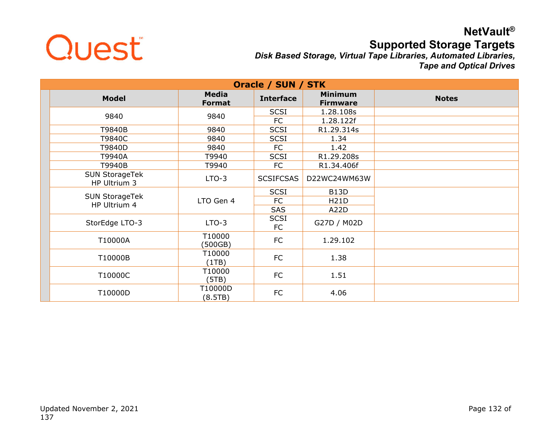

|     | Oracle / SUN / STK                    |                        |                   |                                   |              |  |  |
|-----|---------------------------------------|------------------------|-------------------|-----------------------------------|--------------|--|--|
|     | <b>Model</b>                          | <b>Media</b><br>Format | <b>Interface</b>  | <b>Minimum</b><br><b>Firmware</b> | <b>Notes</b> |  |  |
|     | 9840                                  | 9840                   | <b>SCSI</b>       | 1.28.108s                         |              |  |  |
|     |                                       |                        | ${\sf FC}$        | 1.28.122f                         |              |  |  |
|     | T9840B                                | 9840                   | <b>SCSI</b>       | R1.29.314s                        |              |  |  |
|     | T9840C                                | 9840                   | <b>SCSI</b>       | 1.34                              |              |  |  |
|     | T9840D                                | 9840                   | FC                | 1.42                              |              |  |  |
|     | T9940A                                | T9940                  | <b>SCSI</b>       | R1.29.208s                        |              |  |  |
|     | T9940B                                | T9940                  | FC                | R1.34.406f                        |              |  |  |
|     | <b>SUN StorageTek</b><br>HP Ultrium 3 | $LTO-3$                | <b>SCSIFCSAS</b>  | D22WC24WM63W                      |              |  |  |
|     | <b>SUN StorageTek</b>                 |                        | <b>SCSI</b>       | <b>B13D</b>                       |              |  |  |
|     | HP Ultrium 4                          | LTO Gen 4              | FC                | <b>H21D</b>                       |              |  |  |
|     |                                       |                        | SAS               | A22D                              |              |  |  |
|     | StorEdge LTO-3                        | $LTO-3$                | <b>SCSI</b><br>FC | G27D / M02D                       |              |  |  |
|     | T10000A                               | T10000<br>(500GB)      | <b>FC</b>         | 1.29.102                          |              |  |  |
|     | T10000B                               | T10000<br>(1TB)        | ${\sf FC}$        | 1.38                              |              |  |  |
|     | T10000C                               | T10000<br>(5TB)        | FC                | 1.51                              |              |  |  |
|     | T10000D                               | T10000D<br>(8.5TB)     | ${\sf FC}$        | 4.06                              |              |  |  |
|     |                                       |                        |                   |                                   |              |  |  |
| 137 | Updated November 2, 2021              |                        |                   |                                   | Page 132 of  |  |  |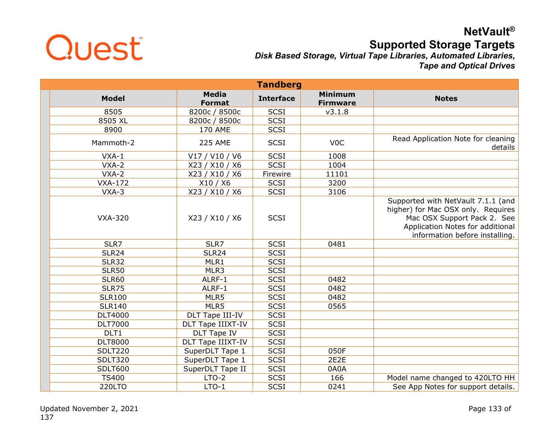

| <b>Tandberg</b>                 |                               |                  |                                   |                                                                                                                                                                               |  |
|---------------------------------|-------------------------------|------------------|-----------------------------------|-------------------------------------------------------------------------------------------------------------------------------------------------------------------------------|--|
| <b>Model</b>                    | <b>Media</b><br><b>Format</b> | <b>Interface</b> | <b>Minimum</b><br><b>Firmware</b> | <b>Notes</b>                                                                                                                                                                  |  |
| 8505                            | 8200c / 8500c                 | <b>SCSI</b>      | v3.1.8                            |                                                                                                                                                                               |  |
| 8505 XL                         | 8200c / 8500c                 | <b>SCSI</b>      |                                   |                                                                                                                                                                               |  |
| 8900                            | 170 AME                       | <b>SCSI</b>      |                                   |                                                                                                                                                                               |  |
| Mammoth-2                       | <b>225 AME</b>                | <b>SCSI</b>      | V <sub>0</sub> C                  | Read Application Note for cleaning<br>details                                                                                                                                 |  |
| $VXA-1$                         | V17 / V10 / V6                | <b>SCSI</b>      | 1008                              |                                                                                                                                                                               |  |
| $VXA-2$                         | X23 / X10 / X6                | <b>SCSI</b>      | 1004                              |                                                                                                                                                                               |  |
| $VXA-2$                         | X23 / X10 / X6                | Firewire         | 11101                             |                                                                                                                                                                               |  |
| <b>VXA-172</b>                  | X10 / X6                      | <b>SCSI</b>      | 3200                              |                                                                                                                                                                               |  |
| $VXA-3$                         | X23 / X10 / X6                | <b>SCSI</b>      | 3106                              |                                                                                                                                                                               |  |
| <b>VXA-320</b>                  | X23 / X10 / X6                | <b>SCSI</b>      |                                   | Supported with NetVault 7.1.1 (and<br>higher) for Mac OSX only. Requires<br>Mac OSX Support Pack 2. See<br>Application Notes for additional<br>information before installing. |  |
| SLR7                            | SLR7                          | <b>SCSI</b>      | 0481                              |                                                                                                                                                                               |  |
| <b>SLR24</b>                    | <b>SLR24</b>                  | <b>SCSI</b>      |                                   |                                                                                                                                                                               |  |
| <b>SLR32</b>                    | MLR1                          | <b>SCSI</b>      |                                   |                                                                                                                                                                               |  |
| <b>SLR50</b>                    | MLR3                          | <b>SCSI</b>      |                                   |                                                                                                                                                                               |  |
| <b>SLR60</b>                    | ALRF-1                        | <b>SCSI</b>      | 0482                              |                                                                                                                                                                               |  |
| <b>SLR75</b>                    | ALRF-1                        | <b>SCSI</b>      | 0482                              |                                                                                                                                                                               |  |
| <b>SLR100</b>                   | MLR5                          | <b>SCSI</b>      | 0482                              |                                                                                                                                                                               |  |
| <b>SLR140</b>                   | MLR5                          | <b>SCSI</b>      | 0565                              |                                                                                                                                                                               |  |
| <b>DLT4000</b>                  | DLT Tape III-IV               | <b>SCSI</b>      |                                   |                                                                                                                                                                               |  |
| <b>DLT7000</b>                  | DLT Tape IIIXT-IV             | <b>SCSI</b>      |                                   |                                                                                                                                                                               |  |
| DLT1                            | <b>DLT Tape IV</b>            | <b>SCSI</b>      |                                   |                                                                                                                                                                               |  |
| <b>DLT8000</b>                  | DLT Tape IIIXT-IV             | <b>SCSI</b>      |                                   |                                                                                                                                                                               |  |
| <b>SDLT220</b>                  | SuperDLT Tape 1               | <b>SCSI</b>      | 050F                              |                                                                                                                                                                               |  |
| SDLT320                         | SuperDLT Tape 1               | <b>SCSI</b>      | 2E2E                              |                                                                                                                                                                               |  |
| <b>SDLT600</b>                  | SuperDLT Tape II              | <b>SCSI</b>      | 0A0A                              |                                                                                                                                                                               |  |
| <b>TS400</b>                    | $LTO-2$                       | <b>SCSI</b>      | 166                               | Model name changed to 420LTO HH                                                                                                                                               |  |
| 220LTO                          | $LTO-1$                       | <b>SCSI</b>      | 0241                              | See App Notes for support details.                                                                                                                                            |  |
| Updated November 2, 2021<br>137 |                               |                  |                                   | Page 133 of                                                                                                                                                                   |  |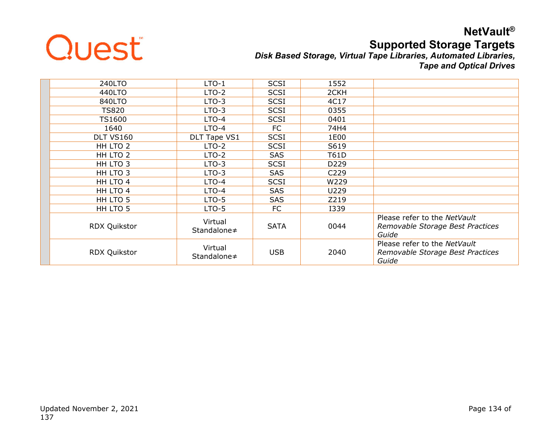#### **NetVault® Supported Storage Targets**  *Disk Based Storage, Virtual Tape Libraries, Automated Libraries,*

*Tape and Optical Drives*

| 240LTO              | $LTO-1$                | <b>SCSI</b> | 1552 |                                                                           |
|---------------------|------------------------|-------------|------|---------------------------------------------------------------------------|
| 440LTO              | $LTO-2$                | <b>SCSI</b> | 2CKH |                                                                           |
| 840LTO              | $LTO-3$                | <b>SCSI</b> | 4C17 |                                                                           |
| TS820               | LTO-3                  | <b>SCSI</b> | 0355 |                                                                           |
| TS1600              | $LTO-4$                | <b>SCSI</b> | 0401 |                                                                           |
| 1640                | $LTO-4$                | FC          | 74H4 |                                                                           |
| <b>DLT VS160</b>    | DLT Tape VS1           | <b>SCSI</b> | 1E00 |                                                                           |
| HH LTO 2            | $LTO-2$                | <b>SCSI</b> | S619 |                                                                           |
| HH LTO 2            | LTO-2                  | <b>SAS</b>  | T61D |                                                                           |
| HH LTO 3            | $LTO-3$                | <b>SCSI</b> | D229 |                                                                           |
| HH LTO 3            | $LTO-3$                | <b>SAS</b>  | C229 |                                                                           |
| HH LTO 4            | $LTO-4$                | <b>SCSI</b> | W229 |                                                                           |
| HH LTO 4            | $LTO-4$                | <b>SAS</b>  | U229 |                                                                           |
| HH LTO 5            | LTO-5                  | <b>SAS</b>  | Z219 |                                                                           |
| HH LTO 5            | LTO-5                  | FC          | I339 |                                                                           |
| <b>RDX Quikstor</b> | Virtual<br>Standalone≠ | <b>SATA</b> | 0044 | Please refer to the NetVault<br>Removable Storage Best Practices<br>Guide |
| <b>RDX Quikstor</b> | Virtual<br>Standalone≠ | <b>USB</b>  | 2040 | Please refer to the NetVault<br>Removable Storage Best Practices<br>Guide |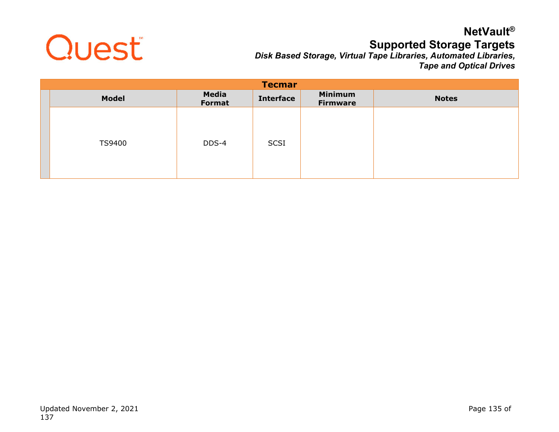### **NetVault® Supported Storage Targets**

| <b>Tecmar</b> |                          |                 |                  |                            |              |
|---------------|--------------------------|-----------------|------------------|----------------------------|--------------|
|               | <b>Model</b>             | Media<br>Format | <b>Interface</b> | Minimum<br><b>Firmware</b> | <b>Notes</b> |
|               | TS9400                   | DDS-4           | SCSI             |                            |              |
|               |                          |                 |                  |                            |              |
|               |                          |                 |                  |                            |              |
|               |                          |                 |                  |                            |              |
|               |                          |                 |                  |                            |              |
|               |                          |                 |                  |                            |              |
|               |                          |                 |                  |                            |              |
| 137           | Updated November 2, 2021 |                 |                  |                            | Page 135 of  |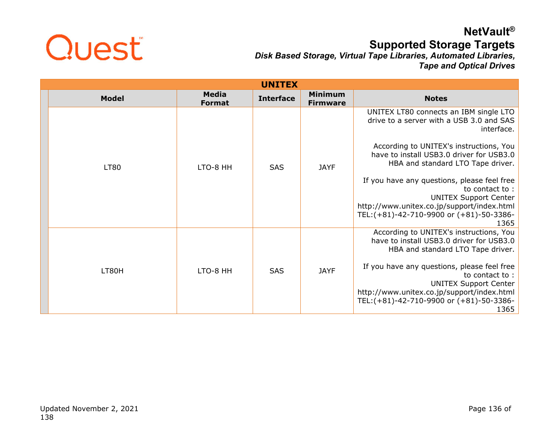

|     | <b>UNITEX</b>            |                               |                  |                                   |                                                                                                                                                                                                                                                                                                                                                                                                                                |  |  |  |
|-----|--------------------------|-------------------------------|------------------|-----------------------------------|--------------------------------------------------------------------------------------------------------------------------------------------------------------------------------------------------------------------------------------------------------------------------------------------------------------------------------------------------------------------------------------------------------------------------------|--|--|--|
|     | <b>Model</b>             | <b>Media</b><br><b>Format</b> | <b>Interface</b> | <b>Minimum</b><br><b>Firmware</b> | <b>Notes</b>                                                                                                                                                                                                                                                                                                                                                                                                                   |  |  |  |
|     | <b>LT80</b>              | LTO-8 HH                      | <b>SAS</b>       | <b>JAYF</b>                       | UNITEX LT80 connects an IBM single LTO<br>drive to a server with a USB 3.0 and SAS<br>interface.<br>According to UNITEX's instructions, You<br>have to install USB3.0 driver for USB3.0<br>HBA and standard LTO Tape driver.<br>If you have any questions, please feel free<br>to contact to:<br><b>UNITEX Support Center</b><br>http://www.unitex.co.jp/support/index.html<br>TEL:(+81)-42-710-9900 or (+81)-50-3386-<br>1365 |  |  |  |
|     | LT80H                    | LTO-8 HH                      | <b>SAS</b>       | <b>JAYF</b>                       | According to UNITEX's instructions, You<br>have to install USB3.0 driver for USB3.0<br>HBA and standard LTO Tape driver.<br>If you have any questions, please feel free<br>to contact to:<br><b>UNITEX Support Center</b><br>http://www.unitex.co.jp/support/index.html<br>TEL:(+81)-42-710-9900 or (+81)-50-3386-<br>1365                                                                                                     |  |  |  |
| 138 | Updated November 2, 2021 |                               |                  |                                   | Page 136 of                                                                                                                                                                                                                                                                                                                                                                                                                    |  |  |  |